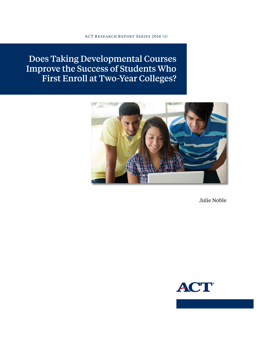ACT Research Report Series 2016 (1)

Does Taking Developmental Courses Improve the Success of Students Who First Enroll at Two-Year Colleges?



Julie Noble

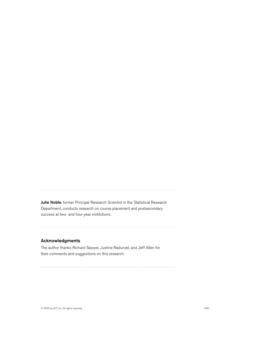Julie Noble, former Principal Research Scientist in the Statistical Research Department, conducts research on course placement and postsecondary success at two- and four-year institutions.

#### Acknowledgments

The author thanks Richard Sawyer, Justine Radunzel, and Jeff Allen for their comments and suggestions on this research.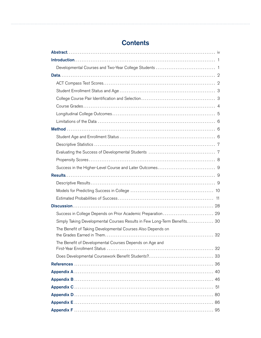# **Contents**

| Success in College Depends on Prior Academic Preparation  29             |
|--------------------------------------------------------------------------|
| Simply Taking Developmental Courses Results in Few Long-Term Benefits 30 |
| The Benefit of Taking Developmental Courses Also Depends on              |
|                                                                          |
| The Benefit of Developmental Courses Depends on Age and                  |
|                                                                          |
|                                                                          |
|                                                                          |
|                                                                          |
|                                                                          |
|                                                                          |
|                                                                          |
|                                                                          |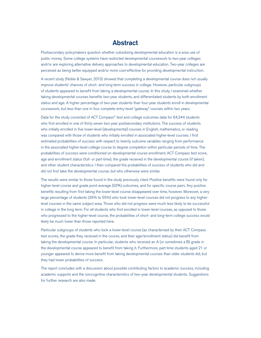## **Abstract**

<span id="page-3-0"></span>Postsecondary policymakers question whether subsidizing developmental education is a wise use of public money. Some college systems have restricted developmental coursework to two-year colleges and/or are exploring alternative delivery approaches to developmental education. Two-year colleges are perceived as being better equipped and/or more cost-effective for providing developmental instruction.

A recent study (Noble & Sawyer, 2013) showed that completing a developmental course does not usually improve students' chances of short- and long-term success in college. However, particular subgroups of students appeared to benefit from taking a developmental course. In this study, I examined whether taking developmental courses benefits two-year students, and differentiated students by both enrollment status and age. A higher percentage of two-year students than four-year students enroll in developmental coursework, but less than one in four complete entry-level "gateway" courses within two years.

Data for the study consisted of ACT Compass® test and college outcomes data for 64,344 students who first enrolled in one of thirty-seven two-year postsecondary institutions. The success of students who initially enrolled in five lower-level (developmental) courses in English, mathematics, or reading was compared with those of students who initially enrolled in associated higher-level courses. I first estimated probabilities of success with respect to twenty outcome variables ranging from performance in the associated higher-level college course to degree completion within particular periods of time. The probabilities of success were conditioned on developmental course enrollment, ACT Compass test score, age and enrollment status (full- or part-time), the grade received in the developmental course (if taken), and other student characteristics. I then compared the probabilities of success of students who did and did not first take the developmental course, but who otherwise were similar.

The results were similar to those found in the study previously cited: Positive benefits were found only for higher-level course and grade point average (GPA) outcomes, and for specific course pairs. Any positive benefits resulting from first taking the lower-level course disappeared over time, however. Moreover, a very large percentage of students (35% to 55%) who took lower-level courses did not progress to any higherlevel courses in the same subject area. Those who did not progress were much less likely to be successful in college in the long term. For *all* students who first enrolled in lower-level courses, as opposed to those who progressed to the higher-level course, the probabilities of short- and long-term college success would likely be much lower than those reported here.

Particular subgroups of students who took a lower-level course (as characterized by their ACT Compass test scores, the grade they received in the course, and their age/enrollment status) did benefit from taking the developmental course. In particular, students who received an A (or sometimes a B) grade in the developmental course appeared to benefit from taking it. Furthermore, part-time students aged 21 or younger appeared to derive more benefit from taking developmental courses than older students did, but they had lower probabilities of success.

The report concludes with a discussion about possible contributing factors to academic success, including academic supports and the noncognitive characteristics of two-year developmental students. Suggestions for further research are also made.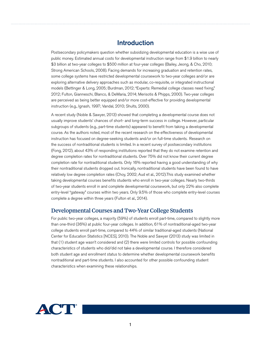## Introduction

<span id="page-4-0"></span>Postsecondary policymakers question whether subsidizing developmental education is a wise use of public money. Estimated annual costs for developmental instruction range from \$1.9 billion to nearly \$3 billion at two-year colleges to \$500 million at four-year colleges (Bailey, Jeong, & Cho, 2010; Strong American Schools, 2008). Facing demands for increasing graduation and retention rates, some college systems have restricted developmental coursework to two-year colleges and/or are exploring alternative delivery approaches such as modular, co-requisite, or integrated instructional models (Bettinger & Long, 2005; Burdman, 2012; "Experts: Remedial college classes need fixing," 2012; Fulton, Gianneschi, Blanco, & DeMaria, 2014; Merisotis & Phipps, 2000). Two-year colleges are perceived as being better equipped and/or more cost-effective for providing developmental instruction (e.g., Ignash, 1997; Vandal, 2010; Shults, 2000).

A recent study (Noble & Sawyer, 2013) showed that completing a developmental course does not usually improve students' chances of short- and long-term success in college. However, particular subgroups of students (e.g., part-time students) appeared to benefit from taking a developmental course. As the authors noted, most of the recent research on the effectiveness of developmental instruction has focused on degree-seeking students and/or on full-time students. Research on the success of nontraditional students is limited. In a recent survey of postsecondary institutions (Fong, 2012), about 43% of responding institutions reported that they do not examine retention and degree completion rates for nontraditional students. Over 75% did not know their current degree completion rate for nontraditional students. Only 16% reported having a good understanding of why their nontraditional students dropped out. Ironically, nontraditional students have been found to have relatively low degree completion rates (Choy, 2002; Aud et al., 2012).This study examined whether taking developmental courses benefits students who enroll in two-year colleges. Nearly two-thirds of two-year students enroll in and complete developmental coursework, but only 22% also complete entry-level "gateway" courses within two years. Only 9.5% of those who complete entry-level courses complete a degree within three years (Fulton et al., 2014).

## Developmental Courses and Two-Year College Students

For public two-year colleges, a majority (59%) of students enroll part-time, compared to slightly more than one-third (36%) at public four-year colleges. In addition, 61% of nontraditional-aged two-year college students enroll part-time, compared to 44% of similar traditional-aged students (National Center for Education Statistics [NCES], 2010). The Noble and Sawyer (2013) study was limited in that (1) student age wasn't considered and (2) there were limited controls for possible confounding characteristics of students who did/did not take a developmental course. I therefore considered both student age and enrollment status to determine whether developmental coursework benefits nontraditional and part-time students. I also accounted for other possible confounding student characteristics when examining these relationships.

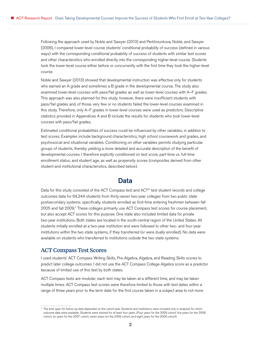<span id="page-5-0"></span>Following the approach used by Noble and Sawyer (2013) and Perkhounkova, Noble, and Sawyer (2006), I compared lower-level course students' conditional probability of success (defined in various ways) with the corresponding conditional probability of success of students with similar test scores and other characteristics who enrolled directly into the corresponding higher-level course. Students took the lower-level course either before or concurrently with the first time they took the higher-level course.

Noble and Sawyer (2013) showed that developmental instruction was effective only for students who earned an A grade and sometimes a B grade in the developmental course. The study also examined lower-level courses with pass/fail grades as well as lower-level courses with A–F grades. This approach was also planned for this study; however, there were insufficient students with pass/fail grades and, of those, very few or no students failed the lower-level courses examined in this study. Therefore, only A–F grades in lower-level courses were used as predictors. Descriptive statistics provided in Appendices A and B include the results for students who took lower-level courses with pass/fail grades.

Estimated conditional probabilities of success could be influenced by other variables, in addition to test scores. Examples include background characteristics, high school coursework and grades, and psychosocial and situational variables. Conditioning on other variables permits studying particular groups of students, thereby yielding a more detailed and accurate description of the benefit of developmental courses. I therefore explicitly conditioned on test score, part-time vs. full-time enrollment status, and student age, as well as propensity scores (composites derived from other student and institutional characteristics, described below).

## Data

Data for this study consisted of the ACT Compass test and ACT® test student records and college outcomes data for 64,344 students from thirty-seven two-year colleges from two public state postsecondary systems; specifically, students enrolled as first-time entering freshmen between fall 2005 and fall 2009.<sup>1</sup> These colleges primarily use ACT Compass test scores for course placement, but also accept ACT scores for this purpose. One state also included limited data for private two-year institutions. Both states are located in the south-central region of the United States. All students initially enrolled at a two-year institution and were followed to other two- and four-year institutions within the two state systems, if they transferred (or were dually enrolled). No data were available on students who transferred to institutions outside the two state systems.

#### ACT Compass Test Scores

I used students' ACT Compass Writing Skills, Pre-Algebra, Algebra, and Reading Skills scores to predict later college outcomes. I did not use the ACT Compass College Algebra score as a predictor because of limited use of this test by both states.

ACT Compass tests are modular; each test may be taken at a different time, and may be taken multiple times. ACT Compass test scores were therefore limited to those with test dates within a range of three years prior to the term date for the first course taken in a subject area to not more

<sup>1</sup> The time span for follow-up data depended on the cohort year. Students and institutions were included only in analyses for which outcome data were available. Students were tracked for at least four years. (Four years for the 2009 cohort, five years for the 2008 cohort, six years for the 2007 cohort, seven years for the 2006 cohort, and eight years for the 2005 cohort).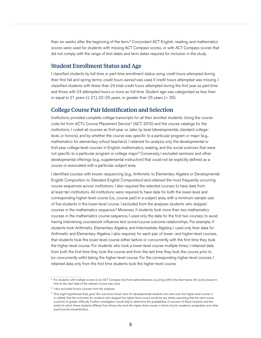<span id="page-6-0"></span>than six weeks after the beginning of the term.<sup>2</sup> Concordant ACT English, reading, and mathematics scores were used for students with missing ACT Compass scores, or with ACT Compass scores that did not comply with the range of test dates and term dates required for inclusion in the study.

#### Student Enrollment Status and Age

I classified students by full-time or part-time enrollment status using *credit hours attempted* during their first fall and spring terms; *credit hours earned* was used if credit hours attempted was missing. I classified students with fewer than 24 total credit hours attempted during the first year as part-time and those with 24 attempted hours or more as full-time. Student age was categorized as less than or equal to 21 years ( $\leq$  21), 22–25 years, or greater than 25 years ( $>$  25).

#### College Course Pair Identification and Selection

Institutions provided complete college transcripts for all their enrolled students. Using the course code list from ACT's Course Placement Service® (ACT, 2015) and the course catalogs for the institutions, I coded all courses as first-year vs. later, by level (developmental, standard collegelevel, or honors), and by whether the course was specific to a particular program or major (e.g., mathematics for elementary school teachers). I retained for analysis only the developmental or first-year college-level courses in English, mathematics, reading, and the social sciences that were not specific to a particular program or college major.<sup>3</sup> Conversely, I excluded seminars and other developmental offerings (e.g., supplemental instruction) that could not be explicitly defined as a course or associated with a particular subject area.

I identified courses with known sequencing (e.g., Arithmetic to Elementary Algebra or Developmental English Composition to Standard English Composition) and retained the most frequently occurring course sequences across institutions. I also required the selected courses to have data from at least ten institutions. All institutions were required to have data for both the lower-level and corresponding higher-level course (i.e., course pair) in a subject area, with a minimum sample size of five students in the lower-level course. I excluded from the analyses students who skipped courses in the mathematics sequence.<sup>4</sup> Moreover, if students took more than two mathematics courses in the mathematics course sequence, I used only the data for the first two courses, to avoid having intervening coursework influence test score/course outcome relationships. For example, if students took Arithmetic, Elementary Algebra, and Intermediate Algebra, I used only their data for Arithmetic and Elementary Algebra. I also required, for each pair of lower- and higher-level courses, that students took the lower-level course either before or concurrently with the first time they took the higher-level course. For students who took a lower-level course multiple times, I retained data from both the first time they took the course and from the last time they took the course prior to (or concurrently with) taking the higher-level course. For the corresponding higher-level courses, I retained data only from the first time students took the higher-level course.

<sup>2</sup> For students with multiple scores on an ACT Compass test from administrations occurring within this item frame, the score closest in time to the start date of the relevant course was used.

<sup>&</sup>lt;sup>3</sup> I also excluded honors courses from the analyses.

<sup>4</sup> One might hypothesize that, given the outcomes shown here for developmental students who also took the higher-level course, it is unlikely that the outcomes for students who skipped the higher-level course would be any better, assuming that the next course would be of greater difficulty. Further investigation would help to determine the probabilities of success of these students and the extent to which these students differed from those who took the higher-level course, in terms of prior academic preparation and other psychosocial characteristics.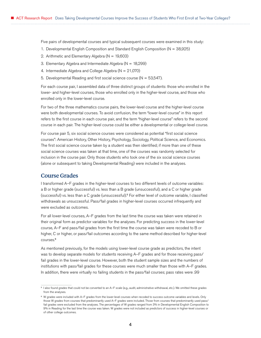<span id="page-7-0"></span>Five pairs of developmental courses and typical subsequent courses were examined in this study:

- 1. Developmental English Composition and Standard English Composition (N = 38,925)
- 2. Arithmetic and Elementary Algebra ( $N = 19,603$ )
- 3. Elementary Algebra and Intermediate Algebra (N = 18,299)
- 4. Intermediate Algebra and College Algebra (N = 21,070)
- 5. Developmental Reading and first social science course ( $N = 53,547$ ).

For each course pair, I assembled data of three distinct groups of students: those who enrolled in the lower- and higher-level courses, those who enrolled only in the higher-level course, and those who enrolled only in the lower-level course.

For two of the three mathematics course pairs, the lower-level course and the higher-level course were both developmental courses. To avoid confusion, the term "lower-level course" in this report refers to the first course in each course pair, and the term "higher-level course" refers to the second course in each pair. The higher-level course could be either a developmental or college-level course.

For course pair 5, six social science courses were considered as potential "first social science courses": American History, Other History, Psychology, Sociology, Political Science, and Economics. The first social science course taken by a student was then identified; if more than one of these social science courses was taken at that time, one of the courses was randomly selected for inclusion in the course pair. Only those students who took one of the six social science courses (alone or subsequent to taking Developmental Reading) were included in the analyses.

#### Course Grades

I transformed A–F grades in the higher-level courses to two different levels of outcome variables: a B or higher grade (successful) vs. less than a B grade (unsuccessful), and a C or higher grade (successful) vs. less than a C grade (unsuccessful).<sup>5</sup> For either level of outcome variable, I classified withdrawals as unsuccessful. Pass/fail grades in higher-level courses occurred infrequently and were excluded as outcomes.

For all lower-level courses, A–F grades from the last time the course was taken were retained in their original form as predictor variables for the analyses. For predicting success in the lower-level course, A–F and pass/fail grades from the first time the course was taken were recoded to B or higher, C or higher, or pass/fail outcomes according to the same method described for higher-level courses.<sup>6</sup>

As mentioned previously, for the models using lower-level course grade as predictors, the intent was to develop separate models for students receiving A–F grades and for those receiving pass/ fail grades in the lower-level course. However, both the student sample sizes and the numbers of institutions with pass/fail grades for these courses were much smaller than those with A–F grades. In addition, there were virtually no failing students in the pass/fail courses; pass rates were .99

<sup>5</sup> I also found grades that could not be converted to an A–F scale (e.g., audit, administrative withdrawal, etc.). We omitted these grades from the analyses.

<sup>6</sup> W grades were included with A–F grades from the lower-level courses when recoded to success outcome variables and levels. Only those W grades from courses that predominantly used A–F grades were included. Those from courses that predominantly used pass/ fail grades were excluded from the analyses. The percentages of W grades ranged from 3% in Developmental English Composition to 9% in Reading for the last time the course was taken. W grades were not included as predictors of success in higher-level courses or of other college outcomes.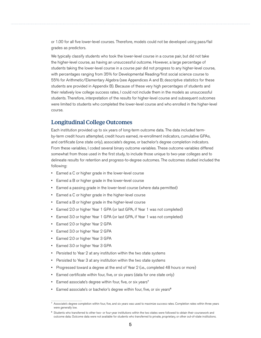<span id="page-8-0"></span>or 1.00 for all five lower-level courses. Therefore, models could not be developed using pass/fail grades as predictors.

We typically classify students who took the lower-level course in a course pair, but did not take the higher-level course, as having an unsuccessful outcome. However, a large percentage of students taking the lower-level course in a course pair did not progress to any higher-level course, with percentages ranging from 35% for Developmental Reading/first social science course to 55% for Arithmetic/Elementary Algebra (see Appendices A and B; descriptive statistics for these students are provided in Appendix B). Because of these very high percentages of students and their relatively low college success rates, I could not include them in the models as unsuccessful students. Therefore, interpretation of the results for higher-level course and subsequent outcomes were limited to students who completed the lower-level course and who enrolled in the higher-level course.

### Longitudinal College Outcomes

Each institution provided up to six years of long-term outcome data. The data included termby-term credit hours attempted, credit hours earned, re-enrollment indicators, cumulative GPAs, and certificate (one state only), associate's degree, or bachelor's degree completion indicators. From these variables, I coded several binary outcome variables. These outcome variables differed somewhat from those used in the first study, to include those unique to two-year colleges and to delineate results for retention and progress-to-degree outcomes. The outcomes studied included the following:

- Earned a C or higher grade in the lower-level course
- Earned a B or higher grade in the lower-level course
- Earned a passing grade in the lower-level course (where data permitted)
- Earned a C or higher grade in the higher-level course
- Earned a B or higher grade in the higher-level course
- Earned 2.0 or higher Year 1 GPA (or last GPA, if Year 1 was not completed)
- Earned 3.0 or higher Year 1 GPA (or last GPA, if Year 1 was not completed)
- Earned 2.0 or higher Year 2 GPA
- Earned 3.0 or higher Year 2 GPA
- Earned 2.0 or higher Year 3 GPA
- Earned 3.0 or higher Year 3 GPA
- Persisted to Year 2 at any institution within the two state systems
- Persisted to Year 3 at any institution within the two state systems
- Progressed toward a degree at the end of Year 2 (i.e., completed 48 hours or more)
- Earned certificate within four, five, or six years (data for one state only)
- Earned associate's degree within four, five, or six years<sup>7</sup>
- Earned associate's or bachelor's degree within four, five, or six years<sup>8</sup>

<sup>7</sup> Associate's degree completion within four, five, and six years was used to maximize success rates. Completion rates within three years were generally low.

<sup>8</sup> Students who transferred to other two- or four-year institutions within the two states were followed to obtain their coursework and outcome data. Outcome data were not available for students who transferred to private, proprietary, or other out-of-state institutions.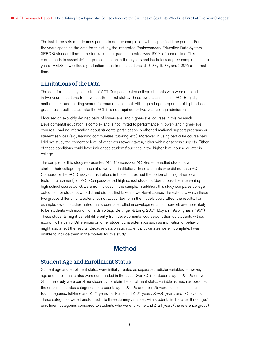<span id="page-9-0"></span>The last three sets of outcomes pertain to degree completion within specified time periods. For the years spanning the data for this study, the Integrated Postsecondary Education Data System (IPEDS) standard time frame for evaluating graduation rates was 150% of normal time. This corresponds to associate's degree completion in three years and bachelor's degree completion in six years. IPEDS now collects graduation rates from institutions at 100%, 150%, and 200% of normal time.

#### Limitations of the Data

The data for this study consisted of ACT Compass-tested college students who were enrolled in two-year institutions from two south-central states. These two states also use ACT English, mathematics, and reading scores for course placement. Although a large proportion of high school graduates in both states take the ACT, it is not required for two-year college admission.

I focused on explicitly defined pairs of lower-level and higher-level courses in this research. Developmental education is complex and is not limited to performance in lower- and higher-level courses. I had no information about students' participation in other educational support programs or student services (e.g., learning communities, tutoring, etc.). Moreover, in using particular course pairs, I did not study the content or level of other coursework taken, either within or across subjects. Either of these conditions could have influenced students' success in the higher-level course or later in college.

The sample for this study represented ACT Compass- or ACT-tested enrolled students who started their college experience at a two-year institution. Those students who did not take ACT Compass or the ACT (two-year institutions in these states had the option of using other local tests for placement), or ACT Compass-tested high school students (due to possible intervening high school coursework), were not included in the sample. In addition, this study compares college outcomes for students who did and did not first take a lower-level course. The extent to which these two groups differ on characteristics not accounted for in the models could affect the results. For example, several studies noted that students enrolled in developmental coursework are more likely to be students with economic hardship (e.g., Bettinger & Long, 2007; Boylan, 1995; Ignash, 1997). These students might benefit differently from developmental coursework than do students without economic hardship. Differences on other student characteristics such as motivation or behavior might also affect the results. Because data on such potential covariates were incomplete, I was unable to include them in the models for this study.

## Method

#### Student Age and Enrollment Status

Student age and enrollment status were initially treated as separate predictor variables. However, age and enrollment status were confounded in the data: Over 80% of students aged 22–25 or over 25 in the study were part-time students. To retain the enrollment status variable as much as possible, the enrollment status categories for students aged 22–25 and over 25 were combined, resulting in four categories: full-time and  $\leq 21$  years, part-time and  $\leq 21$  years, 22–25 years, and  $> 25$  years. These categories were transformed into three dummy variables, with students in the latter three age/ enrollment categories compared to students who were full-time and ≤ 21 years (the reference group).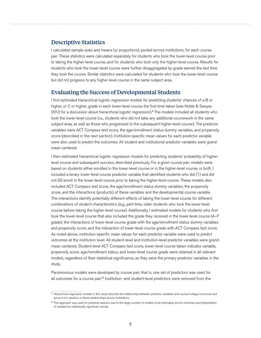### <span id="page-10-0"></span>Descriptive Statistics

I calculated sample sizes and means (or proportions), pooled across institutions, for each course pair. These statistics were calculated separately for students who took the lower-level course prior to taking the higher-level course, and for students who took only the higher-level course. Results for students who took the lower-level course were further disaggregated by grade earned the last time they took the course. Similar statistics were calculated for students who took the lower-level course but did not progress to any higher-level course in the same subject area.

#### Evaluating the Success of Developmental Students

I first estimated hierarchical logistic regression models for predicting students' chances of a B or higher, or C or higher, grade in each lower-level course the first time taken (see Noble & Sawyer, 2013 for a discussion about hierarchical logistic regression).<sup>9</sup> The models included all students who took the lower-level course (i.e., students who did not take any additional coursework in the same subject area, as well as those who progressed to the subsequent higher-level course). The predictor variables were ACT Compass test score, the age/enrollment status dummy variables, and propensity score (described in the next section). Institution-specific mean values for each predictor variable were also used to predict the outcomes. All student and institutional predictor variables were grandmean centered.

I then estimated hierarchical logistic regression models for predicting students' probability of higherlevel course and subsequent success, described previously. For a given course pair, models were based on students either enrolled in the lower-level course or in the higher-level course, or both. I included a binary lower-level course predictor variable that identified students who did (1) and did not (0) enroll in the lower-level course prior to taking the higher-level course. These models also included ACT Compass test score, the age/enrollment status dummy variables, the propensity score, and the interactions (products) of these variables and the developmental course variable. The interactions identify potentially different effects of taking the lower-level course for different combinations of student characteristics (e.g., part-time, older students who took the lower-level course before taking the higher-level course). Additionally, I estimated models for students who first took the lower-level course that also included the grade they received in the lower-level course (A–F grade), the interactions of lower-level course grade with the age/enrollment status dummy variables and propensity score, and the interaction of lower-level course grade with ACT Compass test score. As noted above, institution-specific mean values for each predictor variable were used to predict outcomes at the institution level. All student-level and institution-level predictor variables were grandmean centered. Student-level ACT Compass test score, lower-level course taken indicator variable, propensity score, age/enrollment status, and lower-level course grade were retained in all relevant models, regardless of their statistical significance, as they were the primary predictor variables in the study.

Parsimonious models were developed by course pair; that is, one set of predictors was used for all outcomes for a course pair.<sup>10</sup> Institution- and student-level predictors were removed from the

<sup>9</sup> Hierarchical regression models in this study describe the relationship between predictor variables and course/college outcomes and account for variation in these relationships across institutions.

<sup>10</sup> This approach was used for practical reasons, due to the large number of models to be estimated, and to minimize overinterpretation of isolated but statistically significant results.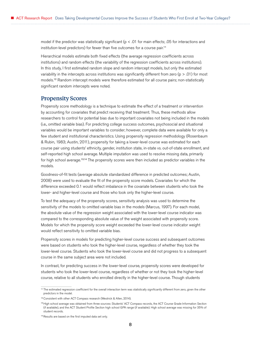<span id="page-11-0"></span>model if the predictor was statistically significant ( $p < .01$  for main effects; .05 for interactions and institution-level predictors) for fewer than five outcomes for a course pair.<sup>11</sup>

Hierarchical models estimate both fixed effects (the average regression coefficients across institutions) and random effects (the variability of the regression coefficients across institutions). In this study, I first estimated random slope and random intercept models, but only the estimated variability in the intercepts across institutions was significantly different from zero ( $p > .01$ ) for most models.<sup>12</sup> Random intercept models were therefore estimated for all course pairs; non-statistically significant random intercepts were noted.

#### Propensity Scores

Propensity score methodology is a technique to estimate the effect of a treatment or intervention by accounting for covariates that predict receiving that treatment. Thus, these methods allow researchers to control for potential bias due to important covariates not being included in the models (i.e., omitted variable bias). For predicting college success outcomes, psychosocial and situational variables would be important variables to consider; however, complete data were available for only a few student and institutional characteristics. Using propensity regression methodology (Rosenbaum & Rubin, 1983; Austin, 2011), propensity for taking a lower-level course was estimated for each course pair using students' ethnicity, gender, institution state, in-state vs. out-of-state enrollment, and self-reported high school average. Multiple imputation was used to resolve missing data, primarily for high school average.<sup>13,14</sup> The propensity scores were then included as predictor variables in the models.

Goodness-of-fit tests (average absolute standardized difference in predicted outcomes; Austin, 2008) were used to evaluate the fit of the propensity score models. Covariates for which the difference exceeded 0.1 would reflect imbalance in the covariate between students who took the lower- and higher-level course and those who took only the higher-level course.

To test the adequacy of the propensity scores, sensitivity analysis was used to determine the sensitivity of the models to omitted variable bias in the models (Marcus, 1997). For each model, the absolute value of the regression weight associated with the lower-level course indicator was compared to the corresponding absolute value of the weight associated with propensity score. Models for which the propensity score weight exceeded the lower-level course indicator weight would reflect sensitivity to omitted variable bias.

Propensity scores in models for predicting higher-level course success and subsequent outcomes were based on students who took the higher-level course, regardless of whether they took the lower-level course. Students who took the lower-level course and did not progress to a subsequent course in the same subject area were not included.

In contrast, for predicting success in the lower-level course, propensity scores were developed for students who took the lower-level course, regardless of whether or not they took the higher-level course, relative to all students who enrolled directly in the higher-level course. Though students

<sup>11</sup> The estimated regression coefficient for the overall interaction term was statistically significantly different from zero, given the other predictors in the model.

<sup>12</sup> Consistent with other ACT Compass research (Westrick & Allen, 2014).

<sup>13</sup> High school average was obtained from three sources: Students' ACT Compass records, the ACT Course Grade Information Section (if available), and the ACT Student Profile Section high school GPA range (if available). High school average was missing for 35% of student records.

<sup>14</sup> Results are based on the first imputed data set only.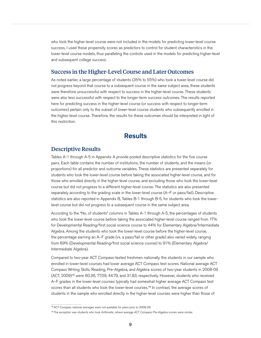<span id="page-12-0"></span>who took the higher-level course were not included in the models for predicting lower-level course success, I used these propensity scores as predictors to control for student characteristics in the lower-level course models, thus paralleling the controls used in the models for predicting higher-level and subsequent college success.

#### Success in the Higher-Level Course and Later Outcomes

As noted earlier, a large percentage of students (35% to 55%) who took a lower-level course did not progress beyond that course to a subsequent course in the same subject area; these students were therefore unsuccessful with respect to success in the higher-level course. These students were also less successful with respect to the longer-term success outcomes. The results reported here for predicting success in the higher-level course (or success with respect to longer-term outcomes) pertain only to the subset of lower-level course students who subsequently enrolled in the higher-level course. Therefore, the results for these outcomes should be interpreted in light of this restriction.

## **Results**

#### Descriptive Results

Tables A-1 through A-5 in Appendix A provide pooled descriptive statistics for the five course pairs. Each table contains the number of institutions, the number of students, and the means (or proportions) for all predictor and outcome variables. These statistics are presented separately for students who took the lower-level course before taking the associated higher-level course, and for those who enrolled directly in the higher-level course, and excluding those who took the lower-level course but did not progress to a different higher-level course. The statistics are also presented separately according to the grading scale in the lower-level course (A–F or pass/fail). Descriptive statistics are also reported in Appendix B, Tables B-1 through B-5, for students who took the lowerlevel course but did not progress to a subsequent course in the same subject area.

According to the "No. of students" columns in Tables A-1 through A-5, the percentages of students who took the lower-level course before taking the associated higher-level course ranged from 17% for Developmental Reading/first social science course to 44% for Elementary Algebra/Intermediate Algebra. Among the students who took the lower-level course before the higher-level course, the percentage earning an A–F grade (vs. a pass/fail or other grade) also varied widely, ranging from 69% (Developmental Reading/first social science course) to 91% (Elementary Algebra/ Intermediate Algebra).

Compared to two-year ACT Compass-tested freshmen nationally, the students in our sample who enrolled in lower-level courses had lower average ACT Compass test scores. National average ACT Compass Writing Skills, Reading, Pre-Algebra, and Algebra scores of two-year students in 2008-09 (ACT, 2009)<sup>15</sup> were 60.36, 77.09, 44.79, and 31.83, respectively. However, students who received A–F grades in the lower-level courses typically had somewhat higher average ACT Compass test scores than all students who took the lower-level courses.<sup>16</sup> In contrast, the average scores of students in the sample who enrolled directly in the higher-level courses were higher than those of

<sup>15</sup> ACT Compass national averages were not available for years prior to 2008-09.

<sup>16</sup> The exception was students who took Arithmetic, where average ACT Compass Pre-Algebra scores were similar.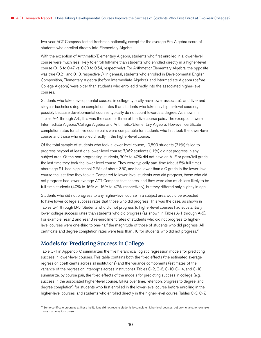<span id="page-13-0"></span>two-year ACT Compass-tested freshmen nationally, except for the average Pre-Algebra score of students who enrolled directly into Elementary Algebra.

With the exception of Arithmetic/Elementary Algebra, students who first enrolled in a lower-level course were much less likely to enroll full-time than students who enrolled directly in a higher-level course (0.16 to 0.47 vs. 0.30 to 0.54, respectively). For Arithmetic/Elementary Algebra, the opposite was true (0.21 and 0.13, respectively). In general, students who enrolled in Developmental English Composition, Elementary Algebra (before Intermediate Algebra), and Intermediate Algebra (before College Algebra) were older than students who enrolled directly into the associated higher-level courses.

Students who take developmental courses in college typically have lower associate's and five- and six-year bachelor's degree completion rates than students who take only higher-level courses, possibly because developmental courses typically do not count towards a degree. As shown in Tables A-1 through A-5, this was the case for three of the five course pairs. The exceptions were Intermediate Algebra/College Algebra and Arithmetic/Elementary Algebra. However, certificate completion rates for all five course pairs were comparable for students who first took the lower-level course and those who enrolled directly in the higher-level course.

Of the total sample of students who took a lower-level course, 19,899 students (31%) failed to progress beyond at least one lower-level course; 7,062 students (11%) did not progress in any subject area. Of the non-progressing students, 30% to 40% did not have an A–F or pass/fail grade the last time they took the lower-level course. They were typically part-time (about 8% full-time), about age 21, had high school GPAs of about 2.50, and had lower than a C grade in the lower-level course the last time they took it. Compared to lower-level students who did progress, those who did not progress had lower average ACT Compass test scores, and they were also much less likely to be full-time students (40% to 16% vs. 16% to 47%, respectively), but they differed only slightly in age.

Students who did not progress to any higher-level course in a subject area would be expected to have lower college success rates that those who did progress. This was the case, as shown in Tables B-1 through B-5. Students who did not progress to higher-level courses had substantially lower college success rates than students who did progress (as shown in Tables A-1 through A-5). For example, Year 2 and Year 3 re-enrollment rates of students who did not progress to higherlevel courses were one-third to one-half the magnitude of those of students who did progress. All certificate and degree completion rates were less than .10 for students who did not progress.<sup>17</sup>

### Models for Predicting Success in College

Table C-1 in Appendix C summarizes the five hierarchical logistic regression models for predicting success in lower-level courses. This table contains both the fixed effects (the estimated average regression coefficients across all institutions) and the variance components (estimates of the variance of the regression intercepts across institutions). Tables C-2, C-6, C-10, C-14, and C-18 summarize, by course pair, the fixed effects of the models for predicting success in college (e.g., success in the associated higher-level course, GPAs over time, retention, progress to degree, and degree completion) for students who first enrolled in the lower-level course before enrolling in the higher-level courses, and students who enrolled directly in the higher-level course. Tables C-3, C-7,

<sup>17</sup> Some certificate programs at these institutions did not require students to complete higher-level courses, but only to take, for example, one mathematics course.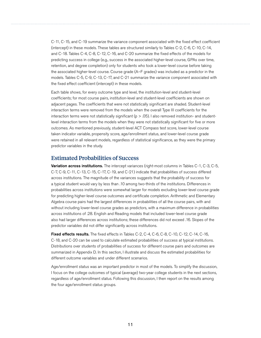<span id="page-14-0"></span>C-11, C-15, and C-19 summarize the variance component associated with the fixed effect coefficient (intercept) in these models. These tables are structured similarly to Tables C-2, C-6, C-10, C-14, and C-18. Tables C-4, C-8, C-12, C-16, and C-20 summarize the fixed effects of the models for predicting success in college (e.g., success in the associated higher-level course, GPAs over time, retention, and degree completion) only for students who took a lower-level course before taking the associated higher-level course. Course grade (A–F grades) was included as a predictor in the models. Tables C-5, C-9, C-13, C-17, and C-21 summarize the variance component associated with the fixed effect coefficient (intercept) in these models.

Each table shows, for every outcome type and level, the institution-level and student-level coefficients; for most course pairs, institution-level and student-level coefficients are shown on adjacent pages. The coefficients that were not statistically significant are shaded. Student-level interaction terms were removed from the models when the overall Type III coefficients for the interaction terms were not statistically significant ( $p > .05$ ). I also removed institution- and studentlevel interaction terms from the models when they were not statistically significant for five or more outcomes. As mentioned previously, student-level ACT Compass test score, lower-level course taken indicator variable, propensity score, age/enrollment status, and lower-level course grade were retained in all relevant models, regardless of statistical significance, as they were the primary predictor variables in the study.

### Estimated Probabilities of Success

Variation across institutions. The intercept variances (right-most columns in Tables C-1, C-3, C-5, C-7, C-9, C-11, C-13, C-15, C-17, C-19, and C-21) indicate that probabilities of success differed across institutions. The magnitude of the variances suggests that the probability of success for a typical student would vary by less than .10 among two-thirds of the institutions. Differences in probabilities across institutions were somewhat larger for models excluding lower-level course grade for predicting higher-level course outcomes and certificate completion. Arithmetic and Elementary Algebra course pairs had the largest differences in probabilities of all the course pairs, with and without including lower-level course grades as predictors, with a maximum difference in probabilities across institutions of .28. English and Reading models that included lower-level course grade also had larger differences across institutions; these differences did not exceed .16. Slopes of the predictor variables did not differ significantly across institutions.

Fixed effects results. The fixed effects in Tables C-2, C-4, C-6, C-8, C-10, C-12, C-14, C-16, C-18, and C-20 can be used to calculate estimated probabilities of success at typical institutions. Distributions over students of probabilities of success for different course pairs and outcomes are summarized in Appendix D. In this section, I illustrate and discuss the estimated probabilities for different outcome variables and under different scenarios.

Age/enrollment status was an important predictor in most of the models. To simplify the discussion, I focus on the college outcomes of typical (average) two-year college students in the next sections, regardless of age/enrollment status. Following this discussion, I then report on the results among the four age/enrollment status groups.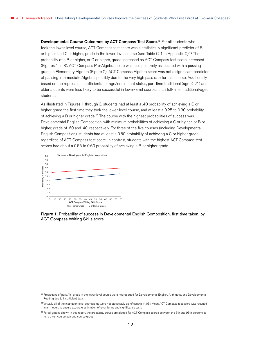Developmental Course Outcomes by ACT Compass Test Score.<sup>18</sup> For all students who took the lower-level course, ACT Compass test score was a statistically significant predictor of B or higher, and C or higher, grade in the lower-level course (see Table C-1 in Appendix C).<sup>19</sup> The probability of a B or higher, or C or higher, grade increased as ACT Compass test score increased (Figures 1 to 3). ACT Compass Pre-Algebra score was also positively associated with a passing grade in Elementary Algebra (Figure 2); ACT Compass Algebra score was not a significant predictor of passing Intermediate Algebra, possibly due to the very high pass rate for this course. Additionally, based on the regression coefficients for age/enrollment status, part-time traditional (age  $\leq 21$ ) and older students were less likely to be successful in lower-level courses than full-time, traditional-aged students.

As illustrated in Figures 1 through 3, students had at least a .40 probability of achieving a C or higher grade the first time they took the lower-level course, and at least a 0.25 to 0.30 probability of achieving a B or higher grade.<sup>20</sup> The course with the highest probabilities of success was Developmental English Composition, with minimum probabilities of achieving a C or higher, or B or higher, grade of .60 and .40, respectively. For three of the five courses (including Developmental English Composition), students had at least a 0.50 probability of achieving a C or higher grade, regardless of ACT Compass test score. In contrast, students with the highest ACT Compass test scores had about a 0.55 to 0.60 probability of achieving a B or higher grade.





<sup>&</sup>lt;sup>18</sup> Predictions of pass/fail grade in the lower-level course were not reported for Developmental English, Arithmetic, and Developmental Reading due to insufficient data.

<sup>19</sup> Virtually all of the institution-level coefficients were not statistically significant (p > .05). Mean ACT Compass test score was retained in all models to ensure accurate estimation of error terms and significance tests.

<sup>20</sup> For all graphs shown in this report, the probability curves are plotted for ACT Compass scores between the 5th and 95th percentiles for a given course pair and course group.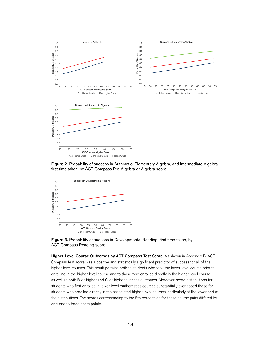

Figure 2. Probability of success in Arithmetic, Elementary Algebra, and Intermediate Algebra, first time taken, by ACT Compass Pre-Algebra or Algebra score



Figure 3. Probability of success in Developmental Reading, first time taken, by ACT Compass Reading score

Higher-Level Course Outcomes by ACT Compass Test Score. As shown in Appendix B, ACT Compass test score was a positive and statistically significant predictor of success for all of the higher-level courses. This result pertains both to students who took the lower-level course prior to enrolling in the higher-level course and to those who enrolled directly in the higher-level course, as well as both B-or-higher and C-or-higher success outcomes. Moreover, score distributions for students who first enrolled in lower-level mathematics courses substantially overlapped those for students who enrolled directly in the associated higher-level courses, particularly at the lower end of the distributions. The scores corresponding to the 5th percentiles for these course pairs differed by only one to three score points.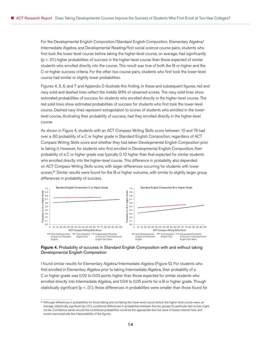For the Developmental English Composition/Standard English Composition, Elementary Algebra/ Intermediate Algebra, and Developmental Reading/first social science course pairs, students who first took the lower-level course before taking the higher-level course, on average, had significantly (p < .01) higher probabilities of success in the higher-level course than those expected of similar students who enrolled directly into the course. This result was true of both the B-or-higher and the C-or-higher success criteria. For the other two course pairs, students who first took the lower-level course had similar or slightly lower probabilities.

Figures 4, 5, 6, and 7 and Appendix D illustrate this finding. In these and subsequent figures, red and navy solid and dashed lines reflect the middle 90% of observed scores. The navy solid lines show estimated probabilities of success for students who enrolled directly in the higher-level course. The red solid lines show estimated probabilities of success for students who first took the lower-level course. Dashed navy lines represent extrapolation to scores of students who enrolled in the lowerlevel course, illustrating their probability of success, had they enrolled directly in the higher-level course

As shown in Figure 4, students with an ACT Compass Writing Skills score between 10 and 74 had over a .60 probability of a C or higher grade in Standard English Composition, regardless of ACT Compass Writing Skills score and whether they had taken Developmental English Composition prior to taking it. However, for students who first enrolled in Developmental English Composition, their probability of a C or higher grade was typically 0.10 higher than that expected for similar students who enrolled directly into the higher-level course. This difference in probability also depended on ACT Compass Writing Skills score, with larger differences occurring for students with lower scores.<sup>21</sup> Similar results were found for the B or higher outcome, with similar to slightly larger group differences in probability of success.



Figure 4. Probability of success in Standard English Composition with and without taking Developmental English Composition

I found similar results for Elementary Algebra/Intermediate Algebra (Figure 5). For students who first enrolled in Elementary Algebra prior to taking Intermediate Algebra, their probability of a C or higher grade was 0.02 to 0.03 points higher than those expected for similar students who enrolled directly into Intermediate Algebra, and 0.04 to 0.05 points for a B or higher grade. Though statistically significant ( $p < .01$ ), these differences in probabilities were smaller than those found for

<sup>&</sup>lt;sup>21</sup> Although differences in probabilities for those taking and not taking the lower-level course before the higher-level course were, on average, statistically significant (p<.01), conditional differences in probabilities between the two groups for particular test scores might not be. Confidence bands around the conditional probabilities would be the appropriate test, but were of lesser interest here, and would overcomplicate the interpretability of the figures.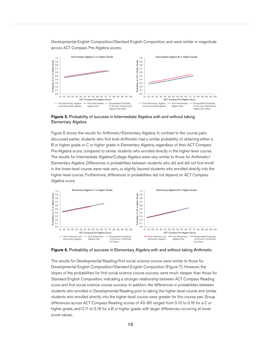Developmental English Composition/Standard English Composition, and were similar in magnitude across ACT Compass Pre-Algebra scores.



Figure 5. Probability of success in Intermediate Algebra with and without taking Elementary Algebra

Figure 6 shows the results for Arithmetic/Elementary Algebra. In contrast to the course pairs discussed earlier, students who first took Arithmetic had a similar probability of obtaining either a B or higher grade or C or higher grade in Elementary Algebra, regardless of their ACT Compass Pre-Algebra score, compared to similar students who enrolled directly in the higher-level course. The results for Intermediate Algebra/College Algebra were very similar to those for Arithmetic/ Elementary Algebra. Differences in probabilities between students who did and did not first enroll in the lower-level course were near zero, or slightly favored students who enrolled directly into the higher-level course. Furthermore, differences in probabilities did not depend on ACT Compass Algebra score.



Figure 6. Probability of success in Elementary Algebra with and without taking Arithmetic

The results for Developmental Reading/first social science course were similar to those for Developmental English Composition/Standard English Composition (Figure 7). However, the slopes of the probabilities for first social science course success were much steeper than those for Standard English Composition, indicating a stronger relationship between ACT Compass Reading score and first social science course success. In addition, the differences in probabilities between students who enrolled in Developmental Reading prior to taking the higher-level course and similar students who enrolled directly into the higher-level course were greater for this course pair. Group differences across ACT Compass Reading scores of 43–80 ranged from 0.10 to 0.16 for a C or higher grade, and 0.11 to 0.18 for a B or higher grade, with larger differences occurring at lower score values.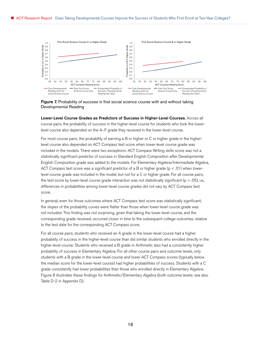



Lower-Level Course Grades as Predictors of Success in Higher-Level Courses. Across all course pairs, the probability of success in the higher-level course for students who took the lowerlevel course also depended on the A–F grade they received in the lower-level course.

For most course pairs, the probability of earning a B or higher or C or higher grade in the higherlevel course also depended on ACT Compass test score when lower-level course grade was included in the models. There were two exceptions: ACT Compass Writing skills score was not a statistically significant predictor of success in Standard English Composition after Developmental English Composition grade was added to the models. For Elementary Algebra/Intermediate Algebra, ACT Compass test score was a significant predictor of a B or higher grade ( $p < .01$ ) when lowerlevel course grade was included in the model, but not for a C or higher grade. For all course pairs, the test score by lower-level course grade interaction was not statistically significant ( $p > .05$ ), i.e., differences in probabilities among lower-level course grades did not vary by ACT Compass test score.

In general, even for those outcomes where ACT Compass test score was statistically significant, the slopes of the probability curves were flatter than those when lower-level course grade was not included. This finding was not surprising, given that taking the lower-level course, and the corresponding grade received, occurred closer in time to the subsequent college outcomes, relative to the test date for the corresponding ACT Compass score.

For all course pairs, students who received an A grade in the lower-level course had a higher probability of success in the higher-level course than did similar students who enrolled directly in the higher-level course. Students who received a B grade in Arithmetic also had a consistently higher probability of success in Elementary Algebra. For all other course pairs and outcome levels, only students with a B grade in the lower-level course and lower ACT Compass scores (typically below the median score for the lower-level course) had higher probabilities of success. Students with a C grade consistently had lower probabilities than those who enrolled directly in Elementary Algebra. Figure 8 illustrates these findings for Arithmetic/Elementary Algebra (both outcome levels; see also Table D-2 in Appendix D).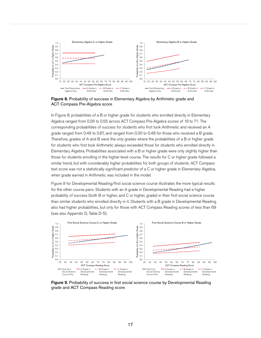

**Figure 8.** Probability of success in Elementary Algebra by Arithmetic grade and ACT Compass Pre-Algebra score

In Figure 8, probabilities of a B or higher grade for students who enrolled directly in Elementary Algebra ranged from 0.26 to 0.55 across ACT Compass Pre-Algebra scores of 19 to 71. The corresponding probabilities of success for students who first took Arithmetic and received an A grade ranged from 0.49 to 0.67, and ranged from 0.30 to 0.48 for those who received a B grade. Therefore, grades of A and B were the only grades where the probabilities of a B or higher grade for students who first took Arithmetic always exceeded those for students who enrolled directly in Elementary Algebra. Probabilities associated with a B or higher grade were only slightly higher than those for students enrolling in the higher-level course. The results for C or higher grade followed a similar trend, but with considerably higher probabilities for both groups of students. ACT Compass test score was not a statistically significant predictor of a C or higher grade in Elementary Algebra, when grade earned in Arithmetic was included in the model.

Figure 9 for Developmental Reading/first social science course illustrates the more typical results for the other course pairs. Students with an A grade in Developmental Reading had a higher probability of success (both B or higher, and C or higher, grade) in their first social science course than similar students who enrolled directly in it. Students with a B grade in Developmental Reading also had higher probabilities, but only for those with ACT Compass Reading scores of less than 69 (see also Appendix D, Table D-5).



Figure 9. Probability of success in first social science course by Developmental Reading grade and ACT Compass Reading score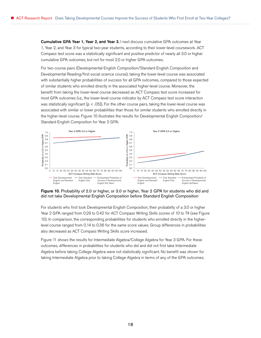Cumulative GPA Year 1, Year 2, and Year 3. I next discuss cumulative GPA outcomes at Year 1, Year 2, and Year 3 for typical two-year students, according to their lower-level coursework. ACT Compass test score was a statistically significant and positive predictor of nearly all 3.0 or higher cumulative GPA outcomes, but not for most 2.0 or higher GPA outcomes.

For two course pairs (Developmental English Composition/Standard English Composition and Developmental Reading/first social science course), taking the lower-level course was associated with substantially higher probabilities of success for all GPA outcomes, compared to those expected of similar students who enrolled directly in the associated higher-level course. Moreover, the benefit from taking the lower-level course decreased as ACT Compass test score increased for most GPA outcomes (i.e., the lower-level course indicator by ACT Compass test score interaction was statistically significant  $[p < .05]$ ). For the other course pairs, taking the lower-level course was associated with similar or lower probabilities than those for similar students who enrolled directly in the higher-level course. Figure 10 illustrates the results for Developmental English Composition/ Standard English Composition for Year 2 GPA.



#### Figure 10. Probability of 2.0 or higher, or 3.0 or higher, Year 2 GPA for students who did and did not take Developmental English Composition before Standard English Composition

For students who first took Developmental English Composition, their probability of a 3.0 or higher Year 2 GPA ranged from 0.29 to 0.42 for ACT Compass Writing Skills scores of 10 to 74 (see Figure 10). In comparison, the corresponding probabilities for students who enrolled directly in the higherlevel course ranged from 0.14 to 0.36 for the same score values. Group differences in probabilities also decreased as ACT Compass Writing Skills score increased.

Figure 11 shows the results for Intermediate Algebra/College Algebra for Year 3 GPA. For these outcomes, differences in probabilities for students who did and did not first take Intermediate Algebra before taking College Algebra were not statistically significant. No benefit was shown for taking Intermediate Algebra prior to taking College Algebra in terms of any of the GPA outcomes.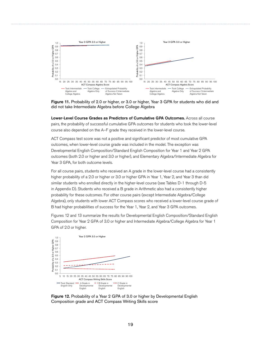

Figure 11. Probability of 2.0 or higher, or 3.0 or higher, Year 3 GPA for students who did and did not take Intermediate Algebra before College Algebra

Lower-Level Course Grades as Predictors of Cumulative GPA Outcomes. Across all course pairs, the probability of successful cumulative GPA outcomes for students who took the lower-level course also depended on the A–F grade they received in the lower-level course.

ACT Compass test score was not a positive and significant predictor of most cumulative GPA outcomes, when lower-level course grade was included in the model. The exception was Developmental English Composition/Standard English Composition for Year 1 and Year 2 GPA outcomes (both 2.0 or higher and 3.0 or higher), and Elementary Algebra/Intermediate Algebra for Year 3 GPA, for both outcome levels.

For all course pairs, students who received an A grade in the lower-level course had a consistently higher probability of a 2.0 or higher or 3.0 or higher GPA in Year 1, Year 2, and Year 3 than did similar students who enrolled directly in the higher-level course (see Tables D-1 through D-5 in Appendix D). Students who received a B grade in Arithmetic also had a consistently higher probability for these outcomes. For other course pairs (except Intermediate Algebra/College Algebra), only students with lower ACT Compass scores who received a lower-level course grade of B had higher probabilities of success for the Year 1, Year 2, and Year 3 GPA outcomes.

Figures 12 and 13 summarize the results for Developmental English Composition/Standard English Composition for Year 2 GPA of 3.0 or higher and Intermediate Algebra/College Algebra for Year 1 GPA of 2.0 or higher.



Figure 12. Probability of a Year 2 GPA of 3.0 or higher by Developmental English Composition grade and ACT Compass Writing Skills score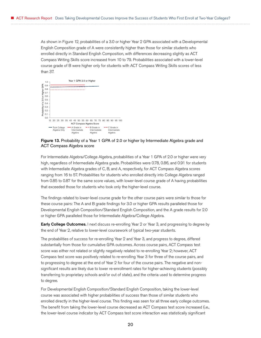As shown in Figure 12, probabilities of a 3.0 or higher Year 2 GPA associated with a Developmental English Composition grade of A were consistently higher than those for similar students who enrolled directly in Standard English Composition, with differences decreasing slightly as ACT Compass Writing Skills score increased from 10 to 79. Probabilities associated with a lower-level course grade of B were higher only for students with ACT Compass Writing Skills scores of less than 37.

|                                          | 1.0 |  | Year 1 GPA 2.0 or Higher                                                                                    |  |                                     |  |                                       |  |  |  |                                       |  |  |  |                                              |  |  |  |  |
|------------------------------------------|-----|--|-------------------------------------------------------------------------------------------------------------|--|-------------------------------------|--|---------------------------------------|--|--|--|---------------------------------------|--|--|--|----------------------------------------------|--|--|--|--|
| or Higher GPA<br>2.0<br>Probability of a | 0.9 |  |                                                                                                             |  |                                     |  |                                       |  |  |  |                                       |  |  |  |                                              |  |  |  |  |
|                                          | 0.8 |  |                                                                                                             |  |                                     |  |                                       |  |  |  |                                       |  |  |  |                                              |  |  |  |  |
|                                          | 0.7 |  |                                                                                                             |  |                                     |  |                                       |  |  |  |                                       |  |  |  |                                              |  |  |  |  |
|                                          | 0.6 |  |                                                                                                             |  |                                     |  |                                       |  |  |  |                                       |  |  |  |                                              |  |  |  |  |
|                                          | 0.5 |  |                                                                                                             |  |                                     |  |                                       |  |  |  |                                       |  |  |  |                                              |  |  |  |  |
|                                          | 0.4 |  |                                                                                                             |  |                                     |  |                                       |  |  |  |                                       |  |  |  |                                              |  |  |  |  |
|                                          | 0.3 |  |                                                                                                             |  |                                     |  |                                       |  |  |  |                                       |  |  |  |                                              |  |  |  |  |
|                                          | 0.2 |  |                                                                                                             |  |                                     |  |                                       |  |  |  |                                       |  |  |  |                                              |  |  |  |  |
|                                          | 0.1 |  |                                                                                                             |  |                                     |  |                                       |  |  |  |                                       |  |  |  |                                              |  |  |  |  |
|                                          | 0.0 |  |                                                                                                             |  |                                     |  |                                       |  |  |  |                                       |  |  |  |                                              |  |  |  |  |
|                                          |     |  | 15<br>25 30 35<br>40<br>45<br>50<br>55 60<br>65 70 75 80 85<br>90 95 100<br>20<br>ACT Compass Algebra Score |  |                                     |  |                                       |  |  |  |                                       |  |  |  |                                              |  |  |  |  |
|                                          |     |  |                                                                                                             |  | <b>Took College</b><br>Algebra Only |  | A Grade in<br>Intermediate<br>Algebra |  |  |  | B Grade in<br>Intermediate<br>Algebra |  |  |  | C Grade in<br>---<br>Intermediate<br>Algebra |  |  |  |  |

#### Figure 13. Probability of a Year 1 GPA of 2.0 or higher by Intermediate Algebra grade and ACT Compass Algebra score

For Intermediate Algebra/College Algebra, probabilities of a Year 1 GPA of 2.0 or higher were very high, regardless of Intermediate Algebra grade. Probabilities were 0.78, 0.86, and 0.91 for students with Intermediate Algebra grades of C, B, and A, respectively, for ACT Compass Algebra scores ranging from 16 to 57. Probabilities for students who enrolled directly into College Algebra ranged from 0.85 to 0.87 for the same score values, with lower-level course grade of A having probabilities that exceeded those for students who took only the higher-level course.

The findings related to lower-level course grade for the other course pairs were similar to those for these course pairs: The A and B grade findings for 3.0 or higher GPA results paralleled those for Developmental English Composition/Standard English Composition, and the A grade results for 2.0 or higher GPA paralleled those for Intermediate Algebra/College Algebra.

**Early College Outcomes.** I next discuss re-enrolling Year 2 or Year 3, and progressing to degree by the end of Year 2, relative to lower-level coursework of typical two-year students.

The probabilities of success for re-enrolling Year 2 and Year 3, and progress to degree, differed substantially from those for cumulative GPA outcomes. Across course pairs, ACT Compass test score was either not related or slightly negatively related to re-enrolling Year 2; however, ACT Compass test score was positively related to re-enrolling Year 3 for three of the course pairs, and to progressing to degree at the end of Year 2 for four of the course pairs. The negative and nonsignificant results are likely due to lower re-enrollment rates for higher-achieving students (possibly transferring to proprietary schools and/or out of state), and the criteria used to determine progress to degree.

For Developmental English Composition/Standard English Composition, taking the lower-level course was associated with higher probabilities of success than those of similar students who enrolled directly in the higher-level course. This finding was seen for all three early college outcomes. The benefit from taking the lower-level course decreased as ACT Compass test score increased (i.e., the lower-level course indicator by ACT Compass test score interaction was statistically significant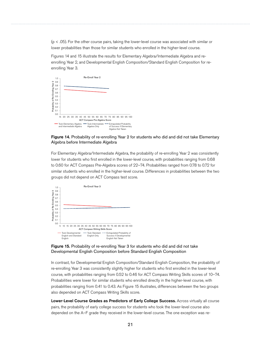(p < .05). For the other course pairs, taking the lower-level course was associated with similar or lower probabilities than those for similar students who enrolled in the higher-level course.

Figures 14 and 15 illustrate the results for Elementary Algebra/Intermediate Algebra and reenrolling Year 2, and Developmental English Composition/Standard English Composition for reenrolling Year 3.



#### Figure 14. Probability of re-enrolling Year 2 for students who did and did not take Elementary Algebra before Intermediate Algebra

For Elementary Algebra/Intermediate Algebra, the probability of re-enrolling Year 2 was consistently lower for students who first enrolled in the lower-level course, with probabilities ranging from 0.68 to 0.60 for ACT Compass Pre-Algebra scores of 22–74. Probabilities ranged from 0.78 to 0.72 for similar students who enrolled in the higher-level course. Differences in probabilities between the two groups did not depend on ACT Compass test score.



#### Figure 15. Probability of re-enrolling Year 3 for students who did and did not take Developmental English Composition before Standard English Composition

In contrast, for Developmental English Composition/Standard English Composition, the probability of re-enrolling Year 3 was consistently slightly higher for students who first enrolled in the lower-level course, with probabilities ranging from 0.52 to 0.46 for ACT Compass Writing Skills scores of 10–74. Probabilities were lower for similar students who enrolled directly in the higher-level course, with probabilities ranging from 0.41 to 0.43. As Figure 15 illustrates, differences between the two groups also depended on ACT Compass Writing Skills score.

Lower-Level Course Grades as Predictors of Early College Success. Across virtually all course pairs, the probability of early college success for students who took the lower-level course also depended on the A–F grade they received in the lower-level course. The one exception was re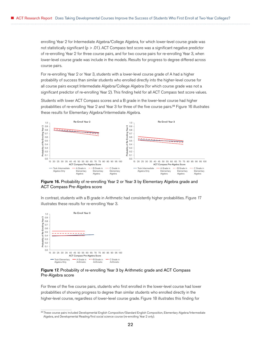enrolling Year 2 for Intermediate Algebra/College Algebra, for which lower-level course grade was not statistically significant ( $p > .01$ ). ACT Compass test score was a significant negative predictor of re-enrolling Year 2 for three course pairs, and for two course pairs for re-enrolling Year 3, when lower-level course grade was include in the models. Results for progress to degree differed across course pairs.

For re-enrolling Year 2 or Year 3, students with a lower-level course grade of A had a higher probability of success than similar students who enrolled directly into the higher-level course for all course pairs except Intermediate Algebra/College Algebra (for which course grade was not a significant predictor of re-enrolling Year 2). This finding held for all ACT Compass test score values.

Students with lower ACT Compass scores and a B grade in the lower-level course had higher probabilities of re-enrolling Year 2 and Year 3 for three of the five course pairs.<sup>22</sup> Figure 16 illustrates these results for Elementary Algebra/Intermediate Algebra.



Figure 16. Probability of re-enrolling Year 2 or Year 3 by Elementary Algebra grade and ACT Compass Pre-Algebra score

In contrast, students with a B grade in Arithmetic had consistently higher probabilities. Figure 17 illustrates these results for re-enrolling Year 3.



#### Figure 17. Probability of re-enrolling Year 3 by Arithmetic grade and ACT Compass Pre-Algebra score

For three of the five course pairs, students who first enrolled in the lower-level course had lower probabilities of showing progress to degree than similar students who enrolled directly in the higher-level course, regardless of lower-level course grade. Figure 18 illustrates this finding for

<sup>22</sup> These course pairs included Developmental English Composition/Standard English Composition, Elementary Algebra/Intermediate Algebra, and Developmental Reading/first social science course (re-enrolling Year 2 only).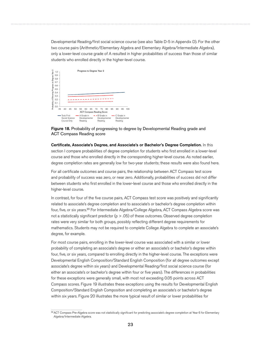Developmental Reading/first social science course (see also Table D-5 in Appendix D). For the other two course pairs (Arithmetic/Elementary Algebra and Elementary Algebra/Intermediate Algebra), only a lower-level course grade of A resulted in higher probabilities of success than those of similar students who enrolled directly in the higher-level course.





Certificate, Associate's Degree, and Associate's or Bachelor's Degree Completion. In this section I compare probabilities of degree completion for students who first enrolled in a lower-level course and those who enrolled directly in the corresponding higher-level course. As noted earlier, degree completion rates are generally low for two-year students; these results were also found here.

For all certificate outcomes and course pairs, the relationship between ACT Compass test score and probability of success was zero, or near zero. Additionally, probabilities of success did not differ between students who first enrolled in the lower-level course and those who enrolled directly in the higher-level course.

In contrast, for four of the five course pairs, ACT Compass test score was positively and significantly related to associate's degree completion and to associate's or bachelor's degree completion within four, five, or six years.<sup>23</sup> For Intermediate Algebra/College Algebra, ACT Compass Algebra score was not a statistically significant predictor  $(p > .05)$  of these outcomes. Observed degree completion rates were very similar for both groups, possibly reflecting different degree requirements for mathematics. Students may not be required to complete College Algebra to complete an associate's degree, for example.

For most course pairs, enrolling in the lower-level course was associated with a similar or lower probability of completing an associate's degree or either an associate's or bachelor's degree within four, five, or six years, compared to enrolling directly in the higher-level course. The exceptions were Developmental English Composition/Standard English Composition (for all degree outcomes except associate's degree within six years) and Developmental Reading/first social science course (for either an associate's or bachelor's degree within four or five years). The differences in probabilities for these exceptions were generally small, with most not exceeding 0.05 points across ACT Compass scores. Figure 19 illustrates these exceptions using the results for Developmental English Composition/Standard English Composition and completing an associate's or bachelor's degree within six years. Figure 20 illustrates the more typical result of similar or lower probabilities for

<sup>23</sup> ACT Compass Pre-Algebra score was not statistically significant for predicting associate's degree completion at Year 6 for Elementary Algebra/Intermediate Algebra.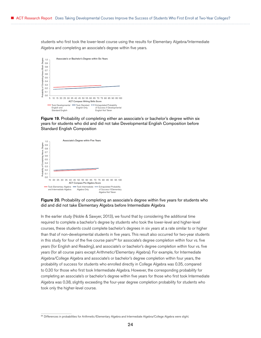students who first took the lower-level course using the results for Elementary Algebra/Intermediate Algebra and completing an associate's degree within five years.



Figure 19. Probability of completing either an associate's or bachelor's degree within six years for students who did and did not take Developmental English Composition before Standard English Composition



#### Figure 20. Probability of completing an associate's degree within five years for students who did and did not take Elementary Algebra before Intermediate Algebra

In the earlier study (Noble & Sawyer, 2013), we found that by considering the additional time required to complete a bachelor's degree by students who took the lower-level and higher-level courses, these students could complete bachelor's degrees in six years at a rate similar to or higher than that of non-developmental students in five years. This result also occurred for two-year students in this study for four of the five course pairs<sup>24</sup> for associate's degree completion within four vs. five years (for English and Reading), and associate's or bachelor's degree completion within four vs. five years (for all course pairs except Arithmetic/Elementary Algebra). For example, for Intermediate Algebra/College Algebra and associate's or bachelor's degree completion within four years, the probability of success for students who enrolled directly in College Algebra was 0.35, compared to 0.30 for those who first took Intermediate Algebra. However, the corresponding probability for completing an associate's or bachelor's degree within five years for those who first took Intermediate Algebra was 0.38, slightly exceeding the four-year degree completion probability for students who took only the higher-level course.

<sup>24</sup> Differences in probabilities for Arithmetic/Elementary Algebra and Intermediate Algebra/College Algebra were slight.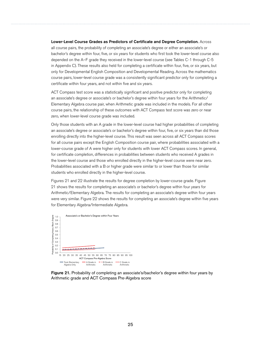#### Lower-Level Course Grades as Predictors of Certificate and Degree Completion. Across

all course pairs, the probability of completing an associate's degree or either an associate's or bachelor's degree within four, five, or six years for students who first took the lower-level course also depended on the A–F grade they received in the lower-level course (see Tables C-1 through C-5 in Appendix C). These results also held for completing a certificate within four, five, or six years, but only for Developmental English Composition and Developmental Reading. Across the mathematics course pairs, lower-level course grade was a consistently significant predictor only for completing a certificate within four years, and not within five and six years.

ACT Compass test score was a statistically significant and positive predictor only for completing an associate's degree or associate's or bachelor's degree within four years for the Arithmetic/ Elementary Algebra course pair, when Arithmetic grade was included in the models. For all other course pairs, the relationship of these outcomes with ACT Compass test score was zero or near zero, when lower-level course grade was included.

Only those students with an A grade in the lower-level course had higher probabilities of completing an associate's degree or associate's or bachelor's degree within four, five, or six years than did those enrolling directly into the higher-level course. This result was seen across all ACT Compass scores for all course pairs except the English Composition course pair, where probabilities associated with a lower-course grade of A were higher only for students with lower ACT Compass scores. In general, for certificate completion, differences in probabilities between students who received A grades in the lower-level course and those who enrolled directly in the higher-level course were near zero. Probabilities associated with a B or higher grade were similar to or lower than those for similar students who enrolled directly in the higher-level course.

Figures 21 and 22 illustrate the results for degree completion by lower-course grade. Figure 21 shows the results for completing an associate's or bachelor's degree within four years for Arithmetic/Elementary Algebra. The results for completing an associate's degree within four years were very similar. Figure 22 shows the results for completing an associate's degree within five years for Elementary Algebra/Intermediate Algebra.



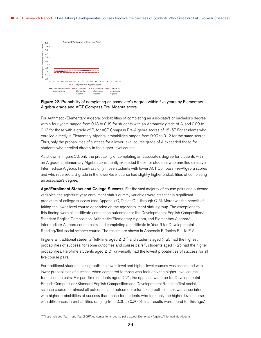

#### **Figure 22.** Probability of completing an associate's degree within five years by Elementary Algebra grade and ACT Compass Pre-Algebra score

For Arithmetic/Elementary Algebra, probabilities of completing an associate's or bachelor's degree within four years ranged from 0.13 to 0.19 for students with an Arithmetic grade of A, and 0.09 to 0.13 for those with a grade of B, for ACT Compass Pre-Algebra scores of 18–57. For students who enrolled directly in Elementary Algebra, probabilities ranged from 0.09 to 0.12 for the same scores. Thus, only the probabilities of success for a lower-level course grade of A exceeded those for students who enrolled directly in the higher-level course.

As shown in Figure 22, only the probability of completing an associate's degree for students with an A grade in Elementary Algebra consistently exceeded those for students who enrolled directly in Intermediate Algebra. In contrast, only those students with lower ACT Compass Pre-Algebra scores and who received a B grade in the lower-level course had slightly higher probabilities of completing an associate's degree.

Age/Enrollment Status and College Success. For the vast majority of course pairs and outcome variables, the age/first-year enrollment status dummy variables were statistically significant predictors of college success (see Appendix C, Tables C-1 through C-5). Moreover, the benefit of taking the lower-level course depended on the age/enrollment status group. The exceptions to this finding were all certificate completion outcomes for the Developmental English Composition/ Standard English Composition, Arithmetic/Elementary Algebra, and Elementary Algebra/ Intermediate Algebra course pairs, and completing a certificate in Year 6 for Developmental Reading/first social science course. The results are shown in Appendix E, Tables E-1 to E-5.

In general, traditional students (full-time, aged  $\leq$  21) and students aged > 25 had the highest probabilities of success; for some outcomes and course pairs<sup>25</sup>, students aged  $>$  25 had the higher probabilities. Part-time students aged ≤ 21 universally had the lowest probabilities of success for all five course pairs.

For traditional students, taking both the lower-level and higher-level courses was associated with lower probabilities of success, when compared to those who took only the higher-level course, for all course pairs. For part-time students aged  $\leq 21$ , the opposite was true for Developmental English Composition/Standard English Composition and Developmental Reading/first social science course for almost all outcomes and outcome levels: Taking both courses was associated with higher probabilities of success than those for students who took only the higher-level course, with differences in probabilities ranging from 0.05 to 0.20. Similar results were found for this age/

<sup>25</sup> These included Year 1 and Year 2 GPA outcomes for all course pairs except Elementary Algebra/Intermediate Algebra.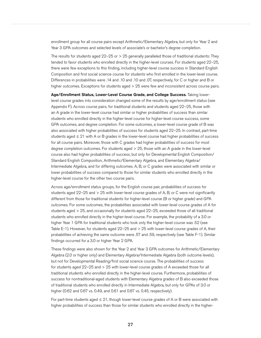enrollment group for all course pairs except Arithmetic/Elementary Algebra, but only for Year 2 and Year 3 GPA outcomes and selected levels of associate's or bachelor's degree completion.

The results for students aged 22–25 or > 25 generally paralleled those of traditional students: They tended to favor students who enrolled directly in the higher-level courses. For students aged 22–25, there were few exceptions to this finding, including higher-level course success in Standard English Composition and first social science course for students who first enrolled in the lower-level course. Differences in probabilities were .14 and .10 and .10 and .07, respectively, for C or higher and B or higher outcomes. Exceptions for students aged > 25 were few and inconsistent across course pairs.

Age/Enrollment Status, Lower-Level Course Grade, and College Success. Taking lowerlevel course grades into consideration changed some of the results by age/enrollment status (see Appendix F). Across course pairs, for traditional students and students aged 22–25, those with an A grade in the lower-level course had similar or higher probabilities of success than similar students who enrolled directly in the higher-level course for higher-level course success, some GPA outcomes, and degree completion. For some outcomes, a lower-level course grade of B was also associated with higher probabilities of success for students aged 22–25. In contrast, part-time students aged ≤ 21 with A or B grades in the lower-level course had higher probabilities of success for all course pairs. Moreover, those with C grades had higher probabilities of success for most degree completion outcomes. For students aged > 25, those with an A grade in the lower-level course also had higher probabilities of success, but only for Developmental English Composition/ Standard English Composition, Arithmetic/Elementary Algebra, and Elementary Algebra/ Intermediate Algebra, and for differing outcomes. A, B, or C grades were associated with similar or lower probabilities of success compared to those for similar students who enrolled directly in the higher-level course for the other two course pairs.

Across age/enrollment status groups, for the English course pair, probabilities of success for students aged 22–25 and > 25 with lower-level course grades of A, B, or C were not significantly different from those for traditional students for higher-level course (B or higher grade) and GPA outcomes. For some outcomes, the probabilities associated with lower-level course grades of A for students aged > 25, and occasionally for students aged 22–25, exceeded those of all traditional students who enrolled directly in the higher-level course. For example, the probability of a 3.0 or higher Year 1 GPA for traditional students who took only the higher-level course was .52 (see Table E-1). However, for students aged 22–25 and > 25 with lower-level course grades of A, their probabilities of achieving the same outcome were .57 and .59, respectively (see Table F-1). Similar findings occurred for a 3.0 or higher Year 2 GPA.

These findings were also shown for the Year 2 and Year 3 GPA outcomes for Arithmetic/Elementary Algebra (2.0 or higher only) and Elementary Algebra/Intermediate Algebra (both outcome levels), but not for Developmental Reading/first social science course. The probabilities of success for students aged 22–25 and > 25 with lower-level course grades of A exceeded those for all traditional students who enrolled directly in the higher-level course. Furthermore, probabilities of success for nontraditional-aged students with Elementary Algebra grades of B also exceeded those of traditional students who enrolled directly in Intermediate Algebra, but only for GPAs of 3.0 or higher (0.62 and 0.67 vs. 0.49, and 0.61 and 0.67 vs. 0.45, respectively).

For part-time students aged  $\leq$  21, though lower-level course grades of A or B were associated with higher probabilities of success than those for similar students who enrolled directly in the higher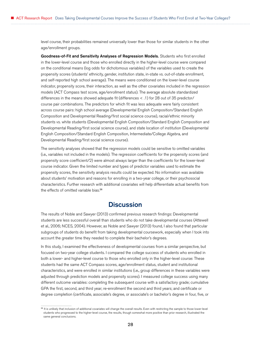<span id="page-31-0"></span>level course, their probabilities remained universally lower than those for similar students in the other age/enrollment groups.

Goodness-of-Fit and Sensitivity Analyses of Regression Models. Students who first enrolled in the lower-level course and those who enrolled directly in the higher-level course were compared on the conditional means (log odds for dichotomous variables) of the variables used to create the propensity scores (students' ethnicity, gender, institution state, in-state vs. out-of-state enrollment, and self-reported high school average). The means were conditioned on the lower-level course indicator, propensity score, their interaction, as well as the other covariates included in the regression models (ACT Compass test score, age/enrollment status). The average absolute standardized differences in the means showed adequate fit (differences < .1) for 28 out of 35 predictor/ course pair combinations. The predictors for which fit was less adequate were fairly consistent across course pairs: high school average (Developmental English Composition/Standard English Composition and Developmental Reading/first social science course), racial/ethnic minority students vs. white students (Developmental English Composition/Standard English Composition and Developmental Reading/first social science course), and state location of institution (Developmental English Composition/Standard English Composition, Intermediate/College Algebra, and Developmental Reading/first social science course).

The sensitivity analyses showed that the regression models could be sensitive to omitted variables (i.e., variables not included in the models). The regression coefficients for the propensity scores (and propensity score coefficient/2) were almost always larger than the coefficients for the lower-level course indicator. Given the limited number and types of predictor variables used to estimate the propensity scores, the sensitivity analysis results could be expected. No information was available about students' motivation and reasons for enrolling in a two-year college, or their psychosocial characteristics. Further research with additional covariates will help differentiate actual benefits from the effects of omitted variable bias.<sup>26</sup>

## **Discussion**

The results of Noble and Sawyer (2013) confirmed previous research findings: Developmental students are less successful overall than students who do not take developmental courses (Attewell et al., 2006; NCES, 2004). However, as Noble and Sawyer (2013) found, I also found that particular subgroups of students do benefit from taking developmental coursework, especially when I took into account the greater time they needed to complete their bachelor's degrees.

In this study, I examined the effectiveness of developmental courses from a similar perspective, but focused on two-year college students. I compared the college success of students who enrolled in both a lower- and higher-level course to those who enrolled only in the higher-level course: These students had the same ACT Compass scores, age/enrollment status, student and institutional characteristics, and were enrolled in similar institutions (i.e., group differences in these variables were adjusted through prediction models and propensity scores). I measured college success using many different outcome variables: completing the subsequent course with a satisfactory grade; cumulative GPA the first, second, and third year; re-enrollment the second and third years; and certificate or degree completion (certificate, associate's degree, or associate's or bachelor's degree in four, five, or

<sup>&</sup>lt;sup>26</sup> It is unlikely that inclusion of additional covariates will change the overall results. Even with restricting the sample to those lower-level students who progressed to the higher-level course, the results, though somewhat more positive than prior research, illustrated the same general conclusions.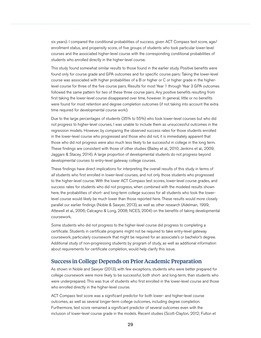<span id="page-32-0"></span>six years). I compared the conditional probabilities of success, given ACT Compass test score, age/ enrollment status, and propensity score, of five groups of students who took particular lower-level courses and the associated higher-level course with the corresponding conditional probabilities of students who enrolled directly in the higher-level course.

This study found somewhat similar results to those found in the earlier study. Positive benefits were found only for course grade and GPA outcomes and for specific course pairs: Taking the lower-level course was associated with higher probabilities of a B or higher or C or higher grade in the higherlevel course for three of the five course pairs. Results for most Year 1 through Year 3 GPA outcomes followed the same pattern for two of these three course pairs. Any positive benefits resulting from first taking the lower-level course disappeared over time, however. In general, little or no benefits were found for most retention and degree completion outcomes (if not taking into account the extra time required for developmental course work).

Due to the large percentages of students (35% to 55%) who took lower-level courses but who did not progress to higher-level courses, I was unable to include them as unsuccessful outcomes in the regression models. However, by comparing the observed success rates for those students enrolled in the lower-level course who progressed and those who did not, it is immediately apparent that those who did not progress were also much less likely to be successful in college in the long term. These findings are consistent with those of other studies (Bailey et al., 2010; Jenkins et al., 2009; Jaggars & Stacey, 2014). A large proportion of developmental students do not progress beyond developmental courses to entry-level gateway college courses.

These findings have direct implications for interpreting the overall results of this study in terms of *all* students who first enrolled in lower-level courses, and not only those students who progressed to the higher-level course. With the lower ACT Compass test scores, lower-level course grades, and success rates for students who did not progress, when combined with the modeled results shown here, the probabilities of short- and long-term college success for all students who took the lowerlevel course would likely be much lower than those reported here. These results would more closely parallel our earlier findings (Noble & Sawyer, 2013), as well as other research (Adelman, 1999; Attewell et al., 2006; Calcagno & Long, 2008; NCES, 2004) on the benefits of taking developmental coursework.

Some students who did not progress to the higher-level course did progress to completing a certificate. Students in certificate programs might not be required to take entry-level gateway coursework, particularly coursework that might be required for an associate's or bachelor's degree. Additional study of non-progressing students by program of study, as well as additional information about requirements for certificate completion, would help clarify this issue.

#### Success in College Depends on Prior Academic Preparation

As shown in Noble and Sawyer (2013), with few exceptions, students who were better prepared for college coursework were more likely to be successful, both short- and long-term, than students who were underprepared. This was true of students who first enrolled in the lower-level course and those who enrolled directly in the higher-level course.

ACT Compass test score was a significant predictor for both lower- and higher-level course outcomes, as well as several longer-term college outcomes, including degree completion. Furthermore, test score remained a significant predictor of several outcomes even with the inclusion of lower-level course grade in the models. Recent studies (Scott-Clayton, 2012; Fulton et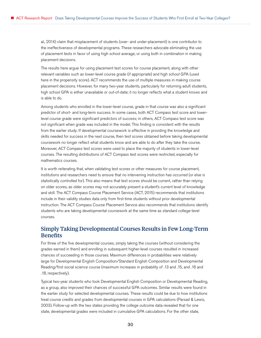<span id="page-33-0"></span>al., 2014) claim that misplacement of students (over- and under-placement) is one contributor to the ineffectiveness of developmental programs. These researchers advocate eliminating the use of placement tests in favor of using high school average, or using both in combination in making placement decisions.

The results here argue for using placement test scores for course placement, along with other relevant variables such as lower-level course grade (if appropriate) and high school GPA (used here in the propensity score). ACT recommends the use of multiple measures in making course placement decisions. However, for many two-year students, particularly for returning adult students, high school GPA is either unavailable or out-of-date; it no longer reflects what a student knows and is able to do.

Among students who enrolled in the lower-level course, grade in that course was also a significant predictor of short- and long-term success. In some cases, both ACT Compass test score and lowerlevel course grade were significant predictors of success; in others, ACT Compass test score was not significant when grade was included in the model. This finding is consistent with the results from the earlier study: If developmental coursework is effective in providing the knowledge and skills needed for success in the next course, then test scores obtained before taking developmental coursework no longer reflect what students know and are able to do after they take the course. Moreover, ACT Compass test scores were used to place the majority of students in lower-level courses. The resulting distributions of ACT Compass test scores were restricted, especially for mathematics courses.

It is worth reiterating that, when validating test scores or other measures for course placement, institutions and researchers need to ensure that no intervening instruction has occurred (or else is statistically controlled for). This also means that test scores should be current, rather than relying on older scores, as older scores may not accurately present a student's current level of knowledge and skill. The ACT Compass Course Placement Service (ACT, 2015) recommends that institutions include in their validity studies data only from first-time students without prior developmental instruction. The ACT Compass Course Placement Service also recommends that institutions identify students who are taking developmental coursework at the same time as standard college-level courses.

### Simply Taking Developmental Courses Results in Few Long-Term **Benefits**

For three of the five developmental courses, simply taking the courses (without considering the grades earned in them) and enrolling in subsequent higher-level courses resulted in increased chances of succeeding in those courses. Maximum differences in probabilities were relatively large for Developmental English Composition/Standard English Composition and Developmental Reading/first social science course (maximum increases in probability of .13 and .15, and .16 and .18, respectively).

Typical two-year students who took Developmental English Composition or Developmental Reading, as a group, also improved their chances of successful GPA outcomes. Similar results were found in the earlier study for selected developmental courses. These results could be due to how institutions treat course credits and grades from developmental courses in GPA calculations (Parsad & Lewis, 2003). Follow-up with the two states providing the college outcome data revealed that for one state, developmental grades were included in cumulative GPA calculations. For the other state,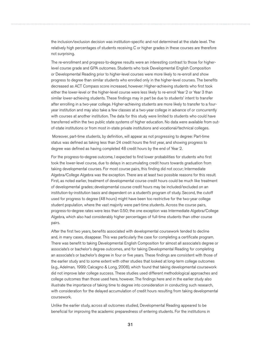the inclusion/exclusion decision was institution-specific and not determined at the state level. The relatively high percentages of students receiving C or higher grades in these courses are therefore not surprising.

The re-enrollment and progress-to-degree results were an interesting contrast to those for higherlevel course grade and GPA outcomes. Students who took Developmental English Composition or Developmental Reading prior to higher-level courses were more likely to re-enroll and show progress to degree than similar students who enrolled only in the higher-level courses. The benefits decreased as ACT Compass score increased, however: Higher-achieving students who first took either the lower-level or the higher-level course were less likely to re-enroll Year 2 or Year 3 than similar lower-achieving students. These findings may in part be due to students' intent to transfer after enrolling in a two-year college. Higher-achieving students are more likely to transfer to a fouryear institution and may also take a few classes at a two-year college in advance of or concurrently with courses at another institution. The data for this study were limited to students who could have transferred within the two public state systems of higher education. No data were available from outof-state institutions or from most in-state private institutions and vocational/technical colleges.

 Moreover, part-time students, by definition, will appear as not progressing to degree: Part-time status was defined as taking less than 24 credit hours the first year, and showing progress to degree was defined as having completed 48 credit hours by the end of Year 2.

For the progress-to-degree outcome, I expected to find lower probabilities for students who first took the lower-level course, due to delays in accumulating credit hours towards graduation from taking developmental courses. For most course pairs, this finding did not occur; Intermediate Algebra/College Algebra was the exception. There are at least two possible reasons for this result. First, as noted earlier, treatment of developmental course credit hours could be much like treatment of developmental grades; developmental course credit hours may be included/excluded on an institution-by-institution basis and dependent on a student's program of study. Second, the cutoff used for progress to degree (48 hours) might have been too restrictive for the two-year college student population, where the vast majority were part-time students. Across the course pairs, progress-to-degree rates were less than 0.50; the one exception was Intermediate Algebra/College Algebra, which also had considerably higher percentages of full-time students than other course pairs.

After the first two years, benefits associated with developmental coursework tended to decline and, in many cases, disappear. This was particularly the case for completing a certificate program. There was benefit to taking Developmental English Composition for almost all associate's degree or associate's or bachelor's degree outcomes, and for taking Developmental Reading for completing an associate's or bachelor's degree in four or five years. These findings are consistent with those of the earlier study and to some extent with other studies that looked at long-term college outcomes (e.g., Adelman, 1999; Calcagno & Long, 2008), which found that taking developmental coursework did not improve later college success. These studies used different methodological approaches and college outcomes than those used here, however. The findings here and in the earlier study also illustrate the importance of taking time to degree into consideration in conducting such research, with consideration for the delayed accumulation of credit hours resulting from taking developmental coursework.

Unlike the earlier study, across all outcomes studied, Developmental Reading appeared to be beneficial for improving the academic preparedness of entering students. For the institutions in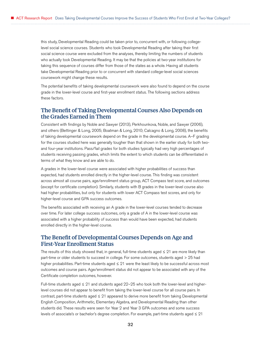<span id="page-35-0"></span>this study, Developmental Reading could be taken prior to, concurrent with, or following collegelevel social science courses. Students who took Developmental Reading after taking their first social science course were excluded from the analyses, thereby limiting the numbers of students who actually took Developmental Reading. It may be that the policies at two-year institutions for taking this sequence of courses differ from those of the states as a whole. Having all students take Developmental Reading prior to or concurrent with standard college-level social sciences coursework might change these results.

The potential benefits of taking developmental coursework were also found to depend on the course grade in the lower-level course and first-year enrollment status. The following sections address these factors.

### The Benefit of Taking Developmental Courses Also Depends on the Grades Earned in Them

Consistent with findings by Noble and Sawyer (2013), Perkhounkova, Noble, and Sawyer (2006), and others (Bettinger & Long, 2005; Boatman & Long, 2010; Calcagno & Long, 2008), the benefits of taking developmental coursework depend on the grade in the developmental course. A–F grading for the courses studied here was generally tougher than that shown in the earlier study for both twoand four-year institutions. Pass/fail grades for both studies typically had very high percentages of students receiving passing grades, which limits the extent to which students can be differentiated in terms of what they know and are able to do.

A grades in the lower-level course were associated with higher probabilities of success than expected, had students enrolled directly in the higher-level course. This finding was consistent across almost all course pairs, age/enrollment status group, ACT Compass test score, and outcomes (except for certificate completion). Similarly, students with B grades in the lower-level course also had higher probabilities, but only for students with lower ACT Compass test scores, and only for higher-level course and GPA success outcomes.

The benefits associated with receiving an A grade in the lower-level courses tended to decrease over time. For later college success outcomes, only a grade of A in the lower-level course was associated with a higher probability of success than would have been expected, had students enrolled directly in the higher-level course.

### The Benefit of Developmental Courses Depends on Age and First-Year Enrollment Status

The results of this study showed that, in general, full-time students aged  $\leq 21$  are more likely than part-time or older students to succeed in college. For some outcomes, students aged > 25 had higher probabilities. Part-time students aged ≤ 21 were the least likely to be successful across most outcomes and course pairs. Age/enrollment status did not appear to be associated with any of the Certificate completion outcomes, however.

Full-time students aged ≤ 21 and students aged 22–25 who took both the lower-level and higherlevel courses did not appear to benefit from taking the lower-level course for all course pairs. In contrast, part-time students aged ≤ 21 appeared to derive more benefit from taking Developmental English Composition, Arithmetic, Elementary Algebra, and Developmental Reading than other students did. These results were seen for Year 2 and Year 3 GPA outcomes and some success levels of associate's or bachelor's degree completion. For example, part-time students aged ≤ 21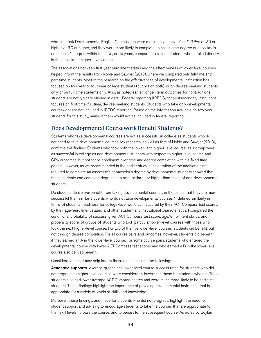who first took Developmental English Composition were more likely to have Year 2 GPAs of 2.0 or higher, or 3.0 or higher, and they were more likely to complete an associate's degree or associate's or bachelor's degree, within four, five, or six years, compared to similar students who enrolled directly in the associated higher-level course.

The associations between first-year enrollment status and the effectiveness of lower-level courses helped inform the results from Noble and Sawyer (2013), where we compared only full-time and part-time students. Most of the research on the effectiveness of developmental instruction has focused on two-year or four-year college students (but not on both), or on degree-seeking students only, or on full-time students only. Also, as noted earlier, longer-term outcomes for nontraditional students are not typically studied in detail. Federal reporting (IPEDS) for postsecondary institutions focuses on first-time, full-time, degree-seeking students. Students who take only developmental coursework are not included in IPEDS reporting. Based on the information available on two-year students for this study, many of them would not be included in federal reporting.

### Does Developmental Coursework Benefit Students?

Students who take developmental courses are not as successful in college as students who do not need to take developmental courses. My research, as well as that of Noble and Sawyer (2013), confirms this finding: Students who took both the lower- and higher-level course, as a group were as successful in college as non-developmental students with respect to higher-level course and GPA outcomes, but not for re-enrollment over time and degree completion within a fixed time period. However, as we recommended in the earlier study, consideration of the additional time required to complete an associate's or bachelor's degree by developmental students showed that these students can complete degrees at a rate similar to or higher than those of non-developmental students.

Do students derive *any* benefit from taking developmental courses, in the sense that they are more successful than similar students who do not take developmental courses? I defined similarity in terms of students' readiness for college-level work, as measured by their ACT Compass test scores, by their age/enrollment status, and other student and institutional characteristics. I compared the conditional probability of success, given ACT Compass test score, age/enrollment status, and propensity score, of groups of students who took particular lower-level courses with those who took the next higher-level course. For two of the five lower-level courses, students did benefit, but not through degree completion. For all course pairs and outcomes, however, students did benefit if they earned an A in the lower-level course. For some course pairs, students who entered the developmental course with lower ACT Compass test scores and who earned a B in the lower-level course also derived benefit.

Considerations that may help inform these results include the following:

**Academic supports.** Average grades and lower-level course success rates for students who did not progress to higher-level courses were considerably lower than those for students who did. These students also had lower average ACT Compass scores and were much more likely to be part-time students. These findings highlight the importance of providing developmental instruction that is appropriate for a variety of levels of skills and knowledge.

Moreover, these findings, and those for students who did not progress, highlight the need for student support and advising to encourage students to take the courses that are appropriate to their skill levels, to pass the course, and to persist to the subsequent course. As noted by Boylan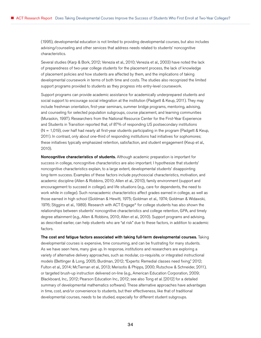(1995), developmental education is not limited to providing developmental courses, but also includes advising/counseling and other services that address needs related to students' noncognitive characteristics.

Several studies (Karp & Bork, 2012; Venezia et al., 2010; Venezia et al., 2003) have noted the lack of preparedness of two-year college students for the placement process, the lack of knowledge of placement policies and how students are affected by them, and the implications of taking developmental coursework in terms of both time and costs. The studies also recognized the limited support programs provided to students as they progress into entry-level coursework.

Support programs can provide academic assistance for academically underprepared students and social support to encourage social integration at the institution (Padgett & Keup, 2011). They may include freshman orientation, first-year seminars, summer bridge programs, mentoring, advising, and counseling for selected population subgroups, course placement, and learning communities (Muraskin, 1997). Researchers from the National Resource Center for the First-Year Experience and Students in Transition reported that, of 87% of responding US postsecondary institutions (N = 1,019), over half had nearly all first-year students participating in the program (Padgett & Keup, 2011). In contrast, only about one-third of responding institutions had initiatives for sophomores; these initiatives typically emphasized retention, satisfaction, and student engagement (Keup et al., 2010).

Noncognitive characteristics of students. Although academic preparation is important for success in college, noncognitive characteristics are also important. I hypothesize that students' noncognitive characteristics explain, to a large extent, developmental students' disappointing long-term success. Examples of these factors include psychosocial characteristics, motivation, and academic discipline (Allen & Robbins, 2010; Allen et al., 2010), family environment (support and encouragement to succeed in college), and life situations (e.g., care for dependents, the need to work while in college). Such nonacademic characteristics affect grades earned in college, as well as those earned in high school (Goldman & Hewitt, 1975; Goldman et al., 1974; Goldman & Widawski, 1976; Stiggins et al., 1989). Research with ACT Engage® for college students has also shown the relationships between students' noncognitive characteristics and college retention, GPA, and timely degree attainment (e.g., Allen & Robbins, 2010; Allen et al., 2010). Support programs and advising, as described earlier, can help students who are "at risk" due to these factors, in addition to academic factors.

The cost and fatigue factors associated with taking full-term developmental courses. Taking developmental courses is expensive, time consuming, and can be frustrating for many students. As we have seen here, many give up. In response, institutions and researchers are exploring a variety of alternative delivery approaches, such as modular, co-requisite, or integrated instructional models (Bettinger & Long, 2005; Burdman, 2012; "Experts: Remedial classes need fixing," 2012; Fulton et al., 2014; McTiernan et al., 2013; Merisotis & Phipps, 2000; Rutschow & Schneider, 2011), or targeted brush-up instruction delivered on-line (e.g., American Education Corporation, 2009; Blackboard, Inc., 2012; Pearson Education Inc., 2012; see also Tong et al. [2012] for a detailed summary of developmental mathematics software). These alternative approaches have advantages in time, cost, and/or convenience to students, but their effectiveness, like that of traditional developmental courses, needs to be studied, especially for different student subgroups.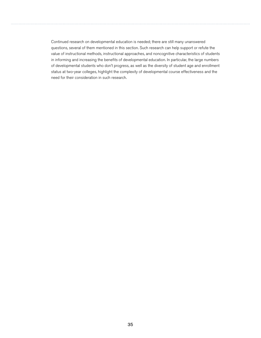Continued research on developmental education is needed; there are still many unanswered questions, several of them mentioned in this section. Such research can help support or refute the value of instructional methods, instructional approaches, and noncognitive characteristics of students in informing and increasing the benefits of developmental education. In particular, the large numbers of developmental students who don't progress, as well as the diversity of student age and enrollment status at two-year colleges, highlight the complexity of developmental course effectiveness and the need for their consideration in such research.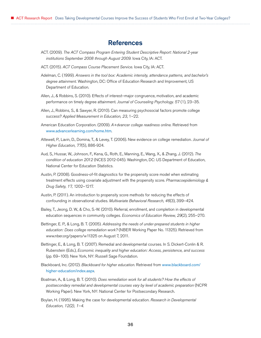# **References**

- ACT. (2009). *The ACT Compass Program Entering Student Descriptive Report: National 2-year institutions September 2008 through August 2009.* Iowa City, IA: ACT.
- ACT. (2015). *ACT Compass Course Placement Service.* Iowa City, IA: ACT.
- Adelman, C. (1999). *Answers in the tool box: Academic intensity, attendance patterns, and bachelor's degree attainment.* Washington, DC: Office of Education Research and Improvement, US Department of Education.
- Allen, J., & Robbins, S. (2010). Effects of interest–major congruence, motivation, and academic performance on timely degree attainment. *Journal of Counseling Psychology. 57* (1), 23–35.
- Allen, J., Robbins, S., & Sawyer, R. (2010). Can measuring psychosocial factors promote college success? *Applied Measurement in Education, 23*, 1–22.
- American Education Corporation. (2009). *A+dvancer college readiness online.* Retrieved from <www.advancerlearning.com/home.htm>.
- Attewell, P., Lavin, D., Domina, T., & Levey, T. (2006). New evidence on college remediation. *Journal of Higher Education, 77*(5), 886-924.
- Aud, S., Hussar, W., Johnson, F., Kena, G., Roth, E., Manning, E., Wang, X., & Zhang, J. (2012). *The condition of education 2012* (NCES 2012-045). Washington, DC: US Department of Education, National Center for Education Statistics.
- Austin, P. (2008). Goodness-of-fit diagnostics for the propensity score model when estimating treatment effects using covariate adjustment with the propensity score. *Pharmacoepidemiology & Drug Safety, 17,* 1202–1217.
- Austin, P. (2011). An introduction to propensity score methods for reducing the effects of confounding in observational studies. *Multivariate Behavioral Research, 46*(3), 399–424.
- Bailey, T., Jeong, D. W., & Cho, S.-W. (2010). Referral, enrollment, and completion in developmental education sequences in community colleges. *Economics of Education Review, 29*(2), 255–270.
- Bettinger, E. P., & Long, B. T. (2005). *Addressing the needs of under-prepared students in higher education: Does college remediation work?* (NBER Working Paper No. 11325). Retrieved from www.nber.org/papers/w11325 on August 7, 2011.
- Bettinger, E., & Long, B. T. (2007). Remedial and developmental courses. In S. Dickert-Conlin & R. Rubenstein (Eds.), *Economic inequality and higher education: Access, persistence, and success*  (pp. 69–100). New York, NY: Russell Sage Foundation.
- Blackboard, Inc. (2012). *Blackboard for higher education.* Retrieved from [www.blackboard.com/](www.blackboard.com/higher-education/index.aspx) [higher-education/index.aspx](www.blackboard.com/higher-education/index.aspx).
- Boatman, A., & Long, B. T. (2010). *Does remediation work for all students? How the effects of postsecondary remedial and developmental courses vary by level of academic preparation* (NCPR Working Paper). New York, NY: National Center for Postsecondary Research.
- Boylan, H. (1995). Making the case for developmental education. *Research in Developmental Education, 12(2), 1–4.*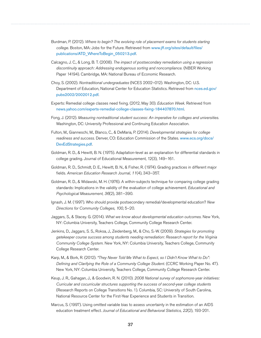- Burdman, P. (2012). *Where to begin? The evolving role of placement exams for students starting college.* Boston, MA: Jobs for the Future. Retrieved from [www.jff.org/sites/default/files/](www.jff.org/sites/default/files/publications/ATD_WhereToBegin_050213.pdf) [publications/ATD\\_WhereToBegin\\_050213.pdf](www.jff.org/sites/default/files/publications/ATD_WhereToBegin_050213.pdf).
- Calcagno, J. C., & Long, B. T. (2008). *The impact of postsecondary remediation using a regression discontinuity approach: Addressing endogenous sorting and noncompliance.* (NBER Working Paper 14194). Cambridge, MA: National Bureau of Economic Research.
- Choy, S. (2002). *Nontraditional undergraduates* (NCES 2002–012). Washington, DC: U.S. Department of Education, National Center for Education Statistics. Retrieved from [nces.ed.gov/](https://nces.ed.gov/pubs2002/2002012.pdf) [pubs2002/2002012.pdf](https://nces.ed.gov/pubs2002/2002012.pdf).
- Experts: Remedial college classes need fixing. (2012, May 30). *Education Week.* Retrieved from [news.yahoo.com/experts-remedial-college-classes-fixing-184407870.html](http://news.yahoo.com/experts-remedial-college-classes-fixing-184407870.html).
- Fong, J. (2012). *Measuring nontraditional student success: An imperative for colleges and universities.*  Washington, DC: University Professional and Continuing Education Association.
- Fulton, M., Gianneschi, M., Blanco, C., & DeMaria, P. (2014). *Developmental strategies for college readiness and success.* Denver, CO: Education Commission of the States. [www.ecs.org/docs/](www.ecs.org/docs/DevEdStrategies.pdf) [DevEdStrategies.pdf](www.ecs.org/docs/DevEdStrategies.pdf).
- Goldman, R. D., & Hewitt, B. N. (1975). Adaptation-level as an explanation for differential standards in college grading. Journal of Educational Measurement, 12(3), 149–161.
- Goldman, R. D., Schmidt, D. E., Hewitt, B. N., & Fisher, R. (1974). Grading practices in different major fields. *American Education Research Journal, 11*(4), 343–357.
- Goldman, R. D., & Widawski, M. H. (1976). A within-subjects technique for comparing college grading standards: Implications in the validity of the evaluation of college achievement. *Educational and Psychological Measurement, 36*(2), 381–390.
- Ignash, J. M. (1997). Who should provide postsecondary remedial/developmental education? *New Directions for Community Colleges, 100*, 5–20.
- Jaggars, S., & Stacey. G. (2014). *What we know about developmental education outcomes.* New York, NY: Columbia University, Teachers College, Community College Research Center.
- Jenkins, D., Jaggars, S. S., Roksa, J., Zeidenberg, M., & Cho, S.-W. (2009). *Strategies for promoting gatekeeper course success among students needing remediation: Research report for the Virginia Community College System.* New York, NY: Columbia University, Teachers College, Community College Research Center.
- Karp, M., & Bork, R. (2012). *"They Never Told Me What to Expect, so I Didn't Know What to Do": Defining and Clarifying the Role of a Community College Student.* (CCRC Working Paper No. 47). New York, NY: Columbia University, Teachers College, Community College Research Center.
- Keup, J. R., Gahagan, J., & Goodwin, R. N. (2010). *2008 National survey of sophomore-year initiatives: Curricular and cocurricular structures supporting the success of second-year college students*  (Research Reports on College Transitions No. 1). Columbia, SC: University of South Carolina, National Resource Center for the First-Year Experience and Students in Transition.
- Marcus, S. (1997). Using omitted variable bias to assess uncertainty in the estimation of an AIDS education treatment effect. *Journal of Educational and Behavioral Statistics, 22*(2), 193-201.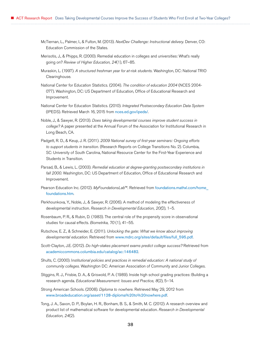- McTiernan, L., Palmer, I., & Fulton, M. (2013). *NextDev Challenge: Instructional delivery.* Denver, CO: Education Commission of the States.
- Merisotis, J., & Phipps, R. (2000). Remedial education in colleges and universities: What's really going on? *Review of Higher Education, 24*(1), 67–85.
- Muraskin, L. (1997). *A structured freshman year for at-risk students.* Washington, DC: National TRIO Clearinghouse.
- National Center for Education Statistics. (2004). *The condition of education 2004* (NCES 2004- 077). Washington, DC: US Department of Education, Office of Educational Research and Improvement.
- National Center for Education Statistics. (2010). *Integrated Postsecondary Education Data System*  (IPEDS). Retrieved March 16, 2015 from <nces.ed.gov/ipeds/>.
- Noble, J., & Sawyer, R. (2013). *Does taking developmental courses improve student success in college?* A paper presented at the Annual Forum of the Association for Institutional Research in Long Beach, CA.
- Padgett, R. D., & Keup, J. R. (2011). *2009 National survey of first-year seminars: Ongoing efforts to support students in transition.* (Research Reports on College Transitions No. 2). Columbia, SC: University of South Carolina, National Resource Center for the First-Year Experience and Students in Transition.
- Parsad, B., & Lewis, L. (2003). *Remedial education at degree-granting postsecondary institutions in fall 2000.* Washington, DC: US Department of Education, Office of Educational Research and Improvement.
- Pearson Education Inc. (2012). *MyFoundationsLab*™. Retrieved from [foundations.mathxl.com/home\\_](foundations.mathxl.com/home_foundations.htm) [foundations.htm](foundations.mathxl.com/home_foundations.htm).
- Perkhounkova, Y., Noble, J., & Sawyer, R. (2006). A method of modeling the effectiveness of developmental instruction. *Research in Developmental Education, 20(*2), 1–5.
- Rosenbaum, P. R., & Rubin, D. (1983). The central role of the propensity score in observational studies for causal effects. *Biometrika, 70* (1), 41–55.
- Rutschow, E. Z., & Schneider, E. (2011). *Unlocking the gate: What we know about improving developmental education.* Retrieved from [www.mdrc.org/sites/default/files/full\\_595.pdf](www.mdrc.org/sites/default/files/full_595.pdf).
- Scott-Clayton, J.E. (2012). *Do high-stakes placement exams predict college success?* Retrieved from <academiccommons.columbia.edu/catalog/ac:146482>.
- Shults, C. (2000). I*nstitutional policies and practices in remedial education: A national study of community colleges.* Washington DC: American Association of Community and Junior Colleges.
- Stiggins, R. J., Frisbie, D. A., & Griswold, P. A. (1989). Inside high school grading practices: Building a research agenda. *Educational Measurement: Issues and Practice, 8*(2), 5–14.
- Strong American Schools. (2008). *Diploma to nowhere.* Retrieved May 29, 2012 from [www.broadeducation.org/asset/1128-diploma%20to%20nowhere.pdf](http://www.broadeducation.org/asset/1128-diploma%20to%20nowhere.pdf).
- Tong, J. A., Saxon, D. P., Boylan, H. R., Bonham, B. S., & Smith, M. C. (2012). A research overview and product list of mathematical software for developmental education. *Research in Developmental Education, 24*(2).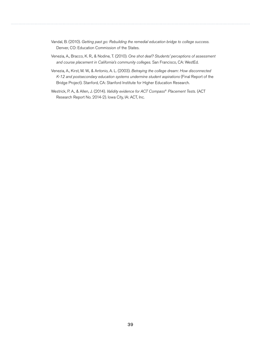- Vandal, B. (2010). *Getting past go: Rebuilding the remedial education bridge to college success.*  Denver, CO: Education Commission of the States.
- Venezia, A., Bracco, K. R., & Nodine, T. (2010). *One shot deal? Students' perceptions of assessment and course placement in California's community colleges.* San Francisco, CA: WestEd.
- Venezia, A., Kirst, M. W., & Antonio, A. L. (2003). *Betraying the college dream: How disconnected K-12 and postsecondary education systems undermine student aspirations* (Final Report of the Bridge Project). Stanford, CA: Stanford Institute for Higher Education Research.
- Westrick, P. A., & Allen, J. (2014). *Validity evidence for ACT Compass*® *Placement Tests.* (ACT Research Report No. 2014-2). Iowa City, IA: ACT, Inc.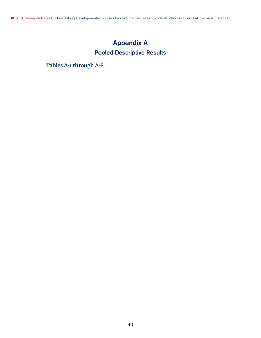# Appendix A Pooled Descriptive Results

Tables A-1 through A-5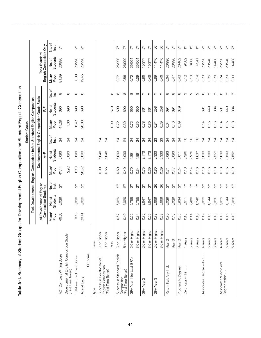|                                                              |                    |                |                                                                            |                 |                |                   | Student Group   |                |                                               |                          |                |                          |                 |
|--------------------------------------------------------------|--------------------|----------------|----------------------------------------------------------------------------|-----------------|----------------|-------------------|-----------------|----------------|-----------------------------------------------|--------------------------|----------------|--------------------------|-----------------|
|                                                              |                    |                | Took Developmental English Composition before Standard English Composition |                 |                |                   |                 |                |                                               |                          |                |                          |                 |
|                                                              |                    |                |                                                                            |                 |                |                   |                 |                | Developmental English Composition Grade Scale |                          |                | Took Standard            |                 |
|                                                              |                    |                | All Developmental English<br>Composition Students                          |                 |                | $A-F$             |                 |                | ٣F                                            |                          |                | English Composition Only |                 |
|                                                              |                    | Mean/<br>Prop. | <b>Students</b><br>No.of                                                   | No.of<br>Inst.  | Mean/<br>Prop. | Students<br>No.of | No.of<br>lnst.  | Mean/<br>Prop. | Students<br>No.of                             | No.of<br>lnst.           | Mean/<br>Prop. | Students<br>No.of        | No.of<br>lnst.  |
| ACT Compass Writing Score                                    |                    | 46.65          | 6,029                                                                      | 27              | 47.44          | 5,093             | $\overline{24}$ | 41.28          | 690                                           | $\infty$                 | 81.39          | 26,990                   | 27              |
| Developmental English Composition Grade<br>(Last Time Taken) |                    |                |                                                                            |                 | 2.92           | 5,093             | $\overline{24}$ | 1.00           | 690                                           | $^\infty$                |                |                          |                 |
| Full-Time Enrollment Status                                  |                    | 0.16           | 6,029                                                                      | 27              | 0.13           | 5,093             | $\overline{24}$ | 0.42           | 690                                           | $\infty$                 | 0.38           | 26,990                   | 27              |
| Age at Entry                                                 |                    | 20.41          | 6,029                                                                      | 27              | 20.52          | 5,093             | $\overline{24}$ | 20.03          | 690                                           | $\infty$                 | 19.45          | 26,990                   | 27              |
| Outcome                                                      |                    |                |                                                                            |                 |                |                   |                 |                |                                               |                          |                |                          |                 |
| Туре                                                         | Level              |                |                                                                            |                 |                |                   |                 |                |                                               |                          |                |                          |                 |
| Success in Developmental                                     | C or Higher        |                |                                                                            |                 | 0.90           | 5,048             | $\overline{24}$ |                |                                               |                          |                |                          |                 |
| English Composition<br>(First Time Taken)                    | B or Higher        |                |                                                                            |                 | 0.66           | 5,048             | $\overline{24}$ |                |                                               |                          |                |                          |                 |
|                                                              | Pass               |                |                                                                            |                 |                |                   |                 | 0.99           | 670                                           | $\infty$                 |                |                          |                 |
| Success in Standard English                                  | C or Higher        | 0.62           | 6,029                                                                      | 27              | 0.60           | 5,093             | $\overline{24}$ | 0.72           | 690                                           | ∞                        | 0.72           | 26,990                   | 27              |
| (First Time Taken)<br>Composition                            | <b>B</b> or Higher | 0.40           | 6,029                                                                      | 27              | 0.40           | 5,093             | $\overline{24}$ | 0.50           | 690                                           | $\infty$                 | 0.56           | 26,990                   | 27              |
| GPA Year 1 (or Last GPA)                                     | 2.0 or Higher      | 0.69           | 5,755                                                                      | 27              | 0.70           | 4,891             | $\overline{2}$  | 0.72           | 650                                           | $\infty$                 | 0.72           | 25,564                   | 27              |
|                                                              | 3.0 or Higher      | 0.34           | 5,755                                                                      | 27              | 0.34           | 4,891             | $\overline{2}$  | 0.35           | 650                                           | $\infty$                 | 0.39           | 25,564                   | 27              |
| GPA Year 2                                                   | 2.0 or Higher      | 0.75           | 3,647                                                                      | 27              | 0.75           | 3,173             | $\overline{24}$ | 0.78           | 361                                           | $\overline{\phantom{a}}$ | 0.86           | 15,377                   | 27              |
|                                                              | 3.0 or Higher      | 0.29           | 3,647                                                                      | 27              | 0.29           | 3,173             | $\overline{2}$  | 0.30           | 361                                           | $\overline{r}$           | 0.46           | 15,377                   | 27              |
| GPA Year 3                                                   | 2.0 or Higher      | 0.79           | 2,669                                                                      | 26              | 0.80           | 2,333             | 23              | 0.81           | 258                                           | $\sim$                   | 0.89           | 11,476                   | 26              |
|                                                              | 3.0 or Higher      | 0.29           | 2,669                                                                      | 26              | 0.29           | 2,333             | 23              | 0.29           | 258                                           | $\overline{ }$           | 0.46           | 11,476                   | 26              |
| Return Fall, Any Inst.                                       | Year <sub>2</sub>  | 0.70           | 6,029                                                                      | 27              | 0.71           | 5,093             | $\overline{24}$ | 0.64           | 691                                           | $\infty$                 | 0.64           | 26,990                   | 27              |
|                                                              | Year <sub>3</sub>  | 0.45           | 6,029                                                                      | 27              | 0.47           | 5,093             | $\overline{24}$ | 0.40           | 691                                           | $\infty$                 | 0.47           | 26,990                   | 27              |
| Progress to Degree                                           | Year <sub>2</sub>  | 0.25           | 5,934                                                                      | 27              | 0.24           | 5,011             | $\overline{2}$  | 0.39           | 679                                           | $\infty$                 | 0.42           | 26,462                   | 27              |
| Certificate within                                           | 4 Years            | 0.13           | 3,611                                                                      | $\overline{11}$ | 0.13           | 3,396             | $\frac{6}{1}$   |                |                                               | S                        | 0.12           | 9,582                    | $\overline{11}$ |
|                                                              | 5 Years            | 0.14           | 2,409                                                                      | $\overline{1}$  | 0.14           | 2,276             | $\frac{6}{1}$   |                |                                               | $\alpha$                 | 0.13           | 6,686                    | $\overline{1}$  |
|                                                              | 6 Years            | 0.16           | 1,740                                                                      | $\overline{1}$  | 0.16           | 1,637             | $\frac{6}{1}$   |                |                                               | $\sim$                   | 0.14           | 4,541                    | $\overline{11}$ |
| Associate's Degree within.                                   | 4 Years            | 0.12           | 6,029                                                                      | 27              | 0.13           | 5,093             | $\overline{24}$ | 0.14           | 691                                           | $\infty$                 | 0.23           | 26,990                   | 27              |
|                                                              | 5 Years            | 0.15           | 4,144                                                                      | 27              | 0.16           | 3,503             | $\overline{24}$ | 0.15           | 449                                           | $\overline{ }$           | 0.26           | 20,240                   | 27              |
|                                                              | 6 Years            | 0.18           | 3,026                                                                      | 27              | 0.18           | 2,552             | $\overline{24}$ | 0.16           | 334                                           | $\overline{r}$           | 0.28           | 14,488                   | 27              |
| Associate's/Bachelor's                                       | 4 Years            | 0.13           | 6,029                                                                      | 27              | 0.13           | 5,093             | $\overline{2}$  | 0.14           | 691                                           | $\infty$                 | 0.24           | 26,990                   | 27              |
| Degree within                                                | 5 Years            | 0.16           | 4,144                                                                      | 27              | 0.16           | 3,503             | $\overline{24}$ | 0.15           | 449                                           | $\overline{ }$           | 0.29           | 20,240                   | 27              |
|                                                              | 6 Years            | 0.19           | 3,026                                                                      | 27              | 0.19           | 2,552             | $\overline{2}$  | 0.18           | 334                                           | $\overline{ }$           | 0.33           | 14,488                   | 27              |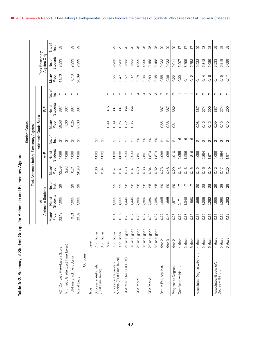| ١                         |
|---------------------------|
|                           |
|                           |
|                           |
|                           |
| <b>SC+S+S</b>             |
|                           |
|                           |
| )<br>J<br>)<br>コてくい       |
|                           |
| $\frac{2}{3}$             |
|                           |
|                           |
|                           |
| $\frac{1}{2}$             |
|                           |
|                           |
|                           |
|                           |
|                           |
|                           |
|                           |
|                           |
| 1 + C+ C+ C+ L<br>)<br>T  |
|                           |
|                           |
|                           |
|                           |
|                           |
|                           |
| ;<br>>>>>;<br>;<br>くく・ジャン |
|                           |
|                           |
|                           |
|                           |
|                           |
|                           |
| į                         |
| $\frac{1}{9}$             |

|                                                     |                   |                   |                           |                 | <b>Took Arithmetic before</b> |                           | Elementary Algebra      | Student Group          |                          |                |                   |                                        |                             |
|-----------------------------------------------------|-------------------|-------------------|---------------------------|-----------------|-------------------------------|---------------------------|-------------------------|------------------------|--------------------------|----------------|-------------------|----------------------------------------|-----------------------------|
|                                                     |                   |                   |                           |                 |                               |                           |                         | Arithmetic Grade Scale |                          |                |                   |                                        |                             |
|                                                     |                   |                   | Arithmetic Students<br>₹  |                 |                               | $A-F$                     |                         |                        | P/F                      |                |                   | <b>Took Elementary</b><br>Algebra Only |                             |
|                                                     |                   | Mean/<br>Prop.    | <b>Students</b><br>No. of | No. of<br>lnst. | Mean/<br>Prop.                | <b>Students</b><br>No. of | No. of<br>lnst.         | Mean/<br>Prop.         | <b>Students</b><br>No.of | No. of<br>_isi | Mean/<br>Prop.    | <b>Students</b><br>No. of              | No. of<br>Inst.             |
| ACT Compass Pre-Algebra Score                       |                   | 32.19             | 4,665                     | 29              | 32.59                         | 4,088                     | $\overline{\Omega}$     | 29.53                  | 387                      | $\overline{ }$ | 41.76             | 9,233                                  | 29                          |
| Arithmetic Grade (Last Time Taken)                  |                   |                   |                           |                 | 2.92                          | 4,088                     | $\overline{\Omega}$     | 1.00                   | 387                      | $\overline{r}$ |                   |                                        |                             |
| Full-Time Enrollment Status                         |                   | 0.21              | 4,665                     | $_{29}$         | 0.21                          | 4,088                     | $\overline{\mathsf{C}}$ | 0.25                   | 387                      | $\overline{a}$ | 0.13              | 9,233                                  | $\mathbb{S}^{\mathbb{C}}$   |
| Age at Entry                                        |                   | 20.89             | 4,665                     | $\overline{Q}$  | 20.90                         | 4,088                     | $\overline{\Omega}$     | 21.03                  | 387                      | $\overline{r}$ | 20.69             | 9,233                                  | $\overline{Q}$              |
| Outcome                                             |                   |                   |                           |                 |                               |                           |                         |                        |                          |                |                   |                                        |                             |
| Туре                                                | Level             |                   |                           |                 |                               |                           |                         |                        |                          |                |                   |                                        |                             |
| Success in Arithmetic<br>(First Time Taken)         | C or Higher       |                   |                           |                 | 0.86                          | 4,082                     | $\overline{\mathsf{C}}$ |                        |                          |                |                   |                                        |                             |
|                                                     | B or Higher       |                   |                           |                 | 0.64                          | 4,082                     | $\overline{\Omega}$     |                        |                          |                |                   |                                        |                             |
|                                                     | Pass              |                   |                           |                 |                               |                           |                         | 0.99                   | 375                      | $\sim$         |                   |                                        |                             |
| Success in Elementary<br>Algebra (First Time Taken) | C or Higher       | 0.54              | 4,665                     | 29              | 0.57                          | 4,088                     | $\overline{\mathsf{c}}$ | 0.39                   | 387                      | $\sim$         | 0.56              | 9,233                                  | 29                          |
|                                                     | B or Higher       | 0.36              | 4,665                     | 29              | 0.37                          | 4,088                     | $\overline{\mathsf{C}}$ | 0.26                   | 387                      | $\overline{r}$ | 0.42              | 9,233                                  | 29                          |
| GPA Year 1 (or Last GPA)                            | 2.0 or Higher     | 0.73              | 4,449                     | 28              | 0.73                          | 3,933                     | $\overline{\mathbb{C}}$ | 0.72                   | 354                      | $\overline{ }$ | 0.62              | 8,533                                  | $\infty$                    |
|                                                     | 3.0 or Higher     | 0.37              | 4,449                     | 28              | 0.37                          | 3,933                     | $\overline{\Omega}$     | 0.36                   | 354                      | $\overline{a}$ | 0.32              | 8,533                                  | $\overline{28}$             |
| GPA Year 2                                          | 2.0 or Higher     | 0.78              | 2,860                     | 26              | 0.79                          | 2,561                     | $\infty$                |                        |                          | 4              | 0.78              | 4,299                                  | 26                          |
|                                                     | 3.0 or Higher     | 0.32              | 2,860                     | 26              | 0.33                          | 2,561                     | $\infty$                |                        |                          | 4              | 0.36              | 4,299                                  | 26                          |
| GPA Year 3                                          | 2.0 or Higher     | 0.83              | 2,080                     | 25              | 0.84                          | 1,874                     | $\overline{Q}$          |                        |                          | ന              | 0.83              | 3,158                                  | 25                          |
|                                                     | 3.0 or Higher     | 0.32              | 2,080                     | 25              | 0.32                          | 1,874                     | $\infty$                |                        |                          | S              | 0.35              | 3,158                                  | 25                          |
| Return Fall, Any Inst.                              | Year <sub>2</sub> | 0.72              | 4,665                     | $\overline{5}$  | 0.73                          | 4,088                     | $\overline{\mathsf{C}}$ | 0.65                   | 387                      | $\sim$         | 0.55              | 9,233                                  | $\overline{Q}$              |
|                                                     | Year <sub>3</sub> | 0.46              | 4,665                     | $_{29}$         | 0.48                          | 4,088                     | $\overline{\mathsf{C}}$ | 0.38                   | 387                      | $\overline{ }$ | 0.36              | 9,233                                  | $\mathcal{Q}^{\mathcal{Q}}$ |
| Progress to Degree                                  | Year <sub>2</sub> | 0.28              | 4,577                     | 29              | 0.29                          | 4,010                     | $\overline{\Omega}$     | 0.31                   | 382                      | Z              | 0.22              | 9,011                                  | $\overline{Q}$              |
| Certificate within.                                 | 4 Years           | 0.12              | 2,171                     | $\overline{1}$  | 0.13                          | 2,055                     | $\frac{6}{1}$           |                        |                          |                | 0.09              | 5,207                                  | $\overline{11}$             |
|                                                     | 5 Years           | 0.13              | 1,348                     | $\overline{1}$  | 0.13                          | 1,286                     | $\frac{6}{1}$           |                        |                          |                | $\overline{0.11}$ | 3,795                                  | $\overline{1}$              |
|                                                     | 6 Years           | 0.15              | 860                       | $\overline{11}$ | 0.15                          | 816                       | $\frac{6}{1}$           |                        |                          |                | 0.12              | 2,753                                  | $\overline{1}$              |
| Associate's Degree within                           | 4 Years           | $\overline{0.11}$ | 4,665                     | $\overline{5}$  | 0.12                          | 4,088                     | $\overline{\mathsf{C}}$ | 0.08                   | 387                      | $\sim$         | $\overline{0.11}$ | 9,233                                  | 29                          |
|                                                     | 5 Years           | 0.15              | 3,295                     | $_{28}$         | 0.16                          | 2,884                     | $\overline{\mathsf{C}}$ | 0.12                   | 274                      | $\sim$         | 0.14              | 6,818                                  | 28                          |
|                                                     | 6 Years           | 0.17              | 2,282                     | 28              | 0.19                          | 1,971                     | $\overline{\Omega}$     | 0.12                   | 200                      | $\overline{ }$ | 0.16              | 5,089                                  | 28                          |
| Associate's/Bachelor's                              | 4 Years           | $\overline{0.11}$ | 4,665                     | $\mathcal{Q}$   | 0.12                          | 4,088                     | $\overline{\mathsf{S}}$ | 0.09                   | 387                      | $\sim$         | $\overline{0.11}$ | 9,233                                  | $\mathcal{Q}$               |
| Degree within.                                      | 5 Years           | 0.16              | 3,295                     | $28$            | 0.17                          | 2,884                     | $\overline{\mathsf{C}}$ | 0.15                   | 274                      | $\overline{ }$ | 0.15              | 6,818                                  | $28$                        |
|                                                     | 6 Years           | 0.19              | 2,282                     | 28              | 0.20                          | 1,971                     | $\overline{\Omega}$     | 0.15                   | 200                      | $\overline{ }$ | 0.17              | 5,089                                  | 28                          |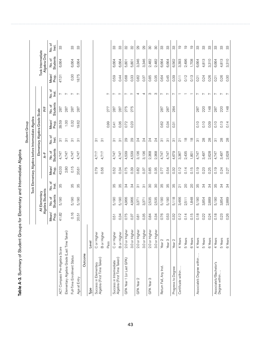|                                                       |                    |                |                           |                                 |                |                                                     |                                      | Student Group  |                          |                |                   |                           |                 |
|-------------------------------------------------------|--------------------|----------------|---------------------------|---------------------------------|----------------|-----------------------------------------------------|--------------------------------------|----------------|--------------------------|----------------|-------------------|---------------------------|-----------------|
|                                                       |                    |                |                           |                                 |                | Took Elementary Algebra before Intermediate Algebra |                                      |                |                          |                |                   |                           |                 |
|                                                       |                    |                | All Elementary            |                                 |                |                                                     | Elementary Algebra Grade Scale       |                |                          |                |                   | Took Intermediate         |                 |
|                                                       |                    |                | Algebra Students          |                                 |                | $A-F$                                               |                                      |                | h/F                      |                |                   | Algebra Only              |                 |
|                                                       |                    | Mean/<br>Prop. | <b>Students</b><br>No. of | No. of<br>Inst.                 | Mean/<br>Prop. | <b>Students</b><br>No. of                           | No. of<br>Inst.                      | Mean/<br>Prop. | <b>Students</b><br>No.of | No.of<br>lnst. | Mean/<br>Prop.    | <b>Students</b><br>No. of | No. of<br>Inst. |
| ACT Compass Pre-Algebra Score                         |                    | 41.82          | 5,190                     | 35                              | 42.03          | 4,747                                               | ္ကြ                                  | 39.59          | 287                      | Ņ              | 47.01             | 6,664                     | 33              |
| Elementary Algebra Grade (Last Time Taken)            |                    |                |                           |                                 | 2.80           | 4,747                                               | $\overline{\infty}$                  | 1.00           | 287                      | $\overline{a}$ |                   |                           |                 |
| Full-Time Enrollment Status                           |                    | 0.16           | 5,190                     | 35                              | 0.15           | 4,747                                               | $\overline{\circ}$                   | 0.32           | 287                      | $\overline{ }$ | 0.30              | 6,664                     | 33              |
| Age at Entry                                          |                    | 20.51          | 5,190                     | 35                              | 20.61          | 4,747                                               | $\overline{\widetilde{\infty}}$      | 19.62          | 287                      | $\overline{a}$ | 8.75              | 6,664                     | က္တ             |
| Outcome                                               |                    |                |                           |                                 |                |                                                     |                                      |                |                          |                |                   |                           |                 |
| Туре                                                  | Level              |                |                           |                                 |                |                                                     |                                      |                |                          |                |                   |                           |                 |
| Success in Elementary                                 | C or Higher        |                |                           |                                 | 0.79           | 4,717                                               | $\overline{\circ}$                   |                |                          |                |                   |                           |                 |
| Algebra (First Time Taken)                            | B or Higher        |                |                           |                                 | 0.56           | 4,717                                               | $\overline{5}$                       |                |                          |                |                   |                           |                 |
|                                                       | Pass               |                |                           |                                 |                |                                                     |                                      | 0.99           | 277                      | $\sim$         |                   |                           |                 |
| Success in Intermediate<br>Algebra (First Time Taken) | C or Higher        | 0.51           | 5,190                     | 95                              | 0.52           | 4,747                                               | $\overline{\widetilde{\mathcal{C}}}$ | 0.41           | 287                      | $\sim$         | 0.59              | 6,664                     | 33              |
|                                                       | <b>B</b> or Higher | 0.34           | 5,190                     | 35                              | 0.34           | 4,747                                               | $\overline{\circ}$                   | 0.36           | 287                      | $\overline{ }$ | 0.44              | 6,664                     | 33              |
| GPA Year 1 (or Last GPA)                              | 2.0 or Higher      | 0.75           | 4,966                     | 34                              | 0.75           | 4,539                                               | $\mathcal{Q}$                        | 0.72           | 275                      | $\overline{ }$ | 0.68              | 5,801                     | SS              |
|                                                       | 3.0 or Higher      | 0.37           | 4,966                     | $\frac{4}{3}$                   | 0.39           | 4,539                                               | 29                                   | 0.23           | 275                      | $\overline{a}$ | 0.33              | 5,801                     | 32              |
| GPA Year 2                                            | 2.0 or Higher      | 0.81           | 3,371                     | $\overline{\circ}$              | 0.82           | 3,136                                               | $\overline{2}$                       |                |                          | 4              | 0.82              | 3,346                     | $_{29}$         |
|                                                       | 3.0 or Higher      | 0.35           | 3,371                     | $\overline{\widetilde{\omega}}$ | 0.37           | 3,136                                               | $\overline{2}$                       |                |                          | 4              | 0.37              | 3,346                     | 29              |
| GPA Year 3                                            | 2.0 or Highe       | 0.84           | 2,535                     | $\infty$                        | 0.85           | 2,368                                               | $\overline{2}4$                      |                |                          | S              | 0.85              | 2,482                     | $\infty$        |
|                                                       | 3.0 or Higher      | 0.34           | 2,535                     | 80                              | 0.35           | 2,368                                               | $\overline{2}$                       |                |                          | ന              | 0.35              | 2,482                     | 80              |
| Return Fall, Any Inst.                                | Year <sub>2</sub>  | 0.76           | 5,190                     | 35                              | 0.77           | 4,747                                               | $\overline{\overline{\circ}}$        | 0.62           | 287                      | $\sim$         | 0.64              | 6,664                     | 33              |
|                                                       | Year <sub>3</sub>  | 0.53           | 5,190                     | 35                              | 0.54           | 4,747                                               | $\overline{\circ}$                   | 0.34           | 287                      | $\overline{ }$ | 0.45              | 6,664                     | က္တ             |
| Progress to Degree                                    | Year <sub>2</sub>  | 0.32           | 5,118                     | 35                              | 0.32           | 4,679                                               | $\overline{\circ}$                   | 0.31           | 284                      | $\overline{ }$ | 0.39              | 6,562                     | 33              |
| Certificate within                                    | 4 Years            | 0.12           | 3,466                     | $\overline{\Omega}$             | 0.12           | 3,367                                               | $\overline{\Omega}$                  |                |                          |                | $\overline{0.11}$ | 3,393                     | $\overline{0}$  |
|                                                       | 5 Years            | 0.14           | 2,511                     | $\infty$                        | 0.14           | 2,435                                               | $\frac{8}{10}$                       |                |                          |                | 0.12              | 2,496                     | $\overline{0}$  |
|                                                       | 6 Years            | 0.15           | 1,848                     | $\infty$                        | 0.15           | 1,801                                               | $\frac{8}{1}$                        |                |                          |                | 0.13              | 1,708                     | $\overline{0}$  |
| Associate's Degree within                             | 4 Years            | 0.18           | 5,190                     | 95                              | 0.19           | 4,747                                               | $\overline{5}$                       | 0.10           | 287                      | ∼              | 0.21              | 6,664                     | 33              |
|                                                       | 5 Years            | 0.22           | 3,854                     | 34                              | 0.23           | 3,497                                               | 28                                   | 0.10           | 220                      | $\overline{ }$ | 0.24              | 4,813                     | က္တ             |
|                                                       | 6 Years            | 0.24           | 2,889                     | ನೆ                              | 0.25           | 2,628                                               | $\infty$                             | 0.09           | 148                      | $\overline{ }$ | 0.26              | 3,310                     | က္တ             |
| Associate's/Bachelor's                                | 4 Years            | 0.18           | 5,190                     | 95                              | 0.19           | 4,747                                               | $\overline{\overline{3}}$            | 0.10           | 287                      | $\overline{ }$ | 0.21              | 6,664                     | 33              |
| Degree within                                         | 5 Years            | 0.23           | 3,854                     | 34                              | 0.24           | 3,497                                               | $\overline{28}$                      | 0.13           | 220                      | $\overline{ }$ | 0.26              | 4,813                     | က္တ             |
|                                                       | 6 Years            | 0.26           | 2,889                     | ನೆ                              | 0.27           | 2,628                                               | $\infty$                             | 0.14           | 148                      | Ļ              | 0.30              | 3,310                     | က္တ             |

| ;<br>;<br>;                                          |
|------------------------------------------------------|
|                                                      |
|                                                      |
| y of Student Groups for Elementary and Intermed<br>ĺ |
|                                                      |
|                                                      |
|                                                      |
| - Ardininiary ウーエッ                                   |
|                                                      |
|                                                      |
| 도서시스                                                 |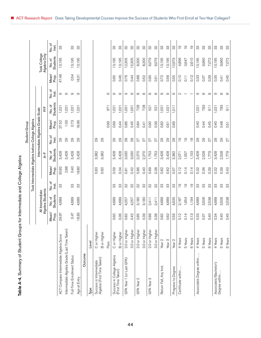| $\frac{1}{2}$<br>۔<br>ا                    |
|--------------------------------------------|
|                                            |
| y of Student Groups for Intermediate and U |
|                                            |
|                                            |
|                                            |
|                                            |
|                                            |
| ֞֞֟                                        |
| i.                                         |
| q                                          |

|                                                  |                   |                |                           |                   |                |                                |                           | Student Group                    |                          |                 |                |                              |                 |
|--------------------------------------------------|-------------------|----------------|---------------------------|-------------------|----------------|--------------------------------|---------------------------|----------------------------------|--------------------------|-----------------|----------------|------------------------------|-----------------|
|                                                  |                   |                |                           | Took Intermediate |                | Algebra before College Algebra |                           |                                  |                          |                 |                |                              |                 |
|                                                  |                   | ₹              | Intermediate              |                   |                |                                |                           | Intermediate Algebra Grade Scale |                          |                 |                |                              |                 |
|                                                  |                   |                | Algebra Students          |                   |                | $A-F$                          |                           |                                  | P/F                      |                 |                | Took College<br>Algebra Only |                 |
|                                                  |                   | Mean/<br>Prop. | <b>Students</b><br>No. of | No. of<br>lnst.   | Mean/<br>Prop. | <b>Students</b><br>No.of       | No. of<br>Inst.           | Mean/<br>Prop.                   | <b>Students</b><br>No.of | No. of<br>Inst. | Mean/<br>Prop. | <b>Students</b><br>No. of    | No. of<br>Inst. |
| ACT Compass Intermediate Algebra Score           |                   | 29.97          | 4,689                     | ကွ                | 30.82          | 3,428                          | 29                        | 27.52                            | 1,02                     | တ               | 47.48          | 13,195                       | က္တ             |
| Intermediate Algebra Grade (Last Time Taken)     |                   |                |                           |                   | 2.88           | 3,428                          | $\overline{Q}$            | 1.00                             | 1,021                    | $\circ$         |                |                              |                 |
| Full-Time Enrollment Status                      |                   | 0.47           | 4,689                     | 33                | 0.40           | 3,428                          | $\overline{Q}$            | 0.73                             | 1,021                    | $\circ$         | 0.54           | 13,195                       | က္က             |
| Age at Entry                                     |                   | 18.83          | 4,689                     | က္တ               | 18.80          | 3,428                          | 29                        | 18.96                            | 1,021                    | ာ               | 18.31          | 13,195                       | 33              |
| Outcome                                          |                   |                |                           |                   |                |                                |                           |                                  |                          |                 |                |                              |                 |
| Туре                                             | Level             |                |                           |                   |                |                                |                           |                                  |                          |                 |                |                              |                 |
| Success in Intermediate                          | C or Higher       |                |                           |                   | 0.83           | 3,382                          | 80                        |                                  |                          |                 |                |                              |                 |
| Algebra (First Time Taken)                       | B or Higher       |                |                           |                   | 0.60           | 3,382                          | 29                        |                                  |                          |                 |                |                              |                 |
|                                                  | Pass              |                |                           |                   |                |                                |                           | 0.99                             | 971                      | 0               |                |                              |                 |
| Success in College Algebra<br>(First Time Taken) | C or Higher       | 0.60           | 4,689                     | က္တ               | 0.59           | 3,428                          | 29                        | 0.69                             | 1,021                    | σ               | 0.65           | 13,195                       | က္က             |
|                                                  | B or Higher       | 0.36           | 4,689                     | ွာ                | 0.34           | 428<br>ന്                      | 29                        | 0.44                             | 1,021                    | ာ               | 0.46           | 3,195                        | က္က             |
| GPA Year 1 (or Last GPA)                         | 2.0 or Higher     | 0.82           | 4,257                     | SS                | 0.81           | 3,030                          | $_{\rm 28}$               | 0.86                             | 1,001                    | $\infty$        | 0.76           | 12,305                       | SS              |
|                                                  | 3.0 or Higher     | 0.42           | 4,257                     | 92                | 0.42           | 3,030                          | $28$                      | 0.45                             | 1,001                    | $\sigma$        | 0.44           | 12,305                       | 32              |
| GPA Year 2                                       | 2.0 or Higher     | 0.85           | 3,180                     | 92                | 0.86           | 2,270                          | 27                        | 0.84                             | 728                      | $\infty$        | 0.88           | 8,300                        | 92              |
|                                                  | 3.0 or Higher     | 0.39           | 3,180                     | SS                | 0.40           | 2,270                          | 27                        | 0.41                             | 728                      | $\infty$        | 0.52           | 8,300                        | SS              |
| GPA Year 3                                       | 2.0 or Higher     | 0.89           | 2,411                     | 92                | 0.89           | 1,753                          | 27                        | 0.90                             | 521                      | $\infty$        | 0.90           | 6,079                        | 32              |
|                                                  | 3.0 or Higher     | 0.38           | 2,411                     | SS                | 0.38           | 1,753                          | $27\,$                    | 0.39                             | 521                      | $\infty$        | 0.51           | 6,079                        | 32              |
| Return Fall, Any Inst.                           | Year <sub>2</sub> | 0.82           | 4,689                     | 33                | 0.82           | 3,428                          | 29                        | 0.82                             | 1,02                     | $\circ$         | 0.72           | 3,195                        | 33              |
|                                                  | Year <sub>3</sub> | 0.62           | 4,689                     | 33                | 0.62           | 3,428                          | 29                        | 0.61                             | 1,021                    | တ               | 0.56           | 3,195                        | က္က             |
| Progress to Degree                               | Year <sub>2</sub> | 0.59           | 4,635                     | 33                | 0.57           | 3,382                          | 28                        | 0.69                             | 1,01                     | တ               | 0.55           | 2,979                        | 33              |
| Certificate within                               | 4 Years           | 0.12           | 2,187                     | $\overline{0}$    | 0.12           | 2,071                          | $\overline{0}$            |                                  |                          | $\sim$          | 0.10           | 4,896                        | $\overline{0}$  |
|                                                  | 5 Years           | 0.14           | 1,654                     | $\overline{0}$    | 0.14           | 1,557                          | $\overline{0}$            |                                  |                          |                 | 0.11           | 3,647                        | $\overline{0}$  |
|                                                  | 6 Years           | 0.13           | 1,194                     | $\overline{0}$    | 0.14           | 1,103                          | $\frac{8}{1}$             |                                  |                          |                 | 0.12           | 2,610                        | $\overline{0}$  |
| Associate's Degree within                        | 4 Years           | 0.33           | 4,689                     | 33                | 0.32           | 3,428                          | $\overline{Q}$            | 0.40                             | 1,021                    | တ               | 0.33           | 13,195                       | ွာ              |
|                                                  | 5 Years           | 0.37           | 3,506                     | က္တ               | 0.36           | 2,528                          | 29                        | 0.44                             | 783                      | $\infty$        | 0.37           | 9,960                        | ကွ              |
|                                                  | 6 Years           | 0.40           | 2,538                     | က္က               | 0.39           | 1,779                          | 27                        | 0.45                             | 611                      | $\infty$        | 0.39           | 7,072                        | က္က             |
| Associate's/Bachelor's<br>Degree within          | 4 Years           | 0.34           | 4,689                     | 33                | 0.32           | 3,428                          | $\overline{5}$            | 0.40                             | 1,021                    | တ               | 0.35           | 3,195                        | 33              |
|                                                  | 5 Years           | 0.40           | 3,506                     | က္တ               | 0.39           | 2,528                          | $\mathbb{S}_{\mathbb{C}}$ | 0.48                             | 783                      | $\infty$        | 0.41           | 9,960                        | က္တ             |
|                                                  | 6 Years           | 0.45           | 2,538                     | က္က               | 0.43           | 1,779                          | 27                        | 0.51                             | 611                      | $\infty$        | 0.45           | 7,072                        | 33              |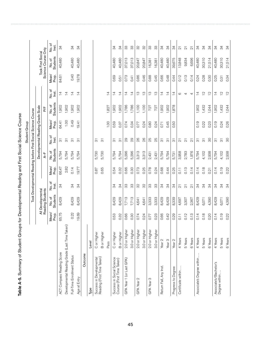|                                                        |                    |                   |                          |                         |                   |                                                |                                 | <b>Student Group</b>              |                           |                 |                |                          |                         |
|--------------------------------------------------------|--------------------|-------------------|--------------------------|-------------------------|-------------------|------------------------------------------------|---------------------------------|-----------------------------------|---------------------------|-----------------|----------------|--------------------------|-------------------------|
|                                                        |                    |                   |                          |                         |                   | Took Developmental Reading before First Social |                                 | Science Course                    |                           |                 |                |                          |                         |
|                                                        |                    |                   | All Developmental        |                         |                   |                                                |                                 | Developmental Reading Grade Scale |                           |                 |                | <b>Took First Social</b> |                         |
|                                                        |                    |                   | Reading Students         |                         |                   | $A-F$                                          |                                 |                                   | P/F                       |                 |                | Science Course Only      |                         |
|                                                        |                    | Mean/<br>Prop.    | <b>Students</b><br>No.of | No. of<br>lnst.         | Mean/<br>Prop.    | <b>Students</b><br>No. of                      | No. of<br>lnst.                 | Mean/<br>Prop.                    | <b>Students</b><br>No. of | No. of<br>lnst. | Mean/<br>Prop. | <b>Students</b><br>No.of | No.of<br><u>isq</u>     |
| ACT Compass Reading Score                              |                    | 65.75             | 8,429                    | $\frac{4}{3}$           | 66.47             | 5,794                                          | $\overline{\mathbb{S}}$         | 64.41                             | 1,902                     | $\overline{4}$  | 84.61          | 40,480                   | $\frac{3}{4}$           |
| Developmental Reading Grade (Last Time Tak             | (en)               |                   |                          |                         | 2.82              | 5,794                                          | $\overline{\infty}$             | 1.00                              | 1,902                     | $\overline{4}$  |                |                          |                         |
| Full-Time Enrollment Status                            |                    | 0.22              | 8,429                    | 34                      | 0.14              | 5,794                                          | $\overline{\infty}$             | 0.49                              | 1,902                     | $\overline{4}$  | 0.40           | 40,480                   | ನೆ                      |
| Age at Entry                                           |                    | 19.69             | 8,429                    | $\frac{4}{3}$           | 19.77             | 5,794                                          | $\overline{\overline{\Omega}}$  | 19.41                             | 1,902                     | $\overline{4}$  | 19.78          | 40,480                   | $\frac{4}{3}$           |
| Outcome                                                |                    |                   |                          |                         |                   |                                                |                                 |                                   |                           |                 |                |                          |                         |
| Type                                                   | Level              |                   |                          |                         |                   |                                                |                                 |                                   |                           |                 |                |                          |                         |
| Success in Developmental                               | C or Higher        |                   |                          |                         | 0.87              | 5,730                                          | $\overline{\overline{\Omega}}$  |                                   |                           |                 |                |                          |                         |
| Reading (First Time Taken)                             | <b>B</b> or Higher |                   |                          |                         | 0.65              | 5,730                                          | $\overline{\overline{5}}$       |                                   |                           |                 |                |                          |                         |
|                                                        | Pass               |                   |                          |                         |                   |                                                |                                 | 1.00                              | 1,827                     | $\overline{4}$  |                |                          |                         |
| Success in Social Science<br>Course (First Time Taken) | C or Higher        | 0.53              | 8,429                    | 34                      | 0.54              | 5,794                                          | $\overline{\widetilde{\infty}}$ | 0.59                              | 1,902                     | $\overline{4}$  | 0.69           | 40,480                   | 34                      |
|                                                        | B or Higher        | 0.32              | 8,429                    | ನ                       | 0.32              | 5,794                                          | $\overline{\circ}$              | 0.37                              | 1,902                     | $\overline{4}$  | 0.51           | 40,480                   | 34                      |
| GPA Year 1 (or Last GPA)                               | 2.0 or Higher      | 0.66              | 7,713                    | 33                      | 0.66              | 5,296                                          | $_{29}$                         | 0.74                              | 1,786                     | $\overline{4}$  | 0.73           | 37,013                   | 33                      |
|                                                        | 3.0 or Higher      | 0.30              | 7,713                    | က္က                     | 0.30              | 5,296                                          | 29                              | 0.34                              | 1,786                     | $\overline{4}$  | 0.41           | 37,013                   | က္က                     |
| GPA Year 2                                             | 2.0 or Higher      | 0.74              | 4,641                    | 32                      | 0.73              | 3,313                                          | 26                              | 0.77                              | 1,100                     | $\frac{1}{2}$   | 0.86           | 20,847                   | 32                      |
|                                                        | 3.0 or Higher      | 0.24              | 4,641                    | SS                      | 0.25              | 3,313                                          | 26                              | 0.24                              | 1,100                     | $\frac{1}{2}$   | 0.46           | 20,847                   | SS                      |
| GPA Year 3                                             | 2.0 or Higher      | 0.77              | 3,333                    | က္တ                     | 0.78              | 2,431                                          | 25                              | 0.80                              | 727                       | $\frac{1}{2}$   | 0.88           | 16,381                   | က္တ                     |
|                                                        | 3.0 or Higher      | 0.23              | 3,333                    | 33                      | 0.24              | 2,431                                          | 25                              | 0.24                              | 727                       | $\frac{1}{3}$   | 0.45           | 16,381                   | 33                      |
| Return Fall, Any Inst.                                 | Year <sub>2</sub>  | 0.66              | 8,429                    | $\frac{9}{4}$           | 0.68              | 5,794                                          | $\overline{\circ}$              | 0.71                              | 1,902                     | $\overline{4}$  | 0.66           | 40,480                   | 34                      |
|                                                        | Year <sub>3</sub>  | 0.42              | 8,429                    | 34                      | 0.44              | 5,794                                          | $\overline{\circ}$              | 0.45                              | 1,902                     | $\overline{4}$  | 0.48           | 40,480                   | 34                      |
| Progress to Degree                                     | Year <sub>2</sub>  | 0.29              | 8,339                    | 34                      | 0.25              | 5,731                                          | က်                              | 0.50                              | 1,878                     | ュ               | 0.44           | 39,675                   | 34                      |
| Certificate within.                                    | 4 Years            | $\overline{0.11}$ | 4,697                    | $\overline{\mathsf{S}}$ | $\overline{0.11}$ | 3,958                                          | $\overline{\Omega}$             |                                   |                           | $\circ$         | 0.12           | 13,848                   | $\overline{\mathsf{S}}$ |
|                                                        | 5 Years            | 0.12              | 3,307                    | $\overline{\mathsf{S}}$ | 0.13              | 2,783                                          | $\overline{\Omega}$             |                                   |                           | 4               | 0.13           | 9,834                    | $\overline{\mathsf{C}}$ |
|                                                        | 6 Years            | 0.13              | 2,367                    | $\overline{\Omega}$     | 0.14              | 1,976                                          | $\overline{\Omega}$             |                                   |                           | 4               | 0.14           | 6,696                    | $\overline{\Omega}$     |
| Associate's Degree within                              | 4 Years            | 0.14              | 8,429                    | 34                      | 0.14              | 5,794                                          |                                 | 0.19                              | 1,902                     | $\overline{4}$  | 0.24           | 40,480                   | ನೆ                      |
|                                                        | 5 Years            | 0.18              | 6,071                    | 34                      | 0.18              | 4,102                                          | $\overline{\circ}$              | 0.22                              | 1,432                     | $\tilde{c}$     | 0.28           | 30,310                   | 34                      |
|                                                        | 6 Years            | 0.20              | 4,390                    | 34                      | 0.21              | 2,938                                          | 80                              | 0.23                              | 1,044                     | $\frac{1}{2}$   | 0.30           | 21,514                   | 34                      |
| Associate's/Bachelor's                                 | 4 Years            | 0.14              | 8,429                    | 34                      | 0.14              | 5,794                                          | 5                               | 0.19                              | 1,902                     | $\overline{4}$  | 0.25           | 40,480                   | 34                      |
| Degree within                                          | 5 Years            | 0.19              | 6,071                    | 34                      | 0.19              | 4,102                                          | $\overline{\overline{\Omega}}$  | 0.24                              | 1,432                     | $\overline{C}$  | 0.31           | 30,310                   | $\frac{34}{3}$          |
|                                                        | 6 Years            | 0.22              | 4,390                    | $\frac{9}{4}$           | 0.22              | 2,938                                          | 80                              | 0.26                              | 1,044                     | $\tilde{C}$     | 0.34           | 21,514                   | 34                      |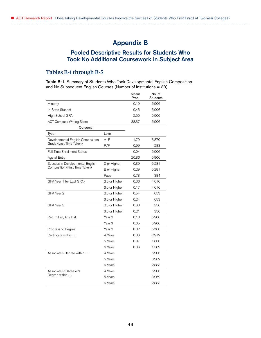# Appendix B

# Pooled Descriptive Results for Students Who Took No Additional Coursework in Subject Area

## Tables B-1 through B-5

Table B-1. Summary of Students Who Took Developmental English Composition and No Subsequent English Courses (Number of Institutions = 33)

|                                    |               | Mean/<br>Prop. | No. of<br><b>Students</b> |
|------------------------------------|---------------|----------------|---------------------------|
| Minority                           |               | 0.19           | 5,906                     |
| In-State Student                   |               | 0.45           | 5,906                     |
| High School GPA                    |               | 2.50           | 5,906                     |
| <b>ACT Compass Writing Score</b>   |               | 38.37          | 5,906                     |
| Outcome                            |               |                |                           |
| Type                               | Level         |                |                           |
| Developmental English Composition  | $A-F$         | 1.79           | 3,870                     |
| Grade (Last Time Taken)            | P/F           | 0.99           | 283                       |
| <b>Full-Time Enrollment Status</b> |               | 0.04           | 5,906                     |
| Age at Entry                       |               | 20.86          | 5,906                     |
| Success in Developmental English   | C or Higher   | 0.39           | 5,281                     |
| Composition (First Time Taken)     | B or Higher   | 0.29           | 5,281                     |
|                                    | Pass          | 0.73           | 384                       |
| GPA Year 1 (or Last GPA)           | 2.0 or Higher | 0.36           | 4,616                     |
|                                    | 3.0 or Higher | 0.17           | 4,616                     |
| GPA Year 2                         | 2.0 or Higher | 0.54           | 653                       |
|                                    | 3.0 or Higher | 0.24           | 653                       |
| GPA Year 3                         | 2.0 or Higher | 0.60           | 356                       |
|                                    | 3.0 or Higher | 0.21           | 356                       |
| Return Fall, Any Inst.             | Year 2        | 0.18           | 5,906                     |
|                                    | Year 3        | 0.05           | 5,906                     |
| Progress to Degree                 | Year 2        | 0.02           | 5,766                     |
| Certificate within                 | 4 Years       | 0.06           | 2,912                     |
|                                    | 5 Years       | 0.07           | 1,866                     |
|                                    | 6 Years       | 0.06           | 1,309                     |
| Associate's Degree within          | 4 Years       |                | 5,906                     |
|                                    | 5 Years       |                | 3,962                     |
|                                    | 6 Years       |                | 2,883                     |
| Associate's/Bachelor's             | 4 Years       |                | 5,906                     |
| Degree within $\dots$              | 5 Years       |                | 3,962                     |
|                                    | 6 Years       |                | 2,883                     |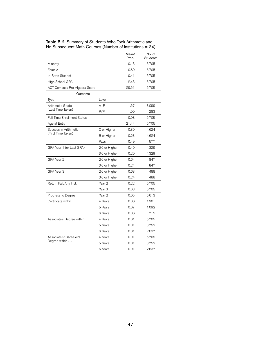|                                    |               | Mean/<br>Prop. | No. of<br><b>Students</b> |
|------------------------------------|---------------|----------------|---------------------------|
| Minority                           |               | 0.18           | 5,705                     |
| Female                             |               | 0.60           | 5,705                     |
| In-State Student                   |               | 0.41           | 5,705                     |
| High School GPA                    |               | 2.48           | 5,705                     |
| ACT Compass Pre-Algebra Score      |               | 29.51          | 5,705                     |
| Outcome                            |               |                |                           |
| Type                               | Level         |                |                           |
| Arithmetic Grade                   | $A-F$         | 1.57           | 3,099                     |
| (Last Time Taken)                  | P/F           | 1.00           | 283                       |
| <b>Full-Time Enrollment Status</b> |               | 0.08           | 5,705                     |
| Age at Entry                       |               | 21.44          | 5,705                     |
| Success in Arithmetic              | C or Higher   | 0.30           | 4,624                     |
| (First Time Taken)                 | B or Higher   | 0.23           | 4,624                     |
|                                    | Pass          | 0.49           | 577                       |
| GPA Year 1 (or Last GPA)           | 2.0 or Higher | 0.40           | 4,329                     |
|                                    | 3.0 or Higher | 0.20           | 4,329                     |
| GPA Year 2                         | 2.0 or Higher | 0.64           | 847                       |
|                                    | 3.0 or Higher | 0.24           | 847                       |
| GPA Year 3                         | 2.0 or Higher | 0.68           | 488                       |
|                                    | 3.0 or Higher | 0.24           | 488                       |
| Return Fall, Any Inst.             | Year 2        | 0.22           | 5,705                     |
|                                    | Year 3        | 0.08           | 5,705                     |
| Progress to Degree                 | Year 2        | 0.05           | 5,613                     |
| Certificate within                 | 4 Years       | 0.06           | 1,901                     |
|                                    | 5 Years       | 0.07           | 1,092                     |
|                                    | 6 Years       | 0.06           | 715                       |
| Associate's Degree within          | 4 Years       | 0.01           | 5,705                     |
|                                    | 5 Years       | 0.01           | 3,752                     |
|                                    | 6 Years       | 0.01           | 2,637                     |
| Associate's/Bachelor's             | 4 Years       | 0.01           | 5,705                     |
| Degree within                      | 5 Years       | 0.01           | 3,752                     |
|                                    | 6 Years       | 0.01           | 2,637                     |

Table B-2. Summary of Students Who Took Arithmetic and No Subsequent Math Courses (Number of Institutions = 34)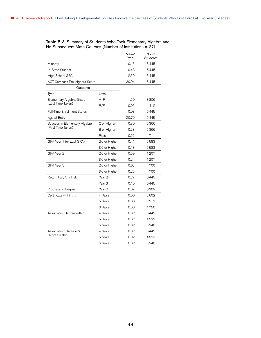|                                    |                   | Mean/<br>Prop. | No. of<br><b>Students</b> |
|------------------------------------|-------------------|----------------|---------------------------|
| Minority                           |                   | 0.15           | 6,445                     |
| In-State Student                   |                   | 0.48           | 6,445                     |
| High School GPA                    |                   | 2.59           | 6,445                     |
| ACT Compass Pre-Algebra Score      |                   | 39.04          | 6,445                     |
| Outcome                            |                   |                |                           |
| Type                               | Level             |                |                           |
| Elementary Algebra Grade           | $A-F$             | 1.50           | 3,806                     |
| (Last Time Taken)                  | P/F               | 0.95           | 412                       |
| <b>Full-Time Enrollment Status</b> |                   | 0.08           | 6,445                     |
| Age at Entry                       |                   | 20.79          | 6,445                     |
| Success in Elementary Algebra      | C or Higher       | 0.30           | 5,366                     |
| (First Time Taken)                 | B or Higher       | 0.23           | 5,366                     |
|                                    | Pass              | 0.55           | 711                       |
| GPA Year 1 (or Last GPA)           | 2.0 or Higher     | 0.41           | 5,583                     |
|                                    | 3.0 or Higher     | 0.18           | 5,583                     |
| GPA Year 2                         | 2.0 or Higher     | 0.59           | 1,207                     |
|                                    | 3.0 or Higher     | 0.24           | 1,207                     |
| GPA Year 3                         | 2.0 or Higher     | 0.63           | 700                       |
|                                    | 3.0 or Higher     | 0.25           | 700                       |
| Return Fall, Any Inst.             | Year 2            | 0.27           | 6,445                     |
|                                    | Year <sub>3</sub> | 0.10           | 6,445                     |
| Progress to Degree                 | Year 2            | 0.07           | 6,309                     |
| Certificate within                 | 4 Years           | 0.06           | 3,602                     |
|                                    | 5 Years           | 0.06           | 2,513                     |
|                                    | 6 Years           | 0.06           | 1,750                     |
| Associate's Degree within          | 4 Years           | 0.02           | 6,445                     |
|                                    | 5 Years           | 0.02           | 4,523                     |
|                                    | 6 Years           | 0.02           | 3,248                     |
| Associate's/Bachelor's             | 4 Years           | 0.02           | 6,445                     |
| Degree within $\dots$              | 5 Years           | 0.02           | 4,523                     |
|                                    | 6 Years           | 0.02           | 3,248                     |

#### Table B-3. Summary of Students Who Took Elementary Algebra and No Subsequent Math Courses (Number of Institutions = 37)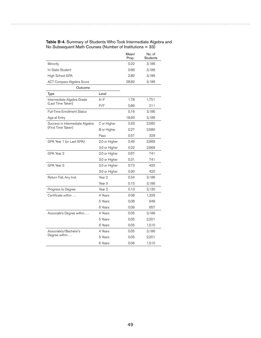|                                    |                   | Mean/<br>Prop. | No. of<br>Students |
|------------------------------------|-------------------|----------------|--------------------|
| Minority                           |                   | 0.22           | 3,186              |
| In-State Student                   |                   | 0.66           | 3,186              |
| High School GPA                    |                   | 2.80           | 3,186              |
| ACT Compass Algebra Score          |                   | 28.82          | 3,186              |
| Outcome                            |                   |                |                    |
| Type                               | Level             |                |                    |
| Intermediate Algebra Grade         | $A-F$             | 1.78           | 1,751              |
| (Last Time Taken)                  | P/F               | 0.89           | 211                |
| <b>Full-Time Enrollment Status</b> |                   | 0.16           | 3,186              |
| Age at Entry                       |                   | 18.93          | 3,186              |
| Success in Intermediate Algebra    | C or Higher       | 0.33           | 2,580              |
| (First Time Taken)                 | B or Higher       | 0.27           | 2,580              |
|                                    | Pass              | 0.57           | 329                |
| GPA Year 1 (or Last GPA)           | 2.0 or Higher     | 0.49           | 2,669              |
|                                    | 3.0 or Higher     | 0.22           | 2,669              |
| GPA Year 2                         | 2.0 or Higher     | 0.67           | 741                |
|                                    | 3.0 or Higher     | 0.31           | 741                |
| GPA Year 3                         | 2.0 or Higher     | 0.73           | 420                |
|                                    | 3.0 or Higher     | 0.30           | 420                |
| Return Fall, Any Inst.             | Year <sub>2</sub> | 0.34           | 3,186              |
|                                    | Year <sub>3</sub> | 0.15           | 3,186              |
| Progress to Degree                 | Year <sub>2</sub> | 0.13           | 3,130              |
| Certificate within                 | 4 Years           | 0.08           | 1,329              |
|                                    | 5 Years           | 0.08           | 948                |
|                                    | 6 Years           | 0.09           | 657                |
| Associate's Degree within          | 4 Years           | 0.05           | 3,186              |
|                                    | 5 Years           | 0.05           | 2,201              |
|                                    | 6 Years           | 0.05           | 1,510              |
| Associate's/Bachelor's             | 4 Years           | 0.05           | 3,186              |
| Degree within                      | 5 Years           | 0.05           | 2,201              |
|                                    | 6 Years           | 0.06           | 1,510              |

#### Table B-4. Summary of Students Who Took Intermediate Algebra and No Subsequent Math Courses (Number of Institutions = 33)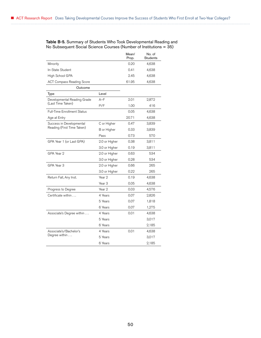|                                    |                   | Mean/<br>Prop. | No. of<br><b>Students</b> |
|------------------------------------|-------------------|----------------|---------------------------|
| Minority                           |                   | 0.20           | 4,638                     |
| In-State Student                   |                   | 0.41           | 4,638                     |
| High School GPA                    |                   | 2.45           | 4,638                     |
| ACT Compass Reading Score          |                   | 61.95          | 4,638                     |
| Outcome                            |                   |                |                           |
| Type                               | Level             |                |                           |
| Developmental Reading Grade        | $A-F$             | 2.01           | 2,872                     |
| (Last Time Taken)                  | P/F               | 1.00           | 416                       |
| <b>Full-Time Enrollment Status</b> |                   | 0.05           | 4,638                     |
| Age at Entry                       |                   | 20.71          | 4,638                     |
| Success in Developmental           | C or Higher       | 0.47           | 3,839                     |
| Reading (First Time Taken)         | B or Higher       | 0.33           | 3,839                     |
|                                    | Pass              | 0.73           | 570                       |
| GPA Year 1 (or Last GPA)           | 2.0 or Higher     | 0.38           | 3,811                     |
|                                    | 3.0 or Higher     | 0.19           | 3,811                     |
| GPA Year 2                         | 2.0 or Higher     | 0.63           | 534                       |
|                                    | 3.0 or Higher     | 0.28           | 534                       |
| GPA Year 3                         | 2.0 or Higher     | 0.66           | 265                       |
|                                    | 3.0 or Higher     | 0.22           | 265                       |
| Return Fall, Any Inst.             | Year <sub>2</sub> | 0.19           | 4,638                     |
|                                    | Year 3            | 0.05           | 4,638                     |
| Progress to Degree                 | Year 2            | 0.03           | 4,576                     |
| Certificate within                 | 4 Years           | 0.07           | 2,826                     |
|                                    | 5 Years           | 0.07           | 1,818                     |
|                                    | 6 Years           | 0.07           | 1,275                     |
| Associate's Degree within          | 4 Years           | 0.01           | 4,638                     |
|                                    | 5 Years           |                | 3,017                     |
|                                    | 6 Years           |                | 2,185                     |
| Associate's/Bachelor's             | 4 Years           | 0.01           | 4,638                     |
| Degree within                      | 5 Years           |                | 3,017                     |
|                                    | 6 Years           |                | 2,185                     |

Table B-5. Summary of Students Who Took Developmental Reading and No Subsequent Social Science Courses (Number of Institutions = 35)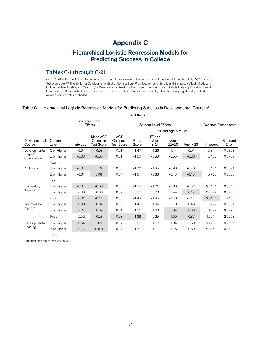# Appendix C

# Hierarchical Logistic Regression Models for Predicting Success in College

## Tables C-1 through C-21

*Notes:* Certificate completion rates were based on data from only one of the two states that provided data for this study. ACT Compass Test scores are: Writing Skills (for Developmental English Composition), Pre-Algebra (for Arithmetic and Elementary Algebra), Algebra for Intermediate Algebra, and Reading (for Developmental Reading). The shaded coefficients are not statistically significantly different from zero (p > .05 for institution-level coefficients; p > .01 for all student-level coefficients). Non-statistically significant (p > .05) variance components are shaded.

#### Table C-1. Hierarchical Logistic Regression Models for Predicting Success in Developmental Courses<sup>1</sup>

|                         |                  |           |                                          |                                            | <b>Fixed Effects</b> |                            |                          |            |           |                     |
|-------------------------|------------------|-----------|------------------------------------------|--------------------------------------------|----------------------|----------------------------|--------------------------|------------|-----------|---------------------|
|                         |                  |           | Institution-Level<br>Effects             |                                            |                      | Student-Level Effects      |                          |            |           | Variance Components |
|                         |                  |           |                                          |                                            |                      |                            | FT and Age $\leq$ 21 Vs. |            |           |                     |
| Developmental<br>Course | Outcome<br>Level | Intercept | Mean ACT<br>Compass<br><b>Test Score</b> | <b>ACT</b><br>Compass<br><b>Test Score</b> | Prop.<br>Score       | PT and<br>Age<br>$\leq 21$ | Age<br>$22 - 25$         | Age $> 25$ | Intercept | Standard<br>Error   |
| Developmental           | C or Higher      | 0.64      | $-0.03$                                  | 0.01                                       | $-1.47$              | $-1.26$                    | $-1.14$                  | $-0.91$    | 1.7814    | 0.5853              |
| English<br>Composition  | B or Higher      | $-0.03$   | $-0.05$                                  | 0.01                                       | $-1.50$              | $-0.83$                    | $-0.55$                  | $-0.26$    | 1.8436    | 0.5759              |
|                         | Pass             |           |                                          |                                            |                      |                            |                          |            |           |                     |
| Arithmetic              | C or Higher      | $-0.07$   | 0.12                                     | 0.03                                       | $-1.70$              | $-1.35$                    | $-0.96$                  | $-0.76$    | 1.8461    | 0.5891              |
|                         | B or Higher      | $-0.61$   | 0.08                                     | 0.04                                       | $-1.51$              | $-0.88$                    | $-0.43$                  | $-0.18$    | 1.7763    | 0.5600              |
|                         | Pass             |           |                                          |                                            |                      |                            |                          |            |           |                     |
| Elementary              | C or Higher      | $-0.07$   | $-0.06$                                  | 0.02                                       | $-1.15$              | $-1.01$                    | $-0.80$                  | $-0.52$    | 2.2461    | 0.6348              |
| Algebra                 | B or Higher      | $-0.63$   | $-0.08$                                  | 0.02                                       | $-0.92$              | $-0.70$                    | $-0.44$                  | $-0.17$    | 2.2664    | 0.6720              |
|                         | Pass             | 0.81      | $-0.14$                                  | 0.02                                       | $-1.42$              | $-1.85$                    | $-1.76$                  | $-1.14$    | 3.0444    | 1.9466              |
| Intermediate            | C or Higher      | 0.38      | $-0.07$                                  | 0.03                                       | $-1.40$              | $-1.34$                    | $-0.78$                  | $-0.48$    | 1.3299    | 0.3881              |
| Algebra                 | B or Higher      | $-0.27$   | $-0.09$                                  | 0.04                                       | $-1.26$              | $-1.03$                    | $-0.34$                  | $-0.08$    | 1.4077    | 0.3972              |
|                         | Pass             | 2.52      | $-0.28$                                  | 0.03                                       | $-1.38$              | $-2.25$                    | $-1.00$                  | $-0.87$    | 4.5914    | 2.5953              |
| Developmental           | C or Higher      | 0.54      | 0.03                                     | 0.02                                       | $-0.87$              | $-1.62$                    | $-1.84$                  | $-1.60$    | 3.1962    | 0.9635              |
| Reading                 | B or Higher      | $-0.17$   | < 0.01                                   | 0.02                                       | $-1.37$              | $-1.11$                    | $-1.16$                  | $-0.89$    | 2.8863    | 0.8733              |
|                         | Pass             |           |                                          |                                            |                      |                            |                          |            |           |                     |

1 The first time the course was taken.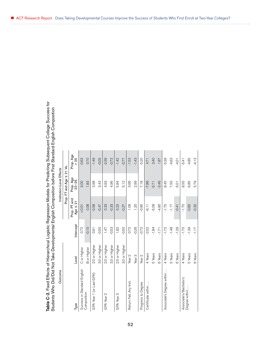|                                                                                                           | i<br>)<br>)<br>)                                                                                               |
|-----------------------------------------------------------------------------------------------------------|----------------------------------------------------------------------------------------------------------------|
| ble C-2. Fixed Effects of Hierarchical Logistic Regression Models for Predicting Subsequent College Succe | udente Who Did/Did Not Toke Developmental Epalish Composition before Eirst Standard Epalish Composi            |
|                                                                                                           |                                                                                                                |
|                                                                                                           |                                                                                                                |
|                                                                                                           |                                                                                                                |
|                                                                                                           |                                                                                                                |
|                                                                                                           | יכל הייסוד שהתפונות האי מאוד האיר את המונח האיר המונח המונח המונח המונח המונח המונח המונח המונח המונח המונח המ |
|                                                                                                           |                                                                                                                |

| Table C-2. Fixed Effects of Hierarchical Logistic Regression Models for Predicting Subsequent College Success for<br>Students Who Did/Did Not Take Developmental English Composition before First Standard English Composition |                    |           |                               |                           |                   |
|--------------------------------------------------------------------------------------------------------------------------------------------------------------------------------------------------------------------------------|--------------------|-----------|-------------------------------|---------------------------|-------------------|
| Outcome                                                                                                                                                                                                                        |                    |           |                               | Institution-Level Effects |                   |
|                                                                                                                                                                                                                                |                    |           |                               | Prop. FT and Age ≤ 21 Vs. |                   |
| Type                                                                                                                                                                                                                           | Level              | Intercept | Prop. PT and<br>Age $\leq 21$ | Prop. Age<br>22-25        | Prop. Age<br>> 25 |
| Success in Standard English                                                                                                                                                                                                    | C or Higher        | 0.72      | 10.01                         | 3.00                      | $-0.63$           |
| Composition                                                                                                                                                                                                                    | <b>B</b> or Higher | $-0.10$   | 0.08                          | 1.83                      | 0.70              |
| GPA Year 1 (or Last GPA)                                                                                                                                                                                                       | 2.0 or Higher      | 0.91      | $-0.58$                       | 3.98                      | $-1.49$           |
|                                                                                                                                                                                                                                | 3.0 or Higher      | $-0.55$   | $-0.47$                       | 3.43                      | $-0.05$           |
| GPA Year 2                                                                                                                                                                                                                     | 2.0 or Higher      | 147       | 0.33                          | 4.93                      | $-2.39$           |
|                                                                                                                                                                                                                                | 3.0 or Higher      | $-0.53$   | $-0.33$                       | 4.96                      | $-0.73$           |
| GPA Year 3                                                                                                                                                                                                                     | 2.0 or Higher      | 1.82      | 0.22                          | 5.84                      | $-1.42$           |
|                                                                                                                                                                                                                                | 3.0 or Higher      | $-0.55$   | $-0.27$                       | 5.12                      | $-0.77$           |
| Return Fall, Any Inst                                                                                                                                                                                                          | Year <sub>2</sub>  | 0.72      | 1.09                          | 3.66                      | $-1.53$           |
|                                                                                                                                                                                                                                | Year <sub>3</sub>  | $-0.26$   | 1.20                          | 2.99                      | $-1.43$           |
| Progress to Degree                                                                                                                                                                                                             | Year <sub>2</sub>  | $-0.72$   | $-0.90$                       | 7.18                      | $-5.20$           |
| Certificate within.                                                                                                                                                                                                            | 4 Years            | $-2.02$   | $-6.11$                       | $-7.86$                   | 4.71              |
|                                                                                                                                                                                                                                | 5 Years            | $-1.84$   | $-5.09$                       | $-5.71$                   | 3.40              |
|                                                                                                                                                                                                                                | 6 Years            | $-1.71$   | $-4.60$                       | $-3.46$                   | 1.87              |
| Associate's Degree within                                                                                                                                                                                                      | 4 Years            | $-1.72$   | $-1.75$                       | 8.45                      | -5.39             |
|                                                                                                                                                                                                                                | 5 Years            | $-1.48$   | $-1.17$                       | 7.50                      | $-4.63$           |
|                                                                                                                                                                                                                                | 6 Years            | $-1.29$   | $-0.41$                       | 6.01                      | $-4.01$           |
| Associate's/Bachelor's<br>Degree within                                                                                                                                                                                        | 4 Years            | $-1.70$   | $-1.70$                       | 8.55                      | $-5.41$           |
|                                                                                                                                                                                                                                | 5 Years            | $-1.39$   | $-0.82$                       | 6.85                      | $-4.85$           |
|                                                                                                                                                                                                                                | 6 Years            | $-1.17$   | $-0.32$                       | 5.79                      | $-4.13$           |

ACT Research Report Does Taking Developmental Courses Improve the Success of Students Who First Enroll at Two-Year Colleges?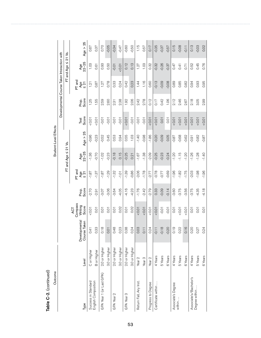| Outcome                  |                    |                               |                       |                |                  |                            | Student-Level Effects |               |                                             |                  |              |            |
|--------------------------|--------------------|-------------------------------|-----------------------|----------------|------------------|----------------------------|-----------------------|---------------|---------------------------------------------|------------------|--------------|------------|
|                          |                    |                               |                       |                |                  |                            |                       |               | Developmental Course Taken Interaction with |                  |              |            |
|                          |                    |                               |                       |                |                  | $FT$ and Age $\leq$ 21 Vs. |                       |               |                                             |                  | FT and Age 5 | 21 Vs.     |
|                          |                    |                               | Compass<br><b>ACT</b> |                | PT and           |                            |                       |               |                                             | PT and           |              |            |
| Type                     | Level              | Developmental<br>Course Taken | Writing<br>Score      | Prore<br>Score | $\frac{4}{5}$ 21 | Age<br>22-25               | Age $> 25$            | Score<br>Test | Prore<br>Score                              | $\frac{4}{5}$ 21 | Age<br>22-25 | Age $> 25$ |
| Success in Standard      | C or Higher        | $\frac{1}{4}$<br>$\circ$      | 10.01                 | $-2.70$        | $-1.87$          | $-1.36$                    | $-0.96$               | $10.0 - 5$    | 1.25                                        | 1.21             | 1.03         | 0.67       |
| English Composition      | <b>B</b> or Higher | 33<br>$\circ$                 | 0.01                  | $-2.91$        | $-1.37$          | $-0.70$                    | $-0.23$               | 10.01         | 1.55                                        | 0.87             | 0.61         | 0.37       |
| GPA Year 1 (or Last GPA) | 2.0 or Higher      | 0.18                          | 0.01                  | $-3.07$        | $-1.87$          | $-1.02$                    | $-0.52$               | $-0.01$       | 2.59                                        | 1.27             | 0.93         | 0.70       |
|                          | 3.0 or Higher      | $\overline{O}$<br>$\circ$     | $\overline{0}$        | $-3.06$        | $-1.29$          | $-0.23$                    | 0.45                  | $-0.01$       | 2.60                                        | 0.78             | 0.50         | $-0.05$    |
| GPA Year 2               | 2.0 or Higher      | 48<br>$\circ$                 | 0.01                  | $-3.64$        | $-1.32$          | $-0.18$                    | 0.53                  | $-0.01$       | 231                                         | 0.33             | $-0.01$      | $-0.34$    |
|                          | 3.0 or Higher      | 0.23                          | 0.02                  | $-4.05$        | $-1.01$          | 0.15                       | 0.94                  | $-0.01$       | 2.38                                        | 0.24             | 10.01        | $-0.47$    |
| GPA Year 3               | 2.0 or Higher      | $38^{\circ}$<br>$\circ$       | 0.01                  | $-4.16$        | $-1.39$          | $-0.25$                    | 0.55                  | 10.01         | 1.92                                        | 0.42             | 0.12         | $-0.60$    |
|                          | 3.0 or Higher      | 0.24                          | 0.02                  | $-4.23$        | $-0.86$          | 0.21                       | 1.03                  | $-0.01$       | 2.06                                        | 0.23             | 0.13         | $-0.50$    |
| Return Fall, Any Inst.   | Year 2             | 03<br>$\circ$                 | 10.01                 | $-1.76$        | $-2.06$          | $-1.67$                    | $-1.40$               | $-0.01$       | 2.42                                        | 1.44             | 1.27         | 1.15       |
|                          | Year <sub>3</sub>  | 0.11                          | 10.01                 | $-2.42$        | $-1.78$          | $-1.38$                    | $-0.98$               | $-0.01$       | 2.78                                        | 1.16             | 1.03         | 0.57       |
| Progress to Degree       | Year <sub>2</sub>  | 0.24                          | 10.01                 | $-2.79$        | $-2.77$          | $-2.09$                    | $-1.86$               | 10.01         | 0.12                                        | 0.60             | 0.32         | 0.17       |
| Certificate within       | 4 Years            | $-0.11$                       | 10.01                 | 0.33           | $-0.78$          | $-0.25$                    | $-0.20$               | 10.01         | 0.17                                        | $-0.13$          | $-0.32$      | $-0.35$    |
|                          | 5 Years            | $-0.18$                       | $-0.01$               | $-0.09$        | $-0.77$          | $-0.23$                    | $-0.09$               | 0.01          | 0.42                                        | $-0.09$          | $-0.26$      | $-0.37$    |
|                          | 6 Years            | $-0.20$                       | $-0.01$               | $-0.14$        | $-0.69$          | $-0.24$                    | 0.05                  | 0.01          | 1.06                                        | $-0.08$          | $-0.37$      | $-0.57$    |
| Associate's Degree       | 4 Years            | 0.19                          | 0.01                  | $-3.60$        | $-1.96$          | $-1.20$                    | $-0.87$               | 10.01         | 2.12                                        | 0.89             | 0.47         | 0.15       |
| within                   | 5 Years            | 22<br>$\circ$                 | 10.01                 | $-3.75$        | $-1.82$          | $-1.15$                    | $-0.68$               | 10.01         | 2.46                                        | 0.85             | 0.41         | $-0.08$    |
|                          | 6 Years            | 0.16                          | 0.01                  | -3.56          | $-1.75$          | $-1.20$                    | $-0.62$               | 0.01          | 2.67                                        | 0.82             | 0.71         | $-0.11$    |
| Associate's/Bachelor's   | 4 Years            | 0.20                          | 0.01                  | $-3.75$        | $-2.03$          | $-1.26$                    | $-0.91$               | 10.01         | 2.18                                        | 0.94             | 0.52         | 0.13       |
| Degree within            | 5 Years            | 27<br>$\circ$                 | 0.01                  | $-4.35$        | $-1.98$          | $-1.28$                    | $-0.82$               | 0.01          | 3.05                                        | 0.93             | 0.45         | $-0.03$    |
|                          | 6 Years            | 0.24                          | 0.01                  | $-4.18$        | $-1.96$          | $-1.40$                    | $-0.87$               | 50.01         | 2.99                                        | 0.95             | 0.76         | 0.02       |

Table C-2. (continued) Table C-2. (continued)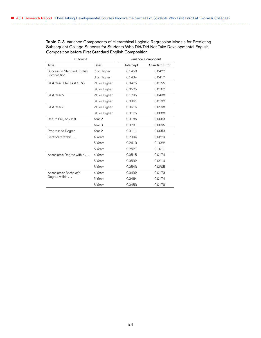Table C-3. Variance Components of Hierarchical Logistic Regression Models for Predicting Subsequent College Success for Students Who Did/Did Not Take Developmental English Composition before First Standard English Composition

| Outcome                     |                   |           | Variance Component    |
|-----------------------------|-------------------|-----------|-----------------------|
| Type                        | Level             | Intercept | <b>Standard Error</b> |
| Success in Standard English | C or Higher       | 0.1450    | 0.0477                |
| Composition                 | B or Higher       | 0.1434    | 0.0417                |
| GPA Year 1 (or Last GPA)    | 2.0 or Higher     | 0.0475    | 0.0155                |
|                             | 3.0 or Higher     | 0.0525    | 0.0167                |
| GPA Year 2                  | 2.0 or Higher     | 0.1295    | 0.0438                |
|                             | 3.0 or Higher     | 0.0361    | 0.0132                |
| GPA Year 3                  | 2.0 or Higher     | 0.0676    | 0.0298                |
|                             | 3.0 or Higher     | 0.0175    | 0.0088                |
| Return Fall, Any Inst.      | Year 2            | 0.0185    | 0.0063                |
|                             | Year <sub>3</sub> | 0.0281    | 0.0095                |
| Progress to Degree          | Year 2            | 0.0111    | 0.0053                |
| Certificate within          | 4 Years           | 0.2304    | 0.0879                |
|                             | 5 Years           | 0.2619    | 0.1022                |
|                             | 6 Years           | 0.2527    | 0.1011                |
| Associate's Degree within   | 4 Years           | 0.0515    | 0.0174                |
|                             | 5 Years           | 0.0592    | 0.0214                |
|                             | 6 Years           | 0.0543    | 0.0205                |
| Associate's/Bachelor's      | 4 Years           | 0.0492    | 0.0173                |
| Degree within               | 5 Years           | 0.0464    | 0.0174                |
|                             | 6 Years           | 0.0453    | 0.0179                |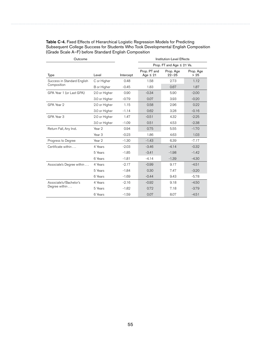| Outcome                     |                   |           |                               | <b>Institution-Level Effects</b> |                   |
|-----------------------------|-------------------|-----------|-------------------------------|----------------------------------|-------------------|
|                             |                   |           |                               | Prop. FT and Age ≤ 21 Vs.        |                   |
| <b>Type</b>                 | Level             | Intercept | Prop. PT and<br>Age $\leq 21$ | Prop. Age<br>$22 - 25$           | Prop. Age<br>> 25 |
| Success in Standard English | C or Higher       | 0.48      | 1.58                          | 2.73                             | 1.12              |
| Composition                 | B or Higher       | $-0.45$   | 1.83                          | 0.67                             | 1.87              |
| GPA Year 1 (or Last GPA)    | 2.0 or Higher     | 0.90      | $-0.34$                       | 5.90                             | $-2.00$           |
|                             | 3.0 or Higher     | $-0.79$   | 0.07                          | 3.93                             | $-0.20$           |
| GPA Year 2                  | 2.0 or Higher     | 1.15      | 0.58                          | 2.96                             | 0.22              |
|                             | 3.0 or Higher     | $-1.14$   | 0.62                          | 3.28                             | $-0.16$           |
| GPA Year 3                  | 2.0 or Higher     | 1.47      | $-0.51$                       | 4.32                             | $-2.25$           |
|                             | 3.0 or Higher     | $-1.09$   | 0.51                          | 4.53                             | $-2.38$           |
| Return Fall, Any Inst.      | Year 2            | 0.94      | 0.75                          | 5.55                             | $-1.70$           |
|                             | Year <sub>3</sub> | $-0.23$   | 1.86                          | 4.63                             | 1.03              |
| Progress to Degree          | Year <sub>2</sub> | $-1.30$   | $-1.43$                       | 6.39                             | $-7.17$           |
| Certificate within          | 4 Years           | $-2.03$   | $-3.46$                       | $-4.14$                          | $-0.32$           |
|                             | 5 Years           | $-1.85$   | $-3.41$                       | $-1.98$                          | $-1.42$           |
|                             | 6 Years           | $-1.81$   | $-4.14$                       | $-1.39$                          | $-4.30$           |
| Associate's Degree within   | 4 Years           | $-2.17$   | $-0.99$                       | 9.17                             | $-4.51$           |
|                             | 5 Years           | $-1.84$   | 0.30                          | 7.47                             | $-3.20$           |
|                             | 6 Years           | $-1.69$   | $-0.44$                       | 9.43                             | $-5.78$           |
| Associate's/Bachelor's      | 4 Years           | $-2.16$   | $-0.92$                       | 9.18                             | $-4.50$           |
| Degree within               | 5 Years           | $-1.82$   | 0.72                          | 7.18                             | $-3.79$           |
|                             | 6 Years           | $-1.59$   | 0.07                          | 8.07                             | $-4.51$           |

Table C-4. Fixed Effects of Hierarchical Logistic Regression Models for Predicting Subsequent College Success for Students Who Took Developmental English Composition (Grade Scale A–F) before Standard English Composition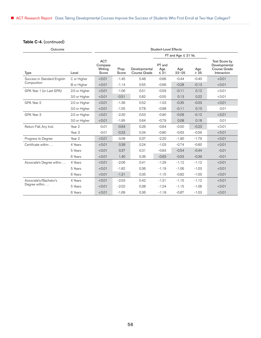### Table C-4. (continued)

| Outcome                     |                   |                                           |                |                               | <b>Student-Level Effects</b> |                          |              |                                                               |
|-----------------------------|-------------------|-------------------------------------------|----------------|-------------------------------|------------------------------|--------------------------|--------------|---------------------------------------------------------------|
|                             |                   |                                           |                |                               |                              | FT and Age $\leq$ 21 Vs. |              |                                                               |
| <b>Type</b>                 | Level             | <b>ACT</b><br>Compass<br>Writing<br>Score | Prop.<br>Score | Developmental<br>Course Grade | PT and<br>Age<br>$\leq 21$   | Age<br>$22 - 25$         | Age<br>$>25$ | Test Score by<br>Developmental<br>Course Grade<br>Interaction |
| Success in Standard English | C or Higher       | < 0.01                                    | $-1.45$        | 0.48                          | $-0.66$                      | $-0.44$                  | $-0.40$      | < 0.01                                                        |
| Composition                 | B or Higher       | < 0.01                                    | $-1.14$        | 0.55                          | $-0.66$                      | $-0.28$                  | $-0.13$      | < 0.01                                                        |
| GPA Year 1 (or Last GPA)    | 2.0 or Higher     | < 0.01                                    | $-1.06$        | 0.51                          | $-0.59$                      | $-0.11$                  | 0.12         | < 0.01                                                        |
|                             | 3.0 or Higher     | < 0.01                                    | $-0.51$        | 0.62                          | $-0.55$                      | 0.13                     | 0.22         | < 0.01                                                        |
| GPA Year 2                  | 2.0 or Higher     | < 0.01                                    | $-1.36$        | 0.52                          | $-1.03$                      | $-0.35$                  | $-0.03$      | < 0.01                                                        |
|                             | 3.0 or Higher     | < 0.01                                    | $-1.55$        | 0.78                          | $-0.98$                      | $-0.11$                  | 0.10         | 0.01                                                          |
| GPA Year 3                  | 2.0 or Higher     | < 0.01                                    | $-2.30$        | 0.53                          | $-0.90$                      | $-0.09$                  | $-0.12$      | < 0.01                                                        |
|                             | 3.0 or Higher     | < 0.01                                    | $-1.95$        | 0.64                          | $-0.79$                      | 0.08                     | 0.18         | 0.01                                                          |
| Return Fall, Any Inst.      | Year 2            | $-0.01$                                   | $-0.64$        | 0.26                          | $-0.64$                      | $-0.50$                  | $-0.23$      | < 0.01                                                        |
|                             | Year <sub>3</sub> | $-0.01$                                   | $-0.33$        | 0.34                          | $-0.80$                      | $-0.63$                  | $-0.59$      | < 0.01                                                        |
| Progress to Degree          | Year 2            | < 0.01                                    | $-3.08$        | 0.37                          | $-2.20$                      | $-1.90$                  | $-1.79$      | < 0.01                                                        |
| Certificate within          | 4 Years           | < 0.01                                    | 0.39           | 0.24                          | $-1.03$                      | $-0.74$                  | $-0.60$      | < 0.01                                                        |
|                             | 5 Years           | < 0.01                                    | 0.37           | 0.31                          | $-0.83$                      | $-0.54$                  | $-0.44$      | $-0.01$                                                       |
|                             | 6 Years           | < 0.01                                    | 1.40           | 0.36                          | $-0.63$                      | $-0.53$                  | $-0.39$      | $-0.01$                                                       |
| Associate's Degree within   | 4 Years           | < 0.01                                    | $-2.06$        | 0.41                          | $-1.29$                      | $-1.12$                  | $-1.12$      | < 0.01                                                        |
|                             | 5 Years           | < 0.01                                    | $-1.82$        | 0.36                          | $-1.19$                      | $-1.06$                  | $-1.03$      | < 0.01                                                        |
|                             | 6 Years           | < 0.01                                    | $-1.31$        | 0.35                          | $-1.15$                      | $-0.82$                  | $-1.00$      | < 0.01                                                        |
| Associate's/Bachelor's      | 4 Years           | < 0.01                                    | $-2.03$        | 0.42                          | $-1.31$                      | $-1.15$                  | $-1.12$      | < 0.01                                                        |
| Degree within               | 5 Years           | < 0.01                                    | $-2.02$        | 0.38                          | $-1.24$                      | $-1.15$                  | $-1.06$      | < 0.01                                                        |
|                             | 6 Years           | < 0.01                                    | $-1.69$        | 0.36                          | $-1.18$                      | $-0.87$                  | $-1.03$      | < 0.01                                                        |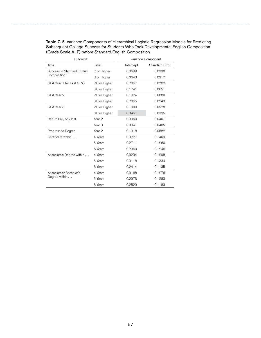Table C-5. Variance Components of Hierarchical Logistic Regression Models for Predicting Subsequent College Success for Students Who Took Developmental English Composition (Grade Scale A–F) before Standard English Composition

| Outcome                     |                   |           | Variance Component    |
|-----------------------------|-------------------|-----------|-----------------------|
| Type                        | Level             | Intercept | <b>Standard Error</b> |
| Success in Standard English | C or Higher       | 0.0699    | 0.0330                |
| Composition                 | B or Higher       | 0.0643    | 0.0317                |
| GPA Year 1 (or Last GPA)    | 2.0 or Higher     | 0.2067    | 0.0782                |
|                             | 3.0 or Higher     | 0.1741    | 0.0651                |
| GPA Year 2                  | 2.0 or Higher     | 0.1924    | 0.0880                |
|                             | 3.0 or Higher     | 0.2065    | 0.0943                |
| GPA Year 3                  | 2.0 or Higher     | 0.1900    | 0.0978                |
|                             | 3.0 or Higher     | 0.0461    | 0.0395                |
| Return Fall, Any Inst.      | Year 2            | 0.0950    | 0.0401                |
|                             | Year <sub>3</sub> | 0.0947    | 0.0405                |
| Progress to Degree          | Year <sub>2</sub> | 0.1318    | 0.0582                |
| Certificate within          | 4 Years           | 0.3227    | 0.1409                |
|                             | 5 Years           | 0.2711    | 0.1260                |
|                             | 6 Years           | 0.2360    | 0.1246                |
| Associate's Degree within   | 4 Years           | 0.3234    | 0.1298                |
|                             | 5 Years           | 0.3118    | 0.1334                |
|                             | 6 Years           | 0.2414    | 0.1135                |
| Associate's/Bachelor's      | 4 Years           | 0.3168    | 0.1276                |
| Degree within               | 5 Years           | 0.2973    | 0.1283                |
|                             | 6 Years           | 0.2529    | 0.1183                |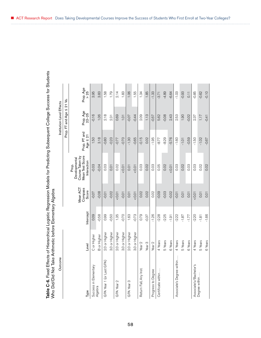| Table C-6. Fixed Effects of Hierarchical Logistic Regression Models for Predicting Subsequent College Success for Students<br>Who Did/Did Not Take Arithmetic before Elementary Algebra |                   |           |                              |                                                                             |                               |                           |                   |  |
|-----------------------------------------------------------------------------------------------------------------------------------------------------------------------------------------|-------------------|-----------|------------------------------|-----------------------------------------------------------------------------|-------------------------------|---------------------------|-------------------|--|
| Outcome                                                                                                                                                                                 |                   |           |                              |                                                                             |                               | Institution-Level Effects |                   |  |
|                                                                                                                                                                                         |                   |           |                              |                                                                             |                               | VI<br>Prop. FT and Age    | 21 Vs.            |  |
| Type                                                                                                                                                                                    | Level             | Intercept | Compass<br>Mean ACT<br>Score | Mean Test Score<br>Course Taken by<br>Developmental<br>Interaction<br>Prop. | Prop. PT and<br>Age $\leq 21$ | Prop. Age<br>22-25        | Prop. Age<br>> 25 |  |
| Success in Elementary                                                                                                                                                                   | C or Higher       | 0.09      | $-0.07$                      | $-0.03$                                                                     | 1.50                          | $-0.16$                   | 3.95              |  |
| Algebra                                                                                                                                                                                 | B or Higher       | $-0.58$   | $-0.08$                      | $-0.04$                                                                     | 3.18                          | 1.06                      | 3.83              |  |
| GPA Year 1 (or Last GPA                                                                                                                                                                 | 2.0 or Higher     | 0.99      | $-0.01$                      | 0.03                                                                        | $-0.80$                       | 2.18                      | 1.58              |  |
|                                                                                                                                                                                         | 3.0 or Higher     | $-0.50$   | $-0.02$                      | 0.01                                                                        | $-0.23$                       | 231                       | 1.79              |  |
| GPA Year 2                                                                                                                                                                              | 2.0 or Higher     | 1.35      | 10.01                        | 0.02                                                                        | -0.77                         | 0.69                      | 2.14              |  |
|                                                                                                                                                                                         | 3.0 or Higher     | $-0.70$   | $-0.01$                      | 10.01                                                                       | $-0.70$                       | 101                       | 1.83              |  |
| GPA Year 3                                                                                                                                                                              | 2.0 or Higher     | 1.63      | 0.01                         | 0.01                                                                        | $-1.30$                       | $-0.07$                   | 1.06              |  |
|                                                                                                                                                                                         | 3.0 or Higher     | $-0.73$   | 10.01                        | 10.01                                                                       | $-0.65$                       | $-0.44$                   | 1.55              |  |
| Return Fall, Any Inst.                                                                                                                                                                  | Year <sub>2</sub> | 0.79      | 0.02                         | 0.03                                                                        | $-0.15$                       | 2.09                      | 1.34              |  |
|                                                                                                                                                                                         | Year <sub>3</sub> | $-0.37$   | 0.02                         | 0.02                                                                        | 0.02                          | 1.13                      | 1.85              |  |
| Progress to Degree                                                                                                                                                                      | Year <sub>2</sub> | $-1.26$   | 0.02                         | 0.03                                                                        | $-1.95$                       | $-0.57$                   | $-1.33$           |  |
| Certificate within                                                                                                                                                                      | 4 Years           | $-2.28$   | $-0.09$                      | 0.05                                                                        | $-8.77$                       | 5.62                      | $-3.71$           |  |
|                                                                                                                                                                                         | 5 Years           | $-2.25$   | $-0.03$                      | 0.02                                                                        | $-8.29$                       | $-0.08$                   | $-4.89$           |  |
|                                                                                                                                                                                         | 6 Years           | $-1.91$   | $-0.02$                      | 10.01                                                                       | $-5.76$                       | 2.43                      | $-6.64$           |  |
| Associate's Degree withi                                                                                                                                                                | 4 Years           | $-2.22$   | $-0.01$                      | 0.03                                                                        | $-1.60$                       | 2.53                      | $-1.03$           |  |
|                                                                                                                                                                                         | 5 Years           | $-1.87$   | 0.01                         | 0.02                                                                        | $-1.01$                       | 1.90                      | $-0.93$           |  |
|                                                                                                                                                                                         | 6 Years           | $-1.77$   | 0.01                         | 0.03                                                                        | $-0.59$                       | $-0.02$                   | $\overline{0.11}$ |  |
| Associate's/Bachelor's<br>Degree within                                                                                                                                                 | 4 Years           | $-2.20$   | 10.01                        | 0.03                                                                        | $-1.50$                       | 2.37                      | $-0.85$           |  |
|                                                                                                                                                                                         | 5 Years           | $-1.81$   | 0.01                         | 0.02                                                                        | $-1.02$                       | 1.17                      | $-0.62$           |  |
|                                                                                                                                                                                         | 6 Years           | $-1.66$   | 0.01                         | 0.02                                                                        | $-0.67$                       | $-0.41$                   | $-0.10$           |  |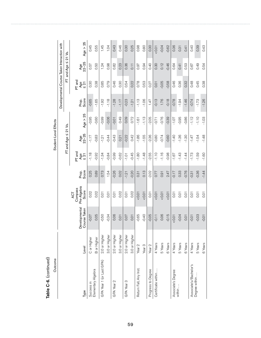| Outcome                  |                    |                               |                      |                |                      | Student-Level Effects      |            |                |                                             |               |            |
|--------------------------|--------------------|-------------------------------|----------------------|----------------|----------------------|----------------------------|------------|----------------|---------------------------------------------|---------------|------------|
|                          |                    |                               |                      |                |                      |                            |            |                | Developmental Course Taken Interaction with |               |            |
|                          |                    |                               |                      |                |                      | $FT$ and Age $\leq$ 21 Vs. |            |                | 匸                                           | VI<br>and Age | 21 Vs.     |
|                          |                    |                               | Compass<br>ДÁ        |                | PT and               |                            |            |                | PT and                                      |               |            |
| Type                     | Level              | Developmental<br>Course Taken | Pre-Algebra<br>Score | Score<br>Prop. | Age<br><u>र</u><br>४ | Age<br>22-25               | Age $> 25$ | Prore<br>Score | Age<br>$\leq 21$                            | Age<br>22-25  | Age $> 25$ |
| Success in               | C or Higher        | $-0.07$                       | 0.02                 | 0.25           | $-1.18$              | $-1.17$                    | $-0.95$    | $-0.65$        | 0.30                                        | 0.57          | 0.45       |
| Elementary Algebra       | <b>B</b> or Higher | 0.05                          | 0.02                 | 0.89           | $-0.92$              | $-0.83$                    | $-0.60$    | $-1.65$        | 0.38                                        | 0.50          | 0.55       |
| GPA Year 1 (or Last GPA) | 2.0 or Higher      | $-0.50$                       | 0.01                 | 0.73           | $-1.34$              | $-1.21$                    | $-0.99$    | $-1.92$        | 0.85                                        | 1.24          | 1.45       |
|                          | 3.0 or Higher      | $-0.34$                       | 0.01                 | 1.54           | $-0.84$              | $-0.44$                    | $-0.06$    | $-1.18$        | 0.79                                        | 0.98          | 1.04       |
| GPA Year 2               | 2.0 or Higher      | 0.06                          | 0.01                 | $-0.26$        | $-0.99$              | $-0.43$                    | $-0.01$    | $-1.28$        | 0.46                                        | 0.82          | 0.43       |
|                          | 3.0 or Higher      | 0.01                          | 0.02                 | 0.02           | $-0.62$              | 0.21                       | 0.49       | $-1.17$        | 0.30                                        | 0.23          | 0.46       |
| GPA Year 3               | 2.0 or Higher      | 0.07                          | 0.01                 | $-1.21$        | $-1.01$              | $-0.22$                    | 0.09       | $-0.23$        | 0.54                                        | 0.36          | 0.30       |
|                          | 3.0 or Higher      | 0.01                          | 0.02                 | $-0.20$        | $-0.45$              | 0.42                       | 0.72       | $-1.21$        | 0.22                                        | 0.11          | 0.25       |
| Return Fall, Any Inst.   | Year <sub>2</sub>  | $-0.65$                       | $10.0 - 50$          | 0.31           | $-1.80$              | $-1.86$                    | $-1.61$    | $-1.13$        | 0.78                                        | 0.97          | 0.98       |
|                          | Year <sub>3</sub>  | $-0.40$                       | 10.01                | 0.13           | $-1.48$              | $-1.55$                    | $-1.13$    | $-1.06$        | 0.53                                        | 0.94          | 0.80       |
| Progress to Degree       | Year <sub>2</sub>  | $-0.05$                       | 0.01                 | $-2.02$        | $-2.55$              | $-2.36$                    | $-2.05$    | 1.47           | 0.27                                        | 0.40          | 0.30       |
| Certificate within       | 4 Years            | $-0.11$                       | $10.0 - 50$          | 0.77           | $-1.10$              | $-0.80$                    | $-0.71$    | $-0.13$        | 0.01                                        | 0.30          | 10.01      |
|                          | 5 Years            | 0.06                          | 10.01                | 0.91           | $-1.16$              | $-0.74$                    | $-0.76$    | 1.76           | $-0.05$                                     | 0.12          | $-0.04$    |
|                          | 6 Years            | $-0.15$                       | 0.01                 | 2.47           | $-0.98$              | $-0.60$                    | $-0.39$    | $-0.18$        | $-0.58$                                     | $-0.46$       | $-0.62$    |
| Associate's Degree       | 4 Years            | 10.01                         | $\overline{0}$       | $-0.17$        | $-1.67$              | $-1.40$                    | $-1.07$    | $-0.78$        | 0.46                                        | 0.64          | 0.36       |
| within                   | 5 Years            | $-0.04$                       | 0.01                 | 0.33           | $-1.43$              | $-1.36$                    | $-0.95$    | $-1.94$        | 0.36                                        | 0.41          | 0.31       |
|                          | 6 Years            | 0.01                          | 0.01                 | $-0.76$        | $-1.44$              | $-1.30$                    | $-0.86$    | $-1.46$        | 0.32                                        | 0.53          | 0.41       |
| Associate's/Bachelor's   | 4 Years            | $-0.01$                       | 0.01                 | $-0.31$        | $-1.73$              | $-1.47$                    | $-1.12$    | $-0.74$        | 0.48                                        | 0.67          | 0.40       |
| Degree within            | 5 Years            | $-0.03$                       | 0.01                 | $-0.36$        | $-1.59$              | $-1.54$                    | $-1.10$    | $-1.73$        | 0.45                                        | 0.49          | 0.39       |
|                          | 6 Years            | $-0.01$                       | 0.01                 | $-1.44$        | $-1.60$              | $-1.48$                    | $-1.03$    | $-1.26$        | 0.38                                        | 0.54          | 0.43       |

Table C-6. (continued) Table C-6. (continued)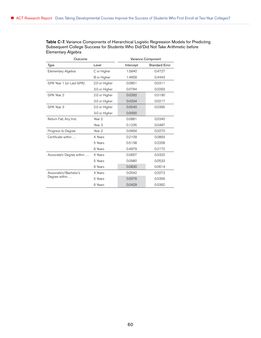Table C-7. Variance Components of Hierarchical Logistic Regression Models for Predicting Subsequent College Success for Students Who Did/Did Not Take Arithmetic before Elementary Algebra

| Outcome                   |                   |           | Variance Component    |
|---------------------------|-------------------|-----------|-----------------------|
| Type                      | Level             | Intercept | <b>Standard Error</b> |
| Elementary Algebra        | C or Higher       | 1.5840    | 0.4727                |
|                           | B or Higher       | 1.4609    | 0.4443                |
| GPA Year 1 (or Last GPA)  | 2.0 or Higher     | 0.0851    | 0.0311                |
|                           | 3.0 or Higher     | 0.0784    | 0.0293                |
| GPA Year 2                | 2.0 or Higher     | 0.0292    | 0.0190                |
|                           | 3.0 or Higher     | 0.0334    | 0.0217                |
| GPA Year 3                | 2.0 or Higher     | 0.0540    | 0.0395                |
|                           | 3.0 or Higher     | 0.0000    |                       |
| Return Fall, Any Inst.    | Year 2            | 0.0881    | 0.0340                |
|                           | Year <sub>3</sub> | 0.1235    | 0.0487                |
| Progress to Degree        | Year <sub>2</sub> | 0.0694    | 0.0270                |
| Certificate within        | 4 Years           | 0.2109    | 0.0893                |
|                           | 5 Years           | 0.5138    | 0.2208                |
|                           | 6 Years           | 0.4979    | 0.2172                |
| Associate's Degree within | 4 Years           | 0.0657    | 0.0322                |
|                           | 5 Years           | 0.0980    | 0.0533                |
|                           | 6 Years           | 0.0830    | 0.0614                |
| Associate's/Bachelor's    | 4 Years           | 0.0542    | 0.0273                |
| Degree within             | 5 Years           | 0.0576    | 0.0356                |
|                           | 6 Years           | 0.0429    | 0.0362                |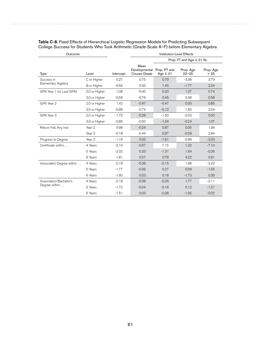| Outcome                   |                   |           |                                       | Institution-Level Effects     |                                |                   |
|---------------------------|-------------------|-----------|---------------------------------------|-------------------------------|--------------------------------|-------------------|
|                           |                   |           |                                       |                               | Prop. FT and Age $\leq$ 21 Vs. |                   |
| <b>Type</b>               | Level             | Intercept | Mean<br>Developmental<br>Course Grade | Prop. PT and<br>Age $\leq 21$ | Prop. Age<br>$22 - 25$         | Prop. Age<br>> 25 |
| Success in                | C or Higher       | 0.27      | 0.75                                  | 0.79                          | $-3.38$                        | 3.79              |
| Elementary Algebra        | B or Higher       | $-0.64$   | 0.93                                  | 1.45                          | $-1.77$                        | 2.24              |
| GPA Year 1 (or Last GPA)  | 2.0 or Higher     | 1.08      | $-0.40$                               | 0.20                          | 1.27                           | 0.74              |
|                           | 3.0 or Higher     | $-0.56$   | $-0.76$                               | 0.45                          | 3.38                           | 0.58              |
| GPA Year 2                | 2.0 or Higher     | 1.42      | $-0.47$                               | $-0.47$                       | 0.30                           | 0.85              |
|                           | 3.0 or Higher     | $-0.86$   | $-0.74$                               | $-0.12$                       | 1.83                           | 2.04              |
| GPA Year 3                | 2.0 or Higher     | 1.75      | $-0.26$                               | $-1.50$                       | $-2.03$                        | 0.50              |
|                           | 3.0 or Higher     | $-0.85$   | $-0.62$                               | $-1.04$                       | $-0.24$                        | 1.07              |
| Return Fall, Any Inst.    | Year 2            | 0.98      | $-0.24$                               | 0.87                          | 0.05                           | 1.99              |
|                           | Year <sub>3</sub> | $-0.18$   | $-0.44$                               | 0.97                          | $-0.59$                        | 2.84              |
| Progress to Degree        | Year 2            | $-1.16$   | 0.02                                  | $-1.61$                       | $-2.99$                        | $-2.33$           |
| Certificate within        | 4 Years           | $-2.10$   | $-0.57$                               | $-7.15$                       | 1.22                           | $-7.10$           |
|                           | 5 Years           | $-2.02$   | 0.33                                  | $-1.31$                       | 1.64                           | $-0.26$           |
|                           | 6 Years           | $-1.81$   | 0.57                                  | 0.78                          | 4.22                           | 0.91              |
| Associate's Degree within | 4 Years           | $-2.19$   | $-0.06$                               | $-0.15$                       | 1.98                           | $-2.22$           |
|                           | 5 Years           | $-1.77$   | $-0.06$                               | 0.27                          | 0.56                           | $-1.05$           |
|                           | 6 Years           | $-1.60$   | 0.03                                  | 0.18                          | $-1.73$                        | 0.39              |
| Associate's/Bachelor's    | 4 Years           | $-2.18$   | $-0.08$                               | $-0.26$                       | 1.77                           | $-2.11$           |
| Degree within             | 5 Years           | $-1.72$   | $-0.04$                               | $-0.16$                       | 0.12                           | $-1.21$           |
|                           | 6 Years           | $-1.51$   | 0.03                                  | $-0.28$                       | $-1.92$                        | $-0.02$           |

Table C-8. Fixed Effects of Hierarchical Logistic Regression Models for Predicting Subsequent College Success for Students Who Took Arithmetic (Grade Scale A–F) before Elementary Algebra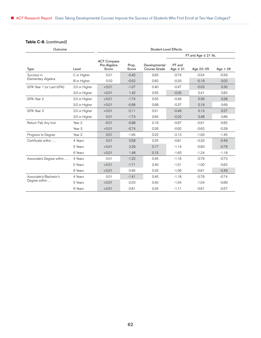### Table C-8. (continued)

| Outcome                   |                   | <b>Student-Level Effects</b>               |                |                               |                         |                          |            |
|---------------------------|-------------------|--------------------------------------------|----------------|-------------------------------|-------------------------|--------------------------|------------|
|                           |                   |                                            |                |                               |                         | FT and Age $\leq$ 21 Vs. |            |
| Type                      | Level             | <b>ACT Compass</b><br>Pre-Algebra<br>Score | Prop.<br>Score | Developmental<br>Course Grade | PT and<br>Age $\leq 21$ | Age 22-25                | Age $> 25$ |
| Success in                | C or Higher       | 0.01                                       | $-0.42$        | 0.63                          | $-0.74$                 | $-0.54$                  | $-0.59$    |
| Elementary Algebra        | B or Higher       | 0.02                                       | $-0.52$        | 0.82                          | $-0.33$                 | $-0.19$                  | 0.02       |
| GPA Year 1 (or Last GPA)  | 2.0 or Higher     | < 0.01                                     | $-1.07$        | 0.40                          | $-0.47$                 | $-0.03$                  | 0.30       |
|                           | 3.0 or Higher     | < 0.01                                     | 1.42           | 0.55                          | $-0.05$                 | 0.41                     | 0.82       |
| GPA Year 2                | 2.0 or Higher     | < 0.01                                     | $-1.74$        | 0.55                          | $-0.46$                 | 0.36                     | 0.28       |
|                           | 3.0 or Higher     | < 0.01                                     | $-0.68$        | 0.68                          | $-0.37$                 | 0.19                     | 0.69       |
| GPA Year 3                | 2.0 or Higher     | < 0.01                                     | $-2.11$        | 0.51                          | $-0.46$                 | 0.13                     | 0.27       |
|                           | 3.0 or Higher     | 0.01                                       | $-1.73$        | 0.64                          | $-0.22$                 | 0.48                     | 0.86       |
| Return Fall, Any Inst.    | Year 2            | $-0.01$                                    | $-0.98$        | 0.16                          | $-0.97$                 | $-0.91$                  | $-0.65$    |
|                           | Year <sub>3</sub> | < 0.01                                     | $-0.74$        | 0.26                          | $-0.92$                 | $-0.62$                  | $-0.39$    |
| Progress to Degree        | Year 2            | 0.01                                       | $-1.95$        | 0.22                          | $-2.13$                 | $-1.63$                  | $-1.45$    |
| Certificate within        | 4 Years           | 0.01                                       | 0.58           | 0.25                          | $-0.81$                 | $-0.33$                  | $-0.49$    |
|                           | 5 Years           | < 0.01                                     | 2.29           | 0.17                          | $-1.14$                 | $-0.60$                  | $-0.78$    |
|                           | 6 Years           | < 0.01                                     | 1.48           | 0.15                          | $-1.63$                 | $-1.24$                  | $-1.18$    |
| Associate's Degree within | 4 Years           | 0.01                                       | $-1.22$        | 0.45                          | $-1.16$                 | $-0.76$                  | $-0.73$    |
|                           | 5 Years           | < 0.01                                     | $-1.71$        | 0.40                          | $-1.01$                 | $-1.00$                  | $-0.62$    |
|                           | 6 Years           | < 0.01                                     | $-2.85$        | 0.33                          | $-1.06$                 | $-0.81$                  | $-0.49$    |
| Associate's/Bachelor's    | 4 Years           | 0.01                                       | $-1.41$        | 0.45                          | $-1.18$                 | $-0.78$                  | $-0.74$    |
| Degree within             | 5 Years           | < 0.01                                     | $-2.03$        | 0.40                          | $-1.04$                 | $-1.04$                  | $-0.66$    |
|                           | 6 Years           | < 0.01                                     | $-2.81$        | 0.34                          | $-1.11$                 | $-0.91$                  | $-0.57$    |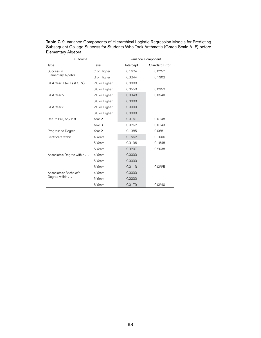| Table C-9. Variance Components of Hierarchical Logistic Regression Models for Predicting |
|------------------------------------------------------------------------------------------|
| Subsequent College Success for Students Who Took Arithmetic (Grade Scale A–F) before     |
| Elementary Algebra                                                                       |

| Outcome                   |                   |           | Variance Component |
|---------------------------|-------------------|-----------|--------------------|
| Type                      | Level             | Intercept | Standard Error     |
| Success in                | C or Higher       | 0.1624    | 0.0757             |
| Elementary Algebra        | B or Higher       | 0.3244    | 0.1302             |
| GPA Year 1 (or Last GPA)  | 2.0 or Higher     | 0.0000    |                    |
|                           | 3.0 or Higher     | 0.0550    | 0.0352             |
| GPA Year 2                | 2.0 or Higher     | 0.0348    | 0.0540             |
|                           | 3.0 or Higher     | 0.0000    |                    |
| GPA Year 3                | 2.0 or Higher     | 0.0000    |                    |
|                           | 3.0 or Higher     | 0.0000    |                    |
| Return Fall, Any Inst.    | Year 2            | 0.0167    | 0.0148             |
|                           | Year <sub>3</sub> | 0.0262    | 0.0143             |
| Progress to Degree        | Year 2            | 0.1385    | 0.0681             |
| Certificate within        | 4 Years           | 0.1562    | 0.1006             |
|                           | 5 Years           | 0.3196    | 0.1848             |
|                           | 6 Years           | 0.3207    | 0.2038             |
| Associate's Degree within | 4 Years           | 0.0000    |                    |
|                           | 5 Years           | 0.0000    |                    |
|                           | 6 Years           | 0.0113    | 0.0225             |
| Associate's/Bachelor's    | 4 Years           | 0.0000    |                    |
| Degree within             | 5 Years           | 0.0000    |                    |
|                           | 6 Years           | 0.0179    | 0.0240             |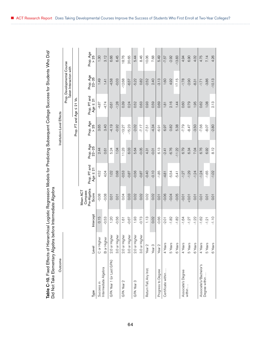| )<br>)<br>Ĺ                                                                              |                                                                                     |
|------------------------------------------------------------------------------------------|-------------------------------------------------------------------------------------|
|                                                                                          |                                                                                     |
|                                                                                          |                                                                                     |
|                                                                                          |                                                                                     |
|                                                                                          |                                                                                     |
|                                                                                          |                                                                                     |
|                                                                                          |                                                                                     |
|                                                                                          |                                                                                     |
|                                                                                          |                                                                                     |
|                                                                                          |                                                                                     |
|                                                                                          |                                                                                     |
|                                                                                          |                                                                                     |
|                                                                                          |                                                                                     |
|                                                                                          |                                                                                     |
|                                                                                          |                                                                                     |
|                                                                                          |                                                                                     |
|                                                                                          |                                                                                     |
|                                                                                          |                                                                                     |
| cal Logistic Regression Models for Predicting Subsequent College Success for Students WM |                                                                                     |
|                                                                                          |                                                                                     |
| of Hierarchical Logistic Regression Mr                                                   |                                                                                     |
|                                                                                          | ichata dhek                                                                         |
|                                                                                          |                                                                                     |
|                                                                                          |                                                                                     |
|                                                                                          |                                                                                     |
|                                                                                          |                                                                                     |
|                                                                                          |                                                                                     |
|                                                                                          | naha hatnya Intarnan<br> <br> <br> <br> <br> <br> <br> <br><br><br><br><br><br><br> |
|                                                                                          |                                                                                     |
|                                                                                          | ١                                                                                   |
|                                                                                          |                                                                                     |
|                                                                                          |                                                                                     |
|                                                                                          |                                                                                     |
| í                                                                                        | l                                                                                   |
| ֚֚֬֜                                                                                     | l                                                                                   |
| .<br>م                                                                                   | _<br>ರ                                                                              |
|                                                                                          |                                                                                     |
|                                                                                          |                                                                                     |

| Did Not Take Elementary Algebra<br>Outcome |                                                         | before Intermediate Algebra |                                             |                                    |                    | Institution-Level Effects |                                  |                                                      |                   |
|--------------------------------------------|---------------------------------------------------------|-----------------------------|---------------------------------------------|------------------------------------|--------------------|---------------------------|----------------------------------|------------------------------------------------------|-------------------|
|                                            |                                                         |                             |                                             |                                    |                    |                           |                                  | Prop. Developmental Course<br>Taken Interaction with |                   |
|                                            |                                                         |                             |                                             |                                    |                    | Prop. FT and Age          | ۊ<br>$\overline{\Omega}$<br>VI   |                                                      |                   |
| Туре                                       | Level                                                   | Intercept                   | Pre-Algebra<br>Mean ACT<br>Compass<br>Score | l and<br>Age $\leq 21$<br>Prop. PT | Prop. Age<br>22-25 | Prop. Age<br>> 25         | and<br>Age $\leq 21$<br>Prop. PT | Prop. Age<br>22-25                                   | Prop. Age<br>> 25 |
| Success in                                 | C or Higher                                             | 0.15                        | $-0.08$                                     | 4.52                               | 2.44               | 3.65                      | $-4.87$                          | 1.49                                                 | 1.30              |
| Intermediate Algebra                       | B or Higher                                             | $-0.53$                     | $-0.08$                                     | 4.04                               | 0.61               | 3.40                      | $-4.74$                          | 1.41                                                 | 3.12              |
| GPA Year 1 (or Last GPA)                   | উ<br>2.0 or High                                        | 1.20                        | 0.01                                        | 1.02                               | 5.24               | $-4.19$                   | $-0.61$                          | $-4.58$                                              | 6.66              |
|                                            | ŏ<br>3.0 or High                                        | $-0.56$                     | 0.01                                        | 0.68                               | 1.04               | $-0.92$                   | $-1.28$                          | $-0.03$                                              | 6.45              |
| GPA Year 2                                 | ৳<br>2.0 or High                                        | 1.61                        | 0.04                                        | $-0.53$                            | 11.23              | $-13.27$                  | 0.39                             | $-12.68$                                             | 18.76             |
|                                            | $\overleftarrow{\underline{\mathbb{O}}}$<br>3.0 or High | $-0.67$                     | 0.03                                        | $-0.87$                            | 6.03               | $-15.23$                  | 0.24                             | $-6.57$                                              | 20.65             |
| GPA Year 3                                 | ŏ<br>2.0 or High                                        | 1.93                        | 0.02                                        | $-0.56$                            | 5.64               | $-2.02$                   | 0.52                             | $-5.22$                                              | 5.44              |
|                                            | 3.0 or Higher                                           | $-0.73$                     | 0.02                                        | $-0.87$                            | $-0.05$            | $-7.17$                   | 0.63                             | 0.82                                                 | 8.46              |
| Return Fall, Any Inst.                     | Year <sub>2</sub>                                       | 1.13                        | 0.02                                        | $-0.40$                            | 4.31               | $-7.51$                   | 0.93                             | $-2.52$                                              | 10.06             |
|                                            | Year <sub>3</sub>                                       | 0.02                        | 0.02                                        | $-0.10$                            | $-0.01$            | $-4.34$                   | 0.59                             | 2.40                                                 | 7.68              |
| Progress to Degree                         | Year 2                                                  | $-0.66$                     | 0.01                                        | $-1.85$                            | 6.13               | $-6.91$                   | 0.69                             | $-3.13$                                              | 5.49              |
| Certificate within.                        | 4 Years                                                 | $-2.01$                     | $-0.06$                                     | $-4.81$                            | $-2.41$            | 6.97                      | 1.81                             | 1.60                                                 | $-7.57$           |
|                                            | 5 Years                                                 | $-1.82$                     | $-0.04$                                     | $-5.54$                            | $-6.76$            | 0.82                      | 2.16                             | 4.92                                                 | $-2.92$           |
|                                            | 6 Years                                                 | $-1.82$                     | $-0.05$                                     | $-5.41$                            | $-11.22$           | 5.38                      | 1.44                             | 17.15                                                | $-13.83$          |
| Associate's Degree                         | 4 Years                                                 | $-1.64$                     | $-0.01$                                     | $-1.27$                            | 6.79               | $-7.79$                   | 0.60                             | $-1.78$                                              | 4.94              |
| within                                     | 5 Years                                                 | $-1.27$                     | 0.01                                        | $-1.29$                            | 6.34               | $-8.47$                   | 0.79                             | $-2.90$                                              | 6.90              |
|                                            | 6 Years                                                 | $-1.22$                     | 0.01                                        | $-1.24$                            | 7.04               | $-3.50$                   | 1.95                             | $-8.31$                                              | 4.02              |
| Associate's/Bachelor's                     | 4 Years                                                 | $-1.62$                     | $-0.01$                                     | $-1.24$                            | 6.76               | $-7.56$                   | 0.62                             | $-1.71$                                              | 4.75              |
| Degree within.                             | 5 Years                                                 | $-1.21$                     | 0.01                                        | $-1.65$                            | 6.92               | $-8.07$                   | 1.08                             | $-3.86$                                              | 7.14              |
|                                            | 6 Years                                                 | $-1.10$                     | 0.01                                        | $-1.02$                            | 8.12               | $-2.80$                   | 2.13                             | $-10.13$                                             | 4.26              |

ACT Research Report Does Taking Developmental Courses Improve the Success of Students Who First Enroll at Two-Year Colleges?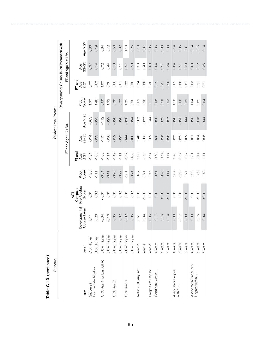| Outcome                  |                   |                   |                                      |         |               |                          | Student-Level Effects |         |                                             |                       |            |
|--------------------------|-------------------|-------------------|--------------------------------------|---------|---------------|--------------------------|-----------------------|---------|---------------------------------------------|-----------------------|------------|
|                          |                   |                   |                                      |         |               |                          |                       |         | Developmental Course Taken Interaction with |                       |            |
|                          |                   |                   |                                      |         |               | FT and Age $\leq$ 21 Vs. |                       |         |                                             | ភ<br>VI<br>FT and Age | ۊ          |
|                          |                   | Developmental     | Pre-Algebra<br>Compass<br><b>ACT</b> | Prop.   | PT and<br>Age |                          |                       | Prop.   | PT and<br>Age                               | Age<br>22-25          |            |
| Туре                     | Level             | Course Taken      | Score                                | Score   | $\leq 21$     | Age<br>22-25             | Age $> 25$            | Score   | $\frac{1}{2}$                               |                       | Age $> 25$ |
| Success in               | C or Higher       | $\overline{0.11}$ | 0.01                                 | $-1.36$ | $-1.34$       | $-0.74$                  | $-0.63$               | 1.87    | 0.77                                        | 0.37                  | 0.30       |
| Intermediate Algebra     | B or Higher       | 0.20              | 0.02                                 | $-1.11$ | $-1.05$       | $-0.33$                  | $-0.25$               | 1.46    | 0.67                                        | 0.14                  | 0.19       |
| GPA Year 1 (or Last GPA) | 2.0 or Higher     | $-0.34$           | 50.07                                | $-0.54$ | $-1.88$       | $-1.17$                  | $-1.12$               | 0.60    | 1.07                                        | 0.72                  | 0.84       |
|                          | 3.0 or Higher     | $-0.16$           | $\overline{0}$ .01                   | $-0.41$ | $-1.14$       | $-0.36$                  | $-0.29$               | 1.32    | 0.76                                        | 0.44                  | 0.72       |
| GPA Year 2               | 2.0 or Higher     | 0.05              | 0.01                                 | $-0.93$ | $-1.49$       | $-0.52$                  | $-0.20$               | 0.70    | 0.66                                        | 0.18                  | 0.50       |
|                          | 3.0 or Higher     | 0.02              | 0.02                                 | $-0.22$ | $\frac{1}{1}$ | $-0.27$                  | 0.20                  | 0.77    | 0.61                                        | 0.51                  | 0.32       |
| GPA Year 3               | 2.0 or Higher     | $-0.02$           | 0.01                                 | $-1.81$ | $-1.52$       | $-0.44$                  | $-0.70$               | 1.72    | 0.77                                        | 0.27                  | 1.13       |
|                          | 3.0 or Higher     | 0.05              | 0.02                                 | $-0.24$ | $-0.88$       | $-0.08$                  | 0.24                  | 0.96    | 0.36                                        | 0.20                  | 0.25       |
| Return Fall, Any Inst.   | Year <sub>2</sub> | $-0.51$           | $-0.01$                              | $-0.82$ | $-1.93$       | $-1.46$                  | $-1.07$               | 0.69    | 0.74                                        | 0.53                  | 0.13       |
|                          | Year <sub>3</sub> | $-0.34$           | 10.01                                | $-1.21$ | $-1.60$       | $-1.03$                  | $-0.77$               | 0.96    | 0.80                                        | 0.40                  | 0.37       |
| Progress to Degree       | Year <sub>2</sub> | $-0.06$           | 0.01                                 | $-1.76$ | $-2.64$       | $-1.82$                  | $-1.44$               | 0.11    | 0.36                                        | 0.09                  | $-0.05$    |
| Certificate within       | 4 Years           | $-0.17$           | 0.01                                 | 0.61    | $-0.68$       | $-0.38$                  | $-0.90$               | $-0.08$ | $-0.12$                                     | $-0.04$               | 0.36       |
|                          | 5 Years           | $-0.16$           | 10.01                                | 0.28    | $-0.64$       | $-0.25$                  | $-0.72$               | 0.25    | $-0.31$                                     | $-0.27$               | $-0.03$    |
|                          | 6 Years           | $-0.14$           | 0.01                                 | 0.14    | $-0.74$       | $-0.26$                  | $-0.97$               | 0.53    | $-0.20$                                     | $-0.34$               | 0.33       |
| Associate's Degree       | 4 Years           | $-0.08$           | <sub>100</sub>                       | $-1.87$ | $-1.78$       | $-0.77$                  | $-0.28$               | 1.10    | 0.65                                        | 0.04                  | $-0.14$    |
| within                   | 5 Years           | $-0.17$           | 0.01                                 | $-1.50$ | $-1.67$       | $-0.79$                  | $-0.23$               | 0.60    | 0.80                                        | 0.21                  | 0.05       |
|                          | 6 Years           | $-0.09$           | 10.01                                | $-1.27$ | $-1.62$       | $-0.82$                  | $-0.44$               | 0.39    | 0.81                                        | 0.39                  | 0.31       |
| Associate's/Bachelor's   | 4 Years           | $-0.09$           | 0.01                                 | $-1.90$ | $-1.81$       | $-0.81$                  | $-0.28$               | 1.04    | 0.63                                        | 0.03                  | $-0.14$    |
| Degree within            | 5 Years           | $-0.15$           | 10.01                                | $-1.89$ | $-1.74$       | $-0.84$                  | $-0.15$               | 0.82    | 0.71                                        | 0.12                  | $-0.16$    |
|                          | 6 Years           | $-0.04$           | 10.07                                | $-1.78$ | $-1.71$       | $-0.95$                  | $-0.44$               | 0.64    | 0.71                                        | 0.35                  | 0.14       |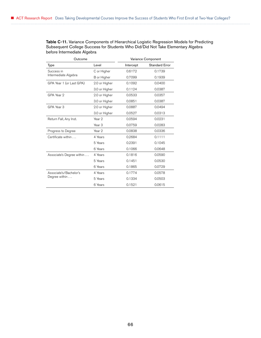Table C-11. Variance Components of Hierarchical Logistic Regression Models for Predicting Subsequent College Success for Students Who Did/Did Not Take Elementary Algebra before Intermediate Algebra

| Outcome                   |                   |           | Variance Component    |
|---------------------------|-------------------|-----------|-----------------------|
| Type                      | Level             | Intercept | <b>Standard Error</b> |
| Success in                | C or Higher       | 0.6172    | 0.1739                |
| Intermediate Algebra      | B or Higher       | 0.7099    | 0.1939                |
| GPA Year 1 (or Last GPA)  | 2.0 or Higher     | 0.1092    | 0.0400                |
|                           | 3.0 or Higher     | 0.1124    | 0.0387                |
| GPA Year 2                | 2.0 or Higher     | 0.0533    | 0.0357                |
|                           | 3.0 or Higher     | 0.0851    | 0.0387                |
| GPA Year 3                | 2.0 or Higher     | 0.0887    | 0.0494                |
|                           | 3.0 or Higher     | 0.0527    | 0.0313                |
| Return Fall, Any Inst.    | Year 2            | 0.0594    | 0.0231                |
|                           | Year <sub>3</sub> | 0.0759    | 0.0283                |
| Progress to Degree        | Year <sub>2</sub> | 0.0838    | 0.0336                |
| Certificate within        | 4 Years           | 0.2684    | 0.1111                |
|                           | 5 Years           | 0.2391    | 0.1045                |
|                           | 6 Years           | 0.1066    | 0.0648                |
| Associate's Degree within | 4 Years           | 0.1816    | 0.0590                |
|                           | 5 Years           | 0.1451    | 0.0530                |
|                           | 6 Years           | 0.1865    | 0.0729                |
| Associate's/Bachelor's    | 4 Years           | 0.1774    | 0.0578                |
| Degree within             | 5 Years           | 0.1334    | 0.0503                |
|                           | 6 Years           | 0.1521    | 0.0615                |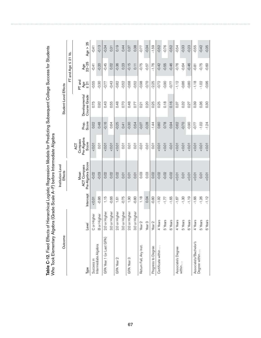| rable C-12. Fixed Errects<br>Who Took Elementary Alg |                   |                 | of the process to a sequence of the process of the control of the control of the process of the concession of the control of the concess of the control of the concess of the concess of the concess of the concess of the con<br>ebra (Grade Scale A-F) before Intermediate Algebra |                                        |                |                               |                            |                            |            |
|------------------------------------------------------|-------------------|-----------------|--------------------------------------------------------------------------------------------------------------------------------------------------------------------------------------------------------------------------------------------------------------------------------------|----------------------------------------|----------------|-------------------------------|----------------------------|----------------------------|------------|
| Outcome                                              |                   |                 | Institution-Level<br>Effects                                                                                                                                                                                                                                                         |                                        |                | Student-Level Effects         |                            |                            |            |
|                                                      |                   |                 |                                                                                                                                                                                                                                                                                      |                                        |                |                               |                            | $FT$ and Age $\leq$ 21 Vs. |            |
| Туре                                                 | Level             | Intercept       | Pre-Algebra Score<br><b>ACT Compass</b><br>Mean                                                                                                                                                                                                                                      | Pre-Algebra<br>Compass<br>Score<br>ACT | Prop.<br>Score | Course Grade<br>Developmental | PT and<br>Age<br>$\leq 21$ | Age<br>22-25               | Age $> 25$ |
| Success in                                           | C or Higher       | $10.0 - 50$     | $-0.02$                                                                                                                                                                                                                                                                              | 10.01                                  | 0.02           | 0.75                          | -0.55                      | $-0.41$                    | $-0.41$    |
| Intermediate Algebra                                 | B or Higher       | $-0.86$         | $-0.03$                                                                                                                                                                                                                                                                              | 0.01                                   | 0.48           | 0.92                          | $-0.30$                    | $-0.20$                    | $-0.13$    |
| GPA Year 1 (or Last GPA)                             | 2.0 or Higher     | $\frac{6}{115}$ | 0.02                                                                                                                                                                                                                                                                                 | 10.01                                  | $-0.16$        | 0.43                          | -0.77                      | $-0.45$                    | $-0.34$    |
|                                                      | 3.0 or Higher     | $-0.66$         | 0.02                                                                                                                                                                                                                                                                                 | 10.01                                  | 0.64           | 0.55                          | $-0.43$                    | 0.02                       | 0.31       |
| GPA Year 2                                           | 2.0 or Higher     | 1.61            | 0.02                                                                                                                                                                                                                                                                                 | 10.01                                  | $-0.25$        | 0.48                          | $-0.82$                    | $-0.36$                    | 0.19       |
|                                                      | 3.0 or Higher     | $-0.75$         | 0.01                                                                                                                                                                                                                                                                                 | 0.01                                   | 0.41           | 0.70                          | $-0.52$                    | 0.23                       | 0.44       |
| GPA Year 3                                           | 2.0 or Higher     | 1.90            | 0.01                                                                                                                                                                                                                                                                                 | 0.01                                   | $-0.30$        | 0.48                          | $-0.68$                    | $-0.15$                    | 0.37       |
|                                                      | 3.0 or Higher     | $-0.80$         | 0.01                                                                                                                                                                                                                                                                                 | 0.01                                   | 0.54           | 0.77                          | $-0.52$                    | 0.11                       | 0.38       |
| Return Fall, Any Inst                                | Year <sub>2</sub> | 1.18            | 0.03                                                                                                                                                                                                                                                                                 | $-0.01$                                | $-0.07$        | 0.21                          | $-0.98$                    | $-0.75$                    | -0.77      |
|                                                      | Year <sub>3</sub> | 0.04            | 0.03                                                                                                                                                                                                                                                                                 | $-0.01$                                | $-0.28$        | 0.20                          | $-0.70$                    | $-0.57$                    | $-0.34$    |
| Progress to Degree                                   | Year <sub>2</sub> | $-0.80$         | 0.02                                                                                                                                                                                                                                                                                 | 0.01                                   | $-1.44$        | 0.25                          | $-2.25$                    | $-1.76$                    | $-1.59$    |
| Certificate within                                   | 4 Years           | $-1.92$         | $-0.02$                                                                                                                                                                                                                                                                              | 10.01                                  | 0.80           | 0.25                          | $-0.72$                    | $-0.42$                    | $-0.52$    |
|                                                      | 5 Years           | $-1.77$         | $-0.02$                                                                                                                                                                                                                                                                              | 10.01                                  | 0.78           | 0.18                          | $-0.90$                    | $-0.55$                    | $-0.76$    |
|                                                      | 6 Years           | $-1.65$         | $-0.02$                                                                                                                                                                                                                                                                              | $-0.01$                                | 0.94           | 0.16                          | $-0.77$                    | $-0.46$                    | $-0.52$    |
| Associate's Degree                                   | 4 Years           | $-1.67$         | 10.01                                                                                                                                                                                                                                                                                | 10.01                                  | $-0.62$        | 0.37                          | $-1.12$                    | $-0.76$                    | $-0.54$    |
| within                                               | 5 Years           | $-1.30$         | 0.01                                                                                                                                                                                                                                                                                 | 10.01                                  | $-0.70$        | 0.32                          | $-0.86$                    | $-0.64$                    | $-0.33$    |
|                                                      | 6 Years           | $-1.19$         | 50.01                                                                                                                                                                                                                                                                                | 10.01                                  | $-0.90$        | 0.27                          | $-0.80$                    | $-0.46$                    | $-0.23$    |
| Associate's/Bachelor's<br>Degree within              | 4 Years           | $-1.66$         | 10.01                                                                                                                                                                                                                                                                                | 10.01                                  | $-0.77$        | 0.39                          | $-1.18$                    | $-0.81$                    | $-0.55$    |
|                                                      | 5 Years           | $-1.26$         | 0.01                                                                                                                                                                                                                                                                                 | 10.01                                  | $-1.02$        | 0.36                          | $-1.02$                    | $-0.75$                    | $-0.42$    |
|                                                      | 6 Years           | $-1.12$         | 0.01                                                                                                                                                                                                                                                                                 | 10.01                                  | $-1.24$        | 0.30                          | $-0.96$                    | $-0.60$                    | $-0.35$    |

Table C-12. Fixed Effects of Hierarchical Logistic Regression Models for Predicting Subsequent College Success for Students for Students ن<br>۽<br>ڏ ن<br>ام Modole for Prodicting Subs robical Logistic Po Table C-12. Fixed Effects of Hiera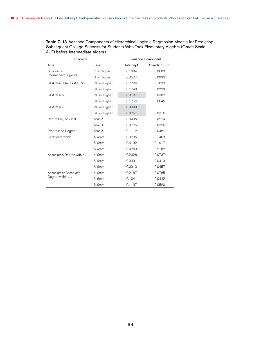Table C-13. Variance Components of Hierarchical Logistic Regression Models for Predicting Subsequent College Success for Students Who Took Elementary Algebra (Grade Scale A–F) before Intermediate Algebra

| Outcome                   |                   |           | Variance Component    |
|---------------------------|-------------------|-----------|-----------------------|
| Type                      | Level             | Intercept | <b>Standard Error</b> |
| Success in                | C or Higher       | 0.1804    | 0.0683                |
| Intermediate Algebra      | B or Higher       | 0.2527    | 0.0932                |
| GPA Year 1 (or Last GPA)  | 2.0 or Higher     | 0.2286    | 0.1099                |
|                           | 3.0 or Higher     | 0.1748    | 0.0723                |
| GPA Year 2                | 2.0 or Higher     | 0.0187    | 0.0302                |
|                           | 3.0 or Higher     | 0.1256    | 0.0645                |
| GPA Year 3                | 2.0 or Higher     | 0.0000    |                       |
|                           | 3.0 or Higher     | 0.0267    | 0.0316                |
| Return Fall, Any Inst.    | Year 2            | 0.0495    | 0.0274                |
|                           | Year <sub>3</sub> | 0.0725    | 0.0326                |
| Progress to Degree        | Year 2            | 0.1112    | 0.0481                |
| Certificate within        | 4 Years           | 0.3235    | 0.1463                |
|                           | 5 Years           | 0.4132    | 0.1917                |
|                           | 6 Years           | 0.4253    | 0.2152                |
| Associate's Degree within | 4 Years           | 0.2026    | 0.0737                |
|                           | 5 Years           | 0.0931    | 0.0413                |
|                           | 6 Years           | 0.0910    | 0.0457                |
| Associate's/Bachelor's    | 4 Years           | 0.2167    | 0.0785                |
| Degree within             | 5 Years           | 0.1041    | 0.0442                |
|                           | 6 Years           | 0.1137    | 0.0520                |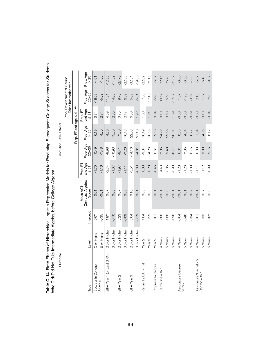Table C-14. Fixed Effects of Hierarchical Logistic Regression Models for Predicting Subsequent College Success for Students<br>Who Did/Did Not Take Intermediate Algebra before College Algebra Table C-14. Fixed Effects of Hierarchical Logistic Regression Models for Predicting Subsequent College Success for Students Who Did/Did Not Take Intermediate Algebra before College Algebra

| Outcome |                   |           |                                      |                                  |                    | Institution-Level Effects |                                  |                                                      |                   |
|---------|-------------------|-----------|--------------------------------------|----------------------------------|--------------------|---------------------------|----------------------------------|------------------------------------------------------|-------------------|
|         |                   |           |                                      |                                  |                    |                           |                                  | Prop. Developmental Course<br>Taken Interaction with |                   |
|         |                   |           |                                      |                                  |                    | Prop. FT and Age 5        | 21 Vs.                           |                                                      |                   |
|         | Level             | Intercept | Compass Algebra<br>Mean ACT<br>Score | and Age<br>Prop. PT<br>$\leq 21$ | Prop. Age<br>22-25 | Prop. Age<br>้ 25<br>∧    | and Age<br>$\leq 21$<br>Prop. PT | Prop. Age<br>22-25                                   | Prop. Age<br>> 25 |
|         | C or Higher       | 0.67      | 0.01                                 | $-1.70$                          | 0.49               | 6.19                      | 3.74                             | $-18.63$                                             | $-4.01$           |
|         | B or Higher       | $-0.35$   | 0.01                                 | $-1.16$                          | $-7.48$            | 4.50                      | 2.74                             | $-5.69$                                              | $-1.62$           |
|         | 2.0 or Higher     | 1.87      | 0.07                                 | $-2.74$                          | -8.98              | 4.50                      | 4.59                             | 11.84                                                | $-12.35$          |
|         | 3.0 or Higher     | $-0.10$   | 0.02                                 | $-1.07$                          | $-10.93$           | 5.20                      | 2.35                             | 14.05                                                | $-14.59$          |
|         | 2.0 or Higher     | 2.23      | 0.07                                 | $-1.97$                          | $-8.41$            | 7.56                      | 3.75                             | 9.76                                                 | $-27.78$          |
|         | 3.0 or Higher     | $-0.09$   | 0.02                                 | $-1.11$                          | $-7.26$            | 16.42                     | 2.47                             | 6.39                                                 | $-22.65$          |
|         | 2.0 or Higher     | 2.64      | 0.10                                 | $-3.51$                          | $-14.16$           | 22.63                     | 6.56                             | 5.82                                                 | $-32.54$          |
|         | 3.0 or Higher     | $-0.13$   | 0.01                                 | $-0.63$                          | $-4.61$            | 21.16                     | 1.92                             | $-5.04$                                              | $-19.86$          |
|         | Year <sub>2</sub> | 1.64      | 0.03                                 | 0.03                             | -9.37              | 16.49                     | 1.68                             | 7.68                                                 | $-22.09$          |
|         | Year <sub>3</sub> | 0.59      | 0.03                                 | 0.20                             | $-14.26$           | 16.55                     | 1.21                             | 17.46                                                | $-21.15$          |
|         | Year <sub>2</sub> | 0.61      | 0.01                                 | $-0.45$                          | 6.61               | 2.56                      | 0.04                             | $-5.98$                                              | $-5.07$           |
|         | 4 Years           | $-2.08$   | 0.01                                 | $-4.43$                          | $-17.05$           | 24.22                     | $-0.10$                          | 33.57                                                | $-22.45$          |
|         | 5 Years           | $-1.88$   | $-0.03$                              | $-3.85$                          | $-9.48$            | 22.66                     | 0.53                             | 15.58                                                | $-25.78$          |
|         | 6 Years           | $-1.98$   | 50.01                                | $-3.90$                          | $-0.71$            | 26.51                     | 1.69                             | $-12.07$                                             | $-21.32$          |
|         | 4 Years           | $-0.64$   | 0.01                                 | $-1.28$                          | 6.31               | 0.85                      | -0.56                            | 1.67                                                 | $-6.06$           |
|         | 5 Years           | $-0.48$   | 0.01                                 | $-1.26$                          | 7.85               | 4.04                      | $-0.56$                          | $-1.26$                                              | 6.58              |
|         | 6 Years           | $-0.34$   | 0.02                                 | $-1.08$                          | 6.75               | 6.77                      | 0.29                             | $-3.59$                                              | $-7.00$           |
|         | 4 Years           | $-0.61$   | 50.07                                | $-1.11$                          | 6.03               | 1.64                      | -0.63                            | 2.13                                                 | $-5.87$           |
|         | 5 Years           | $-0.33$   | 0.02                                 | $-1.12$                          | 3.80               | 4.85                      | $-0.13$                          | 1.32                                                 | $-5.40$           |
|         | 6 Years           | $-0.07$   | 0.03                                 | $-0.99$                          | 2.16               | 8.17                      | $-0.04$                          | 2.90                                                 | $-9.07$           |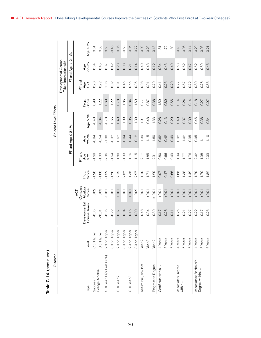| Table C-14. (continued)                 |                   |                               |                                    |                |                            |                            |                       |                |                                |                                     |            |
|-----------------------------------------|-------------------|-------------------------------|------------------------------------|----------------|----------------------------|----------------------------|-----------------------|----------------|--------------------------------|-------------------------------------|------------|
| Outcome                                 |                   |                               |                                    |                |                            |                            | Student-Level Effects |                |                                |                                     |            |
|                                         |                   |                               |                                    |                |                            |                            |                       |                | Taken Interaction with         | Developmental Course                |            |
|                                         |                   |                               |                                    |                |                            | $FT$ and $Age \leq 21$ Vs. |                       |                |                                | $\overline{21}$<br>VI<br>FT and Age | ۊ          |
| Туре                                    | Level             | Developmental<br>Course Taken | Compass<br>Algebra<br>Score<br>ACT | Score<br>Prop. | PT and<br>Age<br>$\leq 21$ | Age<br>22-25               | Age $> 25$            | Score<br>Prop. | PT and<br>Age<br>$\frac{2}{2}$ | Age<br>22-25                        | Age $> 25$ |
| Success in                              | C or Higher       | $-0.05$                       | 0.02                               | $-1.20$        | $-1.68$                    | $-0.84$                    | $-0.48$               | 0.98           | 0.76                           | 0.54                                | $-51$      |
| College Algebra                         | B or Higher       | 10.01                         | 0.03                               | $-1.00$        | $-1.33$                    | $-0.54$                    | $-0.04$               | 1.22           | 0.72                           | 0.45                                | 0.50       |
| GPA Year 1 (or Last GPA)                | 2.0 or Higher     | $-0.35$                       | 10.07                              | $-1.52$        | $-2.36$                    | $-1.30$                    | $-0.78$               | 0.69           | 1.06                           | 0.87                                | 0.53       |
|                                         | 3.0 or Higher     | $-0.22$                       | 0.01                               | $-1.76$        | $-1.64$                    | $-0.37$                    | 0.66                  | 1.22           | 0.82                           | 0.42                                | $-0.46$    |
| GPA Year 2                              | 2.0 or Higher     | 0.07                          | 10.01                              | $-2.19$        | $-1.80$                    | $-0.67$                    | 0.49                  | 0.78           | 0.81                           | 0.28                                | $-0.36$    |
|                                         | 3.0 or Higher     | 0.04                          | 0.01                               | $-2.57$        | $-1.33$                    | $-0.04$                    | 1.09                  | 1.86           | 0.45                           | 0.08                                | $-0.68$    |
| GPA Year 3                              | 2.0 or Higher     | $-0.16$                       | 10.01                              | $-1.35$        | $-1.76$                    | $-0.44$                    | 0.05                  | $-0.84$        | 0.55                           | 0.21                                | $-0.05$    |
|                                         | 3.0 or Higher     | 0.09                          | 0.02                               | -2.27          | $-1.15$                    | 0.12                       | 1.30                  | 1.59           | 0.35                           | 0.14                                | $-0.72$    |
| Return Fall, Any Inst.                  | Year <sub>2</sub> | $-0.48$                       | $-0.01$                            | $-1.10$        | $-2.17$                    | $-1.39$                    | $-1.01$               | 0.77           | 0.98                           | 0.49                                | 0.09       |
|                                         | Year <sub>3</sub> | $-0.34$                       | 10.01                              | $-1.71$        | $-1.85$                    | $-1.15$                    | $-0.48$               | 0.87           | 0.91                           | 0.48                                | $-0.23$    |
| Progress to Degree                      | Year <sub>2</sub> | $-0.39$                       | $> -0.01$                          | $-1.29$        | $-2.91$                    | $-1.60$                    | $-1.33$               | $-0.38$        | 0.70                           | 0.12                                | 0.13       |
| Certificate within                      | 4 Years           | $-0.17$                       | $10.0 - 5$                         | $-0.07$        | $-0.80$                    | $-0.62$                    | $-0.28$               | 1.50           | 0.41                           | 0.34                                | $-1.51$    |
|                                         | 5 Years           | $-0.26$                       | 10.01                              | 0.47           | $-0.66$                    | $-0.42$                    | 0.13                  | 0.80           | 0.23                           | 0.43                                | $-1.72$    |
|                                         | 6 Years           | $-0.11$                       | 10.01                              | 0.66           | $-0.49$                    | $-0.49$                    | 0.20                  | 0.55           | $-0.20$                        | 0.49                                | $-1.89$    |
| Associate's Degree                      | 4 Years           | $-0.25$                       | 10.01                              | $-1.65$        | $-1.94$                    | $-0.92$                    | $-0.40$               | 0.14           | 0.77                           | 0.53                                | 0.13       |
| within                                  | 5 Years           | $-0.21$                       | 0.01                               | $-1.38$        | $-1.77$                    | $-1.02$                    | $-0.37$               | 0.24           | 0.67                           | 0.62                                | 0.06       |
|                                         | 6 Years           | $-0.27$                       | 10.01                              | $-1.42$        | $-1.76$                    | $-0.95$                    | $-0.39$               | 0.14           | 0.72                           | 0.47                                | 0.14       |
| Associate's/Bachelor's<br>Degree within | 4 Years           | $-0.22$                       | 10.01                              | $-1.79$        | $-2.02$                    | $-0.95$                    | $-0.45$               | 0.18           | 0.80                           | 0.52                                | 0.20       |
|                                         | 5 Years           | $-0.17$                       | 0.01                               | $-1.70$        | $-1.98$                    | $\overline{111}$           | $-0.38$               | 0.27           | 0.76                           | 0.59                                | 0.08       |
|                                         | 6 Years           | $-0.23$                       | 50.01                              | $-1.82$        | $-2.03$                    | $-1.10$                    | $-0.54$               | 0.07           | 0.83                           | 0.43                                | 0.21       |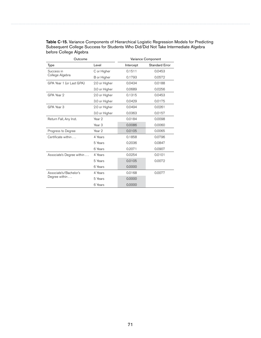| Outcome                   |                   |           | Variance Component |
|---------------------------|-------------------|-----------|--------------------|
| Type                      | Level             | Intercept | Standard Error     |
| Success in                | C or Higher       | 0.1511    | 0.0453             |
| College Algebra           | B or Higher       | 0.1793    | 0.0572             |
| GPA Year 1 (or Last GPA)  | 2.0 or Higher     | 0.0434    | 0.0188             |
|                           | 3.0 or Higher     | 0.0689    | 0.0256             |
| GPA Year 2                | 2.0 or Higher     | 0.1315    | 0.0453             |
|                           | 3.0 or Higher     | 0.0429    | 0.0175             |
| GPA Year 3                | 2.0 or Higher     | 0.0494    | 0.0261             |
|                           | 3.0 or Higher     | 0.0363    | 0.0157             |
| Return Fall, Any Inst.    | Year 2            | 0.0184    | 0.0098             |
|                           | Year <sub>3</sub> | 0.0086    | 0.0060             |
| Progress to Degree        | Year <sub>2</sub> | 0.0105    | 0.0065             |
| Certificate within        | 4 Years           | 0.1858    | 0.0796             |
|                           | 5 Years           | 0.2036    | 0.0847             |
|                           | 6 Years           | 0.2071    | 0.0907             |
| Associate's Degree within | 4 Years           | 0.0254    | 0.0101             |
|                           | 5 Years           | 0.0105    | 0.0072             |
|                           | 6 Years           | 0.0000    |                    |
| Associate's/Bachelor's    | 4 Years           | 0.0168    | 0.0077             |
| Degree within             | 5 Years           | 0.0000    |                    |
|                           | 6 Years           | 0.0000    |                    |

Table C-15. Variance Components of Hierarchical Logistic Regression Models for Predicting Subsequent College Success for Students Who Did/Did Not Take Intermediate Algebra before College Algebra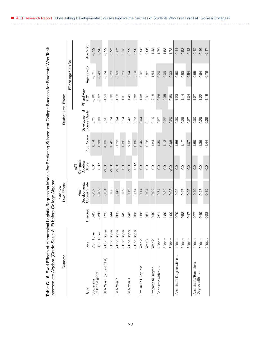| ierarchical Logistic Regression Models for Predicting Subsequent College Success for Students Who Took |                                   |
|--------------------------------------------------------------------------------------------------------|-----------------------------------|
|                                                                                                        |                                   |
|                                                                                                        |                                   |
|                                                                                                        |                                   |
|                                                                                                        |                                   |
|                                                                                                        |                                   |
|                                                                                                        |                                   |
|                                                                                                        |                                   |
|                                                                                                        | Scale A-F) before College Algebra |
|                                                                                                        | )<br>>                            |
| ت<br>م                                                                                                 |                                   |
|                                                                                                        |                                   |

| Table C-16. Fixed Effects of Hierarchical Logistic Regression Models for Predicting Subsequent College Success for Students Who Took<br>Intermediate Algebra (Grade Scale A |                   |           | -F) before College Algebra            |                                           |             |                               |                         |                            |            |
|-----------------------------------------------------------------------------------------------------------------------------------------------------------------------------|-------------------|-----------|---------------------------------------|-------------------------------------------|-------------|-------------------------------|-------------------------|----------------------------|------------|
| Outcome                                                                                                                                                                     |                   |           | Level Effects<br>Institution-         |                                           |             | Student-Level Effects         |                         |                            |            |
|                                                                                                                                                                             |                   |           |                                       |                                           |             |                               |                         | $FT$ and Age $\leq$ 21 Vs. |            |
| Туре                                                                                                                                                                        | Level             | Intercept | Course Grade<br>Developmental<br>Mean | Compass<br>Algebra<br>Score<br><b>ACT</b> | Prop. Score | Developmental<br>Course Grade | PT and Age<br>$\leq 21$ | Age 22-25                  | Age $> 25$ |
| Success in                                                                                                                                                                  | C or Higher       | 0.45      | $-0.37$                               | 0.01                                      | 0.14        | 0.75                          | $-0.96$                 | $-0.71$                    | $-0.32$    |
| College Algebra                                                                                                                                                             | B or Higher       | $-0.78$   | $-0.09$                               | 0.02                                      | 0.33        | 0.93                          | $-0.67$                 | $-0.42$                    | 0.20       |
| GPA Year 1 (or Last GPA)                                                                                                                                                    | 2.0 or Higher     | 1.75      | $-0.34$                               | 10.01                                     | $-0.89$     | 0.56                          | $-1.53$                 | $-0.74$                    | $-0.92$    |
|                                                                                                                                                                             | 3.0 or Higher     | $-0.44$   | $-0.60$                               | 10.01                                     | $-0.45$     | 0.74                          | $-0.88$                 | $-0.29$                    | $-0.27$    |
| GPA Year 2                                                                                                                                                                  | 2.0 or Higher     | 2.05      | $-0.45$                               | 10.01                                     | $-1.73$     | 0.54                          | $-1.18$                 | $-0.69$                    | $-0.37$    |
|                                                                                                                                                                             | 3.0 or Higher     | $-0.49$   | $-0.69$                               | 0.01                                      | $-0.86$     | 0.74                          | $-1.01$                 | $-0.29$                    | $-0.13$    |
| GPA Year 3                                                                                                                                                                  | 2.0 or Higher     | 2.45      | $-0.19$                               | 10.005                                    | $-2.58$     | 0.43                          | $-1.49$                 | $-0.64$                    | $-0.92$    |
|                                                                                                                                                                             | 3.0 or Higher     | $-0.55$   | $-0.74$                               | 0.02                                      | $-0.85$     | 0.73                          | $-0.88$                 | $-0.10$                    | 0.20       |
| Return Fall, Any Inst.                                                                                                                                                      | Year <sub>2</sub> | 1.58      | 0.14                                  | $-0.01$                                   | $-0.40$     | 0.04                          | $-1.08$                 | $-0.92$                    | $-0.98$    |
|                                                                                                                                                                             | Year <sub>3</sub> | 0.51      | $-0.04$                               | $-0.01$                                   | $-0.78$     | $\overline{0.11}$             | $-0.91$                 | $-0.82$                    | $-0.96$    |
| Progress to Degree                                                                                                                                                          | Year <sub>2</sub> | 0.40      | 0.02                                  | $-0.01$                                   | $-1.84$     | 0.19                          | $-2.15$                 | $-1.54$                    | $-1.43$    |
| Certificate within.                                                                                                                                                         | 4 Years           | $-2.21$   | 0.74                                  | 0.01                                      | 1.39        | 0.27                          | $-0.26$                 | $-0.20$                    | $-1.72$    |
|                                                                                                                                                                             | 5 Years           | $-1.89$   | 0.32                                  | 0.01                                      | 1.13        | 0.22                          | $-0.35$                 | 0.09                       | $-1.58$    |
|                                                                                                                                                                             | 6 Years           | $-1.99$   | 0.23                                  | 10.01                                     | 0.98        | 0.20                          | $-0.69$                 | $-0.03$                    | $-1.73$    |
| Associate's Degree within                                                                                                                                                   | 4 Years           | $-0.79$   | $-0.56$                               | $-0.01$                                   | $-1.66$     | 0.30                          | $-1.23$                 | $-0.60$                    | $-0.44$    |
|                                                                                                                                                                             | 5 Years           | $-0.58$   | $-0.47$                               | $-0.01$                                   | $-1.17$     | 0.28                          | $-1.14$                 | $-0.53$                    | $-0.53$    |
|                                                                                                                                                                             | 6 Years           | $-0.47$   | $-0.25$                               | $-0.01$                                   | $-1.07$     | 0.27                          | $-1.04$                 | $-0.54$                    | $-0.43$    |
| Associate's/Bachelor's                                                                                                                                                      | 4 Years           | -0.77     | $-0.49$                               | $-0.01$                                   | $-1.69$     | 0.30                          | $-1.27$                 | $-0.65$                    | $-0.42$    |
| Degree within                                                                                                                                                               | 5 Years           | $-0.49$   | $-0.43$                               | $-0.01$                                   | $-1.36$     | 0.29                          | $-1.22$                 | $-0.64$                    | $-0.46$    |
|                                                                                                                                                                             | 6 Years           | $-0.28$   | $-0.19$                               | $-0.01$                                   | $-1.44$     | 0.29                          | $-1.16$                 | $-0.76$                    | $-0.47$    |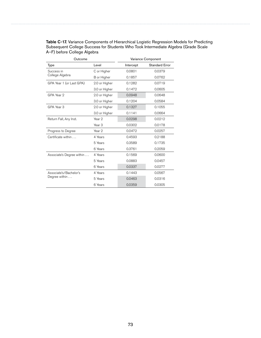| Outcome                   |                   |           | Variance Component |
|---------------------------|-------------------|-----------|--------------------|
| Type                      | Level             | Intercept | Standard Error     |
| Success in                | C or Higher       | 0.0801    | 0.0379             |
| College Algebra           | B or Higher       | 0.1857    | 0.0762             |
| GPA Year 1 (or Last GPA)  | 2.0 or Higher     | 0.1282    | 0.0719             |
|                           | 3.0 or Higher     | 0.1472    | 0.0605             |
| GPA Year 2                | 2.0 or Higher     | 0.0948    | 0.0648             |
|                           | 3.0 or Higher     | 0.1204    | 0.0584             |
| GPA Year 3                | 2.0 or Higher     | 0.1327    | 0.1055             |
|                           | 3.0 or Higher     | 0.1141    | 0.0664             |
| Return Fall, Any Inst.    | Year 2            | 0.0298    | 0.0212             |
|                           | Year <sub>3</sub> | 0.0302    | 0.0178             |
| Progress to Degree        | Year <sub>2</sub> | 0.0472    | 0.0257             |
| Certificate within        | 4 Years           | 0.4593    | 0.2188             |
|                           | 5 Years           | 0.3589    | 0.1735             |
|                           | 6 Years           | 0.3761    | 0.2059             |
| Associate's Degree within | 4 Years           | 0.1569    | 0.0600             |
|                           | 5 Years           | 0.0883    | 0.0457             |
|                           | 6 Years           | 0.0337    | 0.0277             |
| Associate's/Bachelor's    | 4 Years           | 0.1443    | 0.0567             |
| Degree within             | 5 Years           | 0.0463    | 0.0316             |
|                           | 6 Years           | 0.0359    | 0.0305             |

Table C-17. Variance Components of Hierarchical Logistic Regression Models for Predicting Subsequent College Success for Students Who Took Intermediate Algebra (Grade Scale A–F) before College Algebra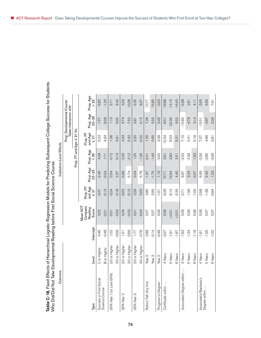| $\overline{\phantom{a}}$<br>rd the codd the decision of direct the terms of the<br>Ó<br>)<br>) ) )<br>ı                                     |                                                                                                                                                                                                      |
|---------------------------------------------------------------------------------------------------------------------------------------------|------------------------------------------------------------------------------------------------------------------------------------------------------------------------------------------------------|
| ĺ<br>)<br>)<br>)<br>)<br>mhinal I amintin Ramaceinn Models tor<br>$\mathbf{r}$<br><b>ible C-18.</b> Fixed Effects of Hierarchical Logi<br>, | $rac{c}{c}$<br>)<br>)<br>)<br>)<br>ا صمحات المائد<br>$\frac{1}{2}$<br> <br> <br> <br> <br> <br> <br> <br>ʻ<br><b>SALES CACTICATES CONTRACT</b><br>$\overline{C}$<br>$\frac{1}{2}$<br>ke Develop<br>l |
|                                                                                                                                             | ل<br>ـ<br>$\frac{1}{1}$<br>AN TIC VIOLE<br>אומוס המוס או                                                                                                                                             |

| Table C-18. Fixed Effects of Hierarchical Logistic Regression Models for Predicting Subsequent College Success for Students<br>Who Did/Did Not Take Developmental Reading before First Social Science Course |                   |           |                                         |                                  |                    |                           |                                  |                                                      |                 |  |
|--------------------------------------------------------------------------------------------------------------------------------------------------------------------------------------------------------------|-------------------|-----------|-----------------------------------------|----------------------------------|--------------------|---------------------------|----------------------------------|------------------------------------------------------|-----------------|--|
| Ф<br>Outcom                                                                                                                                                                                                  |                   |           |                                         |                                  |                    | Institution-Level Effects |                                  |                                                      |                 |  |
|                                                                                                                                                                                                              |                   |           |                                         |                                  |                    |                           |                                  | Prop. Developmental Course<br>Taken Interaction with |                 |  |
|                                                                                                                                                                                                              |                   |           |                                         |                                  |                    | Prop. FT and Age          | 21 Vs.<br>VI                     |                                                      |                 |  |
| Туре                                                                                                                                                                                                         | Level             | Intercept | Compass<br>Mean ACT<br>Reading<br>Score | and Age<br>Prop. PT<br>$\leq 21$ | Prop. Age<br>22-25 | Prop. Age<br>25           | and Age<br>Prop. PT<br>$\leq 21$ | Prop. Age<br>22-25                                   | Prop. Age<br>25 |  |
| Success in First Social                                                                                                                                                                                      | C or Higher       | 0.46      | 0.02                                    | $-0.27$                          | $-2.46$            | 4.28                      | 5.23                             | $-1.57$                                              | $-5.82$         |  |
| Science Course                                                                                                                                                                                               | B or Higher       | $-0.48$   | $-0.01$                                 | $-0.13$                          | $-0.54$            | 1.71                      | 4.94                             | $-9.09$                                              | $-1.25$         |  |
| GPA Year 1 (or Last GPA)                                                                                                                                                                                     | 2.0 or Higher     | 1.02      | $-0.01$                                 | $-0.24$                          | 0.54               | $-0.12$                   | 1.36                             | 1.10                                                 | 5.71            |  |
|                                                                                                                                                                                                              | 3.0 or Higher     | $-0.59$   | $-0.03$                                 | $-0.18$                          | 2.07               | 0.13                      | 0.91                             | $-5.00$                                              | 9.42            |  |
| GPA Year 2                                                                                                                                                                                                   | 2.0 or Higher     | 1.51      | 0.04                                    | $-0.03$                          | $-0.96$            | $-2.00$                   | 2.94                             | 9.74                                                 | 3.03            |  |
|                                                                                                                                                                                                              | 3.0 or Higher     | $-0.69$   | $-0.03$                                 | $-0.13$                          | 5.74               | $-2.12$                   | 0.42                             | $-7.53$                                              | 10.06           |  |
| GPA Year 3                                                                                                                                                                                                   | 2.0 or Higher     | 1.77      | 0.01                                    | 0.29                             | 0.04               | 1.05                      | 2.20                             | 5.81                                                 | $-3.35$         |  |
|                                                                                                                                                                                                              | 3.0 or Higher     | $-0.78$   | $-0.04$                                 | 0.03                             | 5.78               | $-1.26$                   | $-0.32$                          | $-5.15$                                              | 6.27            |  |
| Return Fall, Any Inst.                                                                                                                                                                                       | Year <sub>2</sub> | 0.89      | 0.07                                    | 0.85                             | $-1.97$            | $-0.41$                   | 1.50                             | 7.29                                                 | 10.77           |  |
|                                                                                                                                                                                                              | Year <sub>3</sub> | $-0.14$   | 0.07                                    | 0.95                             | $-1.75$            | $-1.40$                   | 0.65                             | 555                                                  | 15.80           |  |
| Progress to Degree                                                                                                                                                                                           | Year <sub>2</sub> | $-0.46$   | 0.06                                    | $-1.51$                          | 1.19               | $-3.00$                   | 338                              | 5.45                                                 | $-0.03$         |  |
| Certificate within                                                                                                                                                                                           | 4 Years           | $-2.07$   | 0.09                                    | $-6.26$                          | 10.71              | 2.61                      | 12.34                            | $-8.51$                                              | $-19.68$        |  |
|                                                                                                                                                                                                              | 5 Years           | $-1.91$   | 10.01                                   | $-6.12$                          | 13.64              | 284                       | 8.53                             | $-22.35$                                             | $-13.15$        |  |
|                                                                                                                                                                                                              | 6 Years           | $-1.87$   | 10.01                                   | $-5.39$                          | 4.40               | 2.01                      | 5.31                             | 8.53                                                 | $-16.42$        |  |
| Associate's Degree within                                                                                                                                                                                    | 4 Years           | $-1.63$   | 0.06                                    | $-2.71$                          | 6.87               | $-2.43$                   | 7.10                             | $-15.60$                                             | $-0.38$         |  |
|                                                                                                                                                                                                              | 5 Years           | $-1.34$   | 0.06                                    | $-1.96$                          | 3.24               | $-2.39$                   | 5.41                             | $-4.78$                                              | 2.81            |  |
|                                                                                                                                                                                                              | 6 Years           | $-1.18$   | 0.08                                    | $-1.55$                          | $-0.07$            | $-1.63$                   | 5.16                             | 3.14                                                 | 4.11            |  |
| Associate's/Bachelor's                                                                                                                                                                                       | 4 Years           | $-1.61$   | 0.06                                    | $-2.58$                          | 6.69               | $-2.56$                   | 7.07                             | $-15.51$                                             | 0.55            |  |
| Degree within                                                                                                                                                                                                | 5 Years           | $-1.25$   | 0.07                                    | $-1.48$                          | 2.42               | $-2.85$                   | 4.86                             | $-3.97$                                              | 5.65            |  |
|                                                                                                                                                                                                              | 6 Years           | $-1.02$   | 0.07                                    | $-0.84$                          | 1.03               | $-3.06$                   | 3.81                             | 0.33                                                 | <b>7.91</b>     |  |

ACT Research Report Does Taking Developmental Courses Improve the Success of Students Who First Enroll at Two-Year Colleges?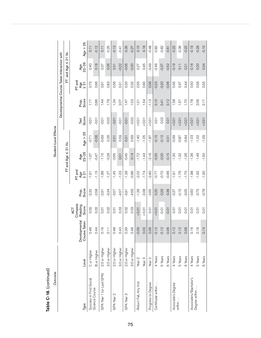|                                                                              |  |              |                |                            |                            | Student-Level Effects |               |                                             |                            |                |                   |
|------------------------------------------------------------------------------|--|--------------|----------------|----------------------------|----------------------------|-----------------------|---------------|---------------------------------------------|----------------------------|----------------|-------------------|
|                                                                              |  |              |                |                            |                            |                       |               | Developmental Course Taken Interaction with |                            |                |                   |
|                                                                              |  |              |                |                            | $FT$ and Age $\leq 21$ Vs. |                       |               |                                             | 匸                          | and Age $\leq$ | 21 Vs.            |
| Compass<br>Reading<br>Score<br>ACT<br>Developmental<br>Course Taken<br>Level |  |              | Prop.<br>Score | PT and<br>$\frac{4}{9}$ 21 | Age<br>22-25               | Age $> 25$            | Score<br>Test | Prop.<br>Score                              | PT and<br>$\frac{4}{9}$ 21 | Age<br>22-25   | Age $> 25$        |
| 46<br>$\circ$<br>C or Higher                                                 |  | 0.02         | $-2.32$        | $-1.61$                    | $-1.07$                    | $-0.71$               | $-0.01$       | 117                                         | 0.75                       | 0.40           | $\overline{0.11}$ |
| $\overline{4}$<br>$\circ$<br>B or Higher                                     |  | 0.02         | $-2.58$        | $-1.15$                    | $-0.47$                    | $-0.06$               | $-0.01$       | 0.86                                        | 0.66                       | 0.18           | $-0.12$           |
| 0.16<br>2.0 or Higher                                                        |  | <b>D.O.1</b> | $-2.91$        | $-1.86$                    | $-1.15$                    | $-0.69$               | $-0.01$       | 144                                         | 0.91                       | 0.37           | 0.11              |
| 0.02<br>$\overline{0.11}$<br>3.0 or Higher                                   |  |              | $-3.34$        | $-1.27$                    | $-0.28$                    | 0.26                  | $-0.02$       | 1.79                                        | 0.83                       | 0.06           | $-0.25$           |
| 0.01<br>48<br>$\circ$<br>2.0 or Higher                                       |  |              | $-3.57$        | $-1.45$                    | $-0.65$                    | 0.01                  | $-0.01$       | 1.34                                        | 0.56                       | 0.31           | $-0.13$           |
| 0.03<br>43<br>$\circ$<br>3.0 or Higher                                       |  |              | $-4.57$        | $-1.03$                    | 0.01                       | 0.59                  | $-0.01$       | 2.07                                        | 0.31                       | $-0.22$        | $-0.41$           |
| 0.02<br>39<br>$\circ$<br>2.0 or Higher                                       |  |              | $-3.91$        | $-1.39$                    | $-0.45$                    | 0.01                  | $-0.01$       | 1.47                                        | 0.30                       | $-0.06$        | $-0.30$           |
| 0.03<br>48<br>$\circ$<br>3.0 or Higher                                       |  |              | $-4.56$        | $-0.86$                    | 0.14                       | 0.69                  | $-0.02$       | 1.03                                        | 0.32                       | $-0.20$        | $-0.27$           |
| 10.01<br>$-0.09$<br>Year <sub>2</sub>                                        |  |              | $-1.39$        | $-2.02$                    | $-1.72$                    | $-1.40$               | 10.01         | $\overline{0}$                              | 0.55                       | 0.27           | 0.10              |
| 10.01<br>C <sub>3</sub><br>$\circ$<br>Year <sub>3</sub>                      |  |              | $-2.08$        | $-1.74$                    | $-1.44$                    | $-1.05$               | 10.005        | 1.54                                        | 0.60                       | 0.45           | 0.18              |
| 0.01<br>0.06<br>Year <sub>2</sub>                                            |  |              | $-2.65$        | $-2.80$                    | $-2.16$                    | $-1.87$               | 50.01         | $-1.13$                                     | 0.06                       | $-0.49$        | $-0.48$           |
| 10.01<br>$-0.12$<br>4 Years                                                  |  |              | 0.25           | -0.77                      | $-0.20$                    | $-0.15$               | 0.01          | 0.10                                        | $-0.23$                    | $-0.46$        | $-0.82$           |
| $-0.01$<br>$-0.12$<br>5 Years                                                |  |              | 0.29           | -0.70                      | $-0.20$                    | $-0.12$               | 0.02          | 0.41                                        | $-0.20$                    | $-0.37$        | $-0.82$           |
| $-0.01$<br>$-0.06$<br>6 Years                                                |  |              | 0.38           | $-0.66$                    | $-0.15$                    | $-0.01$               | 0.01          | 0.12                                        | $-0.06$                    | $-0.52$        | $-0.61$           |
| 0.01<br>0.12<br>4 Years                                                      |  |              | $-3.37$        | $-1.91$                    | $-1.30$                    | $-0.99$               | 10.01         | 1.58                                        | 0.45                       | $-0.19$        | $-0.22$           |
| 0.01<br>0.12<br>5 Years                                                      |  |              | $-3.15$        | $-1.76$                    | $-1.32$                    | $-0.87$               | $10.0 - 50$   | 57                                          | 0.47                       | 0.11           | $-0.36$           |
| 0.01<br>08<br>$\circ$<br>6 Years                                             |  |              | $-3.05$        | $-1.70$                    | $-1.26$                    | $-0.84$               | 0.01          | 1.70                                        | 0.44                       | 0.21           | $-0.22$           |
| 0.01<br>0.16<br>4 Years                                                      |  |              | $-3.60$        | $-1.98$                    | $-1.36$                    | $-1.03$               | $10.0 - 50$   | 1.78                                        | 0.50                       | $-0.16$        | $-0.19$           |
| 0.01<br>0.18<br>5 Years                                                      |  |              | $-3.75$        | $-1.92$                    | $-1.49$                    | $-1.02$               | 10.01         | 2.06                                        | 0.56                       | 0.20           | $-0.29$           |
| 0.01<br>0.14<br>6 Years                                                      |  |              | $-3.78$        | $-1.90$                    | $-1.50$                    | $-1.09$               | 10.01         | 2.17                                        | 0.55                       | 0.34           | $-0.10$           |

Table C-18. (continued) Table C-18. (continued)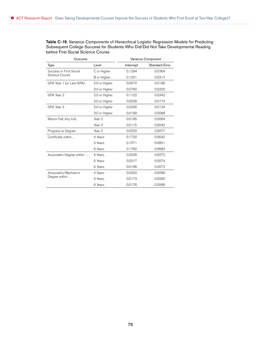Table C-19. Variance Components of Hierarchical Logistic Regression Models for Predicting Subsequent College Success for Students Who Did/Did Not Take Developmental Reading before First Social Science Course

| Outcome                   |                   |           | Variance Component    |
|---------------------------|-------------------|-----------|-----------------------|
| Type                      | Level             | Intercept | <b>Standard Error</b> |
| Success in First Social   | C or Higher       | 0.1294    | 0.0364                |
| Science Course            | B or Higher       | 0.1201    | 0.0314                |
| GPA Year 1 (or Last GPA)  | 2.0 or Higher     | 0.0670    | 0.0199                |
|                           | 3.0 or Higher     | 0.0760    | 0.0225                |
| GPA Year 2                | 2.0 or Higher     | 0.1122    | 0.0342                |
|                           | 3.0 or Higher     | 0.0528    | 0.0174                |
| GPA Year 3                | 2.0 or Higher     | 0.0256    | 0.0134                |
|                           | 3.0 or Higher     | 0.0199    | 0.0088                |
| Return Fall, Any Inst.    | Year 2            | 0.0185    | 0.0064                |
|                           | Year <sub>3</sub> | 0.0115    | 0.0043                |
| Progress to Degree        | Year <sub>2</sub> | 0.0220    | 0.0077                |
| Certificate within        | 4 Years           | 0.1732    | 0.0642                |
|                           | 5 Years           | 0.1571    | 0.0601                |
|                           | 6 Years           | 0.1782    | 0.0684                |
| Associate's Degree within | 4 Years           | 0.0226    | 0.0072                |
|                           | 5 Years           | 0.0217    | 0.0074                |
|                           | 6 Years           | 0.0196    | 0.0072                |
| Associate's/Bachelor's    | 4 Years           | 0.0202    | 0.0066                |
| Degree within             | 5 Years           | 0.0173    | 0.0062                |
|                           | 6 Years           | 0.0176    | 0.0066                |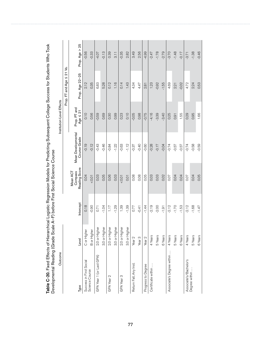| Table C-20. Fixed Effects of Hierarchical Logistic Regression Models for Predicting Subsequent College Success for Students Who Took<br>Developmental Reading (Grade Scale A-F) before First Social Science Course |                                  |           |                                      |                                           |                               |                                               |                |
|--------------------------------------------------------------------------------------------------------------------------------------------------------------------------------------------------------------------|----------------------------------|-----------|--------------------------------------|-------------------------------------------|-------------------------------|-----------------------------------------------|----------------|
| Outcome                                                                                                                                                                                                            |                                  |           |                                      |                                           | Institution-Level Effects     |                                               |                |
|                                                                                                                                                                                                                    |                                  |           |                                      |                                           |                               | $\overline{\mathbf{z}}$<br>Prop. FT and Age S | ۊ              |
| Туре                                                                                                                                                                                                               | Level                            | Intercept | Reading Score<br>Compass<br>Mean ACT | <b>Mean Developmental</b><br>Course Grade | Prop. PT and<br>Age $\leq 21$ | Prop. Age 22-25                               | Prop. Age > 25 |
| Success in First Social<br>Science Course                                                                                                                                                                          | C or Highe                       | 0.18      | 0.04                                 | $-0.19$                                   | 0.10                          | 2.12                                          | $-0.56$        |
|                                                                                                                                                                                                                    | <b>B</b> or Higher               | $-0.90$   | 10.01                                | $-0.12$                                   | 0.56                          | 0.35                                          | $-0.33$        |
| GPA Year 1 (or Last GPA)                                                                                                                                                                                           | $\overline{\Phi}$<br>2.0 or High | 0.71      | 0.03                                 | $-0.43$                                   | $-0.59$                       | 6.83                                          | $-4.07$        |
|                                                                                                                                                                                                                    | er<br>3.0 or High                | $-1.04$   | 0.05                                 | $-0.46$                                   | 0.69                          | 5.28                                          | $-0.13$        |
| GPA Year 2                                                                                                                                                                                                         | jer<br>2.0 or High               | 1.17      | 0.06                                 | $-0.84$                                   | 0.30                          | 0.12                                          | 0.39           |
|                                                                                                                                                                                                                    | φ<br>3.0 or High                 | $-1.29$   | 0.03                                 | $-1.22$                                   | 0.99                          | 1.16                                          | 3.11           |
| GPA Year 3                                                                                                                                                                                                         | ፟፟፼<br>2.0 or High               | 1.39      | 10.01                                | $-0.63$                                   | 0.23                          | 0.14                                          | $-0.35$        |
|                                                                                                                                                                                                                    | þ<br>3.0 or High                 | $-1.39$   | 0.01                                 | $-1.12$                                   | 0.10                          | 1.43                                          | 282            |
| Return Fall, Any Inst.                                                                                                                                                                                             | Year <sub>2</sub>                | 0.77      | 0.08                                 | $-0.37$                                   | $-0.05$                       | 4.34                                          | 3.49           |
|                                                                                                                                                                                                                    | Year <sub>3</sub>                | $-0.41$   | 0.08                                 | $-0.40$                                   | 0.98                          | 4.47                                          | 2.56           |
| Progress to Degree                                                                                                                                                                                                 | Year <sub>2</sub>                | $-1.44$   | 0.05                                 | $-0.60$                                   | $-0.75$                       | 2.81                                          | $-4.99$        |
| Certificate within                                                                                                                                                                                                 | 4 Years                          | $-2.19$   | 0.03                                 | $-0.28$                                   | $-4.16$                       | 1.23                                          | $-2.47$        |
|                                                                                                                                                                                                                    | 5 Years                          | $-2.00$   | 0.03                                 | $-0.17$                                   | $-3.39$                       | $-0.92$                                       | $-1.78$        |
|                                                                                                                                                                                                                    | 6 Years                          | $-1.91$   | 0.02                                 | $-0.04$                                   | $-3.40$                       | $-1.55$                                       | $-2.79$        |
| Associate's Degree within                                                                                                                                                                                          | 4 Years                          | $-2.12$   | 0.07                                 | $-0.74$                                   | 0.25                          | 4.69                                          | $-3.70$        |
|                                                                                                                                                                                                                    | 5 Years                          | $-1.70$   | 0.04                                 | $-0.57$                                   | 0.91                          | 2.21                                          | $-1.48$        |
|                                                                                                                                                                                                                    | 6 Years                          | $-1.53$   | 0.04                                 | $-0.57$                                   | 1.55                          | $-0.02$                                       | $-0.17$        |
| Associate's/Bachelor's                                                                                                                                                                                             | 4 Years                          | $-2.12$   | 0.07                                 | $-0.74$                                   | 0.29                          | 4.72                                          | $-3.71$        |
| Degree within                                                                                                                                                                                                      | 5 Years                          | $-1.68$   | 0.04                                 | $-0.58$                                   | 0.95                          | 2.24                                          | $-1.38$        |
|                                                                                                                                                                                                                    | 6 Years                          | $-1.47$   | 0.05                                 | $-0.59$                                   | 1.66                          | 0.53                                          | $-0.46$        |

Table C-20. Fixed Effects of Hierarchical Logistic Regression Models for Predicting Subsequent College Success for Students Who Took  $\mathbf{r}$  $\frac{1}{2}$ Č **L** Ū  $\equiv$ Č l, Ū ċ, Ċ ś ò Ŕ ċ ں<br>ا J E⊭ ű  $\epsilon$  $\epsilon$ l.  $T_{\alpha}$ N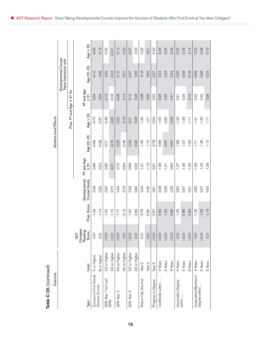| ç |
|---|
|   |
|   |
|   |
|   |
| ľ |
|   |
|   |
|   |
| ť |
|   |
| ı |
| ١ |

| Table C-20. (continued)                   |                    |                                    |             |                               |                      |                       |                  |                           |                                                |            |
|-------------------------------------------|--------------------|------------------------------------|-------------|-------------------------------|----------------------|-----------------------|------------------|---------------------------|------------------------------------------------|------------|
| Outcome                                   |                    |                                    |             |                               |                      | Student-Level Effects |                  |                           |                                                |            |
|                                           |                    |                                    |             |                               |                      |                       |                  |                           | Developmental Course<br>Taken Interaction with |            |
|                                           |                    |                                    |             |                               |                      |                       | Prop. FT and Age | ۊ<br>$\overline{2}$<br>VI |                                                |            |
| Type                                      | Level              | Compass<br>Reading<br>Score<br>ACT | Prop. Score | Developmental<br>Course Grade | PT and Age<br>ร<br>∝ | Age 22-25             | Age $> 25$       | PT and Age<br>$\leq 21$   | Age 22-25                                      | Age $> 25$ |
| Success in First Social<br>Science Course | C or Higher        | 0.01                               | $-1.39$     | 0.49                          | $-0.89$              | $-0.84$               | $-0.75$          | 0.04                      | $-0.10$                                        | 0.05       |
|                                           | <b>B</b> or Higher | 0.01                               | $-1.74$     | 0.52                          | $-0.53$              | $-0.38$               | $-0.37$          | 0.04                      | 0.09                                           | 0.16       |
| GPA Year 1 (or Last<br>GPA)               | 2.0 or Higher      | 10.01                              | $-1.33$     | 0.62                          | $-0.85$              | $-0.71$               | $-0.49$          | 0.13                      | 0.02                                           | 0.32       |
|                                           | 3.0 or Higher      | 10.01                              | $-1.15$     | 0.75                          | $-0.31$              | $-0.15$               | $-0.05$          | $-0.28$                   | $-0.23$                                        | 10.01      |
| GPA Year 2                                | 2.0 or Higher      | 10.00                              | $-1.77$     | 0.64                          | -0.70                | $-0.20$               | $-0.02$          | $-0.08$                   | $-0.12$                                        | $-0.13$    |
|                                           | 3.0 or Higher      | 0.01                               | $-2.13$     | 0.76                          | $-0.94$              | $-0.49$               | $-0.16$          | 0.14                      | 0.27                                           | 0.33       |
| GPA Year 3                                | 2.0 or Higher      | 10.005                             | $-1.84$     | 0.59                          | $-0.88$              | $-0.34$               | $-0.21$          | 0.10                      | $-0.07$                                        | $-0.07$    |
|                                           | 3.0 or Higher      | 0.01                               | $-2.99$     | 0.84                          | $-0.62$              | $-0.24$               | 0.06             | 0.28                      | 0.30                                           | 0.59       |
| Return Fall, Any Inst.                    | Year <sub>2</sub>  | $-0.01$                            | $-0.79$     | 0.43                          | $-1.31$              | $-1.45$               | $-1.30$          | 0.08                      | 0.18                                           | 0.29       |
|                                           | Year <sub>3</sub>  | $-0.01$                            | $-0.85$     | 0.45                          | $-1.19$              | $-1.15$               | $-1.01$          | 0.09                      | 0.02                                           | 0.21       |
| Progress to Degree                        | Year <sub>2</sub>  | 10.01                              | $-2.67$     | 0.51                          | $-2.61$              | $-2.76$               | $-2.54$          | 0.33                      | 0.27                                           | 0.42       |
| Certificate within                        | 4 Years            | 10.00                              | 0.62        | 0.28                          | $-1.06$              | -0.66                 | $-1.00$          | 0.25                      | 0.24                                           | 0.33       |
|                                           | 5 Years            | 10.01                              | 1.02        | 0.30                          | $-1.01$              | $-0.57$               | $-0.95$          | 0.35                      | 0.33                                           | 0.35       |
|                                           | 6 Years            | 10.01                              | 0.65        | 0.26                          | $-0.84$              | $-0.67$               | $-0.66$          | 0.41                      | 0.43                                           | 0.46       |
| Associate's Degree                        | 4 Years            | 0.01                               | $-1.05$     | 0.60                          | $-1.57$              | $-1.69$               | $-1.39$          | 0.31                      | $-0.09$                                        | 0.22       |
| within                                    | 5 Years            | 10.01                              | $-0.86$     | 0.57                          | $-1.36$              | $-1.37$               | $-1.39$          | 0.29                      | $-0.09$                                        | 0.35       |
|                                           | 6 Years            | 10.01                              | $-0.83$     | 0.61                          | $-1.22$              | $-1.03$               | $\overline{111}$ | 0.10                      | $-0.18$                                        | 0.14       |
| Associate's/Bachelor's<br>Degree within   | 4 Years            | 0.01                               | $-1.08$     | 0.60                          | $-1.58$              | $-1.71$               | $-1.41$          | 0.32                      | $-0.09$                                        | 0.22       |
|                                           | 5 Years            | 10.01                              | $-1.00$     | 0.57                          | $-1.42$              | $-1.45$               | $-1.45$          | 0.32                      | $-0.08$                                        | 0.38       |
|                                           | 6 Years            | 0.01                               | $-1.19$     | 0.63                          | $-1.28$              | $-1.12$               | $-1.17$          | 0.06                      | $-0.23$                                        | 0.16       |
|                                           |                    |                                    |             |                               |                      |                       |                  |                           |                                                |            |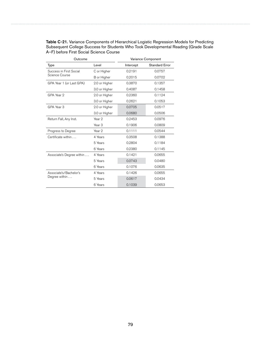| Table C-21. Variance Components of Hierarchical Logistic Regression Models for Predicting |
|-------------------------------------------------------------------------------------------|
| Subsequent College Success for Students Who Took Developmental Reading (Grade Scale       |
| A-F) before First Social Science Course                                                   |

| Outcome                   |                   |           | Variance Component    |
|---------------------------|-------------------|-----------|-----------------------|
| Type                      | Level             | Intercept | <b>Standard Error</b> |
| Success in First Social   | C or Higher       | 0.2191    | 0.0757                |
| Science Course            | B or Higher       | 0.2015    | 0.0702                |
| GPA Year 1 (or Last GPA)  | 2.0 or Higher     | 0.3870    | 0.1357                |
|                           | 3.0 or Higher     | 0.4087    | 0.1458                |
| GPA Year 2                | 2.0 or Higher     | 0.2360    | 0.1124                |
|                           | 3.0 or Higher     | 0.2621    | 0.1053                |
| GPA Year 3                | 2.0 or Higher     | 0.0705    | 0.0517                |
|                           | 3.0 or Higher     | 0.0680    | 0.0506                |
| Return Fall, Any Inst.    | Year 2            | 0.2453    | 0.0976                |
|                           | Year <sub>3</sub> | 0.1906    | 0.0809                |
| Progress to Degree        | Year <sub>2</sub> | 0.1111    | 0.0544                |
| Certificate within        | 4 Years           | 0.3508    | 0.1388                |
|                           | 5 Years           | 0.2804    | 0.1184                |
|                           | 6 Years           | 0.2380    | 0.1145                |
| Associate's Degree within | 4 Years           | 0.1421    | 0.0655                |
|                           | 5 Years           | 0.0743    | 0.0480                |
|                           | 6 Years           | 0.1076    | 0.0635                |
| Associate's/Bachelor's    | 4 Years           | 0.1426    | 0.0655                |
| Degree within             | 5 Years           | 0.0617    | 0.0434                |
|                           | 6 Years           | 0.1039    | 0.0653                |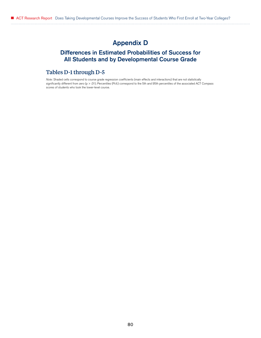# Appendix D

## Differences in Estimated Probabilities of Success for All Students and by Developmental Course Grade

### Tables D-1 through D-5

*Note:* Shaded cells correspond to course grade regression coefficients (main effects and interactions) that are not statistically significantly different from zero (p > .01). Percentiles (Pctl.) correspond to the 5th and 95th percentiles of the associated ACT Compass scores of students who took the lower-level course.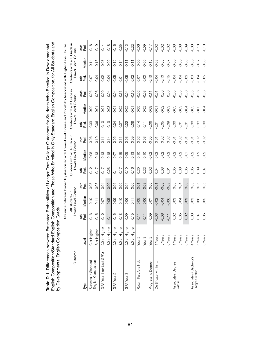| by Developmental English Compo<br>Dinostiro) in Dino | נ<br>פ<br>i<br>Dust | sition Grade      |                                                                                                                       |                      |                  |                                                   |                   |                  |                                                  |                       |             | ר האוני האירוער בין אייני אירוער בין אייני אייני אייני אייני אייני אייני אייני אייני אייני אייני אייני אייני א<br>האירוער האירוער האירוער האירוער האירוער האירוער האירוער האירוער האירוער האירוער האירוער האירוער האירוער האירו |           |
|------------------------------------------------------|---------------------|-------------------|-----------------------------------------------------------------------------------------------------------------------|----------------------|------------------|---------------------------------------------------|-------------------|------------------|--------------------------------------------------|-----------------------|-------------|---------------------------------------------------------------------------------------------------------------------------------------------------------------------------------------------------------------------------------|-----------|
|                                                      |                     |                   | Difference between Probability Associated with Lower-Level Course and Probability Associated with Higher-Level Course |                      |                  |                                                   |                   |                  |                                                  |                       |             |                                                                                                                                                                                                                                 |           |
| Outcome                                              |                     |                   | Lower-Level Course<br>All Students in                                                                                 |                      |                  | Students with an A Grade in<br>Lower-Level Course |                   |                  | Students with a B Grade in<br>Lower-Level Course |                       |             | Students with a C Grade in<br>Lower-Level                                                                                                                                                                                       | Course    |
| Type                                                 | Level               | 飞<br>C<br>5th     | Median                                                                                                                | 95th<br>noti<br>Poti | Pct.<br>5th      | Median                                            | 95th<br>も<br>PC   | Pct.<br>5th      | Median                                           | 95 <sup>th</sup><br>뤊 | Fct.<br>5th | Median                                                                                                                                                                                                                          | 95th<br>뤊 |
| Success in Standard                                  | C or Higher         | 0.13              | 0.10                                                                                                                  | 0.08                 | 0.12             | 0.08                                              | 0.06              | 0.03             | $-0.02$                                          | $-0.05$               | $-0.07$     | $-0.14$                                                                                                                                                                                                                         | $-0.18$   |
| English Composition                                  | <b>B</b> or Higher  | 0.15              | $\overline{0.11}$                                                                                                     | 0.08                 | 0.17             | 0.13                                              | 0.10              | 0.06             | 0.01                                             | 0.06                  | $-0.04$     | $-0.13$                                                                                                                                                                                                                         | $-0.19$   |
| GPA Year 1 (or Last GPA)                             | ত<br>2.0 or High    | 0.12              | 0.07                                                                                                                  | 0.04                 | 0.17             | 0.13                                              | $\overline{0.11}$ | 0.10             | 0.04                                             | 0.00                  | 0.02        | $-0.08$                                                                                                                                                                                                                         | $-0.14$   |
|                                                      | ð<br>3.0 or High    | 0.11              | 0.05                                                                                                                  | 0.00                 | 0.23             | 0.18                                              | 0.14              | 0.13             | 0.03                                             | $-0.04$               | 0.04        | $-0.09$                                                                                                                                                                                                                         | $-0.18$   |
| GPA Year 2                                           | ত<br>2.0 or High    | 0.15              | 0.09                                                                                                                  | 0.06                 | $\overline{0}$ . | 0.07                                              | 0.05              | 0.04             | $-0.01$                                          | $-0.04$               | $-0.05$     | $-0.12$                                                                                                                                                                                                                         | $-0.16$   |
|                                                      | ō<br>3.0 or High    | 0.13              | 0.10                                                                                                                  | 0.06                 | 0.17             | 0.15                                              | $\overline{0.11}$ | 0.07             | $-0.02$                                          | $-0.11$               | $-0.01$     | $-0.14$                                                                                                                                                                                                                         | $-0.25$   |
| GPA Year 3                                           | ŏ<br>2.0 or High    | 0.09              | 0.06                                                                                                                  | 0.04                 | 0.10             | 0.05                                              | 0.03              | 0.02             | $-0.02$                                          | $-0.04$               | $-0.08$     | $-0.11$                                                                                                                                                                                                                         | $-0.12$   |
|                                                      | ŏ<br>3.0 or High    | 0.15              | $\overline{0}$ .11                                                                                                    | 0.06                 | 0.16             | 0.13                                              | 0.09              | 0.08             | $-0.01$                                          | $-0.10$               | 0.02        | $\overline{11}$                                                                                                                                                                                                                 | $-0.22$   |
| Return Fall, Any Inst.                               | Year <sub>2</sub>   | $\overline{0.11}$ | 0.05                                                                                                                  | 0.01                 | 0.20             | 0.10                                              | 0.02              | 0.14             | 0.05                                             | $-0.02$               | 0.07        | 0.00                                                                                                                                                                                                                            | $-0.06$   |
|                                                      | Year <sub>3</sub>   | 0.11              | 0.06                                                                                                                  | 0.03                 | 0.22             | 0.10                                              | 0.03              | $\overline{0}$ . | 0.02                                             | $-0.03$               | 0.00        | $-0.06$                                                                                                                                                                                                                         | $-0.09$   |
| Progress to Degree                                   | Year <sub>2</sub>   | 0.09              | 0.07                                                                                                                  | 0.06                 | 0.02             | $-0.02$                                           | $-0.05$           | $-0.06$          | $-0.09$                                          | $-0.11$               | $-0.13$     | $-0.15$                                                                                                                                                                                                                         | $-0.17$   |
| Certificate within                                   | 4 Years             | $-0.03$           | $-0.02$                                                                                                               | $-0.01$              | 0.04             | 0.02                                              | 0.01              | $-0.01$          | $-0.01$                                          | $-0.01$               | $-0.04$     | $-0.03$                                                                                                                                                                                                                         | $-0.02$   |
|                                                      | 5 Years             | $-0.08$           | $-0.04$                                                                                                               | $-0.02$              | 0.03             | 0.02                                              | 0.02              | $-0.05$          | $-0.02$                                          | 0.00                  | $-0.10$     | $-0.05$                                                                                                                                                                                                                         | $-0.02$   |
|                                                      | 6 Years             | $-0.11$           | $-0.06$                                                                                                               | $-0.02$              | 0.01             | 0.02                                              | 0.02              | $-0.09$          | $-0.03$                                          | 0.00                  | $-0.15$     | $-0.07$                                                                                                                                                                                                                         | $-0.02$   |
| Associate's Degree                                   | 4 Years             | 0.02              | 0.03                                                                                                                  | 0.03                 | 0.05             | 0.02                                              | $-0.01$           | 0.00             | $-0.03$                                          | $-0.05$               | $-0.04$     | $-0.06$                                                                                                                                                                                                                         | $-0.08$   |
| within                                               | 5 Years             | 0.05              | 0.04                                                                                                                  | 0.04                 | 0.08             | 0.02                                              | $-0.02$           | 0.01             | $-0.03$                                          | $-0.05$               | $-0.04$     | $-0.06$                                                                                                                                                                                                                         | $-0.08$   |
|                                                      | 6 Years             | 0.02              | 0.03                                                                                                                  | 0.03                 | 0.05             | $\overline{O}$                                    | $-0.01$           | $-0.01$          | $-0.04$                                          | $-0.06$               | $-0.06$     | $-0.08$                                                                                                                                                                                                                         | $-0.09$   |
| Associate's/Bachelor's                               | 4 Years             | 0.03              | 0.03                                                                                                                  | 0.03                 | 0.05             | 0.02                                              | $-0.01$           | 0.00             | $-0.03$                                          | $-0.05$               | $-0.03$     | $-0.06$                                                                                                                                                                                                                         | $-0.08$   |
| Degree within                                        | 5 Years             | 0.07              | 0.06                                                                                                                  | 0.05                 | 0.09             | 0.02                                              | $-0.02$           | 0.02             | $-0.03$                                          | $-0.06$               | $-0.04$     | $-0.07$                                                                                                                                                                                                                         | $-0.10$   |
|                                                      | 6 Years             | 0.05              | 0.05                                                                                                                  | 0.05                 | 0.07             | 0.02                                              | $-0.02$           | 0.00             | $-0.04$                                          | $-0.06$               | $-0.05$     | $-0.08$                                                                                                                                                                                                                         | $-0.10$   |

**Table D-1.** Differences between Estimated Probabilities of Longer-Term College Outcomes for Students Who Enrolled in Developmental<br>English Composition/Standard English Composition and Those Who Enrolled in Only Standard E English Composition/Standard English Composition and Those Who Enrolled in Only Standard English Composition, for All Students and Table D-1. Differences between Estimated Probabilities of Longer-Term College Outcomes for Students Who Enrolled in Developmental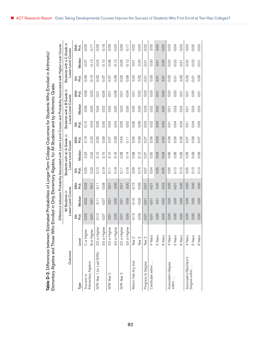|                                                                                                       | しりりりりり                                                                                    |
|-------------------------------------------------------------------------------------------------------|-------------------------------------------------------------------------------------------|
|                                                                                                       |                                                                                           |
|                                                                                                       |                                                                                           |
| etween Estimated Probabilities of Longer-Term College Outcomes for Students Who Enrolled in Arithmeti | . Those Who Enrolled in Only Elementary Algebra, for All Students and by Arithmetic Gradr |
|                                                                                                       |                                                                                           |
|                                                                                                       |                                                                                           |
| ì                                                                                                     | $\mathbf$                                                                                 |
| ble D-2. Diff                                                                                         | i                                                                                         |
|                                                                                                       |                                                                                           |

| í     |
|-------|
|       |
|       |
|       |
|       |
|       |
|       |
|       |
|       |
|       |
|       |
|       |
|       |
|       |
|       |
|       |
|       |
|       |
|       |
|       |
|       |
| ׇ֚֚֚֕ |
|       |
|       |
|       |
|       |
|       |
|       |
|       |
|       |
|       |
|       |
|       |
|       |
|       |
|       |
|       |
|       |
| ֕     |
|       |

| Table D-2. Differences between Estimated Probabilities of Longer-Term College Outcomes for Students Who Enrolled in Arithmetic/<br>Elementary Algebra and Those W |                                              |             | ho Enrolled in Only Elementary Algebra, for All Students and by Arithmetic Grade                                      |                           |                   |                                                   |                   |             |                                                  |               |             |                                                  |              |
|-------------------------------------------------------------------------------------------------------------------------------------------------------------------|----------------------------------------------|-------------|-----------------------------------------------------------------------------------------------------------------------|---------------------------|-------------------|---------------------------------------------------|-------------------|-------------|--------------------------------------------------|---------------|-------------|--------------------------------------------------|--------------|
|                                                                                                                                                                   |                                              |             | Difference between Probability Associated with Lower-Level Course and Probability Associated with Higher-Level Course |                           |                   |                                                   |                   |             |                                                  |               |             |                                                  |              |
| Outcome                                                                                                                                                           |                                              |             | Lower-Level Course<br>All Students in                                                                                 |                           |                   | Students with an A Grade in<br>Lower-Level Course |                   |             | Students with a B Grade in<br>Lower-Level Course |               |             | Students with a C Grade in<br>Lower-Level Course |              |
| Type                                                                                                                                                              | Level                                        | Pct.<br>5th | Median                                                                                                                | 95 <sub>th</sub><br>Pctl. | Pct.<br>5th       | Median                                            | 95th<br>Pctl.     | Pct.<br>5th | Median                                           | 95th<br>Pctl. | .<br>동<br>군 | Median                                           | 95th<br>Pct. |
| Success in                                                                                                                                                        | C or Highe                                   | $-0.02$     | $-0.02$                                                                                                               | $-0.02$                   | 0.25              | 0.23                                              | 0.19              | 0.10        | 0.09                                             | 0.06          | $-0.06$     | $-0.07$                                          | $-0.09$      |
| Elementary Algebra                                                                                                                                                | <b>B</b> or Higher                           | 0.01        | 0.01                                                                                                                  | 0.01                      | 0.23              | 0.23                                              | 0.22              | 0.04        | 0.03                                             | 0.02          | $-0.10$     | $-0.13$                                          | $-0.17$      |
| GPA Year 1 (or Last GPA)                                                                                                                                          | $\overline{\Phi}$<br>2.0 or High             | $-0.12$     | $-0.11$                                                                                                               | $-0.11$                   | 0.13              | 0.10                                              | 0.06              | 0.06        | 0.04                                             | $-0.01$       | $-0.02$     | $-0.04$                                          | $-0.09$      |
|                                                                                                                                                                   | ₫<br>3.0 or High                             | $-0.07$     | $-0.07$                                                                                                               | $-0.08$                   | 0.19              | 0.15                                              | 0.09              | 0.05        | 0.02                                             | $-0.05$       | $-0.07$     | $-0.10$                                          | $-0.16$      |
| GPA Year 2                                                                                                                                                        | $\overline{9}$<br>2.0 or High                | 0.01        | 0.01                                                                                                                  | 0.01                      | $\overline{0.11}$ | 0.10                                              | 0.07              | 0.03        | 0.02                                             | 0.01          | $-0.07$     | $-0.08$                                          | $-0.09$      |
|                                                                                                                                                                   | ŏ<br>3.0 or High                             | 0.00        | 0.00                                                                                                                  | 0.00                      | 0.19              | 0.16                                              | 0.08              | 0.04        | 0.00                                             | $-0.08$       | $-0.09$     | $-0.12$                                          | $-0.20$      |
| GPA Year 3                                                                                                                                                        | $\overline{9}$<br>2.0 or High                | 0.01        | 0.01                                                                                                                  | 0.01                      | $\overline{0.11}$ | 0.08                                              | 0.04              | 0.05        | 0.03                                             | $-0.01$       | $-0.02$     | $-0.05$                                          | $-0.09$      |
|                                                                                                                                                                   | $\underline{\overline{\Phi}}$<br>3.0 or High | 0.00        | 0.00                                                                                                                  | 0.00                      | 0.16              | 0.14                                              | $\overline{0.11}$ | 0.02        | 0.00                                             | $-0.04$       | $-0.09$     | $-0.12$                                          | $-0.17$      |
| Return Fall, Any Inst.                                                                                                                                            | Year <sub>2</sub>                            | $-0.15$     | $-0.15$                                                                                                               | $-0.15$                   | 0.09              | 0.08                                              | 0.05              | 0.06        | 0.05                                             | 0.01          | 0.03        | 0.01                                             | $-0.02$      |
|                                                                                                                                                                   | Year <sub>3</sub>                            | $-0.09$     | $-0.09$                                                                                                               | $-0.09$                   | 0.15              | 0.12                                              | 0.09              | 0.08        | 0.06                                             | 0.02          | 0.02        | 0.00                                             | $-0.04$      |
| Progress to Degree                                                                                                                                                | Year <sub>2</sub>                            | $-0.01$     | $-0.01$                                                                                                               | $-0.01$                   | 0.07              | 0.07                                              | 0.07              | 0.03        | 0.03                                             | 0.03          | $-0.01$     | $-0.01$                                          | $-0.02$      |
| Certificate within.                                                                                                                                               | 4 Years                                      | $-0.01$     | $-0.01$                                                                                                               | $-0.01$                   | 0.04              | 0.05                                              | 0.06              | 0.02        | 0.02                                             | 0.03          | 0.00        | 0.00                                             | 0.00         |
|                                                                                                                                                                   | 5 Years                                      | 0.00        | 0.01                                                                                                                  | 0.00                      | 0.05              | 0.04                                              | 0.03              | 0.03        | 0.02                                             | 0.01          | 0.01        | 0.01                                             | 0.00         |
|                                                                                                                                                                   | 6 Years                                      | $-0.02$     | $-0.02$                                                                                                               | $-0.02$                   | 0.05              | 0.04                                              | 0.02              | 0.03        | 0.02                                             | 0.00          | 0.01        | 0.00                                             | $-0.02$      |
| Associate's Degree                                                                                                                                                | 4 Years                                      | 0.00        | 0.00                                                                                                                  | 0.00                      | 0.05              | 0.06                                              | 0.08              | 0.01        | 0.01                                             | 0.02          | $-0.02$     | $-0.02$                                          | $-0.03$      |
| within                                                                                                                                                            | 5 Years                                      | 0.00        | 0.00                                                                                                                  | $-0.01$                   | 0.10              | 0.08                                              | 0.06              | 0.04        | 0.03                                             | 0.00          | $-0.01$     | $-0.02$                                          | $-0.04$      |
|                                                                                                                                                                   | 6 Years                                      | 0.00        | 0.00                                                                                                                  | 0.00                      | 0.10              | 0.09                                              | 0.06              | 0.04        | 0.03                                             | 0.01          | 0.00        | $-0.01$                                          | $-0.03$      |
| Associate's/Bachelor's                                                                                                                                            | 4 Years                                      | 0.00        | 0.00                                                                                                                  | 0.00                      | 0.05              | 0.06                                              | 0.07              | 0.01        | 0.01                                             | 0.01          | $-0.02$     | $-0.02$                                          | $-0.03$      |
| Degree within.                                                                                                                                                    | 5 Years                                      | 0.00        | 0.00                                                                                                                  | 0.00                      | 0.10              | 0.09                                              | 0.06              | 0.04        | 0.03                                             | 0.00          | $-0.01$     | $-0.02$                                          | $-0.05$      |
|                                                                                                                                                                   | 6 Years                                      | 0.00        | 0.00                                                                                                                  | 0.00                      | 0.10              | 0.09                                              | 0.07              | 0.05        | 0.03                                             | 0.01          | 0.00        | $-0.01$                                          | $-0.03$      |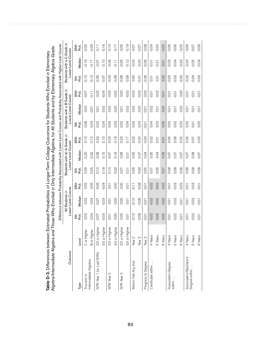| Algebra/Intermediate Algebra and |                   |             | Those Who Enrolled in Only Intermediate Algebra, for All Students and by Elementary Algebra Grade                     |                          |              |                                                   |                  |              |                                                  |               |                 |                    |              |
|----------------------------------|-------------------|-------------|-----------------------------------------------------------------------------------------------------------------------|--------------------------|--------------|---------------------------------------------------|------------------|--------------|--------------------------------------------------|---------------|-----------------|--------------------|--------------|
|                                  |                   |             | Difference between Probability Associated with Lower-Level Course and Probability Associated with Higher-Level Course |                          |              |                                                   |                  |              |                                                  |               |                 |                    |              |
| Outcome                          |                   |             | Lower-Level Course<br>All Students in                                                                                 |                          |              | Students with an A Grade in<br>Lower-Level Course |                  |              | Students with a B Grade in<br>Lower-Level Course |               | Students with a | Lower-Level Course | C Grade in   |
| Type                             | Level             | Pct.<br>5th | Median                                                                                                                | 95 <sub>th</sub><br>Fct. | Fcti.<br>5th | Median                                            | 95th<br>Fot<br>R | Fcti.<br>5th | Median                                           | 95th<br>Pctl. | .<br>동<br>군     | Median             | 95th<br>Pct. |
| Success in                       | C or Higher       | 0.03        | 0.03                                                                                                                  | 0.02                     | 0.26         | 0.20                                              | 0.10             | 0.08         | 0.03                                             | $-0.07$       | $-0.10$         | $-0.16$            | $-0.26$      |
| Intermediate Algebra             | B or Higher       | 0.04        | 0.04                                                                                                                  | 0.05                     | 0.25         | 0.22                                              | 0.12             | 0.04         | $-0.01$                                          | $-0.11$       | $-0.12$         | $-0.17$            | $-0.29$      |
| GPA Year 1 (or Last GPA)         | ō<br>2.0 or High  | $-0.07$     | $-0.07$                                                                                                               | $-0.06$                  | 0.10         | 0.08                                              | 0.04             | 0.03         | 0.01                                             | $-0.02$       | $-0.05$         | $-0.07$            | $-0.11$      |
|                                  | φ<br>3.0 or High  | $-0.03$     | $-0.03$                                                                                                               | $-0.04$                  | 0.18         | 0.15                                              | 0.10             | 0.04         | 0.02                                             | $-0.04$       | $-0.07$         | $-0.10$            | $-0.16$      |
| GPA Year 2                       | ō<br>2.0 or High  | 0.01        | 0.01                                                                                                                  | 0.01                     | 0.10         | 0.07                                              | 0.03             | 0.04         | 0.02                                             | $-0.03$       | $-0.03$         | $-0.06$            | $-0.10$      |
|                                  | ŏ<br>3.0 or High  | 0.00        | 0.00                                                                                                                  | 0.00                     | 0.20         | 0.19                                              | 0.16             | 0.03         | 0.02                                             | $-0.02$       | $-0.09$         | $-0.11$            | $-0.17$      |
| GPA Year 3                       | ŏ<br>2.0 or High  | 0.00        | 0.00                                                                                                                  | 0.00                     | 0.07         | 0.06                                              | 0.03             | 0.02         | 0.01                                             | 0.00          | $-0.06$         | $-0.05$            | $-0.05$      |
|                                  | ŏ<br>3.0 or High  | 0.01        | 0.01                                                                                                                  | 0.01                     | 0.21         | 0.21                                              | 0.17             | 0.04         | 0.02                                             | $-0.02$       | $-0.09$         | $-0.12$            | $-0.19$      |
| Return Fall, Any Inst.           | Year <sub>2</sub> | $-0.10$     | $-0.10$                                                                                                               | $-0.11$                  | 0.06         | 0.05                                              | 0.02             | 0.04         | 0.02                                             | $-0.03$       | 0.00            | $-0.02$            | $-0.07$      |
|                                  | Year <sub>3</sub> | $-0.08$     | $-0.08$                                                                                                               | $-0.08$                  | 0.09         | 0.07                                              | 0.02             | 0.04         | 0.02                                             | $-0.03$       | $-0.01$         | $-0.03$            | $-0.07$      |
| Progress to Degree               | Year <sub>2</sub> | $-0.01$     | $-0.01$                                                                                                               | $-0.01$                  | 0.05         | 0.04                                              | 0.03             | $-0.01$      | $-0.01$                                          | $-0.02$       | $-0.06$         | $-0.06$            | $-0.08$      |
| Certificate within               | 4 Years           | $-0.02$     | $-0.02$                                                                                                               | $-0.02$                  | 0.07         | 0.05                                              | 0.02             | 0.04         | 0.02                                             | $-0.01$       | $\overline{0}$  | $-0.01$            | $-0.04$      |
|                                  | 5 Years           | $-0.02$     | $-0.02$                                                                                                               | $-0.02$                  | 0.06         | 0.04                                              | 0.01             | 0.03         | 0.01                                             | $-0.02$       | $\overline{0}$  | $-0.01$            | $-0.04$      |
|                                  | 6 Years           | $-0.02$     | $-0.02$                                                                                                               | $-0.02$                  | 0.07         | 0.05                                              | 0.01             | 0.05         | 0.03                                             | $-0.01$       | 0.02            | 0.01               | $-0.02$      |
| Associate's Degree               | 4 Years           | $-0.01$     | $-0.01$                                                                                                               | $-0.01$                  | 0.08         | 0.07                                              | 0.05             | 0.02         | 0.01                                             | $-0.01$       | $-0.02$         | $-0.03$            | $-0.06$      |
| within                           | 5 Years           | $-0.02$     | $-0.03$                                                                                                               | $-0.03$                  | 0.08         | 0.07                                              | 0.06             | 0.02         | 0.01                                             | $-0.01$       | $-0.03$         | $-0.04$            | $-0.06$      |
|                                  | 6 Years           | $-0.01$     | $-0.01$                                                                                                               | $-0.02$                  | 0.08         | 0.07                                              | 0.05             | 0.03         | 0.02                                             | 0.00          | $-0.02$         | $-0.03$            | $-0.05$      |
| Associate's/Bachelor's           | 4 Years           | $-0.01$     | $-0.01$                                                                                                               | $-0.01$                  | 0.08         | 0.07                                              | 0.05             | 0.02         | $\overline{0}$                                   | $-0.01$       | $-0.02$         | $-0.04$            | $-0.06$      |
| Degree within.                   | 5 Years           | $-0.02$     | $-0.03$                                                                                                               | $-0.03$                  | 0.08         | 0.08                                              | 0.07             | 0.01         | 0.01                                             | $-0.01$       | $-0.04$         | $-0.05$            | $-0.07$      |
|                                  | 6 Years           | $-0.01$     | $-0.01$                                                                                                               | $-0.01$                  | 0.08         | 0.07                                              | 0.05             | 0.02         | 0.01                                             | $-0.01$       | $-0.03$         | $-0.04$            | $-0.06$      |

Table D-3. Differences between Estimated Probabilities of Longer-Term College Outcomes for Students Who Enrolled in Elementary Table D-3. Differences between Estimated Probabilities of Longer-Term College Outcomes for Students Who Enrolled in Elementary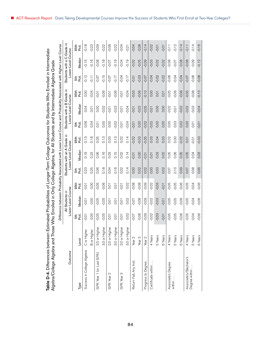| ä                                                                                                   |                                                                                                    |
|-----------------------------------------------------------------------------------------------------|----------------------------------------------------------------------------------------------------|
|                                                                                                     |                                                                                                    |
|                                                                                                     |                                                                                                    |
|                                                                                                     |                                                                                                    |
|                                                                                                     |                                                                                                    |
|                                                                                                     |                                                                                                    |
|                                                                                                     |                                                                                                    |
|                                                                                                     |                                                                                                    |
|                                                                                                     |                                                                                                    |
|                                                                                                     |                                                                                                    |
|                                                                                                     |                                                                                                    |
|                                                                                                     |                                                                                                    |
|                                                                                                     |                                                                                                    |
|                                                                                                     |                                                                                                    |
|                                                                                                     |                                                                                                    |
|                                                                                                     |                                                                                                    |
|                                                                                                     |                                                                                                    |
|                                                                                                     |                                                                                                    |
|                                                                                                     |                                                                                                    |
|                                                                                                     |                                                                                                    |
| tween Estimated Probabilities of Longer-Term College Outcomes for Students Who Enrolled in Intermet | und Those Who Enrolled in Only College Algebra, for All Students and by Intermediate Algebra Grade |
|                                                                                                     |                                                                                                    |
|                                                                                                     |                                                                                                    |
|                                                                                                     |                                                                                                    |
|                                                                                                     |                                                                                                    |
|                                                                                                     |                                                                                                    |
|                                                                                                     |                                                                                                    |
|                                                                                                     |                                                                                                    |
|                                                                                                     | $\mathbf$<br>J                                                                                     |
|                                                                                                     |                                                                                                    |
|                                                                                                     |                                                                                                    |
|                                                                                                     |                                                                                                    |
| $\mathbf{r}$                                                                                        |                                                                                                    |
|                                                                                                     |                                                                                                    |
| $\frac{1}{\mathbf{e}}$                                                                              |                                                                                                    |
|                                                                                                     |                                                                                                    |

| ١ |
|---|
|   |
|   |
|   |
|   |
|   |
|   |
|   |
|   |
|   |
|   |
|   |
|   |
|   |
|   |
|   |
|   |
|   |
|   |
|   |
|   |
|   |
|   |
|   |
|   |
|   |
|   |
|   |
| ֕ |
|   |
|   |
|   |
|   |
|   |
|   |
|   |
|   |
|   |
|   |
|   |
|   |
|   |
|   |
|   |
|   |
|   |
|   |
|   |
|   |
|   |
|   |
|   |
|   |
|   |
|   |
|   |
|   |
|   |
|   |
| ֕ |
|   |
|   |
|   |

| Table D-4. Differences between Estimated Probabilities of Longer-Term College Outcomes for Students Who Enrolled in Intermediate<br>Algebra/College Algebra and Those Who Enrolled in Only College Algebra, for All Students and by Intermediate Algebra Grade |                   |                  |                                                                                                                       |                             |              |                                                   |                          |                |                                                  |              |                  |                                                  |                   |
|----------------------------------------------------------------------------------------------------------------------------------------------------------------------------------------------------------------------------------------------------------------|-------------------|------------------|-----------------------------------------------------------------------------------------------------------------------|-----------------------------|--------------|---------------------------------------------------|--------------------------|----------------|--------------------------------------------------|--------------|------------------|--------------------------------------------------|-------------------|
|                                                                                                                                                                                                                                                                |                   |                  | Difference between Probability Associated with Lower-Level Course and Probability Associated with Higher-Level Course |                             |              |                                                   |                          |                |                                                  |              |                  |                                                  |                   |
| Outcome                                                                                                                                                                                                                                                        |                   |                  | Lower-Level Course<br>All Students in                                                                                 |                             |              | Students with an A Grade in<br>Lower-Level Course |                          |                | Students with a B Grade in<br>Lower-Level Course |              |                  | Students with a C Grade in<br>Lower-Level Course |                   |
| Type                                                                                                                                                                                                                                                           | Level             | Pct.<br>5th      | Median                                                                                                                | 95 <sub>th</sub><br>さ<br>PC | Pctl.<br>5th | Median                                            | 95 <sub>th</sub><br>Pct. | Pct.<br>5th    | Median                                           | 95th<br>Pct. | $\vec{E}$<br>5th | Median                                           | 95th<br>$\vec{E}$ |
| Success in College Algebra                                                                                                                                                                                                                                     | C or Higher       | $-0.01$          | $-0.01$                                                                                                               | 0.01                        | 0.23         | 0.19                                              | 0.13                     | 0.06           | 0.04                                             | 0.00         | $-0.12$          | $-0.15$                                          | $-0.18$           |
|                                                                                                                                                                                                                                                                | B or Higher       | 0.00             | 0.00                                                                                                                  | 0.00                        | 0.25         | 0.23                                              | 0.18                     | 0.04           | $\overline{O}$ .                                 | $-0.04$      | $-0.11$          | $-0.16$                                          | $-0.23$           |
| GPA Year 1 (or Last GPA)                                                                                                                                                                                                                                       | ō<br>2.0 or High  | $-0.05$          | $-0.05$                                                                                                               | $-0.05$                     | 0.06         | 0.06                                              | 0.05                     | 0.01           | 0.00                                             | $-0.01$      | $-0.07$          | $-0.08$                                          | $-0.09$           |
|                                                                                                                                                                                                                                                                | ò<br>3.0 or High  | $-0.05$          | $-0.05$                                                                                                               | $-0.06$                     | 0.18         | 0.16                                              | 0.13                     | 0.00           | $-0.02$                                          | $-0.06$      | $-0.15$          | $-0.18$                                          | $-0.22$           |
| GPA Year 2                                                                                                                                                                                                                                                     | ō<br>2.0 or High  | $\overline{0}$   | $\overline{0}$                                                                                                        | $\overline{0}$ .            | 0.04         | 0.03                                              | 0.03                     | 0.00           | $-0.01$                                          | $-0.01$      | $-0.07$          | $-0.07$                                          | $-0.08$           |
|                                                                                                                                                                                                                                                                | ŏ<br>3.0 or High  | $\overline{O}$ . | $\overline{O}$ .                                                                                                      | $\overline{O}$ .            | 0.16         | 0.15                                              | 0.13                     | $-0.02$        | $-0.03$                                          | $-0.06$      | $-0.17$          | $-0.19$                                          | $-0.22$           |
| GPA Year 3                                                                                                                                                                                                                                                     | ŏ<br>2.0 or High  | $-0.01$          | $-0.01$                                                                                                               | $-0.01$                     | 0.02         | 0.02                                              | 0.02                     | $-0.01$        | $-0.01$                                          | $-0.01$      | $-0.04$          | $-0.04$                                          | $-0.04$           |
|                                                                                                                                                                                                                                                                | ŏ<br>3.0 or High  | 0.02             | 0.02                                                                                                                  | 0.02                        | 0.14         | 0.14                                              | 0.14                     | $-0.04$        | $-0.04$                                          | $-0.04$      | $-0.17$          | $-0.19$                                          | $-0.21$           |
| Return Fall, Any Inst.                                                                                                                                                                                                                                         | Year <sub>2</sub> | $-0.07$          | $-0.07$                                                                                                               | $-0.08$                     | 0.00         | $-0.01$                                           | $-0.02$                  | $-0.01$        | $-0.01$                                          | $-0.03$      | $-0.01$          | $-0.02$                                          | $-0.04$           |
|                                                                                                                                                                                                                                                                | Year <sub>3</sub> | $-0.08$          | $-0.08$                                                                                                               | $-0.08$                     | 0.02         | 0.00                                              | $-0.03$                  | 0.00           | $-0.02$                                          | $-0.06$      | $-0.03$          | $-0.05$                                          | $-0.08$           |
| Progress to Degree                                                                                                                                                                                                                                             | Year <sub>2</sub> | $-0.09$          | $-0.09$                                                                                                               | $-0.09$                     | 0.02         | $-0.01$                                           | $-0.05$                  | $-0.02$        | $-0.05$                                          | $-0.10$      | $-0.07$          | $-0.09$                                          | $-0.14$           |
| Certificate within.                                                                                                                                                                                                                                            | 4 Years           | $-0.02$          | $-0.02$                                                                                                               | $-0.02$                     | 0.00         | 0.01                                              | 0.03                     | $-0.02$        | $-0.01$                                          | 0.00         | $-0.04$          | $-0.03$                                          | $-0.02$           |
|                                                                                                                                                                                                                                                                | 5 Years           | $-0.03$          | $-0.03$                                                                                                               | $-0.03$                     | 0.03         | 0.03                                              | 0.04                     | 0.00           | 0.00                                             | 0.01         | $-0.02$          | $-0.02$                                          | $-0.01$           |
|                                                                                                                                                                                                                                                                | 6 Years           | $-0.01$          | $-0.01$                                                                                                               | $-0.01$                     | 0.02         | 0.02                                              | 0.03                     | 0.00           | 0.00                                             | 0.01         | $-0.02$          | $-0.02$                                          | $-0.01$           |
| Associate's Degree                                                                                                                                                                                                                                             | 4 Years           | $-0.05$          | $-0.05$                                                                                                               | $-0.05$                     | 0.07         | 0.05                                              | 0.02                     | 0.00           | $-0.02$                                          | $-0.05$      | $-0.06$          | $-0.08$                                          | $\overline{11}$   |
| within                                                                                                                                                                                                                                                         | 5 Years           | $-0.05$          | $-0.05$                                                                                                               | $-0.05$                     | 0.10         | 0.06                                              | 0.00                     | 0.03           | $-0.01$                                          | $-0.06$      | $-0.04$          | $-0.07$                                          | $-0.12$           |
|                                                                                                                                                                                                                                                                | 6 Years           | $-0.06$          | $-0.06$                                                                                                               | $-0.06$                     | 0.09         | 0.05                                              | $-0.02$                  | 0.02           | $-0.02$                                          | $-0.08$      | $-0.04$          | $-0.08$                                          | $-0.14$           |
| Associate's/Bachelor's                                                                                                                                                                                                                                         | 4 Years           | $-0.05$          | $-0.05$                                                                                                               | $-0.05$                     | 0.07         | 0.05                                              | 0.01                     | 0.00           | $-0.02$                                          | $-0.05$      | $-0.07$          | $-0.08$                                          | $-0.11$           |
| Degree within                                                                                                                                                                                                                                                  | 5 Years           | $-0.04$          | $-0.04$                                                                                                               | $-0.04$                     | 0.08         | 0.04                                              | $-0.01$                  | $\overline{0}$ | $-0.03$                                          | $-0.08$      | $-0.06$          | $-0.09$                                          | $-0.14$           |
|                                                                                                                                                                                                                                                                | 6 Years           | $-0.06$          | $-0.06$                                                                                                               | $-0.06$                     | 0.06         | 0.03                                              | $-0.03$                  | $-0.01$        | $-0.04$                                          | $-0.10$      | $-0.08$          | $-0.12$                                          | $-0.16$           |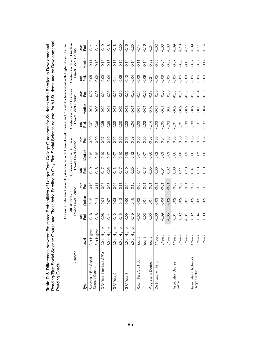| Reading Grade            |                    |             |                                                                                                                       |                   |                   |                                                   |               |                 |                                                  |           |                 |                                           |                                         |
|--------------------------|--------------------|-------------|-----------------------------------------------------------------------------------------------------------------------|-------------------|-------------------|---------------------------------------------------|---------------|-----------------|--------------------------------------------------|-----------|-----------------|-------------------------------------------|-----------------------------------------|
|                          |                    |             | Difference between Probability Associated with Lower-Level Course and Probability Associated with Higher-Level Course |                   |                   |                                                   |               |                 |                                                  |           |                 |                                           |                                         |
| Outcome                  |                    |             | Lower-Level Course<br>All Students in                                                                                 |                   |                   | Students with an A Grade in<br>Lower-Level Course |               |                 | Students with a B Grade in<br>Lower-Level Course |           |                 | Students with a C Grade in<br>Lower-Level | Course                                  |
| Type                     | Level              | .<br>동<br>군 | Median                                                                                                                | 95th<br>Pctl.     | to til<br>Refer   | Vledian                                           | 95th<br>Pctl. | to til<br>Refer | Vledian                                          | 95th<br>둲 | to til<br>Refer | Median                                    | 95 <sub>th</sub><br>ا <del>ن</del><br>م |
| Success in First Social  | C or Highe         | 0.16        | 0.12                                                                                                                  | 0.10              | 0.19              | 0.12                                              | 0.09          | 0.07            | 0.01                                             | $-0.02$   | $-0.05$         | $-0.11$                                   | $-0.14$                                 |
| Science Course           | <b>B</b> or Higher | 0.18        | 0.14                                                                                                                  | $\overline{0.11}$ | 0.18              | 0.12                                              | 0.09          | 0.06            | 0.00                                             | 0.03      | $-0.02$         | $-0.10$                                   | $-0.14$                                 |
| GPA Year 1 (or Last GPA) | ō<br>2.0 or High   | 0.08        | 0.04                                                                                                                  | 0.03              | 0.17              | 0.10                                              | 0.07          | 0.05            | $-0.02$                                          | $-0.04$   | $-0.09$         | $-0.16$                                   | $-0.19$                                 |
|                          | ŏ<br>3.0 or High   | 0.14        | 0.07                                                                                                                  | 0.03              | 0.25              | 0.17                                              | 0.12          | 0.08            | $-0.01$                                          | $-0.05$   | $-0.04$         | $-0.13$                                   | $-0.18$                                 |
| GPA Year 2               | έ<br>2.0 or High   | 0.12        | 0.08                                                                                                                  | 0.06              | 0.13              | 0.07                                              | 0.05          | 0.02            | $-0.03$                                          | $-0.05$   | $\frac{1}{10}$  | $-0.17$                                   | $-0.18$                                 |
|                          | ō<br>3.0 or High   | 0.15        | 0.13                                                                                                                  | $\overline{0.11}$ | 0.17              | 0.10                                              | 0.06          | 0.03            | $-0.05$                                          | $-0.10$   | $-0.06$         | $-0.15$                                   | $-0.20$                                 |
| GPA Year 3               | ŏ<br>2.0 or High   | 0.09        | 0.06                                                                                                                  | 0.04              | 0.10              | 0.05                                              | 0.03          | 0.02            | $-0.03$                                          | $-0.05$   | $-0.10$         | $-0.14$                                   | $-0.16$                                 |
|                          | ৯<br>3.0 or High   | 0.19        | 0.15                                                                                                                  | 0.12              | 0.20              | 0.12                                              | 0.08          | 0.04            | $-0.04$                                          | $-0.09$   | $-0.04$         | $-0.14$                                   | $-0.20$                                 |
| Return Fall, Any Inst.   | Year <sub>2</sub>  | $-0.02$     | $-0.02$                                                                                                               | $-0.02$           | $\overline{0.11}$ | 0.07                                              | 0.05          | 0.03            | $-0.01$                                          | $-0.04$   | $-0.06$         | $-0.11$                                   | $-0.14$                                 |
|                          | Year <sub>3</sub>  | 0.02        | 0.01                                                                                                                  | 0.01              | 0.13              | 0.07                                              | 0.05          | 0.02            | $-0.04$                                          | $-0.06$   | $-0.09$         | $-0.14$                                   | $-0.16$                                 |
| Progress to Degree       | Year <sub>2</sub>  | 0.00        | $\overline{0}$                                                                                                        | 0.01              | $-0.05$           | $-0.06$                                           | $-0.07$       | $-0.14$         | $-0.16$                                          | $-0.17$   | $-0.21$         | $-0.23$                                   | $-0.24$                                 |
| Certificate within       | 4 Years            | $-0.06$     | $-0.03$                                                                                                               | $-0.01$           | 0.00              | 0.02                                              | 0.03          | $-0.03$         | $-0.01$                                          | 0.00      | $-0.05$         | $-0.03$                                   | $-0.02$                                 |
|                          | 5 Years            | $-0.09$     | $-0.04$                                                                                                               | $-0.01$           | $-0.01$           | 0.03                                              | 0.04          | $-0.05$         | $-0.01$                                          | 0.00      | $-0.08$         | $-0.04$                                   | $-0.03$                                 |
|                          | 6 Years            | $-0.05$     | $-0.02$                                                                                                               | $-0.01$           | 0.02              | 0.03                                              | 0.03          | $-0.02$         | 0.00                                             | 0.00      | $-0.05$         | $-0.03$                                   | $-0.03$                                 |
| Associate's Degree       | 4 Years            | 0.01        | 0.02                                                                                                                  | 0.02              | 0.06              | 0.06                                              | 0.05          | $-0.01$         | $-0.02$                                          | $-0.03$   | $-0.05$         | $-0.07$                                   | $-0.09$                                 |
| within                   | 5 Years            | 0.02        | 0.02                                                                                                                  | 0.02              | $\overline{0.11}$ | 0.08                                              | 0.06          | 0.01            | $-0.02$                                          | $-0.04$   | $-0.05$         | $-0.08$                                   | $-0.10$                                 |
|                          | 6 Years            | $-0.01$     | $\overline{O}$                                                                                                        | $\overline{O}$    | 0.10              | 0.09                                              | 0.08          | 0.00            | $-0.02$                                          | $-0.03$   | $-0.08$         | $-0.10$                                   | $-0.11$                                 |
| Associate's/Bachelor's   | 4 Years            | 0.02        | 0.02                                                                                                                  | 0.02              | 0.07              | 0.06                                              | 0.05          | 0.00            | $-0.02$                                          | $-0.03$   | $-0.05$         | $-0.07$                                   | $-0.09$                                 |
| Degree within            | 5 Years            | 0.04        | 0.03                                                                                                                  | 0.03              | 0.10              | 0.07                                              | 0.05          | 0.01            | $-0.03$                                          | $-0.04$   | $-0.05$         | $-0.09$                                   | $-0.11$                                 |
|                          | 6 Years            | 0.00        | 0.02                                                                                                                  | 0.03              | 0.10              | 0.08                                              | 0.07          | $-0.02$         | $-0.04$                                          | $-0.05$   | $-0.09$         | $-0.12$                                   | $-0.14$                                 |

Table D-5. Differences between Estimated Probabilities of Longer-Term College Outcomes for Students Who Enrolled in Developmental<br>Reading/First Social Science Course and Those Who Enrolled in Only First Social Science cour Reading/First Social Science Course and Those Who Enrolled in Only First Social Science course, for All Students and by Developmental Table D-5. Differences between Estimated Probabilities of Longer-Term College Outcomes for Students Who Enrolled in Developmental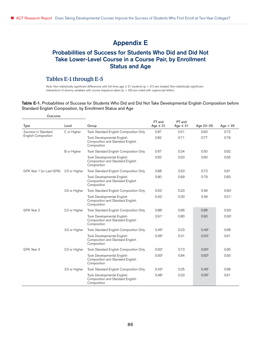# Appendix E

## Probabilities of Success for Students Who Did and Did Not Take Lower-Level Course in a Course Pair, by Enrollment Status and Age

## Tables E-1 through E-5

*Note:* Non-statistically significant differences with full-time, age ≤ 21 students (p > .01) are shaded. Non-statistically significant interactions of dummy variables with course sequence taken  $(p > .05)$  are noted with superscript letters.

#### Table E-1. Probabilities of Success for Students Who Did and Did Not Take Developmental English Composition before Standard English Composition, by Enrollment Status and Age

| Outcome                    |               |                                                                                      |                         |                         |                   |                   |
|----------------------------|---------------|--------------------------------------------------------------------------------------|-------------------------|-------------------------|-------------------|-------------------|
| <b>Type</b>                | Level         | Group                                                                                | FT and<br>Age $\leq 21$ | PT and<br>Age $\leq 21$ | Age 22-25         | Age $> 25$        |
| Success in Standard        | C or Higher   | Took Standard English Composition Only                                               | 0.87                    | 0.51                    | 0.63              | 0.72              |
| <b>English Composition</b> |               | <b>Took Developmental English</b><br>Composition and Standard English<br>Composition | 0.82                    | 0.71                    | 0.77              | 0.78              |
|                            | B or Higher   | Took Standard English Composition Only                                               | 0.67                    | 0.34                    | 0.50              | 0.62              |
|                            |               | <b>Took Developmental English</b><br>Composition and Standard English<br>Composition | 0.62                    | 0.50                    | 0.60              | 0.65              |
| GPA Year 1 (or Last GPA)   | 2.0 or Higher | Took Standard English Composition Only                                               | 0.88                    | 0.53                    | 0.73              | 0.81              |
|                            |               | <b>Took Developmental English</b><br>Composition and Standard English<br>Composition | 0.80                    | 0.69                    | 0.79              | 0.83              |
|                            | 3.0 or Higher | Took Standard English Composition Only                                               | 0.52 <sup>c</sup>       | 0.23                    | 0.46              | 0.63 <sup>c</sup> |
|                            |               | <b>Took Developmental English</b><br>Composition and Standard English<br>Composition | 0.42 <sup>c</sup>       | 0.30                    | 0.48              | 0.51c             |
| GPA Year 2                 | 2.0 or Higher | Took Standard English Composition Only                                               | 0.88c                   | 0.66                    | 0.86              | 0.93c             |
|                            |               | <b>Took Developmental English</b><br>Composition and Standard English<br>Composition | 0.91c                   | 0.80                    | 0.90              | 0.93c             |
|                            | 3.0 or Higher | Took Standard English Composition Only                                               | 0.45 <sup>b</sup>       | 0.23                    | 0.49 <sup>b</sup> | 0.68              |
|                            |               | <b>Took Developmental English</b><br>Composition and Standard English<br>Composition | 0.49 <sup>b</sup>       | 0.31                    | 0.53 <sup>b</sup> | 0.61              |
| GPA Year 3                 | 2.0 or Higher | Took Standard English Composition Only                                               | 0.92 <sup>b</sup>       | 0.73                    | 0.90 <sup>b</sup> | 0.95              |
|                            |               | <b>Took Developmental English</b><br>Composition and Standard English<br>Composition | 0.93 <sup>b</sup>       | 0.84                    | 0.92 <sup>b</sup> | 0.93              |
|                            | 3.0 or Higher | Took Standard English Composition Only                                               | 0.43 <sup>b</sup>       | 0.25                    | 0.49 <sup>b</sup> | 0.68              |
|                            |               | <b>Took Developmental English</b><br>Composition and Standard English<br>Composition | 0.48 <sup>b</sup>       | 0.33                    | 0.56 <sup>b</sup> | 0.61              |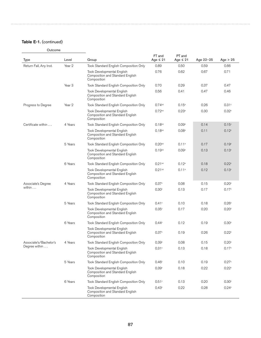## Table E-1. (continued)

Outcome

| <b>Type</b>            | Level             | Group                                                                                | FT and<br>Age $\leq 21$ | PT and<br>Age $\leq 21$ | Age 22-25 | Age $> 25$        |
|------------------------|-------------------|--------------------------------------------------------------------------------------|-------------------------|-------------------------|-----------|-------------------|
| Return Fall, Any Inst. | Year 2            | Took Standard English Composition Only                                               | 0.89                    | 0.50                    | 0.59      | 0.66              |
|                        |                   | <b>Took Developmental English</b><br>Composition and Standard English<br>Composition | 0.76                    | 0.62                    | 0.67      | 0.71              |
|                        | Year <sub>3</sub> | Took Standard English Composition Only                                               | 0.70                    | 0.29                    | 0.37      | 0.47              |
|                        |                   | Took Developmental English<br>Composition and Standard English<br>Composition        | 0.56                    | 0.41                    | 0.47      | 0.46              |
| Progress to Degree     | Year 2            | Took Standard English Composition Only                                               | $0.74$ <sub>a,c</sub>   | $0.15^{\circ}$          | 0.26      | 0.31c             |
|                        |                   | Took Developmental English<br>Composition and Standard English<br>Composition        | $0.72a$ <sub>c</sub>    | 0.23a                   | 0.30      | 0.32c             |
| Certificate within     | 4 Years           | Took Standard English Composition Only                                               | $0.18^{a,c}$            | 0.09 <sup>a</sup>       | 0.14      | 0.15 <sup>c</sup> |
|                        |                   | Took Developmental English<br>Composition and Standard English<br>Composition        | $0.18^{a,c}$            | 0.08 <sup>a</sup>       | 0.11      | 0.12 <sup>c</sup> |
|                        | 5 Years           | Took Standard English Composition Only                                               | $0.20$ <sub>a,c</sub>   | 0.11a                   | 0.17      | 0.19 <sup>c</sup> |
|                        |                   | <b>Took Developmental English</b><br>Composition and Standard English<br>Composition | $0.19^{a,c}$            | 0.09 <sup>a</sup>       | 0.13      | 0.13 <sup>c</sup> |
|                        | 6 Years           | Took Standard English Composition Only                                               | $0.21a$ c               | 0.12 <sup>a</sup>       | 0.18      | 0.22 <sup>c</sup> |
|                        |                   | <b>Took Developmental English</b><br>Composition and Standard English<br>Composition | $0.21$ <sup>a,c</sup>   | 0.11 <sup>a</sup>       | 0.12      | 0.13c             |
| Associate's Degree     | 4 Years           | Took Standard English Composition Only                                               | 0.37c                   | 0.08                    | 0.15      | 0.20c             |
| within                 |                   | <b>Took Developmental English</b><br>Composition and Standard English<br>Composition | 0.30c                   | 0.13                    | 0.17      | 0.17c             |
|                        | 5 Years           | Took Standard English Composition Only                                               | 0.41c                   | 0.10                    | 0.18      | 0.26c             |
|                        |                   | Took Developmental English<br>Composition and Standard English<br>Composition        | 0.35c                   | 0.17                    | 0.20      | 0.20c             |
|                        | 6 Years           | Took Standard English Composition Only                                               | 0.44c                   | 0.12                    | 0.19      | 0.30c             |
|                        |                   | Took Developmental English<br>Composition and Standard English<br>Composition        | 0.37c                   | 0.19                    | 0.26      | $0.22^{\circ}$    |
| Associate's/Bachelor's | 4 Years           | Took Standard English Composition Only                                               | 0.39c                   | 0.08                    | 0.15      | 0.20 <sup>c</sup> |
| Degree within $\dots$  |                   | Took Developmental English<br>Composition and Standard English<br>Composition        | 0.31c                   | 0.13                    | 0.18      | 0.17c             |
|                        | 5 Years           | Took Standard English Composition Only                                               | $0.46^{\circ}$          | 0.10                    | 0.19      | 0.27c             |
|                        |                   | <b>Took Developmental English</b><br>Composition and Standard English<br>Composition | 0.39 <sup>c</sup>       | 0.18                    | 0.22      | 0.22c             |
|                        | 6 Years           | Took Standard English Composition Only                                               | 0.51c                   | 0.13                    | 0.20      | 0.30 <sup>c</sup> |
|                        |                   | <b>Took Developmental English</b><br>Composition and Standard English<br>Composition | 0.43 <sup>c</sup>       | 0.22                    | 0.28      | 0.24c             |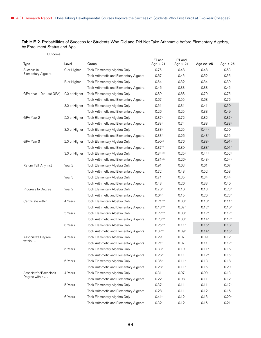Table E-2. Probabilities of Success for Students Who Did and Did Not Take Arithmetic before Elementary Algebra, by Enrollment Status and Age

| Outcome                  |                   |                                        |                         |                         |                   |                     |
|--------------------------|-------------------|----------------------------------------|-------------------------|-------------------------|-------------------|---------------------|
| Type                     | Level             | Group                                  | FT and<br>Age $\leq 21$ | PT and<br>Age $\leq 21$ | Age 22-25         | Age $> 25$          |
| Success in               | C or Higher       | Took Elementary Algebra Only           | 0.75                    | 0.48                    | 0.48              | 0.53                |
| Elementary Algebra       |                   | Took Arithmetic and Elementary Algebra | 0.67                    | 0.45                    | 0.52              | 0.55                |
|                          | B or Higher       | Took Elementary Algebra Only           | 0.54                    | 0.32                    | 0.34              | 0.39                |
|                          |                   | Took Arithmetic and Elementary Algebra | 0.46                    | 0.33                    | 0.38              | 0.45                |
| GPA Year 1 (or Last GPA) | 2.0 or Higher     | Took Elementary Algebra Only           | 0.89                    | 0.68                    | 0.70              | 0.75                |
|                          |                   | Took Arithmetic and Elementary Algebra | 0.67                    | 0.55                    | 0.68              | 0.76                |
|                          | 3.0 or Higher     | Took Elementary Algebra Only           | 0.51                    | 0.31                    | 0.41              | 0.50                |
|                          |                   | Took Arithmetic and Elementary Algebra | 0.26                    | 0.25                    | 0.38              | 0.49                |
| GPA Year 2               | 2.0 or Higher     | Took Elementary Algebra Only           | 0.87c                   | 0.72                    | 0.82              | 0.87c               |
|                          |                   | Took Arithmetic and Elementary Algebra | 0.83c                   | 0.74                    | 0.88              | 0.88c               |
|                          | 3.0 or Higher     | Took Elementary Algebra Only           | 0.38 <sup>b</sup>       | 0.25                    | 0.44 <sup>b</sup> | 0.50                |
|                          |                   | Took Arithmetic and Elementary Algebra | 0.33 <sup>b</sup>       | 0.26                    | 0.43 <sup>b</sup> | 0.55                |
| GPA Year 3               | 2.0 or Higher     | Took Elementary Algebra Only           | 0.90 <sub>b,c</sub>     | 0.76                    | 0.88 <sup>b</sup> | 0.91c               |
|                          |                   | Took Arithmetic and Elementary Algebra | 0.87 <sup>b,c</sup>     | 0.80                    | 0.88 <sup>b</sup> | 0.91c               |
|                          | 3.0 or Higher     | Took Elementary Algebra Only           | 0.34a,b,c               | 0.25a                   | 0.44 <sup>b</sup> | 0.52c               |
|                          |                   | Took Arithmetic and Elementary Algebra | $0.31^{a,b,c}$          | 0.26a                   | 0.43 <sup>b</sup> | 0.54c               |
| Return Fall, Any Inst.   | Year 2            | Took Elementary Algebra Only           | 0.91                    | 0.63                    | 0.61              | 0.67                |
|                          |                   | Took Arithmetic and Elementary Algebra | 0.72                    | 0.48                    | 0.52              | 0.58                |
|                          | Year <sub>3</sub> | Took Elementary Algebra Only           | 0.71                    | 0.35                    | 0.34              | 0.44                |
|                          |                   | Took Arithmetic and Elementary Algebra | 0.48                    | 0.26                    | 0.33              | 0.40                |
| Progress to Degree       | Year 2            | Took Elementary Algebra Only           | 0.70c                   | 0.16                    | 0.18              | 0.23c               |
|                          |                   | Took Arithmetic and Elementary Algebra | 0.64c                   | 0.15                    | 0.20              | 0.23c               |
| Certificate within       | 4 Years           | Took Elementary Algebra Only           | $0.21^{a,b,c}$          | 0.08 <sup>a</sup>       | 0.10 <sup>b</sup> | 0.11c               |
|                          |                   | Took Arithmetic and Elementary Algebra | $0.18^{a,b,c}$          | 0.07 <sup>a</sup>       | 0.12 <sup>b</sup> | 0.10 <sup>c</sup>   |
|                          | 5 Years           | Took Elementary Algebra Only           | 0.22a,b,c               | 0.08 <sup>a</sup>       | 0.12 <sup>b</sup> | 0.12 <sup>c</sup>   |
|                          |                   | Took Arithmetic and Elementary Algebra | 0.23a,b,c               | 0.08 <sup>a</sup>       | 0.14 <sup>b</sup> | 0.12 <sup>c</sup>   |
|                          | 6 Years           | Took Elementary Algebra Only           | 0.25a,b,c               | 0.11a                   | 0.15 <sup>b</sup> | 0.18 <sup>c</sup>   |
|                          |                   | Took Arithmetic and Elementary Algebra | $0.32^{b,c}$            | 0.09a                   | 0.14 <sup>b</sup> | 0.15 <sup>c</sup>   |
| Associate's Degree       | 4 Years           | Took Elementary Algebra Only           | 0.29c                   | 0.07                    | 0.09              | 0.12 <sup>c</sup>   |
| within $\dots$           |                   | Took Arithmetic and Elementary Algebra | $0.21$ °                | $0.07$                  | 0.11              | $0.12$ <sup>c</sup> |
|                          | 5 Years           | Took Elementary Algebra Only           | $0.33^{b,c}$            | 0.10                    | 0.11 <sup>b</sup> | 0.16 <sup>c</sup>   |
|                          |                   | Took Arithmetic and Elementary Algebra | $0.26^{b,c}$            | 0.11                    | 0.12 <sup>b</sup> | 0.15 <sup>c</sup>   |
|                          | 6 Years           | Took Elementary Algebra Only           | $0.35a$ <sub>c</sub>    | 0.11a                   | 0.13              | 0.18 <sup>c</sup>   |
|                          |                   | Took Arithmetic and Elementary Algebra | $0.28$ <sub>a,c</sub>   | 0.11a                   | 0.15              | 0.20c               |
| Associate's/Bachelor's   | 4 Years           | Took Elementary Algebra Only           | 0.31                    | 0.07                    | 0.09              | 0.13                |
| Degree within            |                   | Took Arithmetic and Elementary Algebra | 0.22                    | 0.08                    | 0.11              | 0.12                |
|                          | 5 Years           | Took Elementary Algebra Only           | 0.37c                   | 0.11                    | 0.11              | 0.17c               |
|                          |                   | Took Arithmetic and Elementary Algebra | 0.28c                   | 0.11                    | 0.12              | 0.16 <sup>c</sup>   |
|                          | 6 Years           | Took Elementary Algebra Only           | 0.41c                   | 0.12                    | 0.13              | 0.20c               |
|                          |                   | Took Arithmetic and Elementary Algebra | $0.32$ <sup>c</sup>     | 0.12                    | 0.16              | $0.21$ °            |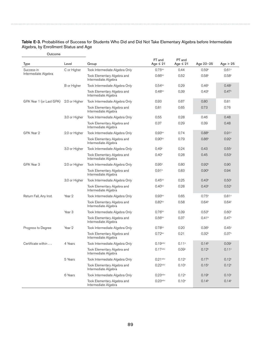| Table E-3. Probabilities of Success for Students Who Did and Did Not Take Elementary Algebra before Intermediate |
|------------------------------------------------------------------------------------------------------------------|
| Algebra, by Enrollment Status and Age                                                                            |

| Type                     | Level             | Group                                               | FT and<br>Age $\leq 21$ | PT and<br>Age $\leq 21$ | Age 22-25         | Age $> 25$        |
|--------------------------|-------------------|-----------------------------------------------------|-------------------------|-------------------------|-------------------|-------------------|
| Success in               | C or Higher       | Took Intermediate Algebra Only                      | $0.75^{b,c}$            | 0.44                    | 0.59 <sup>b</sup> | 0.61 <sup>c</sup> |
| Intermediate Algebra     |                   | Took Elementary Algebra and<br>Intermediate Algebra | $0.66^{b,c}$            | 0.52                    | 0.58 <sup>b</sup> | 0.58c             |
|                          | B or Higher       | Took Intermediate Algebra Only                      | $0.54$ <sub>b,c</sub>   | 0.29                    | 0.46 <sup>b</sup> | 0.48c             |
|                          |                   | Took Elementary Algebra and<br>Intermediate Algebra | 0.48 <sup>b,c</sup>     | 0.39                    | 0.43 <sup>b</sup> | 0.47c             |
| GPA Year 1 (or Last GPA) | 2.0 or Higher     | Took Intermediate Algebra Only                      | 0.93                    | 0.67                    | 0.80              | 0.81              |
|                          |                   | Took Elementary Algebra and<br>Intermediate Algebra | 0.81                    | 0.65                    | 0.73              | 0.76              |
|                          | 3.0 or Higher     | Took Intermediate Algebra Only                      | 0.55                    | 0.28                    | 0.46              | 0.48              |
|                          |                   | Took Elementary Algebra and<br>Intermediate Algebra | 0.37                    | 0.29                    | 0.39              | 0.48              |
| GPA Year 2               | 2.0 or Higher     | Took Intermediate Algebra Only                      | 0.93 <sub>b,c</sub>     | 0.74                    | 0.88 <sup>b</sup> | 0.91c             |
|                          |                   | Took Elementary Algebra and<br>Intermediate Algebra | 0.90 <sub>b,c</sub>     | 0.79                    | 0.86 <sup>b</sup> | 0.92c             |
|                          | 3.0 or Higher     | Took Intermediate Algebra Only                      | 0.49 <sup>c</sup>       | 0.24                    | 0.43              | 0.55c             |
|                          |                   | Took Elementary Algebra and<br>Intermediate Algebra | 0.40 <sup>c</sup>       | 0.28                    | 0.45              | 0.53c             |
| GPA Year 3               | 2.0 or Higher     | Took Intermediate Algebra Only                      | 0.95 <sup>b</sup>       | 0.80                    | 0.92 <sup>b</sup> | 0.90              |
|                          |                   | Took Elementary Algebra and<br>Intermediate Algebra | 0.91 <sup>b</sup>       | 0.83                    | 0.90 <sup>b</sup> | 0.94              |
|                          | 3.0 or Higher     | Took Intermediate Algebra Only                      | $0.45^{b,c}$            | 0.25                    | 0.43 <sup>b</sup> | 0.50 <sup>c</sup> |
|                          |                   | Took Elementary Algebra and<br>Intermediate Algebra | $0.40^{b,c}$            | 0.28                    | 0.43 <sup>b</sup> | 0.52 <sup>c</sup> |
| Return Fall, Any Inst.   | Year 2            | Took Intermediate Algebra Only                      | 0.93 <sub>b,c</sub>     | 0.65                    | 0.75 <sup>b</sup> | 0.81c             |
|                          |                   | Took Elementary Algebra and<br>Intermediate Algebra | $0.82^{b,c}$            | 0.58                    | 0.64 <sup>b</sup> | 0.64 <sup>c</sup> |
|                          | Year <sub>3</sub> | Took Intermediate Algebra Only                      | 0.76 <sup>b,c</sup>     | 0.39                    | 0.53 <sup>b</sup> | 0.60 <sup>c</sup> |
|                          |                   | Took Elementary Algebra and<br>Intermediate Algebra | 0.56 <sup>b,c</sup>     | 0.37                    | 0.41 <sup>b</sup> | 0.47c             |
| Progress to Degree       | Year 2            | Took Intermediate Algebra Only                      | $0.78$ <sub>b,c</sub>   | 0.20                    | 0.36 <sup>b</sup> | $0.45^{\circ}$    |
|                          |                   | Took Elementary Algebra and<br>Intermediate Algebra | $0.72^{b,c}$            | 0.21                    | 0.32 <sup>b</sup> | 0.37c             |
| Certificate within       | 4 Years           | Took Intermediate Algebra Only                      | $0.19^{a,b,c}$          | 0.11 <sup>a</sup>       | 0.14 <sup>b</sup> | 0.09c             |
|                          |                   | Took Elementary Algebra and<br>Intermediate Algebra | 0.17a,b,c               | 0.09 <sup>a</sup>       | 0.12 <sup>b</sup> | 0.11c             |
|                          | 5 Years           | Took Intermediate Algebra Only                      | $0.21^{a,b,c}$          | $0.12^{a}$              | 0.17 <sup>b</sup> | 0.12c             |
|                          |                   | Took Elementary Algebra and<br>Intermediate Algebra | 0.22a,b,c               | $0.10^{a}$              | 0.15 <sup>b</sup> | 0.12 <sup>c</sup> |
|                          | 6 Years           | Took Intermediate Algebra Only                      | 0.23a,b,c               | $0.12^{a}$              | 0.19 <sup>b</sup> | 0.10 <sup>c</sup> |
|                          |                   | Took Elementary Algebra and<br>Intermediate Algebra | 0.23a,b,c               | $0.10^{a}$              | 0.14 <sup>b</sup> | 0.14c             |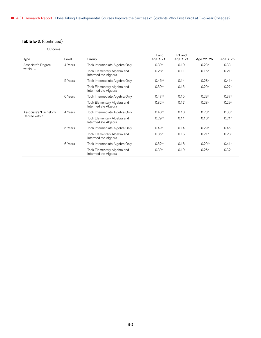## Table E-3. (continued)

| Outcome                |         |                                                     |                         |                         |                   |                   |
|------------------------|---------|-----------------------------------------------------|-------------------------|-------------------------|-------------------|-------------------|
| Type                   | Level   | Group                                               | FT and<br>Age $\leq 21$ | PT and<br>Age $\leq 21$ | Age 22-25         | Age $> 25$        |
| Associate's Degree     | 4 Years | Took Intermediate Algebra Only                      | 0.39 <sup>b,c</sup>     | 0.10                    | 0.23 <sup>b</sup> | 0.33c             |
| within                 |         | Took Elementary Algebra and<br>Intermediate Algebra | $0.28$ <sub>b,c</sub>   | 0.11                    | 0.16 <sup>b</sup> | 0.21c             |
|                        | 5 Years | Took Intermediate Algebra Only                      | 0.46 <sup>b,c</sup>     | 0.14                    | 0.28 <sup>b</sup> | 0.41c             |
|                        |         | Took Elementary Algebra and<br>Intermediate Algebra | 0.30 <sup>b,c</sup>     | 0.15                    | 0.20 <sup>b</sup> | 0.27c             |
|                        | 6 Years | Took Intermediate Algebra Only                      | 0.47 <sup>b,c</sup>     | 0.15                    | 0.28 <sup>b</sup> | 0.37c             |
|                        |         | Took Elementary Algebra and<br>Intermediate Algebra | $0.32$ bc               | 0.17                    | 0.23 <sup>b</sup> | 0.29c             |
| Associate's/Bachelor's | 4 Years | Took Intermediate Algebra Only                      | $0.40^{b,c}$            | 0.10                    | 0.23 <sup>b</sup> | 0.33c             |
| Degree within          |         | Took Elementary Algebra and<br>Intermediate Algebra | 0.29 <sub>b,c</sub>     | 0.11                    | 0.16 <sup>b</sup> | 0.21c             |
|                        | 5 Years | Took Intermediate Algebra Only                      | 0.49 <sup>b,c</sup>     | 0.14                    | 0.29 <sup>b</sup> | 0.45 <sup>c</sup> |
|                        |         | Took Elementary Algebra and<br>Intermediate Algebra | $0.35^{b,c}$            | 0.16                    | 0.21 <sup>b</sup> | 0.28c             |
|                        | 6 Years | Took Intermediate Algebra Only                      | $0.52^{b,c}$            | 0.16                    | 0.29 <sup>b</sup> | 0.41c             |
|                        |         | Took Elementary Algebra and<br>Intermediate Algebra | 0.39 <sub>b,c</sub>     | 0.19                    | 0.26 <sup>b</sup> | 0.32c             |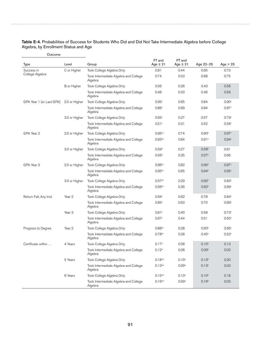| Table E-4. Probabilities of Success for Students Who Did and Did Not Take Intermediate Algebra before College |  |
|---------------------------------------------------------------------------------------------------------------|--|
| Algebra, by Enrollment Status and Age                                                                         |  |

| Outcome                  |               |                                                  |                         |                         |                   |                   |
|--------------------------|---------------|--------------------------------------------------|-------------------------|-------------------------|-------------------|-------------------|
| <b>Type</b>              | Level         | Group                                            | FT and<br>Age $\leq 21$ | PT and<br>Age $\leq 21$ | Age 22-25         | Age $> 25$        |
| Success in               | C or Higher   | Took College Algebra Only                        | 0.81                    | 0.44                    | 0.65              | 0.73              |
| College Algebra          |               | Took Intermediate Algebra and College<br>Algebra | 0.74                    | 0.53                    | 0.68              | 0.75              |
|                          | B or Higher   | Took College Algebra Only                        | 0.56                    | 0.26                    | 0.43              | 0.56              |
|                          |               | Took Intermediate Algebra and College<br>Algebra | 0.48                    | 0.33                    | 0.46              | 0.59              |
| GPA Year 1 (or Last GPA) | 2.0 or Higher | Took College Algebra Only                        | 0.95c                   | 0.65                    | 0.84              | 0.90 <sup>c</sup> |
|                          |               | Took Intermediate Algebra and College<br>Algebra | 0.89c                   | 0.69                    | 0.84              | 0.87c             |
|                          | 3.0 or Higher | Took College Algebra Only                        | 0.65c                   | 0.27                    | 0.57              | 0.79c             |
|                          |               | Took Intermediate Algebra and College<br>Algebra | 0.51c                   | 0.31                    | 0.52              | 0.56c             |
| GPA Year 2               | 2.0 or Higher | Took College Algebra Only                        | $0.95^{b,c}$            | 0.74                    | 0.90 <sup>b</sup> | 0.97c             |
|                          |               | Took Intermediate Algebra and College<br>Algebra | 0.93 <sub>b,c</sub>     | 0.84                    | 0.91 <sup>b</sup> | 0.94c             |
|                          | 3.0 or Higher | Took College Algebra Only                        | 0.59 <sup>b</sup>       | 0.27                    | 0.58 <sup>b</sup> | 0.81              |
|                          |               | Took Intermediate Algebra and College<br>Algebra | 0.56 <sup>b</sup>       | 0.35                    | 0.57 <sup>b</sup> | 0.66              |
| GPA Year 3               | 2.0 or Higher | Took College Algebra Only                        | 0.96 <sup>b,c</sup>     | 0.82                    | 0.95 <sup>b</sup> | 0.97c             |
|                          |               | Took Intermediate Algebra and College<br>Algebra | 0.95 <sub>b,c</sub>     | 0.85                    | 0.94 <sup>b</sup> | 0.95c             |
|                          | 3.0 or Higher | Took College Algebra Only                        | 0.57 <sup>b,c</sup>     | 0.29                    | 0.60 <sup>b</sup> | 0.83c             |
|                          |               | Took Intermediate Algebra and College<br>Algebra | 0.56 <sup>b,c</sup>     | 0.36                    | 0.62 <sup>b</sup> | 0.69c             |
| Return Fall, Any Inst.   | Year 2        | Took College Algebra Only                        | 0.94c                   | 0.62                    | 0.78              | 0.84c             |
|                          |               | Took Intermediate Algebra and College<br>Algebra | 0.85c                   | 0.63                    | 0.70              | 0.69 <sup>c</sup> |
|                          | Year 3        | Took College Algebra Only                        | 0.81c                   | 0.40                    | 0.58              | 0.73c             |
|                          |               | Took Intermediate Algebra and College<br>Algebra | 0.67c                   | 0.44                    | 0.51              | 0.50 <sup>c</sup> |
| Progress to Degree       | Year 2        | Took College Algebra Only                        | $0.88^{b,c}$            | 0.28                    | 0.60 <sup>b</sup> | 0.66c             |
|                          |               | Took Intermediate Algebra and College<br>Algebra | $0.78^{b,c}$            | 0.28                    | 0.45 <sup>b</sup> | 0.52c             |
| Certificate within       | 4 Years       | Took College Algebra Only                        | 0.17 <sup>b</sup>       | 0.08                    | 0.10 <sup>b</sup> | 0.13              |
|                          |               | Took Intermediate Algebra and College<br>Algebra | 0.12 <sup>b</sup>       | 0.08                    | 0.09 <sup>b</sup> | 0.02              |
|                          | 5 Years       | Took College Algebra Only                        | $0.18^{a,b}$            | 0.10 <sup>a</sup>       | 0.13 <sup>b</sup> | 0.20              |
|                          |               | Took Intermediate Algebra and College<br>Algebra | $0.13^{a,b}$            | 0.09a                   | 0.13 <sup>b</sup> | 0.03              |
|                          | 6 Years       | Took College Algebra Only                        | $0.15^{a,b}$            | $0.10^{a}$              | 0.10 <sup>b</sup> | 0.18              |
|                          |               | Took Intermediate Algebra and College<br>Algebra | $0.16^{a,b}$            | 0.09a                   | 0.16 <sup>b</sup> | 0.03              |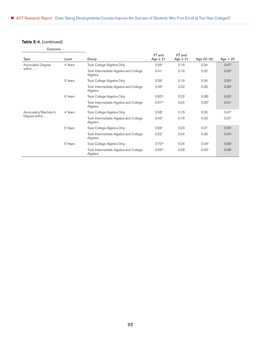## Table E-4. (continued)

| Type                   | Level   | Group                                            | FT and<br>Age $\leq 21$ | PT and<br>Age $\leq 21$ | Age 22-25         | Age $> 25$        |
|------------------------|---------|--------------------------------------------------|-------------------------|-------------------------|-------------------|-------------------|
|                        |         |                                                  |                         |                         |                   |                   |
| Associate's Degree     | 4 Years | Took College Algebra Only                        | 0.56c                   | 0.16                    | 0.34              | 0.47c             |
| within $\ldots$        |         | Took Intermediate Algebra and College<br>Algebra | 0.41c                   | 0.18                    | 0.32              | 0.35c             |
|                        | 5 Years | Took College Algebra Only                        | 0.59c                   | 0.19                    | 0.34              | 0.50 <sup>c</sup> |
|                        |         | Took Intermediate Algebra and College<br>Algebra | 0.46 <sup>c</sup>       | 0.22                    | 0.36              | 0.38c             |
|                        | 6 Years | Took College Algebra Only                        | 0.62 <sup>b,c</sup>     | 0.22                    | 0.38 <sup>b</sup> | 0.52c             |
|                        |         | Took Intermediate Algebra and College<br>Algebra | 0.47 <sup>b,c</sup>     | 0.24                    | 0.35 <sup>b</sup> | 0.41c             |
| Associate's/Bachelor's | 4 Years | Took College Algebra Only                        | 0.58c                   | 0.16                    | 0.35              | 0.47 <sup>c</sup> |
| Degree within          |         | Took Intermediate Algebra and College<br>Algebra | 0.43 <sup>c</sup>       | 0.18                    | 0.33              | 0.37 <sup>c</sup> |
|                        | 5 Years | Took College Algebra Only                        | 0.64 <sup>c</sup>       | 0.20                    | 0.37              | 0.55c             |
|                        |         | Took Intermediate Algebra and College<br>Algebra | 0.52 <sup>c</sup>       | 0.24                    | 0.39              | 0.44c             |
|                        | 6 Years | Took College Algebra Only                        | $0.70$ <sub>b,c</sub>   | 0.24                    | $0.44^{\circ}$    | 0.58c             |
|                        |         | Took Intermediate Algebra and College<br>Algebra | 0.56 <sup>b,c</sup>     | 0.28                    | 0.40 <sup>b</sup> | 0.48c             |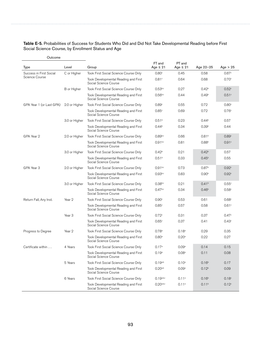#### Table E-5. Probabilities of Success for Students Who Did and Did Not Take Developmental Reading before First Social Science Course, by Enrollment Status and Age

| Outcome                  |                   |                                                               |                         |                         |                   |                   |
|--------------------------|-------------------|---------------------------------------------------------------|-------------------------|-------------------------|-------------------|-------------------|
| Type                     | Level             | Group                                                         | FT and<br>Age $\leq 21$ | PT and<br>Age $\leq 21$ | Age 22-25         | Age $> 25$        |
| Success in First Social  | C or Higher       | Took First Social Science Course Only                         | 0.80 <sup>c</sup>       | 0.45                    | 0.58              | 0.67c             |
| Science Course           |                   | Took Developmental Reading and First<br>Social Science Course | 0.81c                   | 0.64                    | 0.68              | 0.70 <sup>c</sup> |
|                          | B or Higher       | Took First Social Science Course Only                         | 0.53 <sub>b,c</sub>     | 0.27                    | 0.42 <sup>b</sup> | 0.52 <sup>c</sup> |
|                          |                   | Took Developmental Reading and First<br>Social Science Course | $0.56$ <sub>b,c</sub>   | 0.44                    | 0.49 <sup>b</sup> | 0.51c             |
| GPA Year 1 (or Last GPA) | 2.0 or Higher     | Took First Social Science Course Only                         | 0.89c                   | 0.55                    | 0.72              | 0.80 <sup>c</sup> |
|                          |                   | Took Developmental Reading and First<br>Social Science Course | 0.85c                   | 0.69                    | 0.72              | 0.76c             |
|                          | 3.0 or Higher     | Took First Social Science Course Only                         | 0.51 <sup>b</sup>       | 0.23                    | 0.44 <sup>b</sup> | 0.57              |
|                          |                   | Took Developmental Reading and First<br>Social Science Course | $0.44^{\circ}$          | 0.34                    | 0.39 <sup>b</sup> | 0.44              |
| GPA Year 2               | 2.0 or Higher     | Took First Social Science Course Only                         | 0.89 <sub>b,c</sub>     | 0.66                    | 0.81 <sup>b</sup> | 0.89 <sup>c</sup> |
|                          |                   | Took Developmental Reading and First<br>Social Science Course | 0.91 <sub>bc</sub>      | 0.81                    | 0.88 <sup>b</sup> | 0.91c             |
|                          | 3.0 or Higher     | Took First Social Science Course Only                         | 0.42 <sup>b</sup>       | 0.21                    | 0.42 <sup>b</sup> | 0.57              |
|                          |                   | Took Developmental Reading and First<br>Social Science Course | 0.51 <sup>b</sup>       | 0.33                    | 0.45 <sup>b</sup> | 0.55              |
| GPA Year 3               | 2.0 or Higher     | Took First Social Science Course Only                         | 0.91 <sub>bc</sub>      | 0.73                    | 0.87 <sup>b</sup> | 0.92 <sup>c</sup> |
|                          |                   | Took Developmental Reading and First<br>Social Science Course | 0.93 <sub>pc</sub>      | 0.83                    | 0.90 <sup>b</sup> | 0.92c             |
|                          | 3.0 or Higher     | Took First Social Science Course Only                         | $0.38^{b,c}$            | 0.21                    | 0.41 <sup>b</sup> | 0.55c             |
|                          |                   | Took Developmental Reading and First<br>Social Science Course | 0.47 <sup>b,c</sup>     | 0.34                    | 0.46 <sup>b</sup> | 0.58c             |
| Return Fall, Any Inst.   | Year 2            | Took First Social Science Course Only                         | 0.90c                   | 0.53                    | 0.61              | 0.68c             |
|                          |                   | Took Developmental Reading and First<br>Social Science Course | 0.85c                   | 0.57                    | 0.58              | 0.61c             |
|                          | Year <sub>3</sub> | Took First Social Science Course Only                         | 0.72c                   | 0.31                    | 0.37              | 0.47 <sup>c</sup> |
|                          |                   | Took Developmental Reading and First<br>Social Science Course | 0.65c                   | 0.37                    | 0.41              | 0.43c             |
| Progress to Degree       | Year 2            | Took First Social Science Course Only                         | 0.78a                   | 0.18 <sup>a</sup>       | 0.29              | 0.35              |
|                          |                   | Took Developmental Reading and First<br>Social Science Course | 0.80 <sup>a</sup>       | 0.20 <sup>a</sup>       | 0.22              | 0.27              |
| Certificate within       | 4 Years           | Took First Social Science Course Only                         | 0.17a                   | 0.09a                   | 0.14              | 0.15              |
|                          |                   | Took Developmental Reading and First<br>Social Science Course | $0.19^{\rm a}$          | 0.08 <sup>a</sup>       | 0.11              | 0.08              |
|                          | 5 Years           | Took First Social Science Course Only                         | $0.19^{a,b}$            | $0.10^{a}$              | 0.16 <sup>b</sup> | 0.17              |
|                          |                   | Took Developmental Reading and First<br>Social Science Course | 0.20a,b                 | 0.09 <sup>a</sup>       | 0.12 <sup>b</sup> | 0.09              |
|                          | 6 Years           | Took First Social Science Course Only                         | 0.19a,b,c               | 0.11a                   | 0.16 <sup>b</sup> | 0.18 <sup>c</sup> |
|                          |                   | Took Developmental Reading and First<br>Social Science Course | 0.20a,b,c               | 0.11a                   | 0.11 <sup>b</sup> | 0.12 <sup>c</sup> |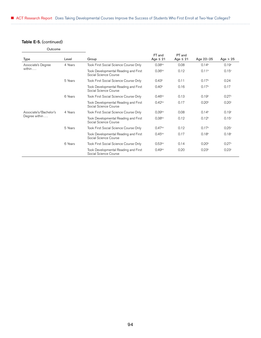## Table E-5. (continued)

Outcome

| Type                   | Level   | Group                                                         | FT and<br>Age $\leq 21$ | PT and<br>Age $\leq 21$ | Age 22-25         | Age $> 25$        |
|------------------------|---------|---------------------------------------------------------------|-------------------------|-------------------------|-------------------|-------------------|
| Associate's Degree     | 4 Years | Took First Social Science Course Only                         | 0.38 <sup>b,c</sup>     | 0.08                    | 0.14 <sup>b</sup> | 0.19 <sup>c</sup> |
| within $\ldots$        |         | Took Developmental Reading and First<br>Social Science Course | 0.36 <sup>b,c</sup>     | 0.12                    | 0.11 <sup>b</sup> | 0.15 <sup>c</sup> |
|                        | 5 Years | Took First Social Science Course Only                         | 0.43 <sup>b</sup>       | 0.11                    | 0.17 <sup>b</sup> | 0.24              |
|                        |         | Took Developmental Reading and First<br>Social Science Course | 0.40 <sup>b</sup>       | 0.16                    | 0.17 <sup>b</sup> | 0.17              |
|                        | 6 Years | Took First Social Science Course Only                         | $0.46^{b,c}$            | 0.13                    | 0.19 <sup>b</sup> | 0.27c             |
|                        |         | Took Developmental Reading and First<br>Social Science Course | $0.42^{b,c}$            | 0.17                    | 0.20 <sup>b</sup> | 0.20 <sup>c</sup> |
| Associate's/Bachelor's | 4 Years | Took First Social Science Course Only                         | 0.39 <sub>b,c</sub>     | 0.08                    | 0.14 <sup>b</sup> | 0.19 <sup>c</sup> |
| Degree within          |         | Took Developmental Reading and First<br>Social Science Course | 0.38 <sup>b,c</sup>     | 0.12                    | 0.12 <sup>b</sup> | 0.15 <sup>c</sup> |
|                        | 5 Years | Took First Social Science Course Only                         | 0.47 <sup>b,c</sup>     | 0.12                    | 0.17 <sup>b</sup> | 0.25c             |
|                        |         | Took Developmental Reading and First<br>Social Science Course | $0.45^{b,c}$            | 0.17                    | 0.18 <sup>b</sup> | 0.18 <sup>c</sup> |
|                        | 6 Years | Took First Social Science Course Only                         | 0.53 <sup>b,c</sup>     | 0.14                    | 0.20 <sup>b</sup> | 0.27c             |
|                        |         | Took Developmental Reading and First<br>Social Science Course | 0.49 <sub>b,c</sub>     | 0.20                    | 0.23 <sup>b</sup> | 0.23c             |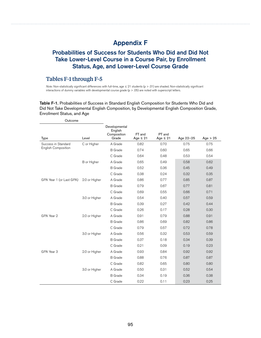# Appendix F

## Probabilities of Success for Students Who Did and Did Not Take Lower-Level Course in a Course Pair, by Enrollment Status, Age, and Lower-Level Course Grade

### Tables F-1 through F-5

*Note:* Non-statistically significant differences with full-time, age ≤ 21 students (p > .01) are shaded. Non-statistically significant interactions of dummy variables with developmental course grade (p > .05) are noted with superscript letters.

Table F-1. Probabilities of Success in Standard English Composition for Students Who Did and Did Not Take Developmental English Composition, by Developmental English Composition Grade, Enrollment Status, and Age

| Outcome                    |               |                                                  |                         |                         |           |            |
|----------------------------|---------------|--------------------------------------------------|-------------------------|-------------------------|-----------|------------|
| <b>Type</b>                | Level         | Developmental<br>English<br>Composition<br>Grade | FT and<br>Age $\leq 21$ | PT and<br>Age $\leq 21$ | Age 22-25 | Age $> 25$ |
| Success in Standard        | C or Higher   | A Grade                                          | 0.82                    | 0.70                    | 0.75      | 0.75       |
| <b>English Composition</b> |               | <b>B</b> Grade                                   | 0.74                    | 0.60                    | 0.65      | 0.66       |
|                            |               | C Grade                                          | 0.64                    | 0.48                    | 0.53      | 0.54       |
|                            | B or Higher   | A Grade                                          | 0.65                    | 0.49                    | 0.58      | 0.62       |
|                            |               | <b>B</b> Grade                                   | 0.52                    | 0.36                    | 0.45      | 0.49       |
|                            |               | C Grade                                          | 0.38                    | 0.24                    | 0.32      | 0.35       |
| GPA Year 1 (or Last GPA)   | 2.0 or Higher | A Grade                                          | 0.86                    | 0.77                    | 0.85      | 0.87       |
|                            |               | <b>B</b> Grade                                   | 0.79                    | 0.67                    | 0.77      | 0.81       |
|                            |               | C Grade                                          | 0.69                    | 0.55                    | 0.66      | 0.71       |
|                            | 3.0 or Higher | A Grade                                          | 0.54                    | 0.40                    | 0.57      | 0.59       |
|                            |               | <b>B</b> Grade                                   | 0.39                    | 0.27                    | 0.42      | 0.44       |
|                            |               | C Grade                                          | 0.26                    | 0.17                    | 0.28      | 0.30       |
| GPA Year 2                 | 2.0 or Higher | A Grade                                          | 0.91                    | 0.79                    | 0.88      | 0.91       |
|                            |               | <b>B</b> Grade                                   | 0.86                    | 0.69                    | 0.82      | 0.86       |
|                            |               | C Grade                                          | 0.79                    | 0.57                    | 0.72      | 0.78       |
|                            | 3.0 or Higher | A Grade                                          | 0.56                    | 0.32                    | 0.53      | 0.59       |
|                            |               | <b>B</b> Grade                                   | 0.37                    | 0.18                    | 0.34      | 0.39       |
|                            |               | C Grade                                          | 0.21                    | 0.09                    | 0.19      | 0.23       |
| GPA Year 3                 | 2.0 or Higher | A Grade                                          | 0.93                    | 0.84                    | 0.92      | 0.92       |
|                            |               | <b>B</b> Grade                                   | 0.88                    | 0.76                    | 0.87      | 0.87       |
|                            |               | C Grade                                          | 0.82                    | 0.65                    | 0.80      | 0.80       |
|                            | 3.0 or Higher | A Grade                                          | 0.50                    | 0.31                    | 0.52      | 0.54       |
|                            |               | <b>B</b> Grade                                   | 0.34                    | 0.19                    | 0.36      | 0.38       |
|                            |               | C Grade                                          | 0.22                    | 0.11                    | 0.23      | 0.25       |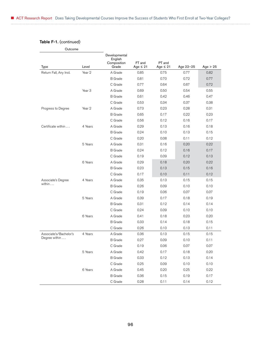## Table F-1. (continued)

|                                       | Level             | Developmental<br>English<br>Composition<br>Grade | FT and<br>Age $\leq 21$ | PT and<br>Age $\leq 21$ | Age 22-25 | Age $> 25$ |
|---------------------------------------|-------------------|--------------------------------------------------|-------------------------|-------------------------|-----------|------------|
| <b>Type</b><br>Return Fall, Any Inst. | Year 2            | A Grade                                          | 0.85                    | 0.75                    | 0.77      | 0.82       |
|                                       |                   | <b>B</b> Grade                                   | 0.81                    | 0.70                    | 0.72      | 0.77       |
|                                       |                   | C Grade                                          | 0.77                    | 0.64                    | 0.67      | 0.72       |
|                                       | Year <sub>3</sub> | A Grade                                          | 0.69                    | 0.50                    | 0.54      | 0.55       |
|                                       |                   | <b>B</b> Grade                                   | 0.61                    | 0.42                    | 0.46      | 0.47       |
|                                       |                   | C Grade                                          | 0.53                    | 0.34                    | 0.37      | 0.38       |
| Progress to Degree                    | Year 2            | A Grade                                          | 0.73                    | 0.23                    | 0.28      | 0.31       |
|                                       |                   | <b>B</b> Grade                                   | 0.65                    | 0.17                    | 0.22      | 0.23       |
|                                       |                   | C Grade                                          | 0.56                    | 0.12                    | 0.16      | 0.17       |
| Certificate within                    | 4 Years           | A Grade                                          | 0.29                    | 0.13                    | 0.16      | 0.18       |
|                                       |                   | <b>B</b> Grade                                   | 0.24                    | 0.10                    | 0.13      | 0.15       |
|                                       |                   | C Grade                                          | 0.20                    | 0.08                    | 0.11      | 0.12       |
|                                       | 5 Years           | A Grade                                          | 0.31                    | 0.16                    | 0.20      | 0.22       |
|                                       |                   | <b>B</b> Grade                                   | 0.24                    | 0.12                    | 0.16      | 0.17       |
|                                       |                   | C Grade                                          | 0.19                    | 0.09                    | 0.12      | 0.13       |
|                                       | 6 Years           | A Grade                                          | 0.29                    | 0.18                    | 0.20      | 0.22       |
|                                       |                   | <b>B</b> Grade                                   | 0.23                    | 0.13                    | 0.15      | 0.16       |
|                                       |                   | C Grade                                          | 0.17                    | 0.10                    | 0.11      | 0.12       |
| Associate's Degree                    | 4 Years           | A Grade                                          | 0.35                    | 0.13                    | 0.15      | 0.15       |
| within                                |                   | <b>B</b> Grade                                   | 0.26                    | 0.09                    | 0.10      | 0.10       |
|                                       |                   | C Grade                                          | 0.19                    | 0.06                    | 0.07      | 0.07       |
|                                       | 5 Years           | A Grade                                          | 0.39                    | 0.17                    | 0.18      | 0.19       |
|                                       |                   | <b>B</b> Grade                                   | 0.31                    | 0.12                    | 0.14      | 0.14       |
|                                       |                   | C Grade                                          | 0.24                    | 0.09                    | 0.10      | 0.10       |
|                                       | 6 Years           | A Grade                                          | 0.41                    | 0.18                    | 0.23      | 0.20       |
|                                       |                   | <b>B</b> Grade                                   | 0.33                    | 0.14                    | 0.18      | 0.15       |
|                                       |                   | C Grade                                          | 0.26                    | 0.10                    | 0.13      | 0.11       |
| Associate's/Bachelor's                | 4 Years           | A Grade                                          | 0.36                    | 0.13                    | 0.15      | 0.15       |
| Degree within                         |                   | <b>B</b> Grade                                   | 0.27                    | 0.09                    | 0.10      | 0.11       |
|                                       |                   | C Grade                                          | 0.19                    | 0.06                    | 0.07      | 0.07       |
|                                       | 5 Years           | A Grade                                          | 0.42                    | 0.17                    | 0.18      | 0.20       |
|                                       |                   | <b>B</b> Grade                                   | 0.33                    | 0.12                    | 0.13      | 0.14       |
|                                       |                   | C Grade                                          | 0.25                    | 0.09                    | 0.10      | 0.10       |
|                                       | 6 Years           | A Grade                                          | 0.45                    | 0.20                    | 0.25      | 0.22       |
|                                       |                   | <b>B</b> Grade                                   | 0.36                    | 0.15                    | 0.19      | 0.17       |
|                                       |                   | C Grade                                          | 0.28                    | 0.11                    | 0.14      | 0.12       |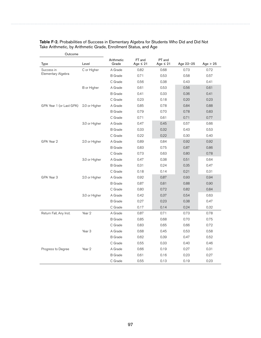| Type                     | Level             | Arithmetic<br>Grade | FT and<br>Age $\leq 21$ | PT and<br>Age $\leq 21$ | Age 22-25 | Age $> 25$ |
|--------------------------|-------------------|---------------------|-------------------------|-------------------------|-----------|------------|
| Success in               | C or Higher       | A Grade             | 0.82                    | 0.68                    | 0.73      | 0.72       |
| Elementary Algebra       |                   | <b>B</b> Grade      | 0.71                    | 0.53                    | 0.58      | 0.57       |
|                          |                   | C Grade             | 0.56                    | 0.38                    | 0.43      | 0.41       |
|                          | B or Higher       | A Grade             | 0.61                    | 0.53                    | 0.56      | 0.61       |
|                          |                   | <b>B</b> Grade      | 0.41                    | 0.33                    | 0.36      | 0.41       |
|                          |                   | C Grade             | 0.23                    | 0.18                    | 0.20      | 0.23       |
| GPA Year 1 (or Last GPA) | 2.0 or Higher     | A Grade             | 0.85                    | 0.78                    | 0.84      | 0.88       |
|                          |                   | <b>B</b> Grade      | 0.79                    | 0.70                    | 0.78      | 0.83       |
|                          |                   | C Grade             | 0.71                    | 0.61                    | 0.71      | 0.77       |
|                          | 3.0 or Higher     | A Grade             | 0.47                    | 0.45                    | 0.57      | 0.66       |
|                          |                   | <b>B</b> Grade      | 0.33                    | 0.32                    | 0.43      | 0.53       |
|                          |                   | C Grade             | 0.22                    | 0.22                    | 0.30      | 0.40       |
| GPA Year 2               | 2.0 or Higher     | A Grade             | 0.89                    | 0.84                    | 0.92      | 0.92       |
|                          |                   | <b>B</b> Grade      | 0.83                    | 0.75                    | 0.87      | 0.86       |
|                          |                   | C Grade             | 0.73                    | 0.63                    | 0.80      | 0.78       |
|                          | 3.0 or Higher     | A Grade             | 0.47                    | 0.38                    | 0.51      | 0.64       |
|                          |                   | <b>B</b> Grade      | 0.31                    | 0.24                    | 0.35      | 0.47       |
|                          |                   | C Grade             | 0.18                    | 0.14                    | 0.21      | 0.31       |
| GPA Year 3               | 2.0 or Higher     | A Grade             | 0.92                    | 0.87                    | 0.93      | 0.94       |
|                          |                   | <b>B</b> Grade      | 0.87                    | 0.81                    | 0.88      | 0.90       |
|                          |                   | C Grade             | 0.80                    | 0.72                    | 0.82      | 0.84       |
|                          | 3.0 or Higher     | A Grade             | 0.42                    | 0.37                    | 0.54      | 0.63       |
|                          |                   | <b>B</b> Grade      | 0.27                    | 0.23                    | 0.38      | 0.47       |
|                          |                   | C Grade             | 0.17                    | 0.14                    | 0.24      | 0.32       |
| Return Fall, Any Inst.   | Year 2            | A Grade             | 0.87                    | 0.71                    | 0.73      | 0.78       |
|                          |                   | <b>B</b> Grade      | 0.85                    | 0.68                    | 0.70      | 0.75       |
|                          |                   | C Grade             | 0.83                    | 0.65                    | 0.66      | 0.72       |
|                          | Year <sub>3</sub> | A Grade             | 0.68                    | 0.45                    | 0.53      | 0.58       |
|                          |                   | <b>B</b> Grade      | 0.62                    | 0.39                    | 0.47      | 0.52       |
|                          |                   | C Grade             | 0.55                    | 0.33                    | 0.40      | 0.46       |
| Progress to Degree       | Year 2            | A Grade             | 0.66                    | 0.19                    | 0.27      | 0.31       |
|                          |                   | <b>B</b> Grade      | 0.61                    | 0.16                    | 0.23      | 0.27       |
|                          |                   | C Grade             | 0.55                    | 0.13                    | 0.19      | 0.23       |

| Table F-2. Probabilities of Success in Elementary Algebra for Students Who Did and Did Not |
|--------------------------------------------------------------------------------------------|
| Take Arithmetic, by Arithmetic Grade, Enrollment Status, and Age                           |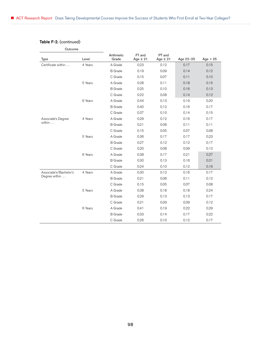## Table F-2. (continued)

| Outcome                |         |                     |                         |                         |           |            |
|------------------------|---------|---------------------|-------------------------|-------------------------|-----------|------------|
| <b>Type</b>            | Level   | Arithmetic<br>Grade | FT and<br>Age $\leq 21$ | PT and<br>Age $\leq 21$ | Age 22-25 | Age $> 25$ |
| Certificate within     | 4 Years | A Grade             | 0.23                    | 0.12                    | 0.17      | 0.15       |
|                        |         | <b>B</b> Grade      | 0.19                    | 0.09                    | 0.14      | 0.12       |
|                        |         | C Grade             | 0.15                    | 0.07                    | 0.11      | 0.10       |
|                        | 5 Years | A Grade             | 0.28                    | 0.11                    | 0.18      | 0.15       |
|                        |         | <b>B</b> Grade      | 0.25                    | 0.10                    | 0.16      | 0.13       |
|                        |         | C Grade             | 0.22                    | 0.08                    | 0.14      | 0.12       |
|                        | 6 Years | A Grade             | 0.44                    | 0.13                    | 0.19      | 0.20       |
|                        |         | <b>B</b> Grade      | 0.40                    | 0.12                    | 0.16      | 0.17       |
|                        |         | C Grade             | 0.37                    | 0.10                    | 0.14      | 0.15       |
| Associate's Degree     | 4 Years | A Grade             | 0.29                    | 0.12                    | 0.16      | 0.17       |
| within                 |         | <b>B</b> Grade      | 0.21                    | 0.08                    | 0.11      | 0.11       |
|                        |         | C Grade             | 0.15                    | 0.05                    | 0.07      | 0.08       |
|                        | 5 Years | A Grade             | 0.36                    | 0.17                    | 0.17      | 0.23       |
|                        |         | <b>B</b> Grade      | 0.27                    | 0.12                    | 0.12      | 0.17       |
|                        |         | C Grade             | 0.20                    | 0.08                    | 0.09      | 0.12       |
|                        | 6 Years | A Grade             | 0.38                    | 0.17                    | 0.21      | 0.27       |
|                        |         | <b>B</b> Grade      | 0.30                    | 0.13                    | 0.16      | 0.21       |
|                        |         | C Grade             | 0.24                    | 0.10                    | 0.12      | 0.16       |
| Associate's/Bachelor's | 4 Years | A Grade             | 0.30                    | 0.12                    | 0.16      | 0.17       |
| Degree within          |         | <b>B</b> Grade      | 0.21                    | 0.08                    | 0.11      | 0.12       |
|                        |         | C Grade             | 0.15                    | 0.05                    | 0.07      | 0.08       |
|                        | 5 Years | A Grade             | 0.38                    | 0.18                    | 0.18      | 0.24       |
|                        |         | <b>B</b> Grade      | 0.29                    | 0.13                    | 0.13      | 0.17       |
|                        |         | C Grade             | 0.21                    | 0.09                    | 0.09      | 0.12       |
|                        | 6 Years | A Grade             | 0.41                    | 0.19                    | 0.22      | 0.29       |
|                        |         | <b>B</b> Grade      | 0.33                    | 0.14                    | 0.17      | 0.22       |
|                        |         | C Grade             | 0.26                    | 0.10                    | 0.12      | 0.17       |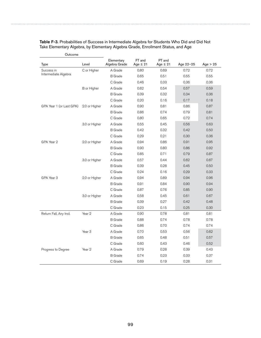| Type                     | Level             | Elementary<br>Algebra Grade | FT and<br>Age $\leq 21$ | PT and<br>Age $\leq 21$ | Age 22-25 | Age $> 25$ |
|--------------------------|-------------------|-----------------------------|-------------------------|-------------------------|-----------|------------|
| Success in               | C or Higher       | A Grade                     | 0.80                    | 0.69                    | 0.72      | 0.72       |
| Intermediate Algebra     |                   | <b>B</b> Grade              | 0.65                    | 0.51                    | 0.55      | 0.55       |
|                          |                   | C Grade                     | 0.46                    | 0.33                    | 0.36      | 0.36       |
|                          | B or Higher       | A Grade                     | 0.62                    | 0.54                    | 0.57      | 0.59       |
|                          |                   | <b>B</b> Grade              | 0.39                    | 0.32                    | 0.34      | 0.36       |
|                          |                   | C Grade                     | 0.20                    | 0.16                    | 0.17      | 0.18       |
| GPA Year 1 (or Last GPA) | 2.0 or Higher     | A Grade                     | 0.90                    | 0.81                    | 0.86      | 0.87       |
|                          |                   | <b>B</b> Grade              | 0.86                    | 0.74                    | 0.79      | 0.81       |
|                          |                   | C Grade                     | 0.80                    | 0.65                    | 0.72      | 0.74       |
|                          | 3.0 or Higher     | A Grade                     | 0.55                    | 0.45                    | 0.56      | 0.63       |
|                          |                   | <b>B</b> Grade              | 0.42                    | 0.32                    | 0.42      | 0.50       |
|                          |                   | C Grade                     | 0.29                    | 0.21                    | 0.30      | 0.36       |
| GPA Year 2               | 2.0 or Higher     | A Grade                     | 0.94                    | 0.86                    | 0.91      | 0.95       |
|                          |                   | <b>B</b> Grade              | 0.90                    | 0.80                    | 0.86      | 0.92       |
|                          |                   | C Grade                     | 0.85                    | 0.71                    | 0.79      | 0.87       |
|                          | 3.0 or Higher     | A Grade                     | 0.57                    | 0.44                    | 0.62      | 0.67       |
|                          |                   | <b>B</b> Grade              | 0.39                    | 0.28                    | 0.45      | 0.50       |
|                          |                   | C Grade                     | 0.24                    | 0.16                    | 0.29      | 0.33       |
| GPA Year 3               | 2.0 or Higher     | A Grade                     | 0.94                    | 0.89                    | 0.94      | 0.96       |
|                          |                   | <b>B</b> Grade              | 0.91                    | 0.84                    | 0.90      | 0.94       |
|                          |                   | C Grade                     | 0.87                    | 0.76                    | 0.85      | 0.90       |
|                          | 3.0 or Higher     | A Grade                     | 0.58                    | 0.45                    | 0.61      | 0.67       |
|                          |                   | <b>B</b> Grade              | 0.39                    | 0.27                    | 0.42      | 0.48       |
|                          |                   | C Grade                     | 0.23                    | 0.15                    | 0.25      | 0.30       |
| Return Fall, Any Inst.   | Year 2            | A Grade                     | 0.90                    | 0.78                    | 0.81      | 0.81       |
|                          |                   | <b>B</b> Grade              | 0.88                    | 0.74                    | 0.78      | 0.78       |
|                          |                   | C Grade                     | 0.86                    | 0.70                    | 0.74      | 0.74       |
|                          | Year <sub>3</sub> | A Grade                     | 0.70                    | 0.53                    | 0.56      | 0.62       |
|                          |                   | <b>B</b> Grade              | 0.65                    | 0.48                    | 0.51      | 0.57       |
|                          |                   | C Grade                     | 0.60                    | 0.43                    | 0.46      | 0.52       |
| Progress to Degree       | Year 2            | A Grade                     | 0.79                    | 0.28                    | 0.39      | 0.43       |
|                          |                   | <b>B</b> Grade              | 0.74                    | 0.23                    | 0.33      | 0.37       |
|                          |                   | C Grade                     | 0.69                    | 0.19                    | 0.28      | 0.31       |

Table F-3. Probabilities of Success in Intermediate Algebra for Students Who Did and Did Not Take Elementary Algebra, by Elementary Algebra Grade, Enrollment Status, and Age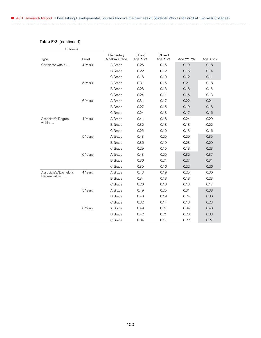## Table F-3. (continued)

| Outcome                |         |                             |                         |                         |           |            |
|------------------------|---------|-----------------------------|-------------------------|-------------------------|-----------|------------|
| <b>Type</b>            | Level   | Elementary<br>Algebra Grade | FT and<br>Age $\leq 21$ | PT and<br>Age $\leq 21$ | Age 22-25 | Age $> 25$ |
| Certificate within     | 4 Years | A Grade                     | 0.26                    | 0.15                    | 0.19      | 0.18       |
|                        |         | <b>B</b> Grade              | 0.22                    | 0.12                    | 0.16      | 0.14       |
|                        |         | C Grade                     | 0.18                    | 0.10                    | 0.12      | 0.11       |
|                        | 5 Years | A Grade                     | 0.31                    | 0.16                    | 0.21      | 0.18       |
|                        |         | <b>B</b> Grade              | 0.28                    | 0.13                    | 0.18      | 0.15       |
|                        |         | C Grade                     | 0.24                    | 0.11                    | 0.16      | 0.13       |
|                        | 6 Years | A Grade                     | 0.31                    | 0.17                    | 0.22      | 0.21       |
|                        |         | <b>B</b> Grade              | 0.27                    | 0.15                    | 0.19      | 0.18       |
|                        |         | C Grade                     | 0.24                    | 0.13                    | 0.17      | 0.16       |
| Associate's Degree     | 4 Years | A Grade                     | 0.41                    | 0.18                    | 0.24      | 0.29       |
| within $\ldots$        |         | <b>B</b> Grade              | 0.32                    | 0.13                    | 0.18      | 0.22       |
|                        |         | C Grade                     | 0.25                    | 0.10                    | 0.13      | 0.16       |
|                        | 5 Years | A Grade                     | 0.43                    | 0.25                    | 0.29      | 0.35       |
|                        |         | <b>B</b> Grade              | 0.36                    | 0.19                    | 0.23      | 0.29       |
|                        |         | C Grade                     | 0.29                    | 0.15                    | 0.18      | 0.23       |
|                        | 6 Years | A Grade                     | 0.43                    | 0.25                    | 0.32      | 0.37       |
|                        |         | <b>B</b> Grade              | 0.36                    | 0.21                    | 0.27      | 0.31       |
|                        |         | C Grade                     | 0.30                    | 0.16                    | 0.22      | 0.26       |
| Associate's/Bachelor's | 4 Years | A Grade                     | 0.43                    | 0.19                    | 0.25      | 0.30       |
| Degree within          |         | <b>B</b> Grade              | 0.34                    | 0.13                    | 0.18      | 0.23       |
|                        |         | C Grade                     | 0.26                    | 0.10                    | 0.13      | 0.17       |
|                        | 5 Years | A Grade                     | 0.49                    | 0.25                    | 0.31      | 0.38       |
|                        |         | <b>B</b> Grade              | 0.40                    | 0.19                    | 0.24      | 0.30       |
|                        |         | C Grade                     | 0.32                    | 0.14                    | 0.18      | 0.23       |
|                        | 6 Years | A Grade                     | 0.49                    | 0.27                    | 0.34      | 0.40       |
|                        |         | <b>B</b> Grade              | 0.42                    | 0.21                    | 0.28      | 0.33       |
|                        |         | C Grade                     | 0.34                    | 0.17                    | 0.22      | 0.27       |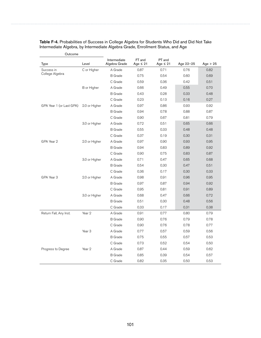| Type                     | Level             | Intermediate<br>Algebra Grade | FT and<br>Age $\leq 21$ | PT and<br>Age $\leq 21$ | Age 22-25 | Age $> 25$ |
|--------------------------|-------------------|-------------------------------|-------------------------|-------------------------|-----------|------------|
| Success in               | C or Higher       | A Grade                       | 0.87                    | 0.71                    | 0.76      | 0.82       |
| College Algebra          |                   | <b>B</b> Grade                | 0.75                    | 0.54                    | 0.60      | 0.69       |
|                          |                   | C Grade                       | 0.59                    | 0.36                    | 0.42      | 0.51       |
|                          | B or Higher       | A Grade                       | 0.66                    | 0.49                    | 0.55      | 0.70       |
|                          |                   | <b>B</b> Grade                | 0.43                    | 0.28                    | 0.33      | 0.48       |
|                          |                   | C Grade                       | 0.23                    | 0.13                    | 0.16      | 0.27       |
| GPA Year 1 (or Last GPA) | 2.0 or Higher     | A Grade                       | 0.97                    | 0.86                    | 0.93      | 0.92       |
|                          |                   | <b>B</b> Grade                | 0.94                    | 0.78                    | 0.88      | 0.87       |
|                          |                   | C Grade                       | 0.90                    | 0.67                    | 0.81      | 0.79       |
|                          | 3.0 or Higher     | A Grade                       | 0.72                    | 0.51                    | 0.65      | 0.66       |
|                          |                   | <b>B</b> Grade                | 0.55                    | 0.33                    | 0.48      | 0.48       |
|                          |                   | C Grade                       | 0.37                    | 0.19                    | 0.30      | 0.31       |
| GPA Year 2               | 2.0 or Higher     | A Grade                       | 0.97                    | 0.90                    | 0.93      | 0.95       |
|                          |                   | <b>B</b> Grade                | 0.94                    | 0.83                    | 0.89      | 0.92       |
|                          |                   | C Grade                       | 0.90                    | 0.75                    | 0.83      | 0.87       |
|                          | 3.0 or Higher     | A Grade                       | 0.71                    | 0.47                    | 0.65      | 0.68       |
|                          |                   | <b>B</b> Grade                | 0.54                    | 0.30                    | 0.47      | 0.51       |
|                          |                   | C Grade                       | 0.36                    | 0.17                    | 0.30      | 0.33       |
| GPA Year 3               | 2.0 or Higher     | A Grade                       | 0.98                    | 0.91                    | 0.96      | 0.95       |
|                          |                   | <b>B</b> Grade                | 0.97                    | 0.87                    | 0.94      | 0.92       |
|                          |                   | C Grade                       | 0.95                    | 0.81                    | 0.91      | 0.89       |
|                          | 3.0 or Higher     | A Grade                       | 0.68                    | 0.47                    | 0.66      | 0.72       |
|                          |                   | <b>B</b> Grade                | 0.51                    | 0.30                    | 0.48      | 0.56       |
|                          |                   | C Grade                       | 0.33                    | 0.17                    | 0.31      | 0.38       |
| Return Fall, Any Inst.   | Year 2            | A Grade                       | 0.91                    | 0.77                    | 0.80      | 0.79       |
|                          |                   | <b>B</b> Grade                | 0.90                    | 0.76                    | 0.79      | 0.78       |
|                          |                   | C Grade                       | 0.90                    | 0.76                    | 0.78      | 0.77       |
|                          | Year <sub>3</sub> | A Grade                       | 0.77                    | 0.57                    | 0.59      | 0.56       |
|                          |                   | <b>B</b> Grade                | 0.75                    | 0.55                    | 0.57      | 0.53       |
|                          |                   | C Grade                       | 0.73                    | 0.52                    | 0.54      | 0.50       |
| Progress to Degree       | Year 2            | A Grade                       | 0.87                    | 0.44                    | 0.59      | 0.62       |
|                          |                   | <b>B</b> Grade                | 0.85                    | 0.39                    | 0.54      | 0.57       |
|                          |                   | C Grade                       | 0.82                    | 0.35                    | 0.50      | 0.53       |

Table F-4. Probabilities of Success in College Algebra for Students Who Did and Did Not Take Intermediate Algebra, by Intermediate Algebra Grade, Enrollment Status, and Age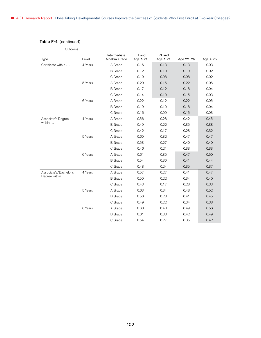## Table F-4. (continued)

| Outcome                |         |                               |                         |                         |           |            |
|------------------------|---------|-------------------------------|-------------------------|-------------------------|-----------|------------|
| Type                   | Level   | Intermediate<br>Algebra Grade | FT and<br>Age $\leq 21$ | PT and<br>Age $\leq 21$ | Age 22-25 | Age $> 25$ |
| Certificate within     | 4 Years | A Grade                       | 0.16                    | 0.13                    | 0.13      | 0.03       |
|                        |         | <b>B</b> Grade                | 0.12                    | 0.10                    | 0.10      | 0.02       |
|                        |         | C Grade                       | 0.10                    | 0.08                    | 0.08      | 0.02       |
|                        | 5 Years | A Grade                       | 0.20                    | 0.15                    | 0.22      | 0.05       |
|                        |         | <b>B</b> Grade                | 0.17                    | 0.12                    | 0.18      | 0.04       |
|                        |         | C Grade                       | 0.14                    | 0.10                    | 0.15      | 0.03       |
|                        | 6 Years | A Grade                       | 0.22                    | 0.12                    | 0.22      | 0.05       |
|                        |         | <b>B</b> Grade                | 0.19                    | 0.10                    | 0.18      | 0.04       |
|                        |         | C Grade                       | 0.16                    | 0.09                    | 0.15      | 0.03       |
| Associate's Degree     | 4 Years | A Grade                       | 0.56                    | 0.28                    | 0.42      | 0.45       |
| within $\ldots$        |         | <b>B</b> Grade                | 0.49                    | 0.22                    | 0.35      | 0.38       |
|                        |         | C Grade                       | 0.42                    | 0.17                    | 0.28      | 0.32       |
|                        | 5 Years | A Grade                       | 0.60                    | 0.32                    | 0.47      | 0.47       |
|                        |         | <b>B</b> Grade                | 0.53                    | 0.27                    | 0.40      | 0.40       |
|                        |         | C Grade                       | 0.46                    | 0.21                    | 0.33      | 0.33       |
|                        | 6 Years | A Grade                       | 0.61                    | 0.35                    | 0.47      | 0.50       |
|                        |         | <b>B</b> Grade                | 0.54                    | 0.30                    | 0.41      | 0.44       |
|                        |         | C Grade                       | 0.48                    | 0.24                    | 0.35      | 0.37       |
| Associate's/Bachelor's | 4 Years | A Grade                       | 0.57                    | 0.27                    | 0.41      | 0.47       |
| Degree within          |         | <b>B</b> Grade                | 0.50                    | 0.22                    | 0.34      | 0.40       |
|                        |         | C Grade                       | 0.43                    | 0.17                    | 0.28      | 0.33       |
|                        | 5 Years | A Grade                       | 0.63                    | 0.34                    | 0.48      | 0.52       |
|                        |         | <b>B</b> Grade                | 0.56                    | 0.28                    | 0.41      | 0.45       |
|                        |         | C Grade                       | 0.49                    | 0.22                    | 0.34      | 0.38       |
|                        | 6 Years | A Grade                       | 0.68                    | 0.40                    | 0.49      | 0.56       |
|                        |         | <b>B</b> Grade                | 0.61                    | 0.33                    | 0.42      | 0.49       |
|                        |         | C Grade                       | 0.54                    | 0.27                    | 0.35      | 0.42       |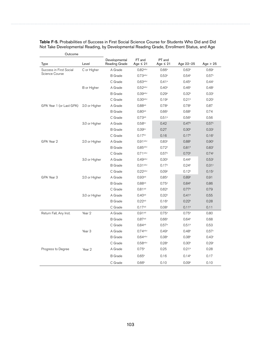| Type                     | Level             | Developmental<br>Reading Grade | FT and<br>Age $\leq 21$ | PT and<br>Age $\leq 21$ | Age 22-25         | Age $> 25$        |
|--------------------------|-------------------|--------------------------------|-------------------------|-------------------------|-------------------|-------------------|
| Success in First Social  | C or Higher       | A Grade                        | $0.82^{a,b,c}$          | 0.66a                   | 0.63 <sup>b</sup> | 0.69c             |
| <b>Science Course</b>    |                   | <b>B</b> Grade                 | 0.73a,b,c               | 0.53 <sup>a</sup>       | 0.54 <sup>b</sup> | 0.57c             |
|                          |                   | C Grade                        | 0.63a,b,c               | 0.41a                   | 0.45 <sup>b</sup> | 0.44c             |
|                          | B or Higher       | A Grade                        | $0.52^{a,b,c}$          | $0.40^{\rm a}$          | 0.46 <sup>b</sup> | 0.48c             |
|                          |                   | <b>B</b> Grade                 | 0.39a,b,c               | 0.29a                   | 0.32 <sup>b</sup> | 0.33c             |
|                          |                   | C Grade                        | $0.30$ <sub>a,b,c</sub> | 0.19a                   | 0.21 <sup>b</sup> | 0.20 <sup>c</sup> |
| GPA Year 1 (or Last GPA) | 2.0 or Higher     | A Grade                        | $0.88^{a,b}$            | 0.78 <sup>a</sup>       | 0.78 <sup>b</sup> | 0.87              |
|                          |                   | <b>B</b> Grade                 | $0.80^{a,b}$            | 0.66a                   | 0.68 <sup>b</sup> | 0.74              |
|                          |                   | C Grade                        | 0.73a,b                 | 0.51a                   | 0.56 <sup>b</sup> | 0.56              |
|                          | 3.0 or Higher     | A Grade                        | 0.58 <sup>b,c</sup>     | 0.42                    | 0.47 <sup>b</sup> | 0.57c             |
|                          |                   | <b>B</b> Grade                 | 0.39 <sub>b,c</sub>     | 0.27                    | 0.30 <sup>b</sup> | 0.33c             |
|                          |                   | C Grade                        | $0.17^{b,c}$            | 0.16                    | 0.17 <sup>b</sup> | 0.16 <sup>c</sup> |
| GPA Year 2               | 2.0 or Higher     | A Grade                        | 0.91 <sub>a,b,c</sub>   | 0.83a                   | 0.88 <sup>b</sup> | 0.90c             |
|                          |                   | <b>B</b> Grade                 | $0.85^{a,b,c}$          | 0.72a                   | 0.81 <sup>b</sup> | 0.83c             |
|                          |                   | C Grade                        | $0.71^{a,b,c}$          | 0.57 <sup>a</sup>       | 0.70 <sup>b</sup> | 0.74c             |
|                          | 3.0 or Higher     | A Grade                        | 0.49a,b,c               | 0.30 <sup>a</sup>       | 0.44 <sup>b</sup> | 0.53c             |
|                          |                   | <b>B</b> Grade                 | $0.31^{a,b,c}$          | 0.17a                   | 0.24 <sup>b</sup> | 0.31c             |
|                          |                   | C Grade                        | 0.22a,b,c               | 0.09a                   | 0.12 <sup>b</sup> | 0.15c             |
| GPA Year 3               | 2.0 or Higher     | A Grade                        | $0.93^{a,b}$            | $0.85$ <sup>a</sup>     | 0.89 <sup>b</sup> | 0.91              |
|                          |                   | <b>B</b> Grade                 | $0.88^{a,b}$            | 0.75a                   | 0.84 <sup>b</sup> | 0.86              |
|                          |                   | C Grade                        | $0.81^{a,b}$            | 0.62 <sup>a</sup>       | 0.77 <sup>b</sup> | 0.79              |
|                          | 3.0 or Higher     | A Grade                        | $0.40^{a,b}$            | 0.32 <sup>a</sup>       | 0.41 <sup>b</sup> | 0.55              |
|                          |                   | <b>B</b> Grade                 | $0.22^{a,b}$            | 0.16 <sup>a</sup>       | 0.22 <sup>b</sup> | 0.28              |
|                          |                   | C Grade                        | $0.17^{a,b}$            | 0.08 <sup>a</sup>       | 0.11 <sup>b</sup> | 0.11              |
| Return Fall, Any Inst.   | Year 2            | A Grade                        | $0.91^{a,b}$            | $0.75^{\circ}$          | 0.75 <sup>b</sup> | 0.80              |
|                          |                   | <b>B</b> Grade                 | $0.87^{a,b}$            | 0.66a                   | 0.64 <sup>b</sup> | 0.68              |
|                          |                   | C Grade                        | $0.84^{a,b}$            | 0.57a                   | 0.51 <sup>b</sup> | 0.53              |
|                          | Year <sub>3</sub> | A Grade                        | 0.74a,b,c               | 0.49a                   | 0.48 <sup>b</sup> | 0.57c             |
|                          |                   | <b>B</b> Grade                 | 0.64a,b,c               | $0.38$ <sup>a</sup>     | 0.38 <sup>b</sup> | 0.43c             |
|                          |                   | C Grade                        | $0.58a,b,c}$            | 0.28 <sup>a</sup>       | 0.30 <sup>b</sup> | 0.29 <sup>c</sup> |
| Progress to Degree       | Year 2            | A Grade                        | 0.75 <sup>b</sup>       | 0.25                    | 0.21 <sup>b</sup> | 0.28              |
|                          |                   | <b>B</b> Grade                 | 0.65 <sup>b</sup>       | 0.16                    | 0.14 <sup>b</sup> | 0.17              |
|                          |                   | C Grade                        | 0.66 <sup>b</sup>       | 0.10                    | 0.09 <sup>b</sup> | 0.10              |

Table F-5. Probabilities of Success in First Social Science Course for Students Who Did and Did Not Take Developmental Reading, by Developmental Reading Grade, Enrollment Status, and Age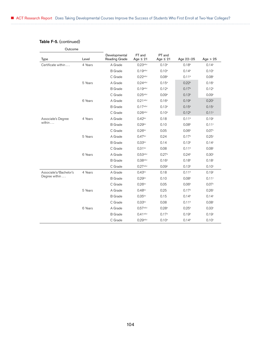## Table F-5. (continued)

| Outcome                |         |                                       |                         |                         |                   |                   |
|------------------------|---------|---------------------------------------|-------------------------|-------------------------|-------------------|-------------------|
| Type                   | Level   | Developmental<br><b>Reading Grade</b> | FT and<br>Age $\leq 21$ | PT and<br>Age $\leq 21$ | Age 22-25         | Age $> 25$        |
| Certificate within     | 4 Years | A Grade                               | 0.23a,b,c               | 0.13 <sup>a</sup>       | 0.18 <sup>b</sup> | 0.14 <sup>c</sup> |
|                        |         | <b>B</b> Grade                        | $0.19^{a,b,c}$          | 0.10 <sup>a</sup>       | 0.14 <sup>b</sup> | 0.10 <sup>c</sup> |
|                        |         | C Grade                               | 0.22a,b,c               | 0.08 <sup>a</sup>       | 0.11 <sup>b</sup> | 0.08c             |
|                        | 5 Years | A Grade                               | $0.24^{a,b,c}$          | $0.15^{a}$              | 0.22 <sup>b</sup> | 0.16 <sup>c</sup> |
|                        |         | <b>B</b> Grade                        | 0.19a,b,c               | 0.12 <sup>a</sup>       | 0.17 <sup>b</sup> | 0.12 <sup>c</sup> |
|                        |         | C Grade                               | 0.25a,b,c               | 0.09 <sup>a</sup>       | 0.13 <sup>b</sup> | 0.09 <sup>c</sup> |
|                        | 6 Years | A Grade                               | $0.21^{a,b,c}$          | 0.16 <sup>a</sup>       | 0.19 <sup>b</sup> | 0.20c             |
|                        |         | <b>B</b> Grade                        | $0.17^{a,b,c}$          | 0.13 <sup>a</sup>       | 0.15 <sup>b</sup> | 0.15c             |
|                        |         | C Grade                               | 0.26a,b,c               | $0.10^{a}$              | 0.12 <sup>b</sup> | 0.11c             |
| Associate's Degree     | 4 Years | A Grade                               | $0.42^{b,c}$            | 0.18                    | 0.11 <sup>b</sup> | 0.19 <sup>c</sup> |
| within                 |         | <b>B</b> Grade                        | $0.29^{b,c}$            | 0.10                    | 0.08 <sup>b</sup> | 0.11c             |
|                        |         | C Grade                               | $0.26^{b,c}$            | 0.05                    | 0.06 <sup>b</sup> | 0.07c             |
|                        | 5 Years | A Grade                               | 0.47 <sup>b,c</sup>     | 0.24                    | 0.17 <sup>b</sup> | 0.25c             |
|                        |         | <b>B</b> Grade                        | $0.33^{b,c}$            | 0.14                    | 0.13 <sup>b</sup> | 0.14 <sup>c</sup> |
|                        |         | C Grade                               | 0.31 <sup>b,c</sup>     | 0.08                    | 0.11 <sup>b</sup> | 0.08 <sup>c</sup> |
|                        | 6 Years | A Grade                               | 0.53a,b,c               | 0.27a                   | 0.24 <sup>b</sup> | 0.30 <sup>c</sup> |
|                        |         | <b>B</b> Grade                        | 0.38a,b,c               | 0.16 <sup>a</sup>       | 0.18 <sup>b</sup> | 0.18 <sup>c</sup> |
|                        |         | C Grade                               | $0.27^{a,b,c}$          | 0.09 <sup>a</sup>       | 0.13 <sup>b</sup> | 0.10 <sup>c</sup> |
| Associate's/Bachelor's | 4 Years | A Grade                               | 0.43 <sub>b,c</sub>     | 0.18                    | 0.11 <sup>b</sup> | 0.19 <sup>c</sup> |
| Degree within          |         | <b>B</b> Grade                        | $0.29^{b,c}$            | 0.10                    | 0.08 <sup>b</sup> | 0.11 <sup>c</sup> |
|                        |         | C Grade                               | $0.26^{b,c}$            | 0.05                    | 0.06 <sup>b</sup> | 0.07c             |
|                        | 5 Years | A Grade                               | $0.48^{b,c}$            | 0.25                    | 0.17 <sup>b</sup> | 0.26 <sup>c</sup> |
|                        |         | <b>B</b> Grade                        | $0.35^{b,c}$            | 0.15                    | 0.14 <sup>b</sup> | 0.14 <sup>c</sup> |
|                        |         | C Grade                               | $0.33^{b,c}$            | 0.08                    | 0.11 <sup>b</sup> | 0.08 <sup>c</sup> |
|                        | 6 Years | A Grade                               | $0.57^{a,b,c}$          | $0.28$ <sup>a</sup>     | 0.25 <sup>b</sup> | 0.33c             |
|                        |         | <b>B</b> Grade                        | $0.41^{a,b,c}$          | 0.17a                   | 0.19 <sup>b</sup> | 0.19 <sup>c</sup> |
|                        |         | C Grade                               | 0.29a,b,c               | $0.10^{a}$              | 0.14 <sup>b</sup> | 0.10 <sup>c</sup> |